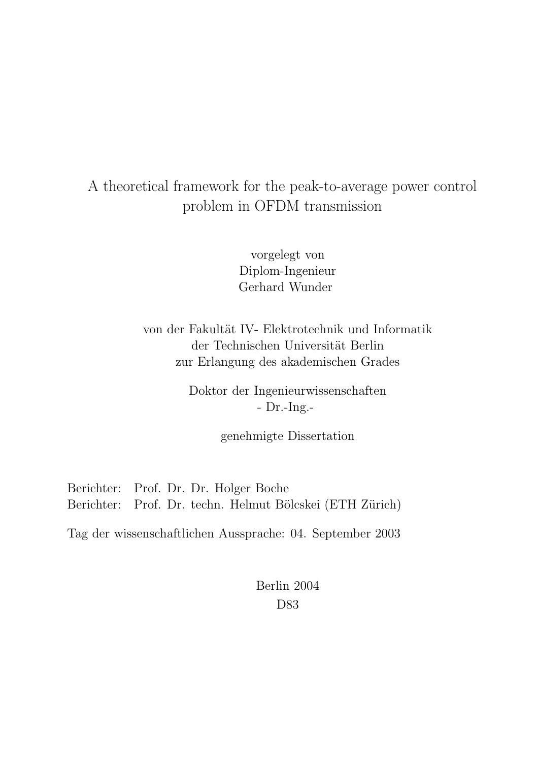## A theoretical framework for the peak-to-average power control problem in OFDM transmission

vorgelegt von Diplom-Ingenieur Gerhard Wunder

von der Fakultät IV- Elektrotechnik und Informatik der Technischen Universität Berlin zur Erlangung des akademischen Grades

> Doktor der Ingenieurwissenschaften - Dr.-Ing.-

> > genehmigte Dissertation

Berichter: Prof. Dr. Dr. Holger Boche Berichter: Prof. Dr. techn. Helmut Bölcskei (ETH Zürich)

Tag der wissenschaftlichen Aussprache: 04. September 2003

Berlin 2004 D83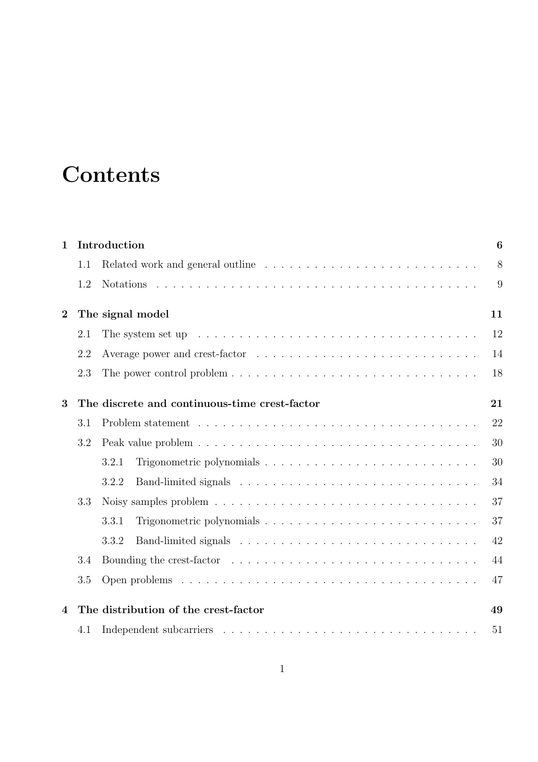# **Contents**

| $\mathbf{1}$   | Introduction                               |                                                                                                      |    |  |  |  |
|----------------|--------------------------------------------|------------------------------------------------------------------------------------------------------|----|--|--|--|
|                | 1.1                                        |                                                                                                      | 8  |  |  |  |
|                | 1.2                                        |                                                                                                      | 9  |  |  |  |
| $\overline{2}$ | The signal model<br>11                     |                                                                                                      |    |  |  |  |
|                | 2.1                                        | The system set up $\ldots \ldots \ldots \ldots \ldots \ldots \ldots \ldots \ldots \ldots \ldots$     | 12 |  |  |  |
|                | 2.2                                        |                                                                                                      | 14 |  |  |  |
|                | 2.3                                        |                                                                                                      | 18 |  |  |  |
| 3              |                                            | The discrete and continuous-time crest-factor                                                        | 21 |  |  |  |
|                | 3.1                                        |                                                                                                      | 22 |  |  |  |
|                | 3.2                                        |                                                                                                      | 30 |  |  |  |
|                |                                            | 3.2.1                                                                                                | 30 |  |  |  |
|                |                                            | 3.2.2                                                                                                | 34 |  |  |  |
|                | 3.3                                        | Noisy samples problem $\ldots \ldots \ldots \ldots \ldots \ldots \ldots \ldots \ldots \ldots \ldots$ | 37 |  |  |  |
|                |                                            | 3.3.1                                                                                                | 37 |  |  |  |
|                |                                            | 3.3.2                                                                                                | 42 |  |  |  |
|                | 3.4                                        |                                                                                                      | 44 |  |  |  |
|                | 3.5                                        |                                                                                                      | 47 |  |  |  |
| 4              | The distribution of the crest-factor<br>49 |                                                                                                      |    |  |  |  |
|                | 4.1                                        |                                                                                                      | 51 |  |  |  |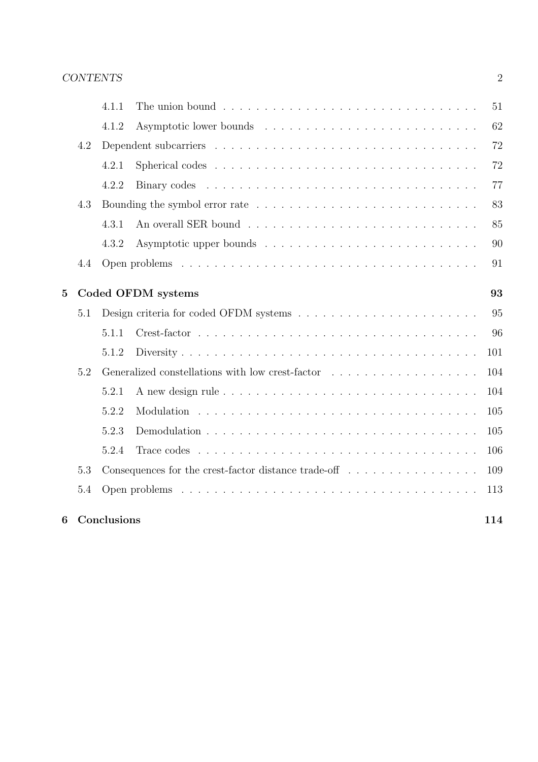| 6              |     | Conclusions        |                                                                                            | 114 |  |  |
|----------------|-----|--------------------|--------------------------------------------------------------------------------------------|-----|--|--|
|                | 5.4 |                    |                                                                                            | 113 |  |  |
|                | 5.3 |                    | Consequences for the crest-factor distance trade-off $\dots \dots \dots \dots \dots$       | 109 |  |  |
|                |     | 5.2.4              | Trace codes $\ldots \ldots \ldots \ldots \ldots \ldots \ldots \ldots \ldots \ldots \ldots$ | 106 |  |  |
|                |     | 5.2.3              |                                                                                            | 105 |  |  |
|                |     | 5.2.2              |                                                                                            | 105 |  |  |
|                |     | 5.2.1              |                                                                                            | 104 |  |  |
|                | 5.2 |                    | 104                                                                                        |     |  |  |
|                |     | 5.1.2              |                                                                                            | 101 |  |  |
|                |     | 5.1.1              |                                                                                            | 96  |  |  |
|                | 5.1 |                    |                                                                                            | 95  |  |  |
| $\overline{5}$ |     | Coded OFDM systems |                                                                                            |     |  |  |
|                | 4.4 |                    |                                                                                            | 91  |  |  |
|                |     | 4.3.2              |                                                                                            | 90  |  |  |
|                |     | 4.3.1              |                                                                                            | 85  |  |  |
|                | 4.3 |                    |                                                                                            | 83  |  |  |
|                |     | 4.2.2              |                                                                                            | 77  |  |  |
|                |     | 4.2.1              |                                                                                            | 72  |  |  |
|                | 4.2 |                    |                                                                                            | 72  |  |  |
|                |     | 4.1.2              |                                                                                            | 62  |  |  |
|                |     | 4.1.1              |                                                                                            | 51  |  |  |
|                |     |                    |                                                                                            |     |  |  |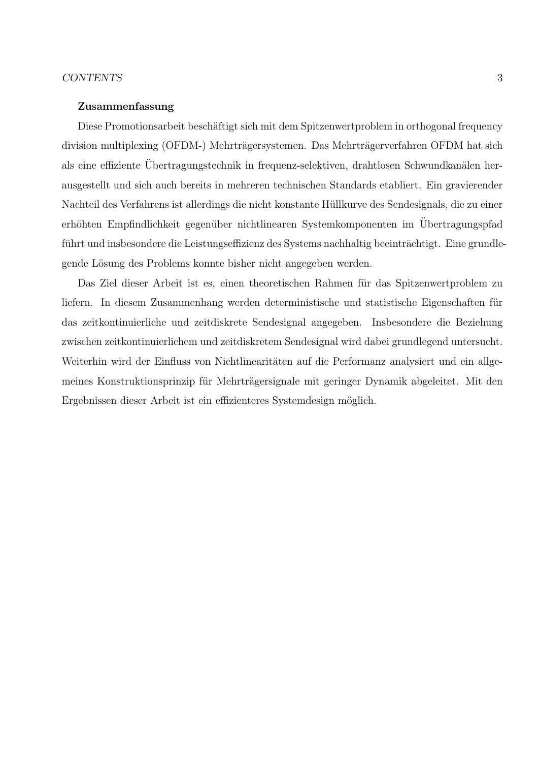#### CONTENTS 3

#### Zusammenfassung

Diese Promotionsarbeit beschäftigt sich mit dem Spitzenwertproblem in orthogonal frequency division multiplexing (OFDM-) Mehrträgersystemen. Das Mehrträgerverfahren OFDM hat sich als eine effiziente Übertragungstechnik in frequenz-selektiven, drahtlosen Schwundkanälen herausgestellt und sich auch bereits in mehreren technischen Standards etabliert. Ein gravierender Nachteil des Verfahrens ist allerdings die nicht konstante H¨ullkurve des Sendesignals, die zu einer erhöhten Empfindlichkeit gegenüber nichtlinearen Systemkomponenten im Übertragungspfad führt und insbesondere die Leistungseffizienz des Systems nachhaltig beeinträchtigt. Eine grundlegende Lösung des Problems konnte bisher nicht angegeben werden.

Das Ziel dieser Arbeit ist es, einen theoretischen Rahmen für das Spitzenwertproblem zu liefern. In diesem Zusammenhang werden deterministische und statistische Eigenschaften für das zeitkontinuierliche und zeitdiskrete Sendesignal angegeben. Insbesondere die Beziehung zwischen zeitkontinuierlichem und zeitdiskretem Sendesignal wird dabei grundlegend untersucht. Weiterhin wird der Einfluss von Nichtlinearitäten auf die Performanz analysiert und ein allgemeines Konstruktionsprinzip für Mehrträgersignale mit geringer Dynamik abgeleitet. Mit den Ergebnissen dieser Arbeit ist ein effizienteres Systemdesign möglich.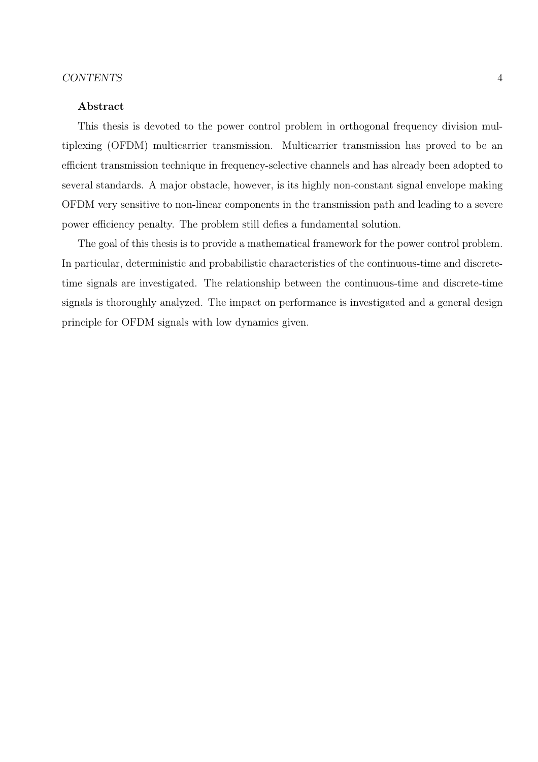#### Abstract

This thesis is devoted to the power control problem in orthogonal frequency division multiplexing (OFDM) multicarrier transmission. Multicarrier transmission has proved to be an efficient transmission technique in frequency-selective channels and has already been adopted to several standards. A major obstacle, however, is its highly non-constant signal envelope making OFDM very sensitive to non-linear components in the transmission path and leading to a severe power efficiency penalty. The problem still defies a fundamental solution.

The goal of this thesis is to provide a mathematical framework for the power control problem. In particular, deterministic and probabilistic characteristics of the continuous-time and discretetime signals are investigated. The relationship between the continuous-time and discrete-time signals is thoroughly analyzed. The impact on performance is investigated and a general design principle for OFDM signals with low dynamics given.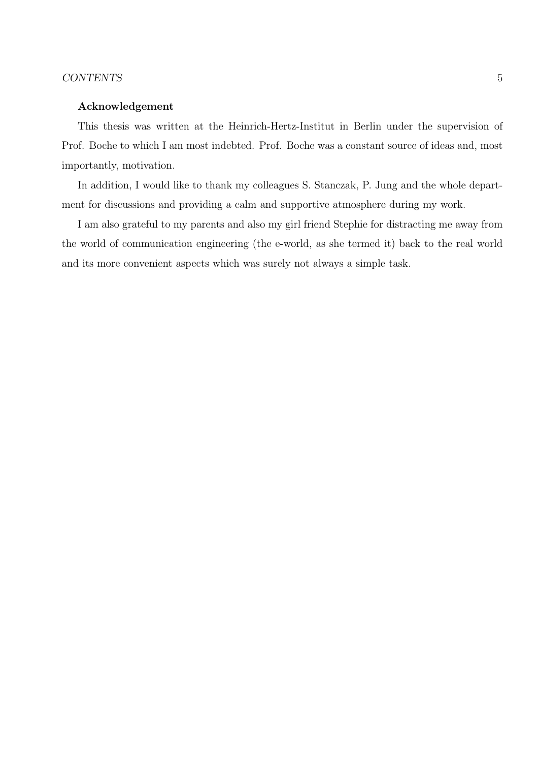#### CONTENTS 5

#### Acknowledgement

This thesis was written at the Heinrich-Hertz-Institut in Berlin under the supervision of Prof. Boche to which I am most indebted. Prof. Boche was a constant source of ideas and, most importantly, motivation.

In addition, I would like to thank my colleagues S. Stanczak, P. Jung and the whole department for discussions and providing a calm and supportive atmosphere during my work.

I am also grateful to my parents and also my girl friend Stephie for distracting me away from the world of communication engineering (the e-world, as she termed it) back to the real world and its more convenient aspects which was surely not always a simple task.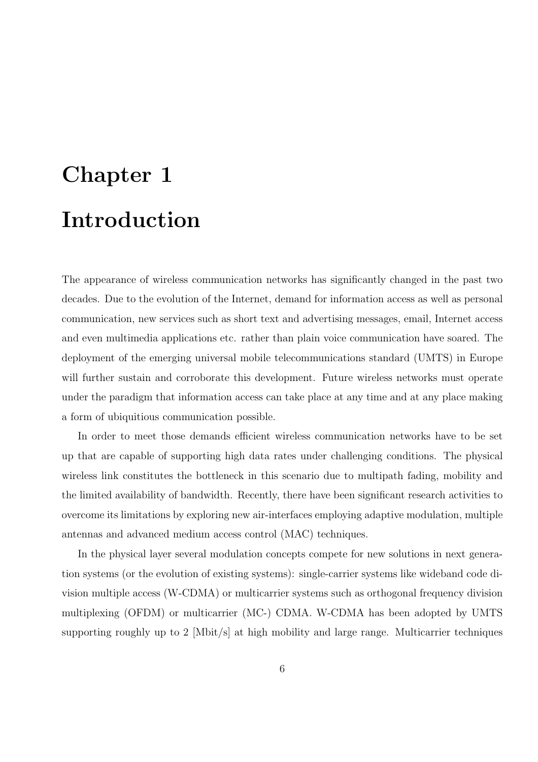# Chapter 1 Introduction

The appearance of wireless communication networks has significantly changed in the past two decades. Due to the evolution of the Internet, demand for information access as well as personal communication, new services such as short text and advertising messages, email, Internet access and even multimedia applications etc. rather than plain voice communication have soared. The deployment of the emerging universal mobile telecommunications standard (UMTS) in Europe will further sustain and corroborate this development. Future wireless networks must operate under the paradigm that information access can take place at any time and at any place making a form of ubiquitious communication possible.

In order to meet those demands efficient wireless communication networks have to be set up that are capable of supporting high data rates under challenging conditions. The physical wireless link constitutes the bottleneck in this scenario due to multipath fading, mobility and the limited availability of bandwidth. Recently, there have been significant research activities to overcome its limitations by exploring new air-interfaces employing adaptive modulation, multiple antennas and advanced medium access control (MAC) techniques.

In the physical layer several modulation concepts compete for new solutions in next generation systems (or the evolution of existing systems): single-carrier systems like wideband code division multiple access (W-CDMA) or multicarrier systems such as orthogonal frequency division multiplexing (OFDM) or multicarrier (MC-) CDMA. W-CDMA has been adopted by UMTS supporting roughly up to 2  $[Mbit/s]$  at high mobility and large range. Multicarrier techniques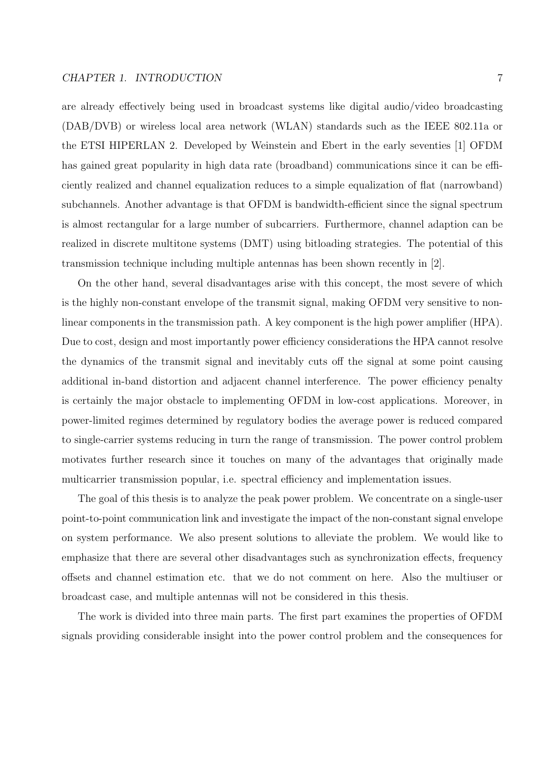are already effectively being used in broadcast systems like digital audio/video broadcasting (DAB/DVB) or wireless local area network (WLAN) standards such as the IEEE 802.11a or the ETSI HIPERLAN 2. Developed by Weinstein and Ebert in the early seventies [1] OFDM has gained great popularity in high data rate (broadband) communications since it can be efficiently realized and channel equalization reduces to a simple equalization of flat (narrowband) subchannels. Another advantage is that OFDM is bandwidth-efficient since the signal spectrum is almost rectangular for a large number of subcarriers. Furthermore, channel adaption can be realized in discrete multitone systems (DMT) using bitloading strategies. The potential of this transmission technique including multiple antennas has been shown recently in [2].

On the other hand, several disadvantages arise with this concept, the most severe of which is the highly non-constant envelope of the transmit signal, making OFDM very sensitive to nonlinear components in the transmission path. A key component is the high power amplifier (HPA). Due to cost, design and most importantly power efficiency considerations the HPA cannot resolve the dynamics of the transmit signal and inevitably cuts off the signal at some point causing additional in-band distortion and adjacent channel interference. The power efficiency penalty is certainly the major obstacle to implementing OFDM in low-cost applications. Moreover, in power-limited regimes determined by regulatory bodies the average power is reduced compared to single-carrier systems reducing in turn the range of transmission. The power control problem motivates further research since it touches on many of the advantages that originally made multicarrier transmission popular, i.e. spectral efficiency and implementation issues.

The goal of this thesis is to analyze the peak power problem. We concentrate on a single-user point-to-point communication link and investigate the impact of the non-constant signal envelope on system performance. We also present solutions to alleviate the problem. We would like to emphasize that there are several other disadvantages such as synchronization effects, frequency offsets and channel estimation etc. that we do not comment on here. Also the multiuser or broadcast case, and multiple antennas will not be considered in this thesis.

The work is divided into three main parts. The first part examines the properties of OFDM signals providing considerable insight into the power control problem and the consequences for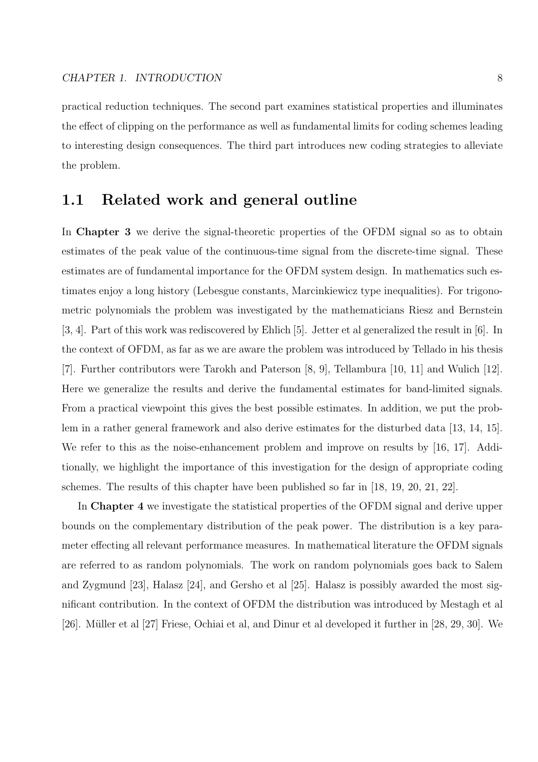practical reduction techniques. The second part examines statistical properties and illuminates the effect of clipping on the performance as well as fundamental limits for coding schemes leading to interesting design consequences. The third part introduces new coding strategies to alleviate the problem.

## 1.1 Related work and general outline

In Chapter 3 we derive the signal-theoretic properties of the OFDM signal so as to obtain estimates of the peak value of the continuous-time signal from the discrete-time signal. These estimates are of fundamental importance for the OFDM system design. In mathematics such estimates enjoy a long history (Lebesgue constants, Marcinkiewicz type inequalities). For trigonometric polynomials the problem was investigated by the mathematicians Riesz and Bernstein [3, 4]. Part of this work was rediscovered by Ehlich [5]. Jetter et al generalized the result in [6]. In the context of OFDM, as far as we are aware the problem was introduced by Tellado in his thesis [7]. Further contributors were Tarokh and Paterson [8, 9], Tellambura [10, 11] and Wulich [12]. Here we generalize the results and derive the fundamental estimates for band-limited signals. From a practical viewpoint this gives the best possible estimates. In addition, we put the problem in a rather general framework and also derive estimates for the disturbed data [13, 14, 15]. We refer to this as the noise-enhancement problem and improve on results by [16, 17]. Additionally, we highlight the importance of this investigation for the design of appropriate coding schemes. The results of this chapter have been published so far in [18, 19, 20, 21, 22].

In Chapter 4 we investigate the statistical properties of the OFDM signal and derive upper bounds on the complementary distribution of the peak power. The distribution is a key parameter effecting all relevant performance measures. In mathematical literature the OFDM signals are referred to as random polynomials. The work on random polynomials goes back to Salem and Zygmund [23], Halasz [24], and Gersho et al [25]. Halasz is possibly awarded the most significant contribution. In the context of OFDM the distribution was introduced by Mestagh et al [26]. Müller et al [27] Friese, Ochiai et al, and Dinur et al developed it further in [28, 29, 30]. We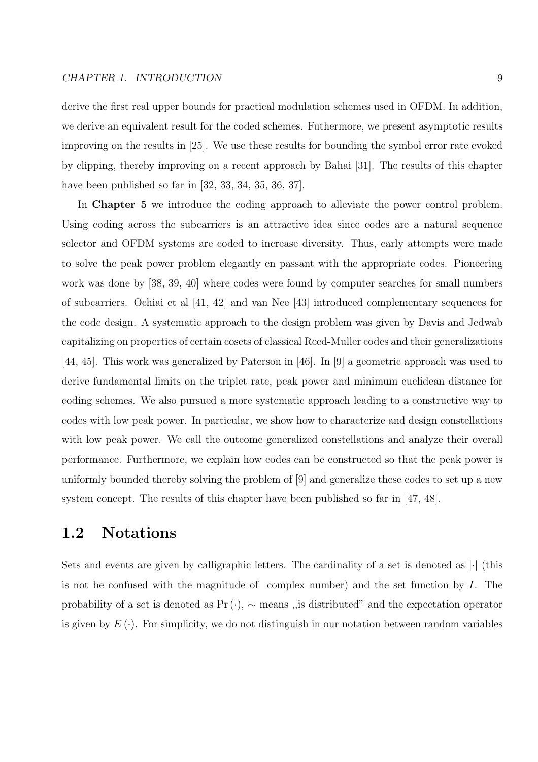#### CHAPTER 1. INTRODUCTION 9

derive the first real upper bounds for practical modulation schemes used in OFDM. In addition, we derive an equivalent result for the coded schemes. Futhermore, we present asymptotic results improving on the results in [25]. We use these results for bounding the symbol error rate evoked by clipping, thereby improving on a recent approach by Bahai [31]. The results of this chapter have been published so far in [32, 33, 34, 35, 36, 37].

In **Chapter 5** we introduce the coding approach to alleviate the power control problem. Using coding across the subcarriers is an attractive idea since codes are a natural sequence selector and OFDM systems are coded to increase diversity. Thus, early attempts were made to solve the peak power problem elegantly en passant with the appropriate codes. Pioneering work was done by [38, 39, 40] where codes were found by computer searches for small numbers of subcarriers. Ochiai et al [41, 42] and van Nee [43] introduced complementary sequences for the code design. A systematic approach to the design problem was given by Davis and Jedwab capitalizing on properties of certain cosets of classical Reed-Muller codes and their generalizations [44, 45]. This work was generalized by Paterson in [46]. In [9] a geometric approach was used to derive fundamental limits on the triplet rate, peak power and minimum euclidean distance for coding schemes. We also pursued a more systematic approach leading to a constructive way to codes with low peak power. In particular, we show how to characterize and design constellations with low peak power. We call the outcome generalized constellations and analyze their overall performance. Furthermore, we explain how codes can be constructed so that the peak power is uniformly bounded thereby solving the problem of [9] and generalize these codes to set up a new system concept. The results of this chapter have been published so far in [47, 48].

## 1.2 Notations

Sets and events are given by calligraphic letters. The cardinality of a set is denoted as  $\cdot$  (this is not be confused with the magnitude of complex number) and the set function by  $I$ . The probability of a set is denoted as  $Pr(\cdot)$ ,  $\sim$  means, is distributed" and the expectation operator is given by  $E(\cdot)$ . For simplicity, we do not distinguish in our notation between random variables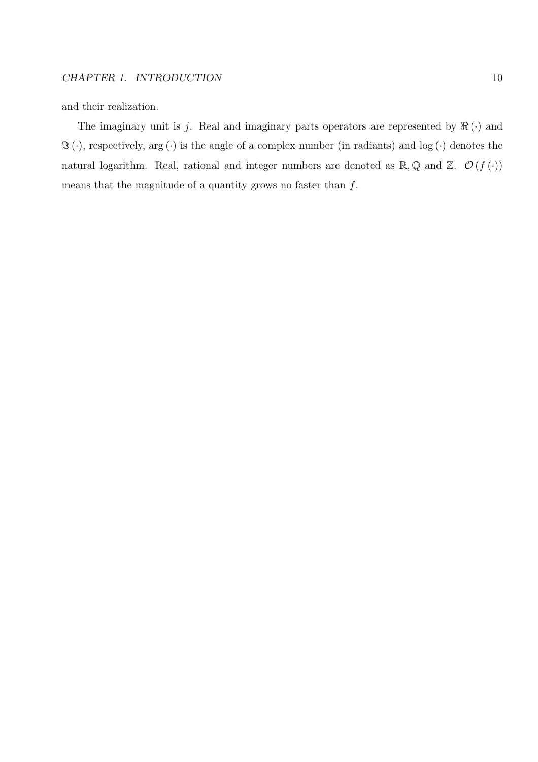and their realization.

The imaginary unit is j. Real and imaginary parts operators are represented by  $\Re(\cdot)$  and  $\Im(\cdot)$ , respectively,  $\arg(\cdot)$  is the angle of a complex number (in radiants) and log ( $\cdot$ ) denotes the natural logarithm. Real, rational and integer numbers are denoted as  $\mathbb{R}, \mathbb{Q}$  and  $\mathbb{Z}$ .  $\mathcal{O}(f(\cdot))$ means that the magnitude of a quantity grows no faster than  $f$ .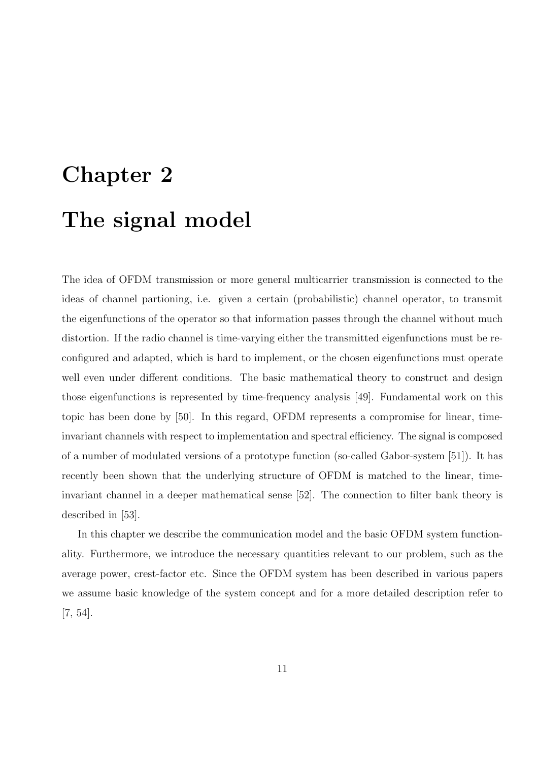# Chapter 2 The signal model

The idea of OFDM transmission or more general multicarrier transmission is connected to the ideas of channel partioning, i.e. given a certain (probabilistic) channel operator, to transmit the eigenfunctions of the operator so that information passes through the channel without much distortion. If the radio channel is time-varying either the transmitted eigenfunctions must be reconfigured and adapted, which is hard to implement, or the chosen eigenfunctions must operate well even under different conditions. The basic mathematical theory to construct and design those eigenfunctions is represented by time-frequency analysis [49]. Fundamental work on this topic has been done by [50]. In this regard, OFDM represents a compromise for linear, timeinvariant channels with respect to implementation and spectral efficiency. The signal is composed of a number of modulated versions of a prototype function (so-called Gabor-system [51]). It has recently been shown that the underlying structure of OFDM is matched to the linear, timeinvariant channel in a deeper mathematical sense [52]. The connection to filter bank theory is described in [53].

In this chapter we describe the communication model and the basic OFDM system functionality. Furthermore, we introduce the necessary quantities relevant to our problem, such as the average power, crest-factor etc. Since the OFDM system has been described in various papers we assume basic knowledge of the system concept and for a more detailed description refer to [7, 54].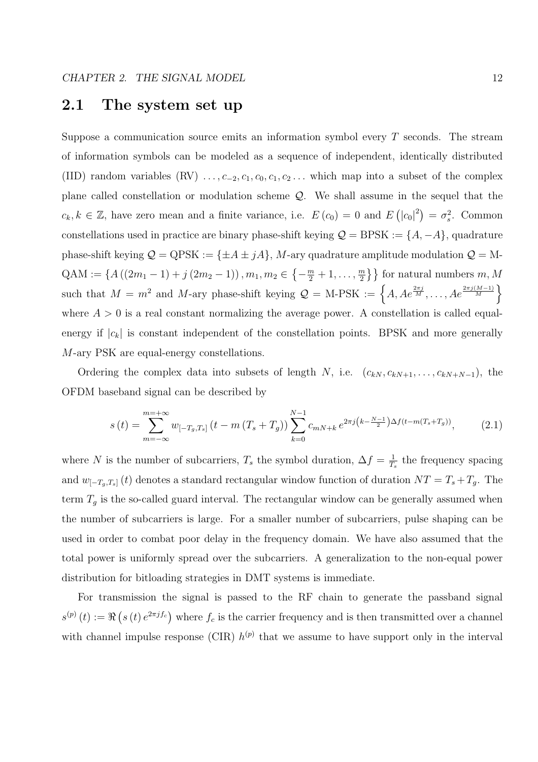### 2.1 The system set up

Suppose a communication source emits an information symbol every  $T$  seconds. The stream of information symbols can be modeled as a sequence of independent, identically distributed (IID) random variables  $(RV) \ldots, c_{-2}, c_1, c_0, c_1, c_2, \ldots$  which map into a subset of the complex plane called constellation or modulation scheme Q. We shall assume in the sequel that the  $c_k, k \in \mathbb{Z}$ , have zero mean and a finite variance, i.e.  $E(c_0) = 0$  and E ¡  $|c_0|^2$  $=\sigma_s^2$ . Common constellations used in practice are binary phase-shift keying  $\mathcal{Q} = BPSK := \{A, -A\}$ , quadrature phase-shift keying  $\mathcal{Q} = QPSK := {\pm A \pm jA}$ , M-ary quadrature amplitude modulation  $\mathcal{Q} = M QAM := \{A((2m_1 - 1) + j(2m_2 - 1)), m_1, m_2 \in$  $\overline{a}$  $-\frac{m}{2}+1,\ldots,\frac{m}{2}$  $\left\{\frac{m}{2}\right\}$  for natural numbers  $m, M$ such that  $M = m^2$  and M-ary phase-shift keying  $Q = M$ -PSK :=  $\{A, Ae^{\frac{2\pi j}{M}}, \dots, Ae^{\frac{2\pi j(M-1)}{M}}\}$ r+<br>N where  $A > 0$  is a real constant normalizing the average power. A constellation is called equalenergy if  $|c_k|$  is constant independent of the constellation points. BPSK and more generally M-ary PSK are equal-energy constellations.

Ordering the complex data into subsets of length N, i.e.  $(c_{kN}, c_{kN+1}, \ldots, c_{kN+N-1})$ , the OFDM baseband signal can be described by

$$
s(t) = \sum_{m = -\infty}^{m = +\infty} w_{[-T_g, T_s]} \left( t - m \left( T_s + T_g \right) \right) \sum_{k=0}^{N-1} c_{mN+k} \, e^{2\pi j \left( k - \frac{N-1}{2} \right) \Delta f \left( t - m \left( T_s + T_g \right) \right)},\tag{2.1}
$$

where N is the number of subcarriers,  $T_s$  the symbol duration,  $\Delta f = \frac{1}{T_s}$  $\frac{1}{T_s}$  the frequency spacing and  $w_{[-T_g,T_s]}(t)$  denotes a standard rectangular window function of duration  $NT = T_s + T_g$ . The term  $T_g$  is the so-called guard interval. The rectangular window can be generally assumed when the number of subcarriers is large. For a smaller number of subcarriers, pulse shaping can be used in order to combat poor delay in the frequency domain. We have also assumed that the total power is uniformly spread over the subcarriers. A generalization to the non-equal power distribution for bitloading strategies in DMT systems is immediate.

For transmission the signal is passed to the RF chain to generate the passband signal  $s^{\left( p\right) }\left( t\right) :=\Re$ ¡  $s(t) e^{2\pi j f_c}$ where  $f_c$  is the carrier frequency and is then transmitted over a channel with channel impulse response (CIR)  $h^{(p)}$  that we assume to have support only in the interval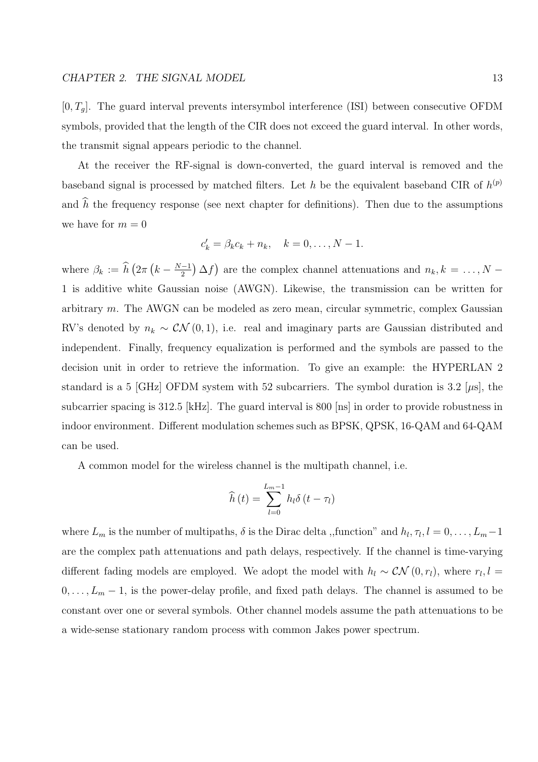$[0, T_g]$ . The guard interval prevents intersymbol interference (ISI) between consecutive OFDM symbols, provided that the length of the CIR does not exceed the guard interval. In other words, the transmit signal appears periodic to the channel.

At the receiver the RF-signal is down-converted, the guard interval is removed and the baseband signal is processed by matched filters. Let h be the equivalent baseband CIR of  $h^{(p)}$ and  $\hat{h}$  the frequency response (see next chapter for definitions). Then due to the assumptions we have for  $m = 0$ 

$$
c'_k = \beta_k c_k + n_k, \quad k = 0, \dots, N-1.
$$

where  $\beta_k := \widehat{h}$  (  $2\pi$ ¡  $k-\frac{N-1}{2}$ 2 ¢ ∆f ¢ are the complex channel attenuations and  $n_k, k = \ldots, N -$ 1 is additive white Gaussian noise (AWGN). Likewise, the transmission can be written for arbitrary  $m$ . The AWGN can be modeled as zero mean, circular symmetric, complex Gaussian RV's denoted by  $n_k \sim \mathcal{CN}(0, 1)$ , i.e. real and imaginary parts are Gaussian distributed and independent. Finally, frequency equalization is performed and the symbols are passed to the decision unit in order to retrieve the information. To give an example: the HYPERLAN 2 standard is a 5 [GHz] OFDM system with 52 subcarriers. The symbol duration is 3.2 [ $\mu$ s], the subcarrier spacing is 312.5 [kHz]. The guard interval is 800 [ns] in order to provide robustness in indoor environment. Different modulation schemes such as BPSK, QPSK, 16-QAM and 64-QAM can be used.

A common model for the wireless channel is the multipath channel, i.e.

$$
\widehat{h}\left(t\right) = \sum_{l=0}^{L_m-1} h_l \delta\left(t - \tau_l\right)
$$

where  $L_m$  is the number of multipaths,  $\delta$  is the Dirac delta ,,function" and  $h_l, \tau_l, l = 0, \ldots, L_m - 1$ are the complex path attenuations and path delays, respectively. If the channel is time-varying different fading models are employed. We adopt the model with  $h_l \sim \mathcal{CN}(0,r_l)$ , where  $r_l, l =$  $0, \ldots, L_m - 1$ , is the power-delay profile, and fixed path delays. The channel is assumed to be constant over one or several symbols. Other channel models assume the path attenuations to be a wide-sense stationary random process with common Jakes power spectrum.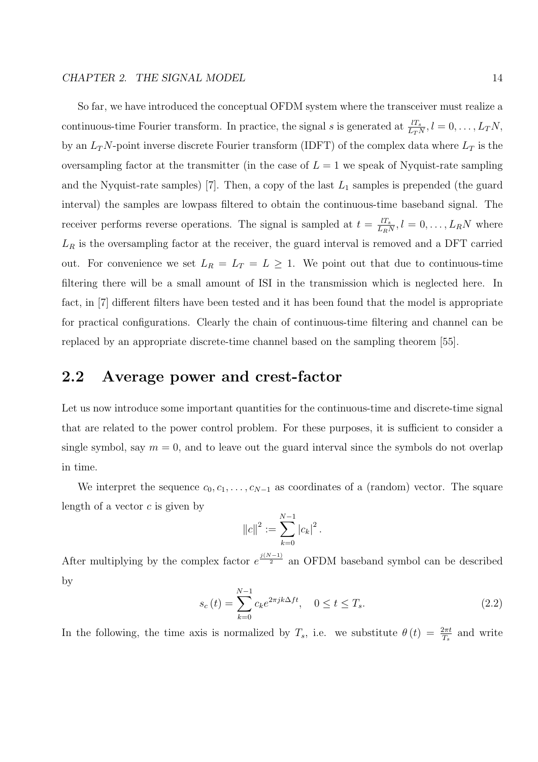#### CHAPTER 2. THE SIGNAL MODEL 14

So far, we have introduced the conceptual OFDM system where the transceiver must realize a continuous-time Fourier transform. In practice, the signal s is generated at  $\frac{lT_s}{L_T N}$ ,  $l = 0, \ldots, L_T N$ , by an  $L_TN$ -point inverse discrete Fourier transform (IDFT) of the complex data where  $L_T$  is the oversampling factor at the transmitter (in the case of  $L = 1$  we speak of Nyquist-rate sampling and the Nyquist-rate samples) [7]. Then, a copy of the last  $L_1$  samples is prepended (the guard interval) the samples are lowpass filtered to obtain the continuous-time baseband signal. The receiver performs reverse operations. The signal is sampled at  $t = \frac{lT_s}{l_s}$  $\frac{l_{T_s}}{L_RN}, l = 0, \ldots, L_RN$  where  $L_R$  is the oversampling factor at the receiver, the guard interval is removed and a DFT carried out. For convenience we set  $L_R = L_T = L \ge 1$ . We point out that due to continuous-time filtering there will be a small amount of ISI in the transmission which is neglected here. In fact, in [7] different filters have been tested and it has been found that the model is appropriate for practical configurations. Clearly the chain of continuous-time filtering and channel can be replaced by an appropriate discrete-time channel based on the sampling theorem [55].

## 2.2 Average power and crest-factor

Let us now introduce some important quantities for the continuous-time and discrete-time signal that are related to the power control problem. For these purposes, it is sufficient to consider a single symbol, say  $m = 0$ , and to leave out the guard interval since the symbols do not overlap in time.

We interpret the sequence  $c_0, c_1, \ldots, c_{N-1}$  as coordinates of a (random) vector. The square length of a vector  $c$  is given by

$$
||c||^2 := \sum_{k=0}^{N-1} |c_k|^2.
$$

After multiplying by the complex factor  $e^{\frac{j(N-1)}{2}}$  an OFDM baseband symbol can be described by

$$
s_c(t) = \sum_{k=0}^{N-1} c_k e^{2\pi j k \Delta ft}, \quad 0 \le t \le T_s.
$$
 (2.2)

In the following, the time axis is normalized by  $T_s$ , i.e. we substitute  $\theta(t) = \frac{2\pi t}{T_s}$  and write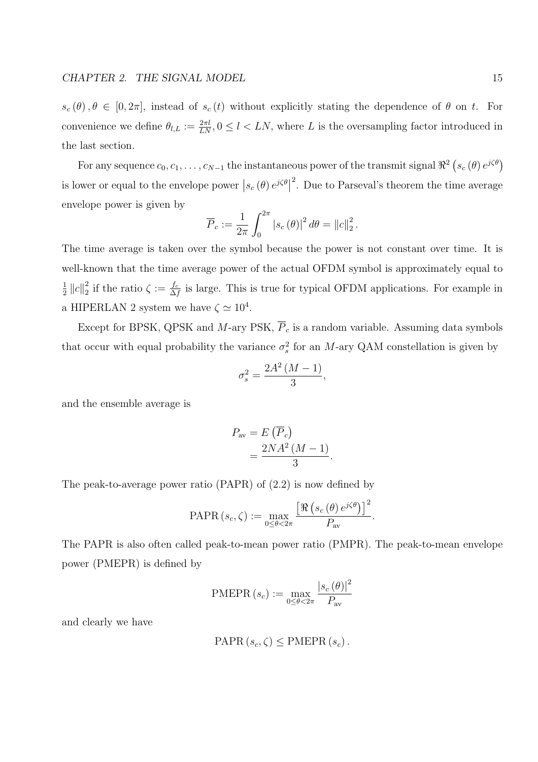$s_c (\theta), \theta \in [0, 2\pi]$ , instead of  $s_c (t)$  without explicitly stating the dependence of  $\theta$  on t. For convenience we define  $\theta_{l,L} := \frac{2\pi l}{LN}, 0 \leq l \leq LN$ , where L is the oversampling factor introduced in the last section.

For any sequence  $c_0, c_1, \ldots, c_{N-1}$  the instantaneous power of the transmit signal  $\Re^2$  (  $s_c(\theta) e^{j\zeta\theta}$ is lower or equal to the envelope power  $\left| s_c(\theta) e^{i\zeta \theta} \right|^2$ . Due to Parseval's theorem the time average envelope power is given by  $r^{2\pi}$ 

$$
\overline{P}_c := \frac{1}{2\pi} \int_0^{2\pi} |s_c(\theta)|^2 d\theta = ||c||_2^2.
$$

The time average is taken over the symbol because the power is not constant over time. It is well-known that the time average power of the actual OFDM symbol is approximately equal to 1  $\frac{1}{2}$   $||c||_2^2$  $\frac{2}{2}$  if the ratio  $\zeta := \frac{f_c}{\Delta}$  $\frac{f_c}{\Delta f}$  is large. This is true for typical OFDM applications. For example in a HIPERLAN 2 system we have  $\zeta \simeq 10^4$ .

Except for BPSK, QPSK and M-ary PSK,  $\overline{P}_c$  is a random variable. Assuming data symbols that occur with equal probability the variance  $\sigma_s^2$  for an M-ary QAM constellation is given by

$$
\sigma_s^2 = \frac{2A^2\left(M-1\right)}{3},
$$

and the ensemble average is

$$
P_{\text{av}} = E(\overline{P}_c)
$$
  
= 
$$
\frac{2NA^2(M-1)}{3}.
$$

The peak-to-average power ratio (PAPR) of (2.2) is now defined by

PAPR 
$$
(s_c, \zeta) := \max_{0 \le \theta < 2\pi} \frac{\left[ \Re \left( s_c \left( \theta \right) e^{j\zeta \theta} \right) \right]^2}{P_{\text{av}}}.
$$

The PAPR is also often called peak-to-mean power ratio (PMPR). The peak-to-mean envelope power (PMEPR) is defined by

$$
\text{PMEPR}\left(s_c\right) := \max_{0 \leq \theta < 2\pi} \frac{|s_c(\theta)|^2}{P_{\text{av}}}
$$

and clearly we have

$$
PAPR(s_c, \zeta) \leq PMEPR(s_c).
$$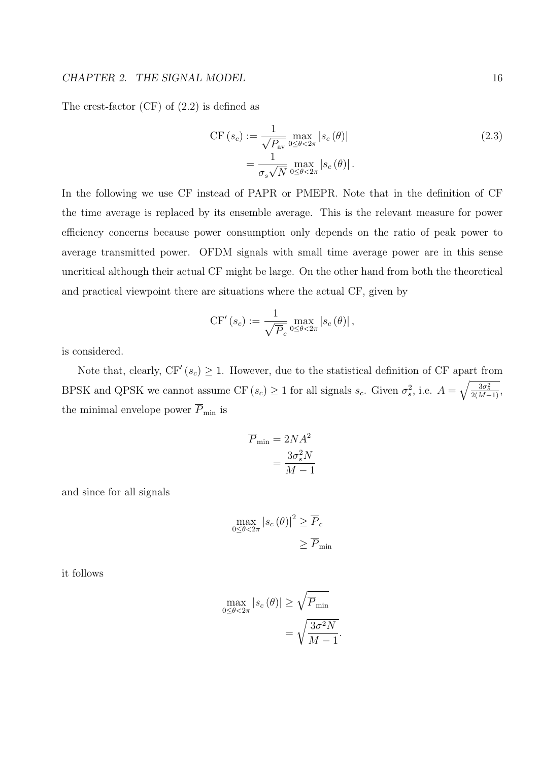#### CHAPTER 2. THE SIGNAL MODEL 16

The crest-factor (CF) of (2.2) is defined as

$$
CF(s_c) := \frac{1}{\sqrt{P_{\text{av}}}} \max_{0 \le \theta < 2\pi} |s_c(\theta)|
$$
\n
$$
= \frac{1}{\sigma_s \sqrt{N}} \max_{0 \le \theta < 2\pi} |s_c(\theta)|.
$$
\n
$$
(2.3)
$$

In the following we use CF instead of PAPR or PMEPR. Note that in the definition of CF the time average is replaced by its ensemble average. This is the relevant measure for power efficiency concerns because power consumption only depends on the ratio of peak power to average transmitted power. OFDM signals with small time average power are in this sense uncritical although their actual CF might be large. On the other hand from both the theoretical and practical viewpoint there are situations where the actual CF, given by

$$
\mathrm{CF}'\left(s_c\right) := \frac{1}{\sqrt{\overline{P}_c}} \max_{0 \leq \theta < 2\pi} \left| s_c\left(\theta\right) \right|,
$$

is considered.

Note that, clearly,  $CF'(s_c) \geq 1$ . However, due to the statistical definition of CF apart from BPSK and QPSK we cannot assume CF  $(s_c) \geq 1$  for all signals  $s_c$ . Given  $\sigma_s^2$ , i.e.  $A = \sqrt{\frac{3\sigma_s^2}{2(M-1)}}$ , the minimal envelope power  $\overline{P}_{\text{min}}$  is

$$
\overline{P}_{\min} = 2NA^2
$$

$$
= \frac{3\sigma_s^2 N}{M - 1}
$$

and since for all signals

$$
\max_{0 \le \theta < 2\pi} |s_c(\theta)|^2 \ge \overline{P}_c
$$
\n
$$
\ge \overline{P}_{\min}
$$

it follows

$$
\max_{0 \le \theta < 2\pi} |s_c(\theta)| \ge \sqrt{\overline{P}_{\min}}
$$
\n
$$
= \sqrt{\frac{3\sigma^2 N}{M - 1}}
$$

.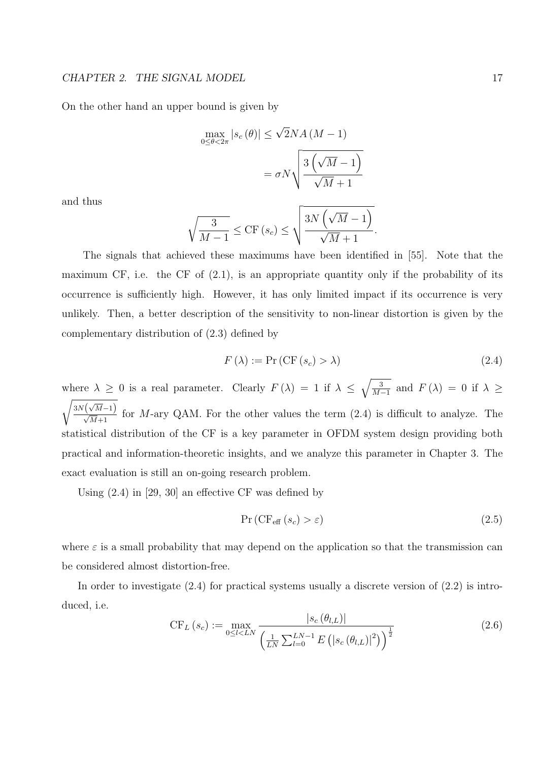On the other hand an upper bound is given by

$$
\max_{0 \le \theta < 2\pi} |s_c(\theta)| \le \sqrt{2}NA(M-1)
$$
\n
$$
= \sigma N \sqrt{\frac{3(\sqrt{M}-1)}{\sqrt{M}+1}}
$$

and thus

$$
\sqrt{\frac{3}{M-1}} \le \mathrm{CF}\left(s_c\right) \le \sqrt{\frac{3N\left(\sqrt{M}-1\right)}{\sqrt{M}+1}}.
$$

The signals that achieved these maximums have been identified in [55]. Note that the maximum CF, i.e. the CF of  $(2.1)$ , is an appropriate quantity only if the probability of its occurrence is sufficiently high. However, it has only limited impact if its occurrence is very unlikely. Then, a better description of the sensitivity to non-linear distortion is given by the complementary distribution of (2.3) defined by

$$
F(\lambda) := \Pr(\text{CF}(s_c) > \lambda) \tag{2.4}
$$

where  $\lambda \geq 0$  is a real parameter. Clearly  $F(\lambda) = 1$  if  $\lambda \leq \sqrt{\frac{3}{M}}$ .  $\frac{3}{M-1}$  and  $F(\lambda) = 0$  if  $\lambda \geq$ r √  $\frac{3N(\sqrt{M}-1)}{\sqrt{M}+1}$  for M-ary QAM. For the other values the term (2.4) is difficult to analyze. The statistical distribution of the CF is a key parameter in OFDM system design providing both practical and information-theoretic insights, and we analyze this parameter in Chapter 3. The exact evaluation is still an on-going research problem.

Using (2.4) in [29, 30] an effective CF was defined by

$$
Pr(CF_{\text{eff}}(s_c) > \varepsilon)
$$
\n(2.5)

where  $\varepsilon$  is a small probability that may depend on the application so that the transmission can be considered almost distortion-free.

In order to investigate  $(2.4)$  for practical systems usually a discrete version of  $(2.2)$  is introduced, i.e.

$$
\text{CF}_{L}(s_c) := \max_{0 \le l < LN} \frac{|s_c(\theta_{l,L})|}{\left(\frac{1}{LN} \sum_{l=0}^{LN-1} E\left(|s_c(\theta_{l,L})|^2\right)\right)^{\frac{1}{2}}}
$$
\n
$$
(2.6)
$$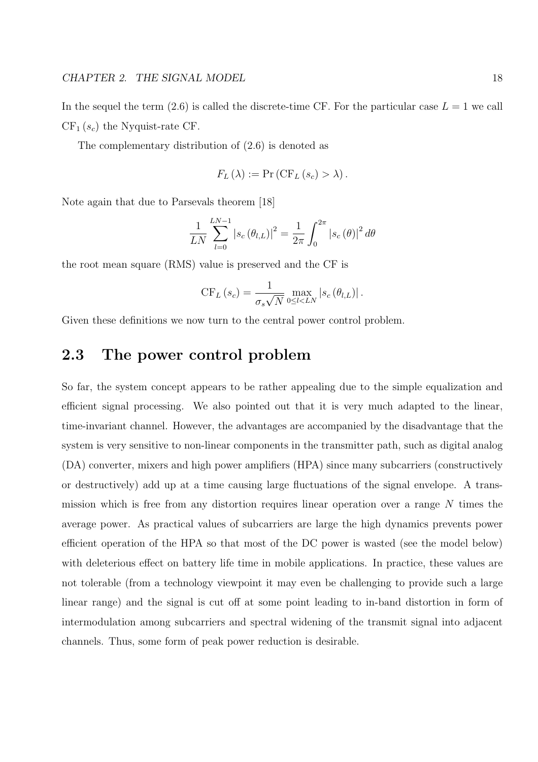In the sequel the term  $(2.6)$  is called the discrete-time CF. For the particular case  $L = 1$  we call  $CF<sub>1</sub>(s<sub>c</sub>)$  the Nyquist-rate CF.

The complementary distribution of (2.6) is denoted as

$$
F_L(\lambda) := \Pr\left(\mathrm{CF}_L(s_c) > \lambda\right).
$$

Note again that due to Parsevals theorem [18]

$$
\frac{1}{LN} \sum_{l=0}^{LN-1} |s_c(\theta_{l,L})|^2 = \frac{1}{2\pi} \int_0^{2\pi} |s_c(\theta)|^2 d\theta
$$

the root mean square (RMS) value is preserved and the CF is

$$
CF_L(s_c) = \frac{1}{\sigma_s \sqrt{N}} \max_{0 \leq l < LN} |s_c(\theta_{l,L})|.
$$

Given these definitions we now turn to the central power control problem.

## 2.3 The power control problem

So far, the system concept appears to be rather appealing due to the simple equalization and efficient signal processing. We also pointed out that it is very much adapted to the linear, time-invariant channel. However, the advantages are accompanied by the disadvantage that the system is very sensitive to non-linear components in the transmitter path, such as digital analog (DA) converter, mixers and high power amplifiers (HPA) since many subcarriers (constructively or destructively) add up at a time causing large fluctuations of the signal envelope. A transmission which is free from any distortion requires linear operation over a range N times the average power. As practical values of subcarriers are large the high dynamics prevents power efficient operation of the HPA so that most of the DC power is wasted (see the model below) with deleterious effect on battery life time in mobile applications. In practice, these values are not tolerable (from a technology viewpoint it may even be challenging to provide such a large linear range) and the signal is cut off at some point leading to in-band distortion in form of intermodulation among subcarriers and spectral widening of the transmit signal into adjacent channels. Thus, some form of peak power reduction is desirable.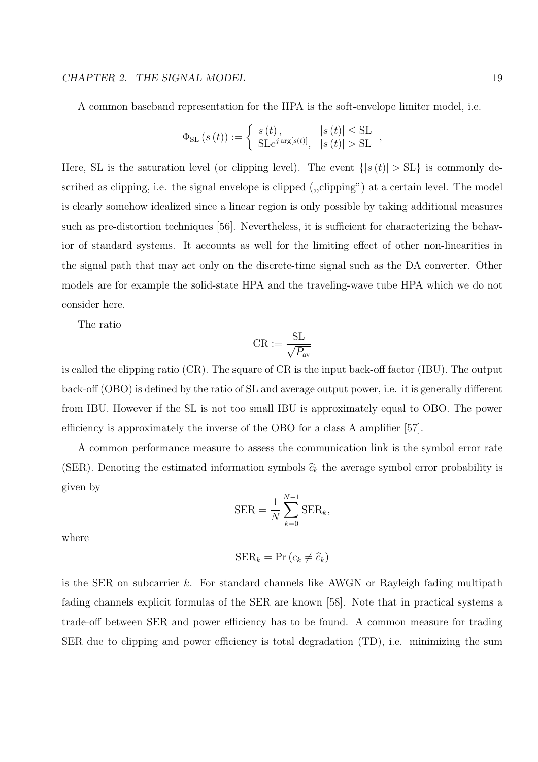#### CHAPTER 2. THE SIGNAL MODEL 19

A common baseband representation for the HPA is the soft-envelope limiter model, i.e.

$$
\Phi_{\mathrm{SL}}\left(s\left(t\right)\right) := \left\{\begin{array}{ll} s\left(t\right), & \left|s\left(t\right)\right| \leq \mathrm{SL} \\ \mathrm{SL}e^{j\arg\left[s\left(t\right)\right]}, & \left|s\left(t\right)\right| > \mathrm{SL} \end{array}\right.,
$$

Here, SL is the saturation level (or clipping level). The event  $\{ |s(t)| > SL \}$  is commonly described as clipping, i.e. the signal envelope is clipped (,,clipping") at a certain level. The model is clearly somehow idealized since a linear region is only possible by taking additional measures such as pre-distortion techniques [56]. Nevertheless, it is sufficient for characterizing the behavior of standard systems. It accounts as well for the limiting effect of other non-linearities in the signal path that may act only on the discrete-time signal such as the DA converter. Other models are for example the solid-state HPA and the traveling-wave tube HPA which we do not consider here.

The ratio

$$
\text{CR} := \frac{\text{SL}}{\sqrt{P_{\text{av}}}}
$$

is called the clipping ratio (CR). The square of CR is the input back-off factor (IBU). The output back-off (OBO) is defined by the ratio of SL and average output power, i.e. it is generally different from IBU. However if the SL is not too small IBU is approximately equal to OBO. The power efficiency is approximately the inverse of the OBO for a class A amplifier [57].

A common performance measure to assess the communication link is the symbol error rate (SER). Denoting the estimated information symbols  $\hat{c}_k$  the average symbol error probability is given by

$$
\overline{\text{SER}} = \frac{1}{N} \sum_{k=0}^{N-1} \text{SER}_k,
$$

where

$$
SER_k = \Pr(c_k \neq \widehat{c}_k)
$$

is the SER on subcarrier k. For standard channels like AWGN or Rayleigh fading multipath fading channels explicit formulas of the SER are known [58]. Note that in practical systems a trade-off between SER and power efficiency has to be found. A common measure for trading SER due to clipping and power efficiency is total degradation (TD), i.e. minimizing the sum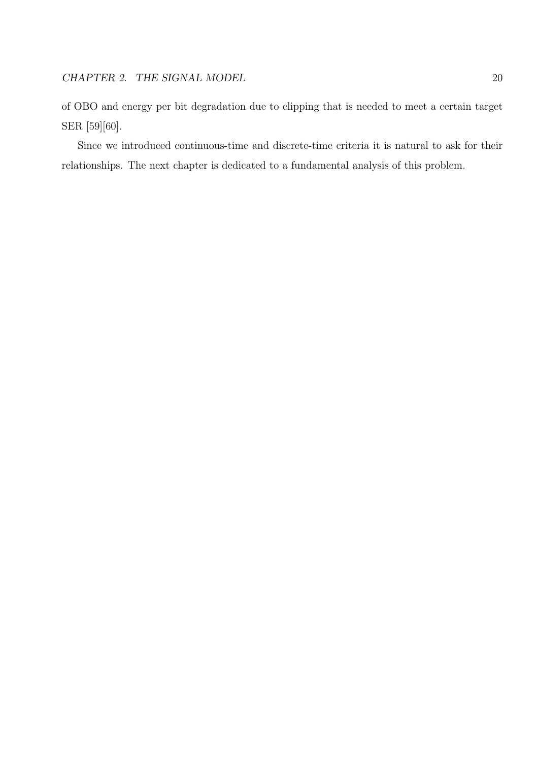of OBO and energy per bit degradation due to clipping that is needed to meet a certain target SER [59][60].

Since we introduced continuous-time and discrete-time criteria it is natural to ask for their relationships. The next chapter is dedicated to a fundamental analysis of this problem.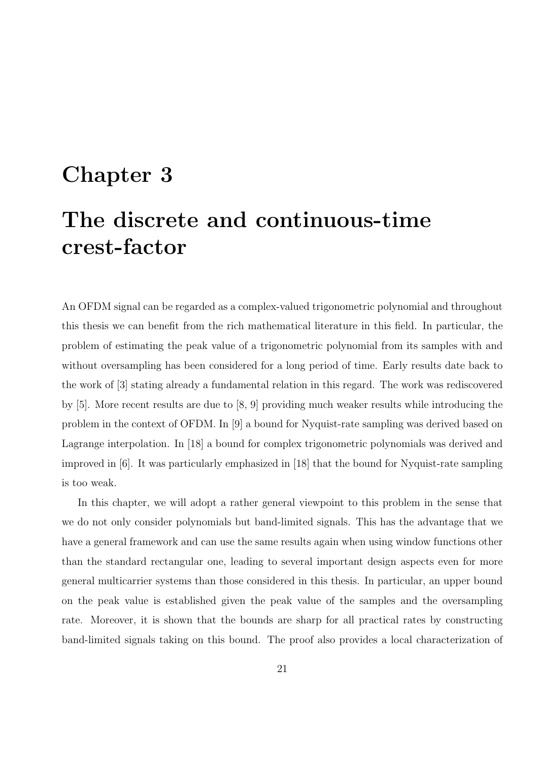## Chapter 3

## The discrete and continuous-time crest-factor

An OFDM signal can be regarded as a complex-valued trigonometric polynomial and throughout this thesis we can benefit from the rich mathematical literature in this field. In particular, the problem of estimating the peak value of a trigonometric polynomial from its samples with and without oversampling has been considered for a long period of time. Early results date back to the work of [3] stating already a fundamental relation in this regard. The work was rediscovered by [5]. More recent results are due to [8, 9] providing much weaker results while introducing the problem in the context of OFDM. In [9] a bound for Nyquist-rate sampling was derived based on Lagrange interpolation. In [18] a bound for complex trigonometric polynomials was derived and improved in [6]. It was particularly emphasized in [18] that the bound for Nyquist-rate sampling is too weak.

In this chapter, we will adopt a rather general viewpoint to this problem in the sense that we do not only consider polynomials but band-limited signals. This has the advantage that we have a general framework and can use the same results again when using window functions other than the standard rectangular one, leading to several important design aspects even for more general multicarrier systems than those considered in this thesis. In particular, an upper bound on the peak value is established given the peak value of the samples and the oversampling rate. Moreover, it is shown that the bounds are sharp for all practical rates by constructing band-limited signals taking on this bound. The proof also provides a local characterization of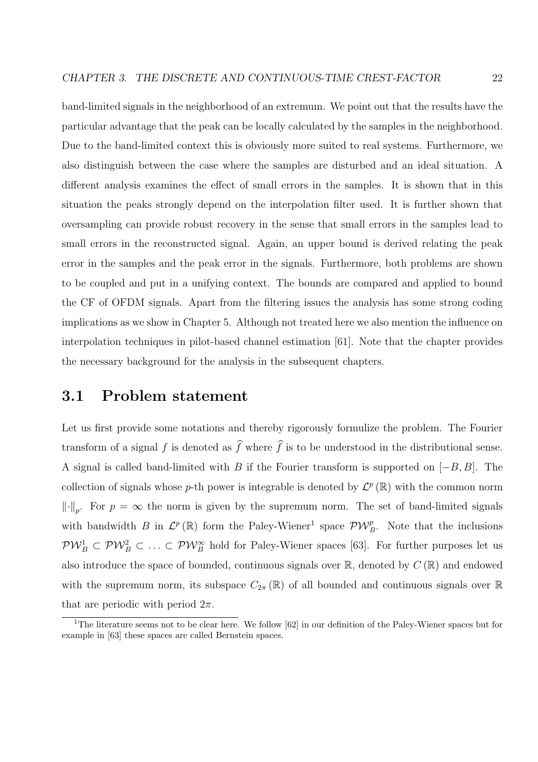band-limited signals in the neighborhood of an extremum. We point out that the results have the particular advantage that the peak can be locally calculated by the samples in the neighborhood. Due to the band-limited context this is obviously more suited to real systems. Furthermore, we also distinguish between the case where the samples are disturbed and an ideal situation. A different analysis examines the effect of small errors in the samples. It is shown that in this situation the peaks strongly depend on the interpolation filter used. It is further shown that oversampling can provide robust recovery in the sense that small errors in the samples lead to small errors in the reconstructed signal. Again, an upper bound is derived relating the peak error in the samples and the peak error in the signals. Furthermore, both problems are shown to be coupled and put in a unifying context. The bounds are compared and applied to bound the CF of OFDM signals. Apart from the filtering issues the analysis has some strong coding implications as we show in Chapter 5. Although not treated here we also mention the influence on interpolation techniques in pilot-based channel estimation [61]. Note that the chapter provides the necessary background for the analysis in the subsequent chapters.

## 3.1 Problem statement

Let us first provide some notations and thereby rigorously formulize the problem. The Fourier transform of a signal f is denoted as  $\widehat{f}$  where  $\widehat{f}$  is to be understood in the distributional sense. A signal is called band-limited with B if the Fourier transform is supported on  $[-B, B]$ . The collection of signals whose p-th power is integrable is denoted by  $\mathcal{L}^p(\mathbb{R})$  with the common norm  $\lVert \cdot \rVert_p$ . For  $p = \infty$  the norm is given by the supremum norm. The set of band-limited signals with bandwidth B in  $\mathcal{L}^p(\mathbb{R})$  form the Paley-Wiener<sup>1</sup> space  $\mathcal{PW}_{B}^p$ . Note that the inclusions  $PW_B^1\subset PW_B^2\subset\ldots\subset PW_B^\infty$  hold for Paley-Wiener spaces [63]. For further purposes let us also introduce the space of bounded, continuous signals over  $\mathbb{R}$ , denoted by  $C(\mathbb{R})$  and endowed with the supremum norm, its subspace  $C_{2\pi}(\mathbb{R})$  of all bounded and continuous signals over  $\mathbb R$ that are periodic with period  $2\pi$ .

<sup>&</sup>lt;sup>1</sup>The literature seems not to be clear here. We follow  $[62]$  in our definition of the Paley-Wiener spaces but for example in [63] these spaces are called Bernstein spaces.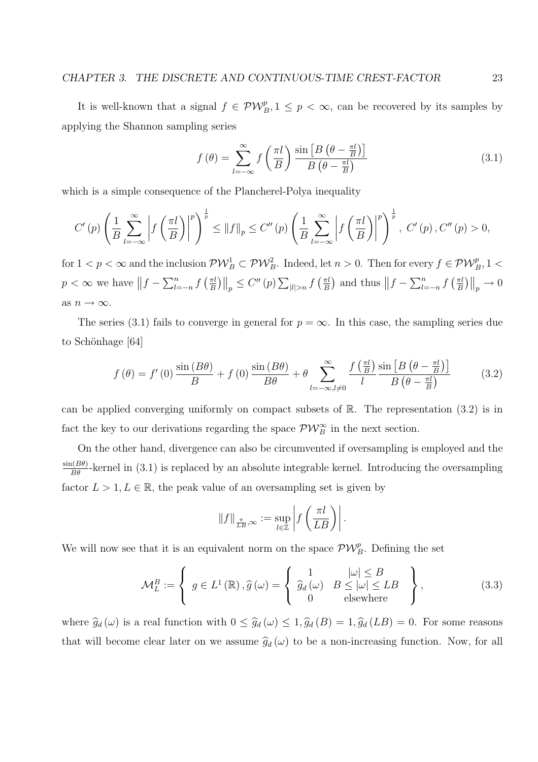It is well-known that a signal  $f \in \mathcal{PW}_{B}^p, 1 \leq p < \infty$ , can be recovered by its samples by applying the Shannon sampling series

$$
f(\theta) = \sum_{l=-\infty}^{\infty} f\left(\frac{\pi l}{B}\right) \frac{\sin\left[B\left(\theta - \frac{\pi l}{B}\right)\right]}{B\left(\theta - \frac{\pi l}{B}\right)}\tag{3.1}
$$

which is a simple consequence of the Plancherel-Polya inequality

$$
C'(p)\left(\frac{1}{B}\sum_{l=-\infty}^{\infty}\left|f\left(\frac{\pi l}{B}\right)\right|^{p}\right)^{\frac{1}{p}} \leq \|f\|_{p} \leq C''(p)\left(\frac{1}{B}\sum_{l=-\infty}^{\infty}\left|f\left(\frac{\pi l}{B}\right)\right|^{p}\right)^{\frac{1}{p}}, \ C'(p), C''(p) > 0,
$$

for  $1 < p < \infty$  and the inclusion  $\mathcal{PW}_B^1 \subset \mathcal{PW}_B^2$ . Indeed, let  $n > 0$ . Then for every  $f \in \mathcal{PW}_B^p$ ,  $1 <$  $p < \infty$  we have  $||f-\sum_{l=1}^n$  $\sum_{l=-n}^{n}f$  $\int \pi l$ B  $\left\| \right\|_p \leq C''(p) \sum$  $|l|>n$  f  $\int \pi l$ B ¢ and thus  $||f - \sum_{l=1}^n$  $\sum_{l=-n}^{n}f$  $\int \pi l$ B  $\left\| \right\|_p \to 0$ as  $n \to \infty$ .

The series (3.1) fails to converge in general for  $p = \infty$ . In this case, the sampling series due to Schönhage [64]

$$
f(\theta) = f'(0) \frac{\sin(B\theta)}{B} + f(0) \frac{\sin(B\theta)}{B\theta} + \theta \sum_{l=-\infty, l \neq 0}^{\infty} \frac{f(\frac{\pi l}{B})}{l} \frac{\sin[B(\theta - \frac{\pi l}{B})]}{B(\theta - \frac{\pi l}{B})}
$$
(3.2)

can be applied converging uniformly on compact subsets of  $\mathbb{R}$ . The representation (3.2) is in fact the key to our derivations regarding the space  $\mathcal{PW}_{B}^{\infty}$  in the next section.

On the other hand, divergence can also be circumvented if oversampling is employed and the  $\frac{\sin(B\theta)}{B\theta}$ -kernel in (3.1) is replaced by an absolute integrable kernel. Introducing the oversampling factor  $L > 1, L \in \mathbb{R}$ , the peak value of an oversampling set is given by

$$
||f||_{\frac{\pi}{LB},\infty} := \sup_{l \in \mathbb{Z}} \left| f\left(\frac{\pi l}{LB}\right) \right|.
$$

We will now see that it is an equivalent norm on the space  $\mathcal{PW}_{B}^p$ . Defining the set

$$
\mathcal{M}_{L}^{B} := \left\{ g \in L^{1}(\mathbb{R}), \hat{g}(\omega) = \left\{ \begin{array}{ll} 1 & |\omega| \leq B \\ \hat{g}_{d}(\omega) & B \leq |\omega| \leq LB \\ 0 & \text{elsewhere} \end{array} \right\},\right\}
$$
(3.3)

where  $\hat{g}_d(\omega)$  is a real function with  $0 \leq \hat{g}_d(\omega) \leq 1$ ,  $\hat{g}_d(B) = 1$ ,  $\hat{g}_d(B) = 0$ . For some reasons that will become clear later on we assume  $\hat{g}_d(\omega)$  to be a non-increasing function. Now, for all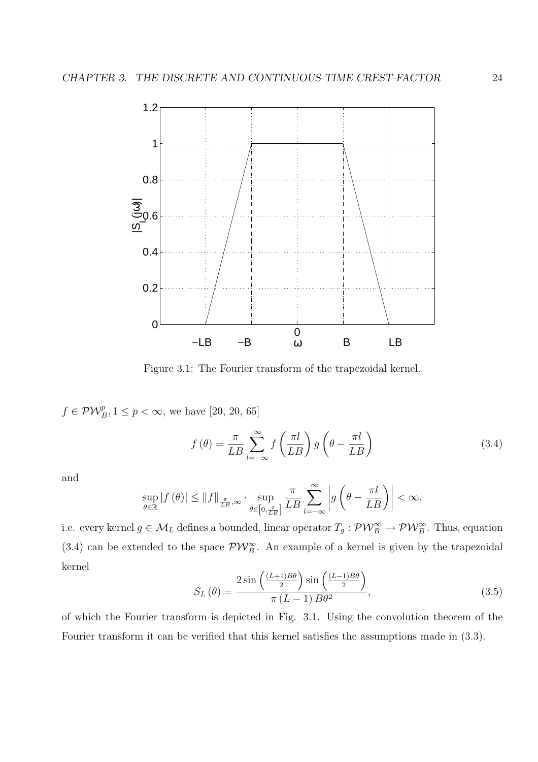

Figure 3.1: The Fourier transform of the trapezoidal kernel.

 $f \in \mathcal{PW}_{B}^p, 1 \leq p < \infty$ , we have [20, 20, 65]

$$
f(\theta) = \frac{\pi}{LB} \sum_{l=-\infty}^{\infty} f\left(\frac{\pi l}{LB}\right) g\left(\theta - \frac{\pi l}{LB}\right)
$$
 (3.4)

and

$$
\sup_{\theta \in \mathbb{R}} |f(\theta)| \leq ||f||_{\frac{\pi}{LB},\infty} \cdot \sup_{\theta \in \left[0,\frac{\pi}{LB}\right]} \frac{\pi}{LB} \sum_{l=-\infty}^{\infty} \left| g\left(\theta - \frac{\pi l}{LB}\right) \right| < \infty,
$$

i.e. every kernel  $g \in M_L$  defines a bounded, linear operator  $T_g: \mathcal{PW}_B^{\infty} \to \mathcal{PW}_B^{\infty}$ . Thus, equation (3.4) can be extended to the space  $\mathcal{PW}_{B}^{\infty}$ . An example of a kernel is given by the trapezoidal kernel ´ ´

$$
S_L(\theta) = \frac{2\sin\left(\frac{(L+1)B\theta}{2}\right)\sin\left(\frac{(L-1)B\theta}{2}\right)}{\pi\left(L-1\right)B\theta^2},\tag{3.5}
$$

of which the Fourier transform is depicted in Fig. 3.1. Using the convolution theorem of the Fourier transform it can be verified that this kernel satisfies the assumptions made in (3.3).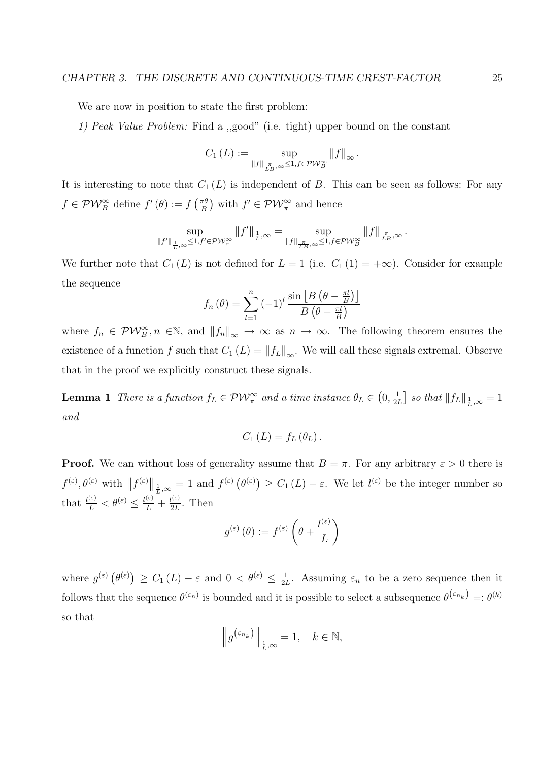We are now in position to state the first problem:

1) Peak Value Problem: Find a ,,good" (i.e. tight) upper bound on the constant

$$
C_1(L) := \sup_{\|f\|_{\frac{\pi}{LB},\infty} \leq 1, f \in \mathcal{PW}_B^{\infty}} \|f\|_{\infty}.
$$

It is interesting to note that  $C_1(L)$  is independent of B. This can be seen as follows: For any  $f \in \mathcal{PW}_{B}^{\infty}$  define  $f'(\theta) := f$  $\int \pi \theta$ B ¢ with  $f' \in \mathcal{PW}_{\pi}^{\infty}$  and hence

$$
\sup_{\|f'\|_{\frac{1}{L},\infty}\leq 1,f'\in\mathcal{PW}_{\pi}^{\infty}} \|f'\|_{\frac{1}{L},\infty}=\sup_{\|f\|_{\frac{\pi}{LB},\infty}\leq 1,f\in\mathcal{PW}_{B}^{\infty}} \|f\|_{\frac{\pi}{LB},\infty}\,.
$$

We further note that  $C_1(L)$  is not defined for  $L = 1$  (i.e.  $C_1(1) = +\infty$ ). Consider for example the sequence ¡  $\overline{a}$ 

$$
f_n(\theta) = \sum_{l=1}^n \left(-1\right)^l \frac{\sin\left[B\left(\theta - \frac{\pi l}{B}\right)\right]}{B\left(\theta - \frac{\pi l}{B}\right)}
$$

where  $f_n \in \mathcal{PW}_B^{\infty}, n \in \mathbb{N}$ , and  $||f_n||_{\infty} \to \infty$  as  $n \to \infty$ . The following theorem ensures the existence of a function f such that  $C_1(L) = ||f_L||_{\infty}$ . We will call these signals extremal. Observe that in the proof we explicitly construct these signals.

**Lemma 1** There is a function  $f_L \in \mathcal{PW}_{\pi}^{\infty}$  and a time instance  $\theta_L \in$ ¡  $0, \frac{1}{2}$  $2L$ ¤ so that  $||f_L||_{\frac{1}{L},\infty} = 1$ and

$$
C_1(L) = f_L(\theta_L).
$$

**Proof.** We can without loss of generality assume that  $B = \pi$ . For any arbitrary  $\varepsilon > 0$  there is  $f^{(\varepsilon)}, \theta^{(\varepsilon)}$  with  $||f^{(\varepsilon)}||_{\frac{1}{L},\infty} = 1$  and  $f^{(\varepsilon)}$  (  $\theta^{(\varepsilon)})$  $\geq C_1(L) - \varepsilon$ . We let  $l^{(\varepsilon)}$  be the integer number so that  $\frac{l^{(\varepsilon)}}{L} < \theta^{(\varepsilon)} \leq \frac{l^{(\varepsilon)}}{L} + \frac{l^{(\varepsilon)}}{2L}$  $\frac{q^{(\epsilon)}}{2L}$ . Then

$$
g^{(\varepsilon)}(\theta) := f^{(\varepsilon)}\left(\theta + \frac{l^{(\varepsilon)}}{L}\right)
$$

where  $g^{(\varepsilon)}$  (  $\theta^{(\varepsilon)}$  $\geq C_1(L) - \varepsilon$  and  $0 < \theta^{(\varepsilon)} \leq \frac{1}{2l}$  $\frac{1}{2L}$ . Assuming  $\varepsilon_n$  to be a zero sequence then it follows that the sequence  $\theta^{(\varepsilon_n)}$  is bounded and it is possible to select a subsequence  $\theta^{(\varepsilon_{n_k})} = \theta^{(k)}$ so that ° °

$$
\left\|g^{\left(\varepsilon_{n_k}\right)}\right\|_{\frac{1}{L},\infty} = 1, \quad k \in \mathbb{N},
$$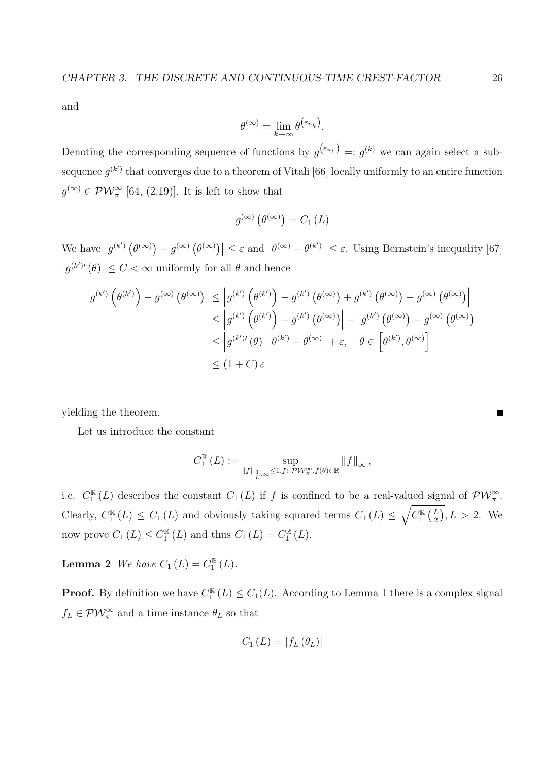and

$$
\theta^{(\infty)} = \lim_{k \to \infty} \theta^{\left(\varepsilon_{n_k}\right)}.
$$

Denoting the corresponding sequence of functions by  $g^{(\varepsilon_{n_k})} = g^{(k)}$  we can again select a subsequence  $g^{(k')}$  that converges due to a theorem of Vitali [66] locally uniformly to an entire function  $g^{(\infty)} \in \mathcal{PW}_{\pi}^{\infty}$  [64, (2.19)]. It is left to show that

$$
g^{(\infty)}\left(\theta^{(\infty)}\right) = C_1\left(L\right)
$$

We have  $|g^{(k')}\rangle$  $\theta^{(\infty)}$  $-g^{(\infty)}$  (  $|\theta^{(\infty)})| \leq \varepsilon$  and  $|\theta^{(\infty)} - \theta^{(k')}| \leq \varepsilon$ . Using Bernstein's inequality [67]  $|g^{(k')'}(\theta)|$  $\vert \leq C < \infty$  uniformly for all  $\theta$  and hence

$$
\left| g^{(k')} \left( \theta^{(k')} \right) - g^{(\infty)} \left( \theta^{(\infty)} \right) \right| \leq \left| g^{(k')} \left( \theta^{(k')} \right) - g^{(k')} \left( \theta^{(\infty)} \right) + g^{(k')} \left( \theta^{(\infty)} \right) - g^{(\infty)} \left( \theta^{(\infty)} \right) \right|
$$
  

$$
\leq \left| g^{(k')} \left( \theta^{(k')} \right) - g^{(k')} \left( \theta^{(\infty)} \right) \right| + \left| g^{(k')} \left( \theta^{(\infty)} \right) - g^{(\infty)} \left( \theta^{(\infty)} \right) \right|
$$
  

$$
\leq \left| g^{(k')} \left( \theta \right) \right| \left| \theta^{(k')} - \theta^{(\infty)} \right| + \varepsilon, \quad \theta \in \left[ \theta^{(k')}, \theta^{(\infty)} \right]
$$
  

$$
\leq (1 + C) \varepsilon
$$

yielding the theorem.

Let us introduce the constant

$$
C_1^{\mathbb{R}}(L) := \sup_{\|f\|_{\frac{1}{L},\infty} \leq 1, f \in \mathcal{PW}_{\pi}^{\infty}, f(\theta) \in \mathbb{R}} \|f\|_{\infty},
$$

i.e.  $C_1^{\mathbb{R}}(L)$  describes the constant  $C_1(L)$  if f is confined to be a real-valued signal of  $\mathcal{PW}_{\pi}^{\infty}$ . Clearly,  $C_1^{\mathbb{R}}(L) \leq C_1(L)$  and obviously taking squared terms  $C_1(L) \leq \sqrt{C_1^{\mathbb{R}}}$  $\frac{1}{\sqrt{L}}$ 2  $\overline{\phantom{a}}$  $, L > 2$ . We now prove  $C_1(L) \leq C_1^{\mathbb{R}}(L)$  and thus  $C_1(L) = C_1^{\mathbb{R}}(L)$ .

**Lemma 2** We have  $C_1(L) = C_1^{\mathbb{R}}(L)$ .

**Proof.** By definition we have  $C_1^{\mathbb{R}}(L) \leq C_1(L)$ . According to Lemma 1 there is a complex signal  $f_L \in \mathcal{PW}_{\pi}^{\infty}$  and a time instance  $\theta_L$  so that

$$
C_1(L) = |f_L(\theta_L)|
$$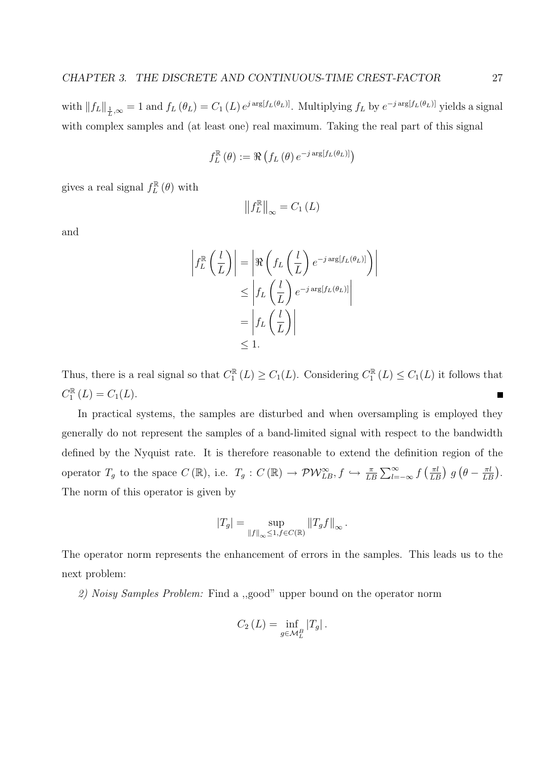with  $||f_L||_{\frac{1}{L},\infty} = 1$  and  $f_L(\theta_L) = C_1(L) e^{j \arg[f_L(\theta_L)]}$ . Multiplying  $f_L$  by  $e^{-j \arg[f_L(\theta_L)]}$  yields a signal with complex samples and (at least one) real maximum. Taking the real part of this signal

$$
f_L^{\mathbb{R}}(\theta) := \Re \left( f_L(\theta) e^{-j \arg[f_L(\theta_L)]} \right)
$$

gives a real signal  $f_L^{\mathbb{R}}(\theta)$  with

$$
\left\|f_L^{\mathbb{R}}\right\|_{\infty} = C_1\left(L\right)
$$

and

$$
\left| f_L^{\mathbb{R}} \left( \frac{l}{L} \right) \right| = \left| \Re \left( f_L \left( \frac{l}{L} \right) e^{-j \arg[f_L(\theta_L)]} \right) \right|
$$
  

$$
\leq \left| f_L \left( \frac{l}{L} \right) e^{-j \arg[f_L(\theta_L)]} \right|
$$
  

$$
= \left| f_L \left( \frac{l}{L} \right) \right|
$$
  

$$
\leq 1.
$$

Thus, there is a real signal so that  $C_1^{\mathbb{R}}(L) \geq C_1(L)$ . Considering  $C_1^{\mathbb{R}}(L) \leq C_1(L)$  it follows that  $C_1^{\mathbb{R}}(L) = C_1(L).$ п

In practical systems, the samples are disturbed and when oversampling is employed they generally do not represent the samples of a band-limited signal with respect to the bandwidth defined by the Nyquist rate. It is therefore reasonable to extend the definition region of the operator  $T_g$  to the space  $C(\mathbb{R})$ , i.e.  $T_g: C(\mathbb{R}) \to \mathcal{PW}_{LB}^{\infty}, f \hookrightarrow \frac{\pi}{LB}$  $\Gamma^{\infty}$  $\sum_{l=-\infty}^{\infty}$  f  $\int \pi l$  $\frac{\pi l}{LB}$ ) g ¡  $\theta - \frac{\pi l}{LL}$  $\frac{\pi l}{LB}$ . The norm of this operator is given by

$$
|T_g| = \sup_{\|f\|_{\infty} \leq 1, f \in C(\mathbb{R})} \|T_g f\|_{\infty}.
$$

The operator norm represents the enhancement of errors in the samples. This leads us to the next problem:

2) Noisy Samples Problem: Find a ,,good" upper bound on the operator norm

$$
C_2(L) = \inf_{g \in \mathcal{M}_L^B} |T_g|.
$$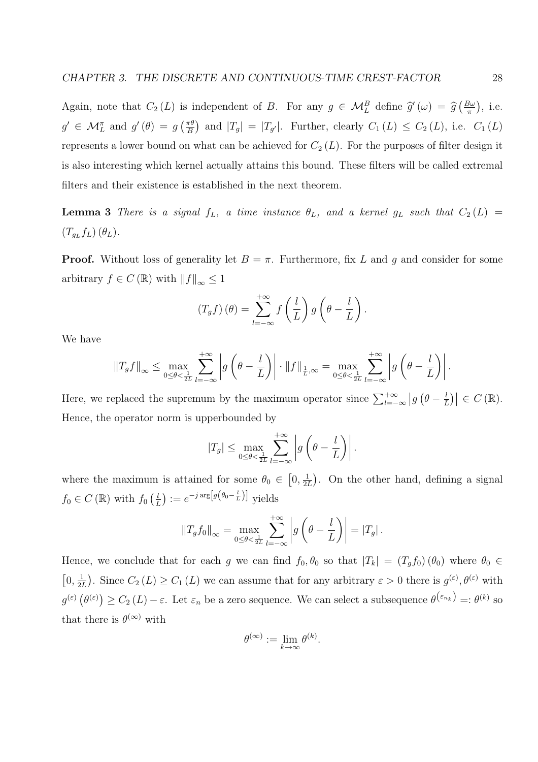Again, note that  $C_2(L)$  is independent of B. For any  $g \in \mathcal{M}_L^B$  define  $\hat{g}(\omega) = \hat{g}$  $\sqrt{B\omega}$ π ¢ , i.e.  $g' \in \mathcal{M}_L^{\pi}$  and  $g'(\theta) = g$  $\int \pi \theta$ B ¢ and  $|T_g| = |T_{g'}|$ . Further, clearly  $C_1(L) \leq C_2(L)$ , i.e.  $C_1(L)$ represents a lower bound on what can be achieved for  $C_2(L)$ . For the purposes of filter design it is also interesting which kernel actually attains this bound. These filters will be called extremal filters and their existence is established in the next theorem.

**Lemma 3** There is a signal  $f_L$ , a time instance  $\theta_L$ , and a kernel  $g_L$  such that  $C_2(L)$  =  $(T_{g_L}f_L)(\theta_L).$ 

**Proof.** Without loss of generality let  $B = \pi$ . Furthermore, fix L and g and consider for some arbitrary  $f\in C\left(\mathbb{R}\right)$  with  $\left\Vert f\right\Vert _{\infty}\leq1$ 

$$
(T_g f)(\theta) = \sum_{l=-\infty}^{+\infty} f\left(\frac{l}{L}\right) g\left(\theta - \frac{l}{L}\right).
$$

We have

$$
||T_gf||_{\infty} \leq \max_{0 \leq \theta < \frac{1}{2L}} \sum_{l=-\infty}^{+\infty} \left| g\left(\theta - \frac{l}{L}\right) \right| \cdot ||f||_{\frac{1}{L},\infty} = \max_{0 \leq \theta < \frac{1}{2L}} \sum_{l=-\infty}^{+\infty} \left| g\left(\theta - \frac{l}{L}\right) \right|.
$$

Here, we replaced the supremum by the maximum operator since  $\sum_{l=-\infty}^{+\infty}$  $|g|$  $\theta - \frac{l}{l}$ L  $\big|\in C(\mathbb{R}).$ Hence, the operator norm is upperbounded by

$$
|T_g| \leq \max_{0 \leq \theta < \frac{1}{2L}} \sum_{l=-\infty}^{+\infty} \left| g\left(\theta - \frac{l}{L}\right) \right|.
$$

where the maximum is attained for some  $\theta_0 \in$  $0, \frac{1}{2}$  $2L$ . On the other hand, defining a signal  $f_0 \in C(\mathbb{R})$  with  $f_0$  $\sqrt{l}$ L ¢  $:=e^{-j\arg[g(\theta_0-\frac{l}{L})]}$  yields

$$
||T_g f_0||_{\infty} = \max_{0 \leq \theta < \frac{1}{2L}} \sum_{l=-\infty}^{+\infty} \left| g\left(\theta - \frac{l}{L}\right) \right| = |T_g|.
$$

Hence, we conclude that for each g we can find  $f_0$ ,  $\theta_0$  so that  $|T_k| = (T_g f_0) (\theta_0)$  where  $\theta_0 \in$ £  $0, \frac{1}{2}$  $2L$ ¢ . Since  $C_2(L) \ge C_1(L)$  we can assume that for any arbitrary  $\varepsilon > 0$  there is  $g^{(\varepsilon)}, \theta^{(\varepsilon)}$  with  $g^{(\varepsilon)}$  (  $\overset{\circ}{\theta^{(\varepsilon)}})$  $\geq C_2(L)-\varepsilon$ . Let  $\varepsilon_n$  be a zero sequence. We can select a subsequence  $\theta^{(\varepsilon_{n_k})} = \theta^{(k)}$  so that there is  $\theta^{(\infty)}$  with

$$
\theta^{(\infty)} := \lim_{k \to \infty} \theta^{(k)}.
$$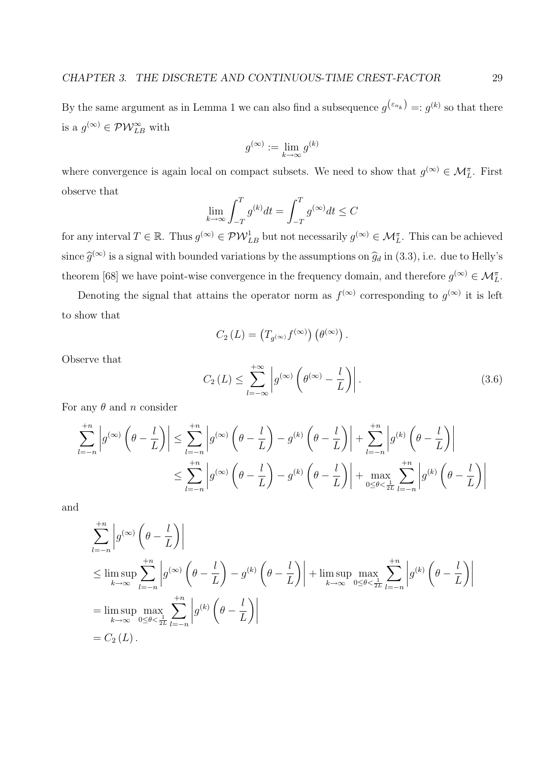By the same argument as in Lemma 1 we can also find a subsequence  $g^{(\varepsilon_{n_k})} = g^{(k)}$  so that there is a  $g^{(\infty)} \in \mathcal{PW}_{LB}^{\infty}$  with

$$
g^{(\infty)}:=\lim_{k\to\infty}g^{(k)}
$$

where convergence is again local on compact subsets. We need to show that  $g^{(\infty)} \in \mathcal{M}_L^{\pi}$ . First observe that  $\overline{r}$ 

$$
\lim_{k \to \infty} \int_{-T}^{T} g^{(k)} dt = \int_{-T}^{T} g^{(\infty)} dt \le C
$$

for any interval  $T \in \mathbb{R}$ . Thus  $g^{(\infty)} \in \mathcal{PW}_{LB}^1$  but not necessarily  $g^{(\infty)} \in \mathcal{M}_L^{\pi}$ . This can be achieved since  $\widehat{g}^{(\infty)}$  is a signal with bounded variations by the assumptions on  $\widehat{g}_d$  in (3.3), i.e. due to Helly's theorem [68] we have point-wise convergence in the frequency domain, and therefore  $g^{(\infty)} \in \mathcal{M}_L^{\pi}$ .

Denoting the signal that attains the operator norm as  $f^{(\infty)}$  corresponding to  $g^{(\infty)}$  it is left to show that

$$
C_2(L) = (T_{g^{(\infty)}} f^{(\infty)}) \left(\theta^{(\infty)}\right).
$$

Observe that

$$
C_2(L) \le \sum_{l=-\infty}^{+\infty} \left| g^{(\infty)} \left( \theta^{(\infty)} - \frac{l}{L} \right) \right|.
$$
 (3.6)

For any  $\theta$  and n consider

$$
\sum_{l=-n}^{+n} \left| g^{(\infty)}\left(\theta - \frac{l}{L}\right) \right| \leq \sum_{l=-n}^{+n} \left| g^{(\infty)}\left(\theta - \frac{l}{L}\right) - g^{(k)}\left(\theta - \frac{l}{L}\right) \right| + \sum_{l=-n}^{+n} \left| g^{(k)}\left(\theta - \frac{l}{L}\right) \right|
$$
  

$$
\leq \sum_{l=-n}^{+n} \left| g^{(\infty)}\left(\theta - \frac{l}{L}\right) - g^{(k)}\left(\theta - \frac{l}{L}\right) \right| + \max_{0 \leq \theta < \frac{1}{2L}} \sum_{l=-n}^{+n} \left| g^{(k)}\left(\theta - \frac{l}{L}\right) \right|
$$

and

$$
\sum_{l=-n}^{+n} \left| g^{(\infty)} \left( \theta - \frac{l}{L} \right) \right|
$$
\n
$$
\leq \limsup_{k \to \infty} \sum_{l=-n}^{+n} \left| g^{(\infty)} \left( \theta - \frac{l}{L} \right) - g^{(k)} \left( \theta - \frac{l}{L} \right) \right| + \limsup_{k \to \infty} \max_{0 \leq \theta < \frac{1}{2L}} \sum_{l=-n}^{+n} \left| g^{(k)} \left( \theta - \frac{l}{L} \right) \right|
$$
\n
$$
= \limsup_{k \to \infty} \max_{0 \leq \theta < \frac{1}{2L}} \sum_{l=-n}^{+n} \left| g^{(k)} \left( \theta - \frac{l}{L} \right) \right|
$$
\n
$$
= C_2 \left( L \right).
$$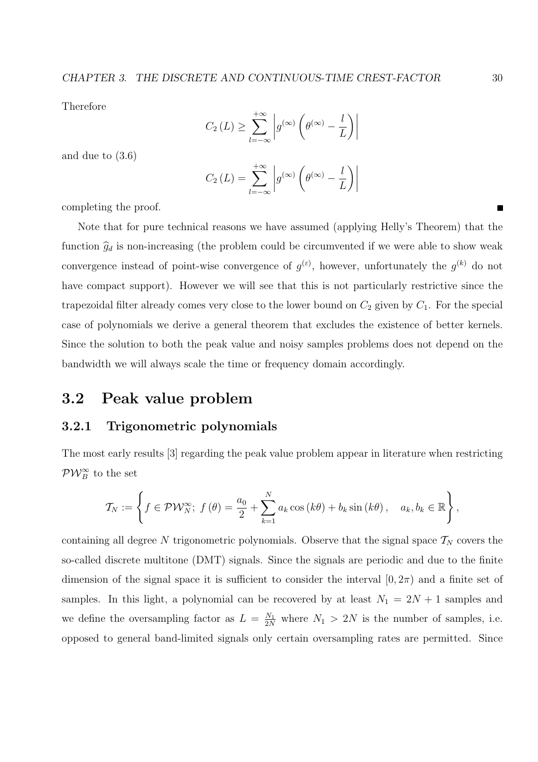Therefore

$$
C_2(L) \ge \sum_{l=-\infty}^{+\infty} \left| g^{(\infty)} \left( \theta^{(\infty)} - \frac{l}{L} \right) \right|
$$

and due to (3.6)

$$
C_2(L) = \sum_{l=-\infty}^{+\infty} \left| g^{(\infty)} \left( \theta^{(\infty)} - \frac{l}{L} \right) \right|
$$

completing the proof.

Note that for pure technical reasons we have assumed (applying Helly's Theorem) that the function  $\hat{g}_d$  is non-increasing (the problem could be circumvented if we were able to show weak convergence instead of point-wise convergence of  $g^{(\varepsilon)}$ , however, unfortunately the  $g^{(k)}$  do not have compact support). However we will see that this is not particularly restrictive since the trapezoidal filter already comes very close to the lower bound on  $C_2$  given by  $C_1$ . For the special case of polynomials we derive a general theorem that excludes the existence of better kernels. Since the solution to both the peak value and noisy samples problems does not depend on the bandwidth we will always scale the time or frequency domain accordingly.

## 3.2 Peak value problem

#### 3.2.1 Trigonometric polynomials

The most early results [3] regarding the peak value problem appear in literature when restricting  $PW_B^{\infty}$  to the set

$$
\mathcal{T}_N := \left\{ f \in \mathcal{PW}_N^{\infty}; \ f(\theta) = \frac{a_0}{2} + \sum_{k=1}^N a_k \cos(k\theta) + b_k \sin(k\theta), \quad a_k, b_k \in \mathbb{R} \right\},\
$$

containing all degree N trigonometric polynomials. Observe that the signal space  $\mathcal{T}_N$  covers the so-called discrete multitone (DMT) signals. Since the signals are periodic and due to the finite dimension of the signal space it is sufficient to consider the interval  $[0, 2\pi)$  and a finite set of samples. In this light, a polynomial can be recovered by at least  $N_1 = 2N + 1$  samples and we define the oversampling factor as  $L = \frac{N_1}{2N}$  where  $N_1 > 2N$  is the number of samples, i.e. opposed to general band-limited signals only certain oversampling rates are permitted. Since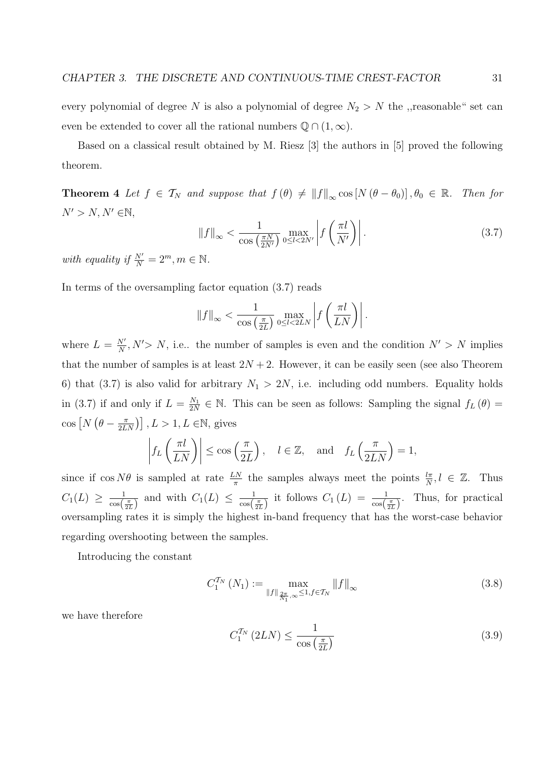every polynomial of degree N is also a polynomial of degree  $N_2 > N$  the ,,reasonable" set can even be extended to cover all the rational numbers  $\mathbb{Q} \cap (1,\infty)$ .

Based on a classical result obtained by M. Riesz [3] the authors in [5] proved the following theorem.

**Theorem 4** Let  $f \in \mathcal{T}_N$  and suppose that  $f(\theta) \neq ||f||_{\infty} \cos[N(\theta - \theta_0)], \theta_0 \in \mathbb{R}$ . Then for  $N' > N, N' \in \mathbb{N},$  $\overline{a}$  $\overline{a}$  $\frac{1}{2}$ 

$$
\|f\|_{\infty} < \frac{1}{\cos\left(\frac{\pi N}{2N'}\right)} \max_{0 \le l < 2N'} \left| f\left(\frac{\pi l}{N'}\right) \right| \tag{3.7}
$$

with equality if  $\frac{N'}{N} = 2^m, m \in \mathbb{N}$ .

In terms of the oversampling factor equation (3.7) reads

$$
||f||_{\infty} < \frac{1}{\cos\left(\frac{\pi}{2L}\right)} \max_{0 \le l < 2LN} \left| f\left(\frac{\pi l}{LN}\right) \right|.
$$

where  $L = \frac{N'}{N}$  $\frac{N'}{N}$ , N' > N, i.e.. the number of samples is even and the condition  $N' > N$  implies that the number of samples is at least  $2N+2$ . However, it can be easily seen (see also Theorem 6) that (3.7) is also valid for arbitrary  $N_1 > 2N$ , i.e. including odd numbers. Equality holds in (3.7) if and only if  $L = \frac{N_1}{2N}$  $\frac{N_1}{2N} \in \mathbb{N}$ . This can be seen as follows: Sampling the signal  $f_L(\theta) =$  $\cos \left[ N \right]$ ¡  $\theta - \frac{\pi}{2L}$  $\left(\frac{\pi}{2LN}\right)$ ,  $L > 1, L \in \mathbb{N}$ , gives

$$
\left|f_L\left(\frac{\pi l}{LN}\right)\right| \le \cos\left(\frac{\pi}{2L}\right), \quad l \in \mathbb{Z}, \text{ and } f_L\left(\frac{\pi}{2LN}\right) = 1,
$$

since if  $\cos N\theta$  is sampled at rate  $\frac{LN}{\pi}$  the samples always meet the points  $\frac{l\pi}{N}$ ,  $l \in \mathbb{Z}$ . Thus  $C_1(L) \geq \frac{1}{\cos \left( \frac{1}{2}\right)}$  $\frac{1}{\cos(\frac{\pi}{2L})}$  and with  $C_1(L) \leq \frac{1}{\cos(\frac{\pi}{2L})}$  $\frac{1}{\cos(\frac{\pi}{2L})}$  it follows  $C_1(L) = \frac{1}{\cos(\frac{\pi}{2L})}$ . Thus, for practical oversampling rates it is simply the highest in-band frequency that has the worst-case behavior regarding overshooting between the samples.

Introducing the constant

$$
C_1^{T_N} (N_1) := \max_{\|f\|_{\frac{2\pi}{N_1}, \infty} \le 1, f \in T_N} \|f\|_{\infty}
$$
\n(3.8)

we have therefore

$$
C_1^{\mathcal{T}_N} \left(2LN\right) \le \frac{1}{\cos\left(\frac{\pi}{2L}\right)}\tag{3.9}
$$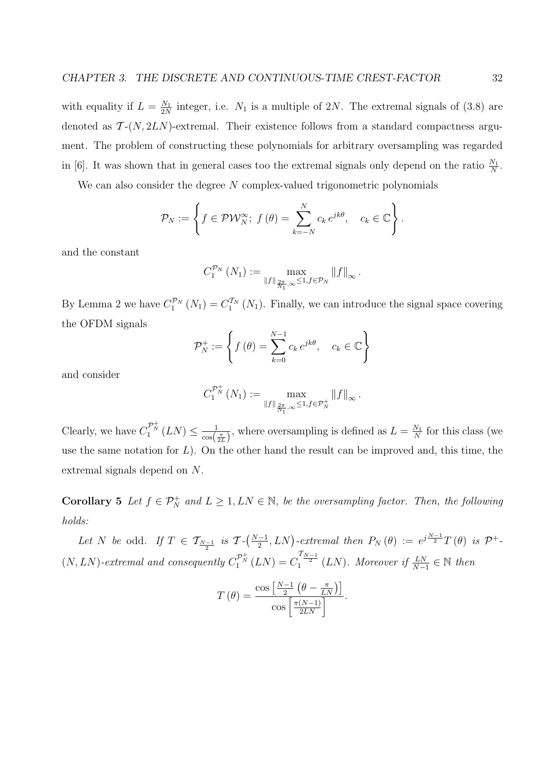with equality if  $L = \frac{N_1}{2N}$  $\frac{N_1}{2N}$  integer, i.e.  $N_1$  is a multiple of 2N. The extremal signals of (3.8) are denoted as  $\mathcal{T}-(N,2LN)$ -extremal. Their existence follows from a standard compactness argument. The problem of constructing these polynomials for arbitrary oversampling was regarded in [6]. It was shown that in general cases too the extremal signals only depend on the ratio  $\frac{N_1}{N}$ .

We can also consider the degree  $N$  complex-valued trigonometric polynomials

$$
\mathcal{P}_N := \left\{ f \in \mathcal{PW}_N^{\infty}; \ f(\theta) = \sum_{k=-N}^N c_k e^{jk\theta}, \quad c_k \in \mathbb{C} \right\}.
$$

and the constant

$$
C_1^{\mathcal{P}_N}\left(N_1\right) := \max_{\|f\|_{\frac{2\pi}{N_1},\infty} \leq 1, f \in \mathcal{P}_N} \left\|f\right\|_{\infty}.
$$

By Lemma 2 we have  $C_1^{\mathcal{P}_N}(N_1) = C_1^{\mathcal{T}_N}(N_1)$ . Finally, we can introduce the signal space covering the OFDM signals  $\mathbf{r}$ 

$$
\mathcal{P}_N^+ := \left\{ f(\theta) = \sum_{k=0}^{N-1} c_k e^{jk\theta}, \quad c_k \in \mathbb{C} \right\}
$$

and consider

$$
C_1^{\mathcal{P}_N^+}(N_1) := \max_{\|f\|_{\frac{2\pi}{N_1},\infty} \leq 1, f \in \mathcal{P}_N^+} \|f\|_{\infty}.
$$

Clearly, we have  $C_1^{\mathcal{P}_N^+}(LN) \leq \frac{1}{\cos \theta}$  $\frac{1}{\cos(\frac{\pi}{2L})}$ , where oversampling is defined as  $L = \frac{N_1}{N}$  $\frac{N_1}{N}$  for this class (we use the same notation for  $L$ ). On the other hand the result can be improved and, this time, the extremal signals depend on N.

**Corollary 5** Let  $f \in \mathcal{P}_N^+$  and  $L \geq 1, LN \in \mathbb{N}$ , be the oversampling factor. Then, the following holds:

Let N be odd. If  $T \in \mathcal{T}_{\frac{N-1}{2}}$  is  $\mathcal{T}$ - $\left(\frac{N-1}{2}\right)$  $\left( \frac{-1}{2}, LN \right)$ -extremal then  $P_N(\theta) := e^{j\frac{N-1}{2}} T(\theta)$  is  $\mathcal{P}^+$ - $(N, LN)$ -extremal and consequently  $C_1^{\mathcal{P}_N^+}(LN) = C_1^{\frac{\mathcal{T}_{N-1}}{2}}(LN)$ . Moreover if  $\frac{LN}{N-1} \in \mathbb{N}$  then

$$
T(\theta) = \frac{\cos\left[\frac{N-1}{2}\left(\theta - \frac{\pi}{LN}\right)\right]}{\cos\left[\frac{\pi(N-1)}{2LN}\right]}.
$$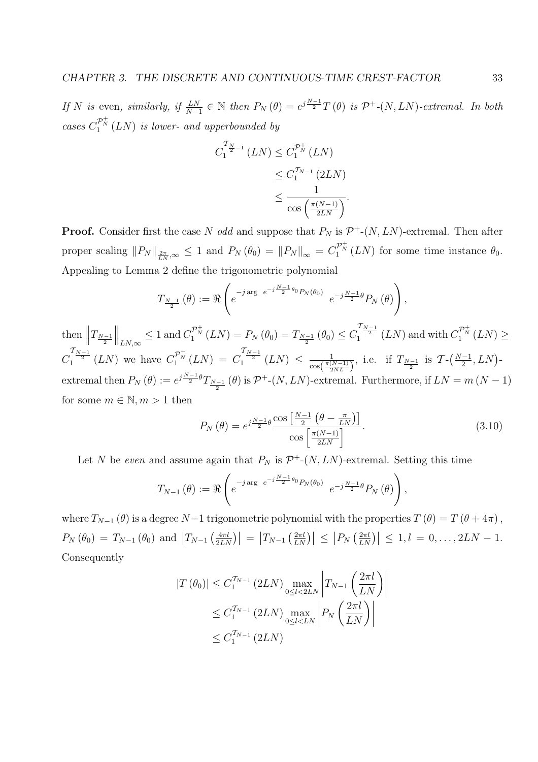If N is even, similarly, if  $\frac{LN}{N-1} \in \mathbb{N}$  then  $P_N(\theta) = e^{j\frac{N-1}{2}}T(\theta)$  is  $\mathcal{P}^+(N, LN)$ -extremal. In both cases  $C_1^{\mathcal{P}_N^+}(LN)$  is lower- and upperbounded by

$$
C_1^{\mathcal{T}_{N-1}}(LN) \leq C_1^{\mathcal{P}_N^+}(LN)
$$
  
\n
$$
\leq C_1^{\mathcal{T}_{N-1}}(2LN)
$$
  
\n
$$
\leq \frac{1}{\cos\left(\frac{\pi(N-1)}{2LN}\right)}.
$$

**Proof.** Consider first the case N odd and suppose that  $P_N$  is  $\mathcal{P}^+$ -(N, LN)-extremal. Then after proper scaling  $||P_N||_{\frac{2\pi}{LN},\infty} \leq 1$  and  $P_N(\theta_0) = ||P_N||_{\infty} = C_1^{\mathcal{P}_N^+}(LN)$  for some time instance  $\theta_0$ . Appealing to Lemma 2 define the trigonometric polynomial

$$
T_{\frac{N-1}{2}}(\theta) := \Re \left(e^{-j \arg \ e^{-j\frac{N-1}{2}\theta_0} P_N(\theta_0)} \ e^{-j\frac{N-1}{2}\theta} P_N(\theta)\right),
$$

then  $\left\|T_{\frac{N-1}{2}}\right\|$  $\left\Vert_{LN,\infty}\leq1\text{ and }C_{1}^{\mathcal{P}_{N}^{+}}\left(LN\right)=P_{N}\left(\theta_{0}\right)=T_{\frac{N-1}{2}}\left(\theta_{0}\right)\leq C_{1}^{\frac{\mathcal{T}_{N-1}}{2}}\left(LN\right)\text{ and with }C_{1}^{\mathcal{P}_{N}^{+}}\left(LN\right)\geq1.$  $C_1^{\frac{T_{N-1}}{2}}(LN)$  we have  $C_1^{\mathcal{P}_N^+}(LN) = C_1^{\frac{T_{N-1}}{2}}(LN) \leq \frac{1}{\cos(\frac{\pi (l+1)}{2})}$  $rac{1}{\cos(\frac{\pi(N-1)}{2NL})}$ , i.e. if  $T_{\frac{N-1}{2}}$  is  $\mathcal{T}\text{-}\left(\frac{N-1}{2}\right)$  $\frac{-1}{2}$ ,  $LN$ )extremal then  $P_N(\theta) := e^{j\frac{N-1}{2}\theta} T_{\frac{N-1}{2}}(\theta)$  is  $\mathcal{P}^+(N, LN)$ -extremal. Furthermore, if  $LN = m(N-1)$ for some  $m \in \mathbb{N}, m > 1$  then

$$
P_N(\theta) = e^{j\frac{N-1}{2}\theta} \frac{\cos\left[\frac{N-1}{2}\left(\theta - \frac{\pi}{LN}\right)\right]}{\cos\left[\frac{\pi(N-1)}{2LN}\right]}.
$$
\n(3.10)

Let N be even and assume again that  $P_N$  is  $\mathcal{P}^+(N, LN)$ -extremal. Setting this time

$$
T_{N-1}(\theta) := \Re \left( e^{-j \arg \ e^{-j\frac{N-1}{2}\theta_0} P_N(\theta_0)} \ e^{-j\frac{N-1}{2}\theta} P_N(\theta) \right),
$$

where  $T_{N-1}(\theta)$  is a degree N−1 trigonometric polynomial with the properties  $T(\theta) = T(\theta + 4\pi)$ ,  $P_N(\theta_0) = T_{N-1}(\theta_0)$  and  $T_{N-1}$   $\left(\frac{4\pi l}{2L\Delta}\right)$  $\left| \frac{4\pi l}{2LN} \right| = \left| T_{N-1} \left( \frac{2\pi l}{LN} \right) \right|$  $\left| \frac{2\pi l}{LN} \right| \leq \left| P_N \left( \frac{2\pi l}{LN} \right) \right|$  $\left| \frac{2\pi l}{LN} \right| \leq 1, l = 0, \ldots, 2LN - 1.$ Consequently

$$
|T(\theta_0)| \le C_1^{T_{N-1}} (2LN) \max_{0 \le l < 2LN} \left| T_{N-1} \left( \frac{2\pi l}{LN} \right) \right|
$$
  
 
$$
\le C_1^{T_{N-1}} (2LN) \max_{0 \le l < LN} \left| P_N \left( \frac{2\pi l}{LN} \right) \right|
$$
  
 
$$
\le C_1^{T_{N-1}} (2LN)
$$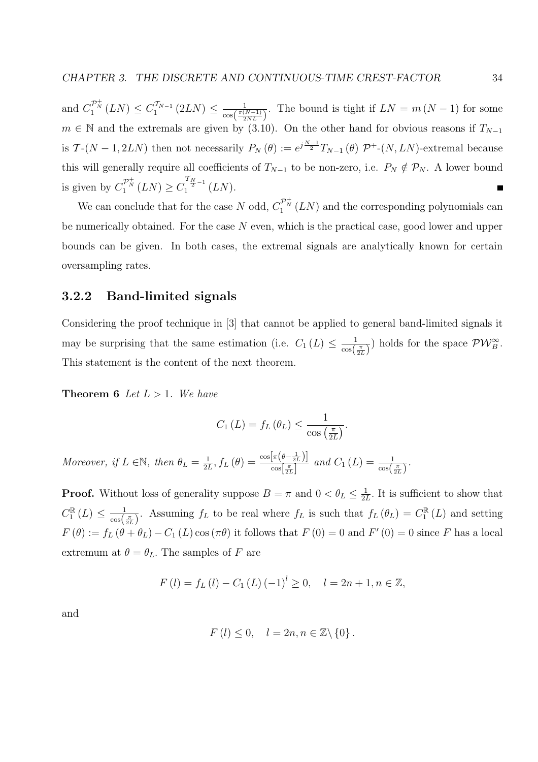and  $C_1^{\mathcal{P}_N^+}(LN) \leq C_1^{\mathcal{T}_{N-1}}$  $\frac{1}{1}^{T_{N-1}}(2LN) \leq \frac{1}{\cos(\frac{\pi(1)}{2})}$  $\frac{1}{\cos(\frac{\pi(N-1)}{2NL})}$ . The bound is tight if  $LN = m(N-1)$  for some  $m \in \mathbb{N}$  and the extremals are given by (3.10). On the other hand for obvious reasons if  $T_{N-1}$ is  $\mathcal{T}\text{-}(N-1,2LN)$  then not necessarily  $P_N(\theta) := e^{j\frac{N-1}{2}}T_{N-1}(\theta) \mathcal{P}\text{+-}(N,LN)$ -extremal because this will generally require all coefficients of  $T_{N-1}$  to be non-zero, i.e.  $P_N \notin \mathcal{P}_N$ . A lower bound is given by  $C_1^{\mathcal{P}_N^+}(LN) \geq C_1^{\frac{T_N}{2}-1}(LN)$ . Г

We can conclude that for the case N odd,  $C_1^{\mathcal{P}^+_N}(LN)$  and the corresponding polynomials can be numerically obtained. For the case  $N$  even, which is the practical case, good lower and upper bounds can be given. In both cases, the extremal signals are analytically known for certain oversampling rates.

#### 3.2.2 Band-limited signals

Considering the proof technique in [3] that cannot be applied to general band-limited signals it may be surprising that the same estimation (i.e.  $C_1(L) \leq \frac{1}{\cos(L)}$  $\frac{1}{\cos(\frac{\pi}{2L})}$  holds for the space  $\mathcal{PW}_{B}^{\infty}$ . This statement is the content of the next theorem.

**Theorem 6** Let  $L > 1$ . We have

$$
C_1(L) = f_L(\theta_L) \le \frac{1}{\cos\left(\frac{\pi}{2L}\right)}.
$$

Moreover, if  $L \in \mathbb{N}$ , then  $\theta_L = \frac{1}{2l}$  $\frac{1}{2L}$ ,  $f_L(\theta) = \frac{\cos[\pi(\theta - \frac{1}{2L})]}{\cos(\frac{\pi}{2L})}$  $\frac{\lfloor \pi(\theta - \frac{\pi}{2L}) \rfloor}{\cos\left[\frac{\pi}{2L}\right]}$  and  $C_1(L) = \frac{1}{\cos\left(\frac{\pi}{2L}\right)}$ .

**Proof.** Without loss of generality suppose  $B = \pi$  and  $0 < \theta_L \leq \frac{1}{2l}$  $\frac{1}{2L}$ . It is sufficient to show that  $C_1^{\mathbb{R}}(L) \leq \frac{1}{\cos(L)}$  $\frac{1}{\cos(\frac{\pi}{2L})}$ . Assuming  $f_L$  to be real where  $f_L$  is such that  $f_L(\theta_L) = C_{\text{I}}^{\mathbb{R}}(L)$  and setting  $F(\theta) := f_L(\theta + \theta_L) - C_1(L) \cos(\pi \theta)$  it follows that  $F(0) = 0$  and  $F'(0) = 0$  since F has a local extremum at  $\theta = \theta_L$ . The samples of F are

$$
F(l) = f_L(l) - C_1(L) (-1)^l \ge 0, \quad l = 2n + 1, n \in \mathbb{Z},
$$

and

$$
F(l) \le 0, \quad l = 2n, n \in \mathbb{Z} \backslash \{0\}.
$$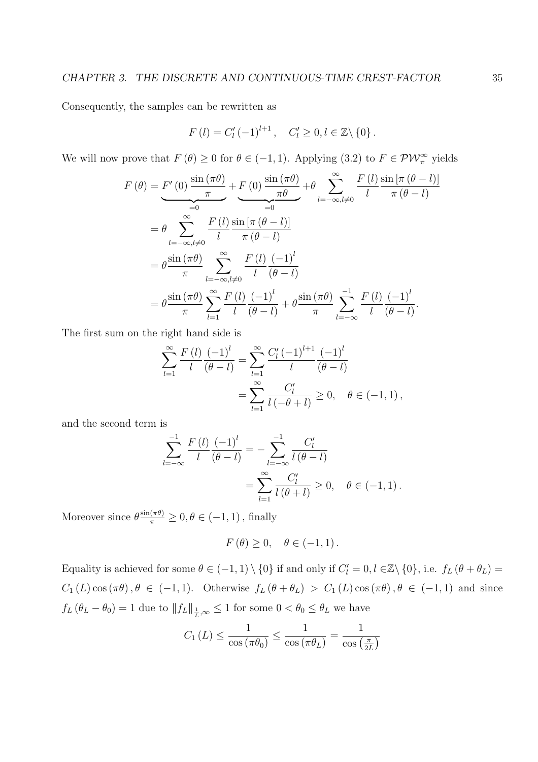Consequently, the samples can be rewritten as

$$
F(l) = C'_{l} (-1)^{l+1}, \quad C'_{l} \geq 0, l \in \mathbb{Z} \setminus \{0\}.
$$

We will now prove that  $F(\theta) \ge 0$  for  $\theta \in (-1,1)$ . Applying  $(3.2)$  to  $F \in \mathcal{PW}_{\pi}^{\infty}$  yields

$$
F(\theta) = F'(0) \frac{\sin(\pi \theta)}{\pi} + F(0) \frac{\sin(\pi \theta)}{\pi \theta} + \theta \sum_{l=-\infty, l \neq 0}^{\infty} \frac{F(l) \sin[\pi (\theta - l)]}{l - \pi (\theta - l)}
$$
  
=  $\theta \sum_{l=-\infty, l \neq 0}^{\infty} \frac{F(l) \sin[\pi (\theta - l)]}{l - \pi (\theta - l)}$   
=  $\theta \frac{\sin(\pi \theta)}{\pi} \sum_{l=-\infty, l \neq 0}^{\infty} \frac{F(l) (-1)^l}{l (\theta - l)}$   
=  $\theta \frac{\sin(\pi \theta)}{\pi} \sum_{l=1}^{\infty} \frac{F(l) (-1)^l}{l (\theta - l)} + \theta \frac{\sin(\pi \theta)}{\pi} \sum_{l=-\infty}^{-1} \frac{F(l) (-1)^l}{l (\theta - l)}.$ 

The first sum on the right hand side is

$$
\sum_{l=1}^{\infty} \frac{F(l)}{l} \frac{(-1)^l}{(\theta - l)} = \sum_{l=1}^{\infty} \frac{C'_l (-1)^{l+1}}{l} \frac{(-1)^l}{(\theta - l)}
$$
  
= 
$$
\sum_{l=1}^{\infty} \frac{C'_l}{l(-\theta + l)} \ge 0, \quad \theta \in (-1, 1),
$$

and the second term is

$$
\sum_{l=-\infty}^{-1} \frac{F(l)}{l} \frac{(-1)^l}{(\theta - l)} = -\sum_{l=-\infty}^{-1} \frac{C'_l}{l(\theta - l)}
$$
  
= 
$$
\sum_{l=1}^{\infty} \frac{C'_l}{l(\theta + l)} \ge 0, \quad \theta \in (-1, 1).
$$

Moreover since  $\theta \frac{\sin(\pi \theta)}{\pi} \ge 0, \theta \in (-1, 1)$ , finally

$$
F(\theta) \ge 0, \quad \theta \in (-1, 1).
$$

Equality is achieved for some  $\theta \in (-1,1) \setminus \{0\}$  if and only if  $C_l' = 0, l \in \mathbb{Z} \setminus \{0\}$ , i.e.  $f_L(\theta + \theta_L) =$  $C_1(L) \cos(\pi \theta), \theta \in (-1, 1)$ . Otherwise  $f_L(\theta + \theta_L) > C_1(L) \cos(\pi \theta), \theta \in (-1, 1)$  and since  $f_L(\theta_L - \theta_0) = 1$  due to  $||f_L||_{\frac{1}{L}, \infty} \leq 1$  for some  $0 < \theta_0 \leq \theta_L$  we have

$$
C_1(L) \le \frac{1}{\cos(\pi \theta_0)} \le \frac{1}{\cos(\pi \theta_L)} = \frac{1}{\cos(\frac{\pi}{2L})}
$$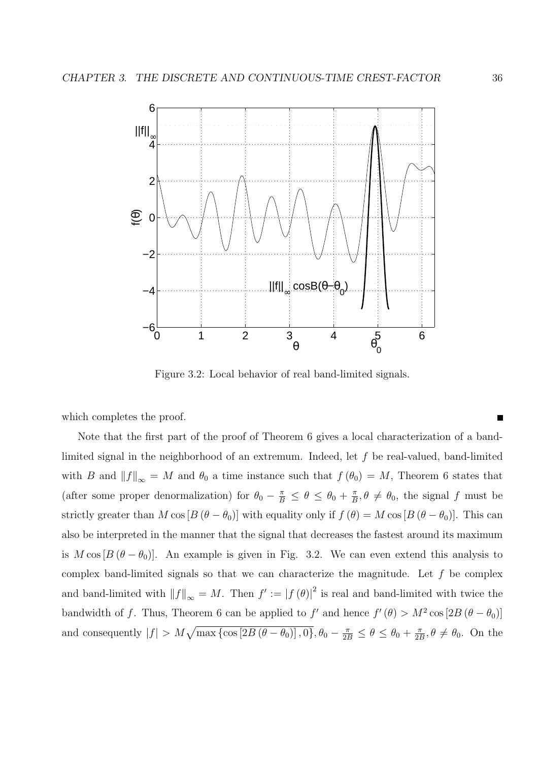

Figure 3.2: Local behavior of real band-limited signals.

which completes the proof.

Note that the first part of the proof of Theorem 6 gives a local characterization of a bandlimited signal in the neighborhood of an extremum. Indeed, let f be real-valued, band-limited with B and  $||f||_{\infty} = M$  and  $\theta_0$  a time instance such that  $f(\theta_0) = M$ , Theorem 6 states that (after some proper denormalization) for  $\theta_0 - \frac{\pi}{B} \leq \theta \leq \theta_0 + \frac{\pi}{B}$  $\frac{\pi}{B}, \theta \neq \theta_0$ , the signal f must be strictly greater than M cos  $[B(\theta - \theta_0)]$  with equality only if  $f(\theta) = M \cos[B(\theta - \theta_0)]$ . This can also be interpreted in the manner that the signal that decreases the fastest around its maximum is  $M \cos [B (\theta - \theta_0)]$ . An example is given in Fig. 3.2. We can even extend this analysis to complex band-limited signals so that we can characterize the magnitude. Let  $f$  be complex and band-limited with  $||f||_{\infty} = M$ . Then  $f' := |f(\theta)|^2$  is real and band-limited with twice the bandwidth of f. Thus, Theorem 6 can be applied to f' and hence  $f'(\theta) > M^2 \cos[2B(\theta - \theta_0)]$ and consequently  $|f| > M\sqrt{\max\{\cos[2B(\theta - \theta_0)], 0\}}, \theta_0 - \frac{\pi}{2B} \le \theta \le \theta_0 + \frac{\pi}{2B}$  $\frac{\pi}{2B}, \theta \neq \theta_0$ . On the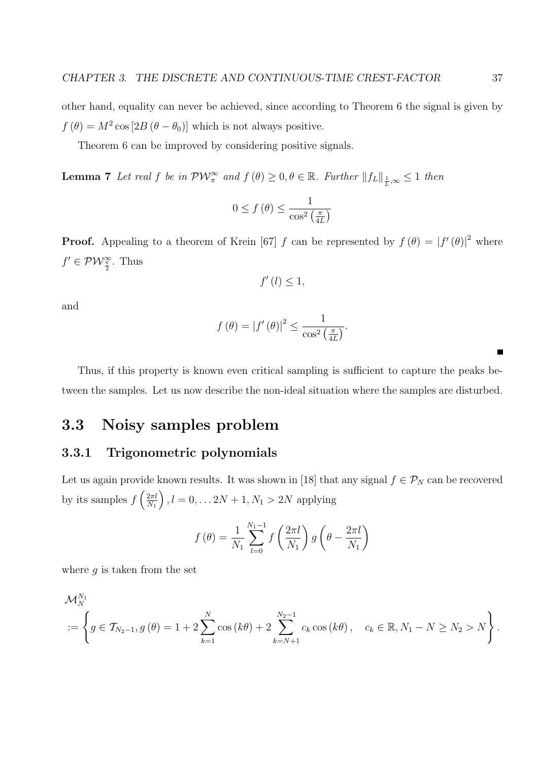other hand, equality can never be achieved, since according to Theorem 6 the signal is given by  $f(\theta) = M^2 \cos [2B(\theta - \theta_0)]$  which is not always positive.

Theorem 6 can be improved by considering positive signals.

**Lemma 7** Let real f be in  $\mathcal{PW}_{\pi}^{\infty}$  and  $f(\theta) \geq 0, \theta \in \mathbb{R}$ . Further  $||f_L||_{\frac{1}{L},\infty} \leq 1$  then

$$
0 \le f\left(\theta\right) \le \frac{1}{\cos^2\left(\frac{\pi}{4L}\right)}
$$

**Proof.** Appealing to a theorem of Krein [67] f can be represented by  $f(\theta) = |f'(\theta)|^2$  where  $f' \in \mathcal{PW}_{\frac{\pi}{2}}^{\infty}$ . Thus

$$
f'(l) \leq 1,
$$

and

$$
f(\theta) = |f'(\theta)|^2 \le \frac{1}{\cos^2\left(\frac{\pi}{4L}\right)}.
$$

Thus, if this property is known even critical sampling is sufficient to capture the peaks between the samples. Let us now describe the non-ideal situation where the samples are disturbed.

## 3.3 Noisy samples problem

#### 3.3.1 Trigonometric polynomials

Let us again provide known results. It was shown in [18] that any signal  $f \in \mathcal{P}_N$  can be recovered by its samples  $f\left(\frac{2\pi l}{N}\right)$  $\left(\frac{2\pi l}{N_1}\right)$  ,  $l=0,\ldots 2N+1, N_1>2N$  applying

$$
f(\theta) = \frac{1}{N_1} \sum_{l=0}^{N_1-1} f\left(\frac{2\pi l}{N_1}\right) g\left(\theta - \frac{2\pi l}{N_1}\right)
$$

where  $q$  is taken from the set

$$
\mathcal{M}_{N}^{N_{1}} = \left\{ g \in \mathcal{T}_{N_{2}-1}, g(\theta) = 1 + 2 \sum_{k=1}^{N} \cos (k\theta) + 2 \sum_{k=N+1}^{N_{2}-1} c_{k} \cos (k\theta), \quad c_{k} \in \mathbb{R}, N_{1} - N \ge N_{2} > N \right\}.
$$

 $\blacksquare$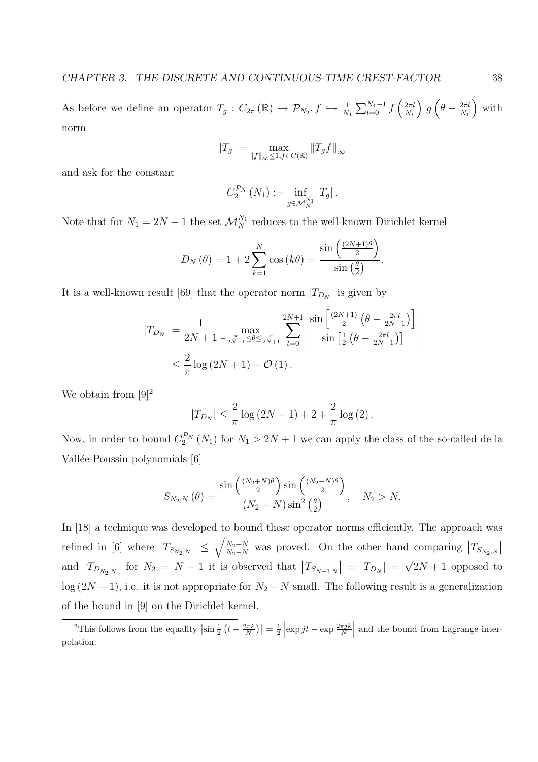As before we define an operator  $T_g: C_{2\pi}(\mathbb{R}) \to \mathcal{P}_{N_2}, f \hookrightarrow \frac{1}{N_1}$  $\nabla^{N_1-1}$  $\frac{N_1-1}{l=0}$  f  $\int 2\pi l$  $N_1$ ´ g  $\overline{a}$  $\theta - \frac{2\pi l}{N_1}$  $N_1$ ´ with norm

$$
|T_g| = \max_{\|f\|_{\infty} \leq 1, f \in C(\mathbb{R})} \|T_g f\|_{\infty}
$$

and ask for the constant

$$
C_2^{\mathcal{P}_N}\left(N_1\right):=\inf_{g\in\mathcal{M}_N^{N_1}}\left|T_g\right|.
$$

Note that for  $N_1 = 2N + 1$  the set  $\mathcal{M}_N^{N_1}$  reduces to the well-known Dirichlet kernel

$$
D_N(\theta) = 1 + 2 \sum_{k=1}^{N} \cos (k\theta) = \frac{\sin \left(\frac{(2N+1)\theta}{2}\right)}{\sin \left(\frac{\theta}{2}\right)}.
$$

It is a well-known result [69] that the operator norm  $|T_{D_N}|$  is given by

$$
|T_{D_N}| = \frac{1}{2N+1} \max_{-\frac{\pi}{2N+1} \le \theta \le \frac{\pi}{2N+1}} \sum_{l=0}^{2N+1} \left| \frac{\sin\left[\frac{(2N+1)}{2} \left(\theta - \frac{2\pi l}{2N+1}\right)\right]}{\sin\left[\frac{1}{2} \left(\theta - \frac{2\pi l}{2N+1}\right)\right]} \right|
$$
  

$$
\le \frac{2}{\pi} \log(2N+1) + \mathcal{O}(1).
$$

We obtain from  $[9]^2$ 

$$
|T_{D_N}| \leq \frac{2}{\pi} \log (2N + 1) + 2 + \frac{2}{\pi} \log (2).
$$

Now, in order to bound  $C_2^{\mathcal{P}_N}(N_1)$  for  $N_1 > 2N + 1$  we can apply the class of the so-called de la Vallée-Poussin polynomials [6]

$$
S_{N_2,N}(\theta) = \frac{\sin\left(\frac{(N_2+N)\theta}{2}\right)\sin\left(\frac{(N_2-N)\theta}{2}\right)}{(N_2-N)\sin^2\left(\frac{\theta}{2}\right)}, \quad N_2 > N.
$$

In [18] a technique was developed to bound these operator norms efficiently. The approach was refined in [6] where  $|T_{S_{N_2,N}}| \leq \sqrt{\frac{N_2+N}{N_2-N}}$  $\frac{N_2+N}{N_2-N}$  was proved. On the other hand comparing  $\left|T_{S_{N_2,N}}\right|$ and  $|T_{D_{N_2,N}}|$  for  $N_2 = N+1$  it is observed that  $|T_{S_{N+1,N}}| = |T_{D_N}| =$  $\sqrt{192-18}$ √  $2N+1$  opposed to  $\log(2N+1)$ , i.e. it is not appropriate for  $N_2 - N$  small. The following result is a generalization of the bound in [9] on the Dirichlet kernel.

<sup>&</sup>lt;sup>2</sup>This follows from the equality  $\left|\sin \frac{1}{2}\right|$ ¡  $t-\frac{2\pi k}{N}$  $=$  $\frac{1}{2}$  $\left| \exp jt - \exp \frac{2\pi jk}{N} \right|$ | and the bound from Lagrange interpolation.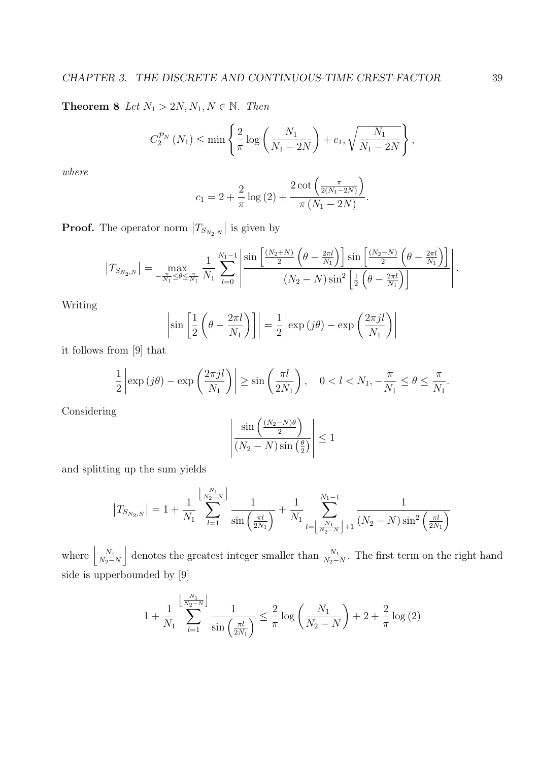**Theorem 8** Let  $N_1 > 2N, N_1, N \in \mathbb{N}$ . Then

$$
C_2^{\mathcal{P}_N} (N_1) \le \min \left\{ \frac{2}{\pi} \log \left( \frac{N_1}{N_1 - 2N} \right) + c_1, \sqrt{\frac{N_1}{N_1 - 2N}} \right\},\,
$$

where

$$
c_1 = 2 + \frac{2}{\pi} \log(2) + \frac{2 \cot\left(\frac{\pi}{2(N_1 - 2N)}\right)}{\pi (N_1 - 2N)}.
$$

Proof. The operator norm  $|T_{S_{N_2,N}}|$  is given by

$$
|T_{S_{N_2,N}}| = \max_{-\frac{\pi}{N_1} \le \theta \le \frac{\pi}{N_1}} \frac{1}{N_1} \sum_{l=0}^{N_1-1} \left| \frac{\sin\left[\frac{(N_2+N)}{2}\left(\theta - \frac{2\pi l}{N_1}\right)\right] \sin\left[\frac{(N_2-N)}{2}\left(\theta - \frac{2\pi l}{N_1}\right)\right]}{(N_2-N) \sin^2\left[\frac{1}{2}\left(\theta - \frac{2\pi l}{N_1}\right)\right]} \right|.
$$

Writing

$$
\left|\sin\left[\frac{1}{2}\left(\theta - \frac{2\pi l}{N_1}\right)\right]\right| = \frac{1}{2}\left|\exp\left(j\theta\right) - \exp\left(\frac{2\pi j l}{N_1}\right)\right|
$$

it follows from [9] that

$$
\frac{1}{2}\left|\exp\left(j\theta\right)-\exp\left(\frac{2\pi j l}{N_1}\right)\right|\geq \sin\left(\frac{\pi l}{2N_1}\right),\quad 0
$$

Considering

$$
\left| \frac{\sin \left( \frac{(N_2 - N)\theta}{2} \right)}{(N_2 - N)\sin \left( \frac{\theta}{2} \right)} \right| \le 1
$$

and splitting up the sum yields

$$
\left|T_{S_{N_2,N}}\right|=1+\frac{1}{N_1}\sum_{l=1}^{\left\lfloor\frac{N_1}{N_2-N}\right\rfloor}\frac{1}{\sin\left(\frac{\pi l}{2N_1}\right)}+\frac{1}{N_1}\sum_{l=\left\lfloor\frac{N_1}{N_2-N}\right\rfloor+1}^{N_1-1}\frac{1}{\left(N_2-N\right)\sin^2\left(\frac{\pi l}{2N_1}\right)}
$$

where  $\left| \frac{N_1}{N_2} \right|$  $N_2-N$ k denotes the greatest integer smaller than  $\frac{N_1}{N_2-N}$ . The first term on the right hand side is upperbounded by [9]

$$
1 + \frac{1}{N_1} \sum_{l=1}^{\left\lfloor \frac{N_1}{N_2 - N} \right\rfloor} \frac{1}{\sin\left(\frac{\pi l}{2N_1}\right)} \le \frac{2}{\pi} \log\left(\frac{N_1}{N_2 - N}\right) + 2 + \frac{2}{\pi} \log(2)
$$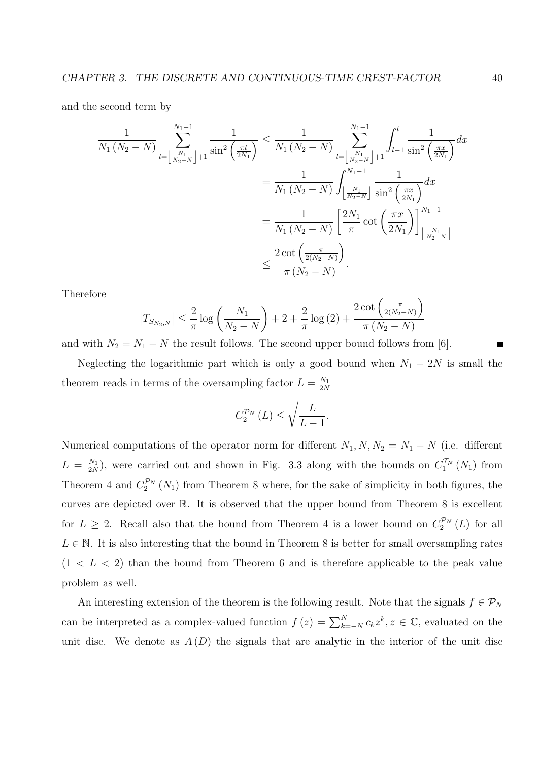and the second term by

$$
\frac{1}{N_1 (N_2 - N)} \sum_{l = \left\lfloor \frac{N_1}{N_2 - N} \right\rfloor + 1}^{N_1 - 1} \frac{1}{\sin^2 \left(\frac{\pi l}{2N_1}\right)} \le \frac{1}{N_1 (N_2 - N)} \sum_{l = \left\lfloor \frac{N_1}{N_2 - N} \right\rfloor + 1}^{N_1 - 1} \int_{l - 1}^{l} \frac{1}{\sin^2 \left(\frac{\pi x}{2N_1}\right)} dx
$$

$$
= \frac{1}{N_1 (N_2 - N)} \int_{\left\lfloor \frac{N_1}{N_2 - N} \right\rfloor}^{N_1 - 1} \frac{1}{\sin^2 \left(\frac{\pi x}{2N_1}\right)} dx
$$

$$
= \frac{1}{N_1 (N_2 - N)} \left[ \frac{2N_1}{\pi} \cot \left(\frac{\pi x}{2N_1}\right) \right]_{\left\lfloor \frac{N_1}{N_2 - N} \right\rfloor}^{N_1 - 1}
$$

$$
\le \frac{2 \cot \left(\frac{\pi}{2(N_2 - N)}\right)}{\pi (N_2 - N)}.
$$

Therefore

$$
|T_{S_{N_2,N}}| \leq \frac{2}{\pi} \log \left( \frac{N_1}{N_2 - N} \right) + 2 + \frac{2}{\pi} \log (2) + \frac{2 \cot \left( \frac{\pi}{2(N_2 - N)} \right)}{\pi (N_2 - N)}
$$

and with  $N_2 = N_1 - N$  the result follows. The second upper bound follows from [6].

Neglecting the logarithmic part which is only a good bound when  $N_1 - 2N$  is small the theorem reads in terms of the oversampling factor  $L = \frac{N_1}{2N_1}$ 2N

$$
C_2^{\mathcal{P}_N} (L) \le \sqrt{\frac{L}{L-1}}.
$$

Numerical computations of the operator norm for different  $N_1, N, N_2 = N_1 - N$  (i.e. different  $L = \frac{N_1}{2N}$  $\frac{N_1}{2N}$ , were carried out and shown in Fig. 3.3 along with the bounds on  $C_1^{T_N}(N_1)$  from Theorem 4 and  $C_2^{\mathcal{P}_N}(N_1)$  from Theorem 8 where, for the sake of simplicity in both figures, the curves are depicted over R. It is observed that the upper bound from Theorem 8 is excellent for  $L \geq 2$ . Recall also that the bound from Theorem 4 is a lower bound on  $C_2^{\mathcal{P}_N}(L)$  for all  $L \in \mathbb{N}$ . It is also interesting that the bound in Theorem 8 is better for small oversampling rates  $(1 < L < 2)$  than the bound from Theorem 6 and is therefore applicable to the peak value problem as well.

An interesting extension of the theorem is the following result. Note that the signals  $f \in \mathcal{P}_N$ can be interpreted as a complex-valued function  $f(z) = \sum_{k=-N}^{N} c_k z^k, z \in \mathbb{C}$ , evaluated on the unit disc. We denote as  $A(D)$  the signals that are analytic in the interior of the unit disc

´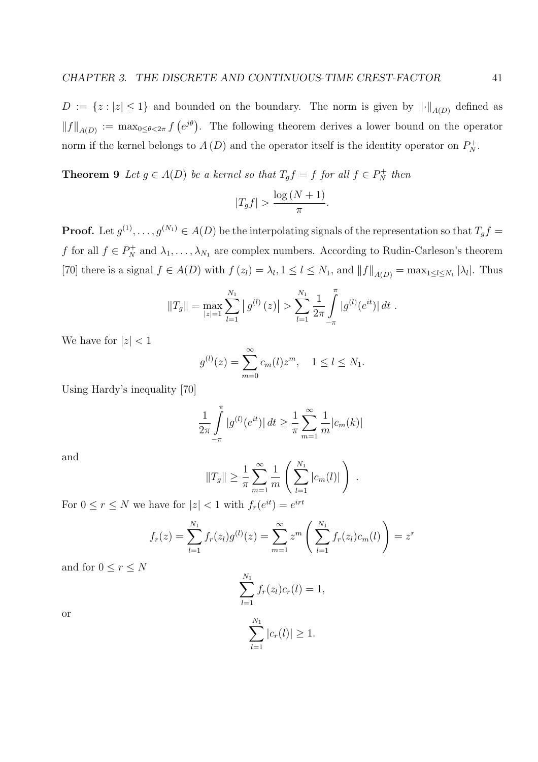$D := \{z : |z| \leq 1\}$  and bounded on the boundary. The norm is given by  $\lVert \cdot \rVert_{A(D)}$  defined as  $||f||_{A(D)} := \max_{0 \le \theta < 2\pi} f$ ¡  $e^{j\theta}$ . The following theorem derives a lower bound on the operator norm if the kernel belongs to  $A(D)$  and the operator itself is the identity operator on  $P_N^+$ .

**Theorem 9** Let  $g \in A(D)$  be a kernel so that  $T_g f = f$  for all  $f \in P_N^+$  then

$$
|T_g f| > \frac{\log (N+1)}{\pi}.
$$

**Proof.** Let  $g^{(1)}, \ldots, g^{(N_1)} \in A(D)$  be the interpolating signals of the representation so that  $T_g f =$ f for all  $f \in P_N^+$  and  $\lambda_1, \ldots, \lambda_{N_1}$  are complex numbers. According to Rudin-Carleson's theorem [70] there is a signal  $f \in A(D)$  with  $f(z_l) = \lambda_l, 1 \le l \le N_1$ , and  $||f||_{A(D)} = \max_{1 \le l \le N_1} |\lambda_l|$ . Thus

$$
||T_g|| = \max_{|z|=1} \sum_{l=1}^{N_1} |g^{(l)}(z)| > \sum_{l=1}^{N_1} \frac{1}{2\pi} \int_{-\pi}^{\pi} |g^{(l)}(e^{it})| dt.
$$

We have for  $|z| < 1$ 

$$
g^{(l)}(z) = \sum_{m=0}^{\infty} c_m(l) z^m, \quad 1 \le l \le N_1.
$$

Using Hardy's inequality [70]

$$
\frac{1}{2\pi} \int_{-\pi}^{\pi} |g^{(l)}(e^{it})| dt \ge \frac{1}{\pi} \sum_{m=1}^{\infty} \frac{1}{m} |c_m(k)|
$$

and

$$
||T_g|| \ge \frac{1}{\pi} \sum_{m=1}^{\infty} \frac{1}{m} \left( \sum_{l=1}^{N_1} |c_m(l)| \right) .
$$
  
 $\le 1$  with  $f_{\text{eff}}(e^{it}) = e^{irt}$ 

For  $0 \le r \le N$  we have for  $|z| < 1$  with  $f_r(e^{it}) = e$ 

$$
f_r(z) = \sum_{l=1}^{N_1} f_r(z_l)g^{(l)}(z) = \sum_{m=1}^{\infty} z^m \left( \sum_{l=1}^{N_1} f_r(z_l)c_m(l) \right) = z^r
$$

and for  $0 \leq r \leq N$ 

$$
\sum_{l=1}^{N_1} f_r(z_l)c_r(l) = 1,
$$
  

$$
\sum_{l=1}^{N_1} |c_r(l)| \ge 1.
$$

or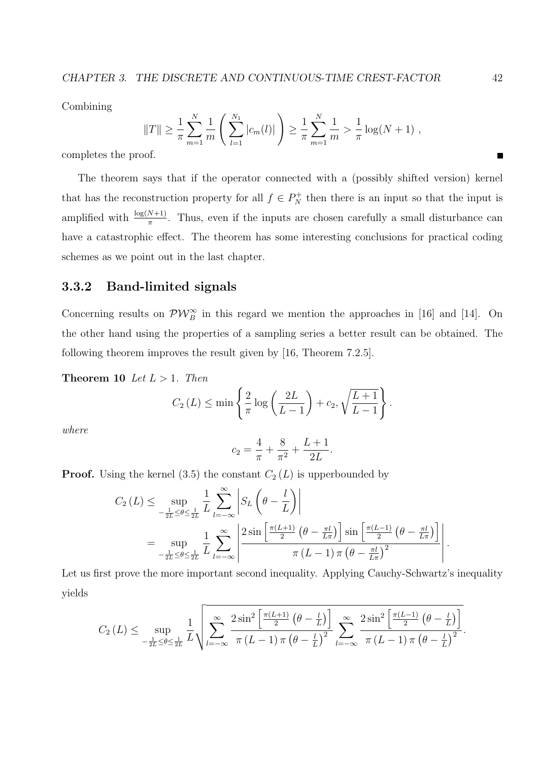Combining

$$
||T|| \geq \frac{1}{\pi} \sum_{m=1}^{N} \frac{1}{m} \left( \sum_{l=1}^{N_1} |c_m(l)| \right) \geq \frac{1}{\pi} \sum_{m=1}^{N} \frac{1}{m} > \frac{1}{\pi} \log(N+1) ,
$$

completes the proof.

The theorem says that if the operator connected with a (possibly shifted version) kernel that has the reconstruction property for all  $f \in P_N^+$  then there is an input so that the input is amplified with  $\frac{\log(N+1)}{\pi}$ . Thus, even if the inputs are chosen carefully a small disturbance can have a catastrophic effect. The theorem has some interesting conclusions for practical coding schemes as we point out in the last chapter.

## 3.3.2 Band-limited signals

Concerning results on  $\mathcal{PW}_B^{\infty}$  in this regard we mention the approaches in [16] and [14]. On the other hand using the properties of a sampling series a better result can be obtained. The following theorem improves the result given by [16, Theorem 7.2.5].

Theorem 10 Let  $L > 1$ . Then

$$
C_2(L) \le \min\left\{\frac{2}{\pi}\log\left(\frac{2L}{L-1}\right) + c_2, \sqrt{\frac{L+1}{L-1}}\right\}.
$$

where

$$
c_2 = \frac{4}{\pi} + \frac{8}{\pi^2} + \frac{L+1}{2L}.
$$

**Proof.** Using the kernel (3.5) the constant  $C_2(L)$  is upperbounded by

$$
C_2(L) \le \sup_{-\frac{1}{2L} \le \theta \le \frac{1}{2L}} \frac{1}{L} \sum_{l=-\infty}^{\infty} \left| S_L \left( \theta - \frac{l}{L} \right) \right|
$$
  
= 
$$
\sup_{-\frac{1}{2L} \le \theta \le \frac{1}{2L}} \frac{1}{L} \sum_{l=-\infty}^{\infty} \left| \frac{2 \sin \left[ \frac{\pi(L+1)}{2} \left( \theta - \frac{\pi l}{L\pi} \right) \right] \sin \left[ \frac{\pi(L-1)}{2} \left( \theta - \frac{\pi l}{L\pi} \right) \right]}{\pi (L-1) \pi \left( \theta - \frac{\pi l}{L\pi} \right)^2} \right|.
$$

Let us first prove the more important second inequality. Applying Cauchy-Schwartz's inequality yields

$$
C_2(L) \leq \sup_{-\frac{1}{2L}\leq\theta\leq\frac{1}{2L}} \frac{1}{L} \sqrt{\sum_{l=-\infty}^{\infty} \frac{2\sin^2\left[\frac{\pi(L+1)}{2}\left(\theta-\frac{l}{L}\right)\right]}{\pi\left(L-1\right)\pi\left(\theta-\frac{l}{L}\right)^2} \sum_{l=-\infty}^{\infty} \frac{2\sin^2\left[\frac{\pi(L-1)}{2}\left(\theta-\frac{l}{L}\right)\right]}}{\pi\left(L-1\right)\pi\left(\theta-\frac{l}{L}\right)^2}}.
$$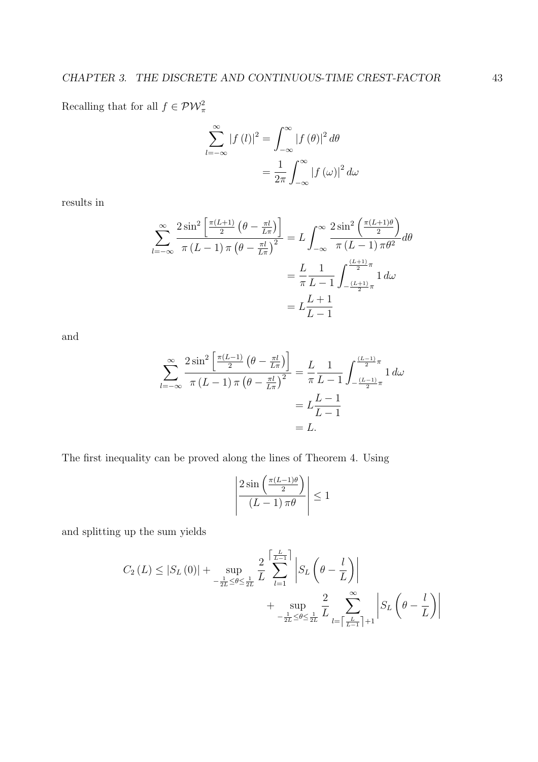Recalling that for all  $f \in \mathcal{PW}_{\pi}^2$ 

$$
\sum_{l=-\infty}^{\infty} |f(l)|^2 = \int_{-\infty}^{\infty} |f(\theta)|^2 d\theta
$$

$$
= \frac{1}{2\pi} \int_{-\infty}^{\infty} |f(\omega)|^2 d\omega
$$

results in

$$
\sum_{l=-\infty}^{\infty} \frac{2\sin^2\left[\frac{\pi(L+1)}{2}\left(\theta - \frac{\pi l}{L\pi}\right)\right]}{\pi(L-1)\pi\left(\theta - \frac{\pi l}{L\pi}\right)^2} = L \int_{-\infty}^{\infty} \frac{2\sin^2\left(\frac{\pi(L+1)\theta}{2}\right)}{\pi(L-1)\pi\theta^2} d\theta
$$

$$
= \frac{L}{\pi} \frac{1}{L-1} \int_{-\frac{(L+1)}{2}\pi}^{\frac{(L+1)}{2}\pi} 1 d\omega
$$

$$
= L \frac{L+1}{L-1}
$$

and

$$
\sum_{l=-\infty}^{\infty} \frac{2 \sin^2 \left[ \frac{\pi (L-1)}{2} \left( \theta - \frac{\pi l}{L \pi} \right) \right]}{\pi (L-1) \pi \left( \theta - \frac{\pi l}{L \pi} \right)^2} = \frac{L}{\pi} \frac{1}{L-1} \int_{-\frac{(L-1)}{2} \pi}^{\frac{(L-1)}{2} \pi} 1 \, d\omega
$$

$$
= L \frac{L-1}{L-1}
$$

$$
= L.
$$

The first inequality can be proved along the lines of Theorem 4. Using

$$
\left| \frac{2 \sin \left( \frac{\pi (L-1)\theta}{2} \right)}{(L-1)\pi \theta} \right| \le 1
$$

and splitting up the sum yields

$$
C_2(L) \leq |S_L(0)| + \sup_{-\frac{1}{2L}\leq\theta\leq\frac{1}{2L}} \frac{2}{L} \sum_{l=1}^{\left\lceil\frac{L}{L-1}\right\rceil} \left| S_L\left(\theta - \frac{l}{L}\right) \right|
$$

$$
+ \sup_{-\frac{1}{2L}\leq\theta\leq\frac{1}{2L}} \frac{2}{L} \sum_{l=\left\lceil\frac{L}{L-1}\right\rceil+1}^{\infty} \left| S_L\left(\theta - \frac{l}{L}\right) \right|
$$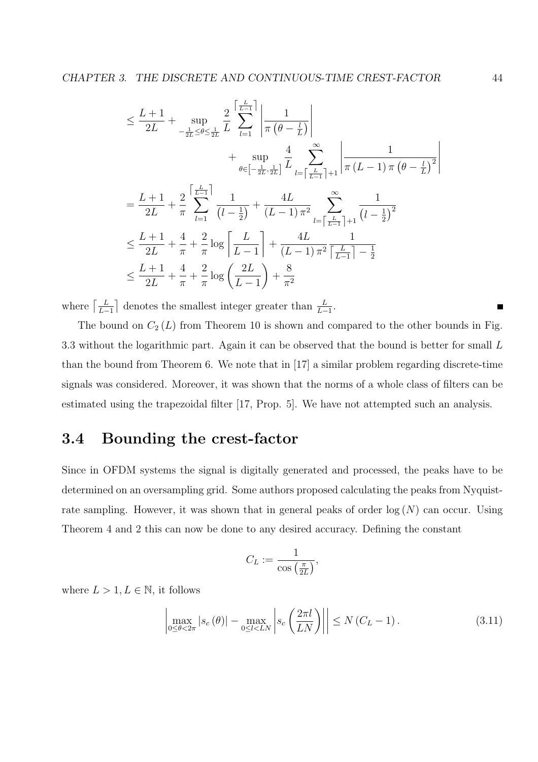$$
\leq \frac{L+1}{2L} + \sup_{-\frac{1}{2L} \leq \theta \leq \frac{1}{2L}} \frac{2}{L} \sum_{l=1}^{\left\lceil \frac{L}{L-1} \right\rceil} \left| \frac{1}{\pi (\theta - \frac{l}{L})} \right|
$$
  
+ 
$$
\sup_{\theta \in \left[-\frac{1}{2L}, \frac{1}{2L}\right]} \frac{4}{L} \sum_{l=\left\lceil \frac{L}{L-1} \right\rceil + 1}^{\infty} \left| \frac{1}{\pi (L-1) \pi (\theta - \frac{l}{L})^2} \right|
$$
  
= 
$$
\frac{L+1}{2L} + \frac{2}{\pi} \sum_{l=1}^{\left\lceil \frac{L}{L-1} \right\rceil} \frac{1}{(l-\frac{1}{2})} + \frac{4L}{(L-1)\pi^2} \sum_{l=\left\lceil \frac{L}{L-1} \right\rceil + 1}^{\infty} \frac{1}{(l-\frac{1}{2})^2}
$$
  

$$
\leq \frac{L+1}{2L} + \frac{4}{\pi} + \frac{2}{\pi} \log \left( \frac{L}{L-1} \right) + \frac{4L}{(L-1)\pi^2} \frac{1}{\left\lceil \frac{L}{L-1} \right\rceil - \frac{1}{2}}
$$
  

$$
\leq \frac{L+1}{2L} + \frac{4}{\pi} + \frac{2}{\pi} \log \left( \frac{2L}{L-1} \right) + \frac{8}{\pi^2}
$$

where  $\left[\frac{L}{L}\right]$  $L-1$ ¨ denotes the smallest integer greater than  $\frac{L}{L-1}$ .

The bound on  $C_2(L)$  from Theorem 10 is shown and compared to the other bounds in Fig. 3.3 without the logarithmic part. Again it can be observed that the bound is better for small L than the bound from Theorem 6. We note that in [17] a similar problem regarding discrete-time signals was considered. Moreover, it was shown that the norms of a whole class of filters can be estimated using the trapezoidal filter [17, Prop. 5]. We have not attempted such an analysis.

## 3.4 Bounding the crest-factor

Since in OFDM systems the signal is digitally generated and processed, the peaks have to be determined on an oversampling grid. Some authors proposed calculating the peaks from Nyquistrate sampling. However, it was shown that in general peaks of order  $log(N)$  can occur. Using Theorem 4 and 2 this can now be done to any desired accuracy. Defining the constant

$$
C_L := \frac{1}{\cos\left(\frac{\pi}{2L}\right)},
$$

where  $L > 1, L \in \mathbb{N}$ , it follows

$$
\left| \max_{0 \le \theta < 2\pi} |s_c(\theta)| - \max_{0 \le l < LN} \left| s_c\left(\frac{2\pi l}{LN}\right) \right| \right| \le N\left(C_L - 1\right). \tag{3.11}
$$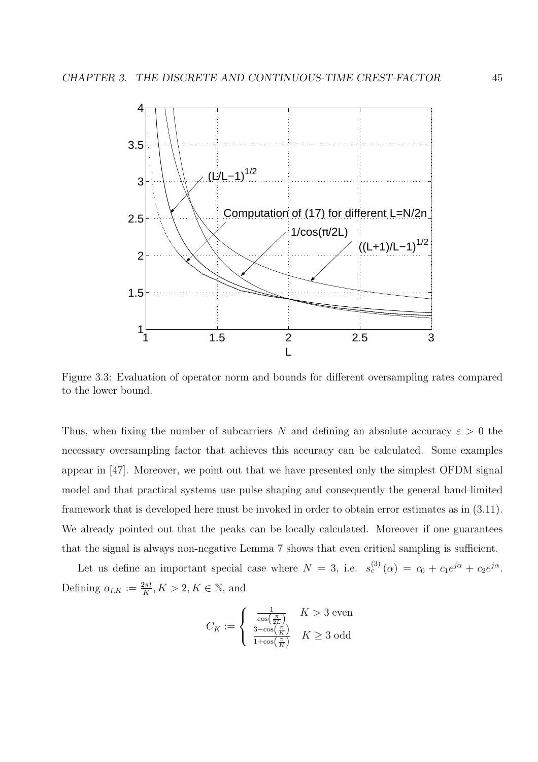

Figure 3.3: Evaluation of operator norm and bounds for different oversampling rates compared to the lower bound.

Thus, when fixing the number of subcarriers N and defining an absolute accuracy  $\varepsilon > 0$  the necessary oversampling factor that achieves this accuracy can be calculated. Some examples appear in [47]. Moreover, we point out that we have presented only the simplest OFDM signal model and that practical systems use pulse shaping and consequently the general band-limited framework that is developed here must be invoked in order to obtain error estimates as in (3.11). We already pointed out that the peaks can be locally calculated. Moreover if one guarantees that the signal is always non-negative Lemma 7 shows that even critical sampling is sufficient.

Let us define an important special case where  $N = 3$ , i.e.  $s_c^{(3)}(\alpha) = c_0 + c_1 e^{j\alpha} + c_2 e^{j\alpha}$ . Defining  $\alpha_{l,K} := \frac{2\pi l}{K}$ ,  $K > 2$ ,  $K \in \mathbb{N}$ , and

$$
C_K := \left\{ \begin{array}{ll} \frac{1}{\cos\left(\frac{\pi}{2L}\right)} & K > 3 \text{ even} \\ \frac{3 - \cos\left(\frac{\pi}{K}\right)}{1 + \cos\left(\frac{\pi}{K}\right)} & K \geq 3 \text{ odd} \end{array} \right.
$$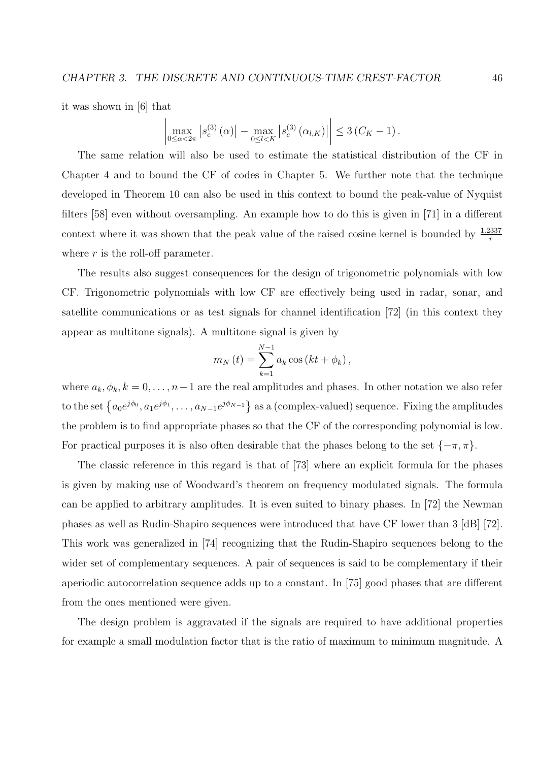it was shown in [6] that ¯

$$
\left| \max_{0 \le \alpha < 2\pi} |s_c^{(3)}(\alpha)| - \max_{0 \le l < K} |s_c^{(3)}(\alpha_{l,K})| \right| \le 3\left(C_K - 1\right).
$$

The same relation will also be used to estimate the statistical distribution of the CF in Chapter 4 and to bound the CF of codes in Chapter 5. We further note that the technique developed in Theorem 10 can also be used in this context to bound the peak-value of Nyquist filters [58] even without oversampling. An example how to do this is given in [71] in a different context where it was shown that the peak value of the raised cosine kernel is bounded by  $\frac{1.2337}{r}$ where  $r$  is the roll-off parameter.

The results also suggest consequences for the design of trigonometric polynomials with low CF. Trigonometric polynomials with low CF are effectively being used in radar, sonar, and satellite communications or as test signals for channel identification [72] (in this context they appear as multitone signals). A multitone signal is given by

$$
m_N(t) = \sum_{k=1}^{N-1} a_k \cos (kt + \phi_k),
$$

where  $a_k, \phi_k, k = 0, \ldots, n-1$  are the real amplitudes and phases. In other notation we also refer to the set  $\{a_0e^{j\phi_0}, a_1e^{j\phi_1}, \ldots, a_{N-1}e^{j\phi_{N-1}}\}$ as a (complex-valued) sequence. Fixing the amplitudes the problem is to find appropriate phases so that the CF of the corresponding polynomial is low. For practical purposes it is also often desirable that the phases belong to the set  $\{-\pi, \pi\}$ .

The classic reference in this regard is that of [73] where an explicit formula for the phases is given by making use of Woodward's theorem on frequency modulated signals. The formula can be applied to arbitrary amplitudes. It is even suited to binary phases. In [72] the Newman phases as well as Rudin-Shapiro sequences were introduced that have CF lower than 3 [dB] [72]. This work was generalized in [74] recognizing that the Rudin-Shapiro sequences belong to the wider set of complementary sequences. A pair of sequences is said to be complementary if their aperiodic autocorrelation sequence adds up to a constant. In [75] good phases that are different from the ones mentioned were given.

The design problem is aggravated if the signals are required to have additional properties for example a small modulation factor that is the ratio of maximum to minimum magnitude. A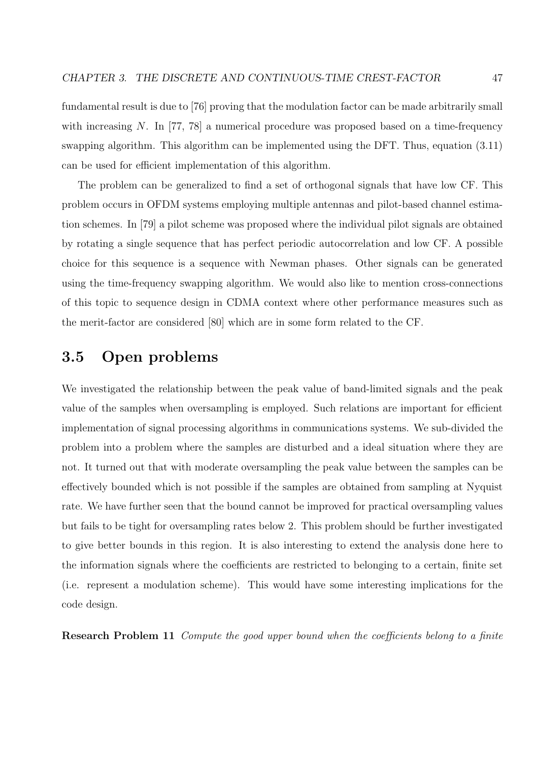fundamental result is due to [76] proving that the modulation factor can be made arbitrarily small with increasing N. In [77, 78] a numerical procedure was proposed based on a time-frequency swapping algorithm. This algorithm can be implemented using the DFT. Thus, equation (3.11) can be used for efficient implementation of this algorithm.

The problem can be generalized to find a set of orthogonal signals that have low CF. This problem occurs in OFDM systems employing multiple antennas and pilot-based channel estimation schemes. In [79] a pilot scheme was proposed where the individual pilot signals are obtained by rotating a single sequence that has perfect periodic autocorrelation and low CF. A possible choice for this sequence is a sequence with Newman phases. Other signals can be generated using the time-frequency swapping algorithm. We would also like to mention cross-connections of this topic to sequence design in CDMA context where other performance measures such as the merit-factor are considered [80] which are in some form related to the CF.

## 3.5 Open problems

We investigated the relationship between the peak value of band-limited signals and the peak value of the samples when oversampling is employed. Such relations are important for efficient implementation of signal processing algorithms in communications systems. We sub-divided the problem into a problem where the samples are disturbed and a ideal situation where they are not. It turned out that with moderate oversampling the peak value between the samples can be effectively bounded which is not possible if the samples are obtained from sampling at Nyquist rate. We have further seen that the bound cannot be improved for practical oversampling values but fails to be tight for oversampling rates below 2. This problem should be further investigated to give better bounds in this region. It is also interesting to extend the analysis done here to the information signals where the coefficients are restricted to belonging to a certain, finite set (i.e. represent a modulation scheme). This would have some interesting implications for the code design.

Research Problem 11 Compute the good upper bound when the coefficients belong to a finite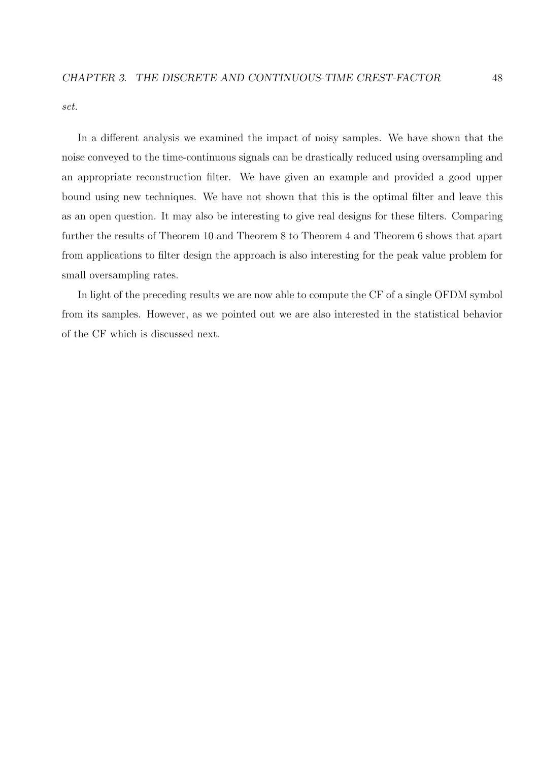set.

In a different analysis we examined the impact of noisy samples. We have shown that the noise conveyed to the time-continuous signals can be drastically reduced using oversampling and an appropriate reconstruction filter. We have given an example and provided a good upper bound using new techniques. We have not shown that this is the optimal filter and leave this as an open question. It may also be interesting to give real designs for these filters. Comparing further the results of Theorem 10 and Theorem 8 to Theorem 4 and Theorem 6 shows that apart from applications to filter design the approach is also interesting for the peak value problem for small oversampling rates.

In light of the preceding results we are now able to compute the CF of a single OFDM symbol from its samples. However, as we pointed out we are also interested in the statistical behavior of the CF which is discussed next.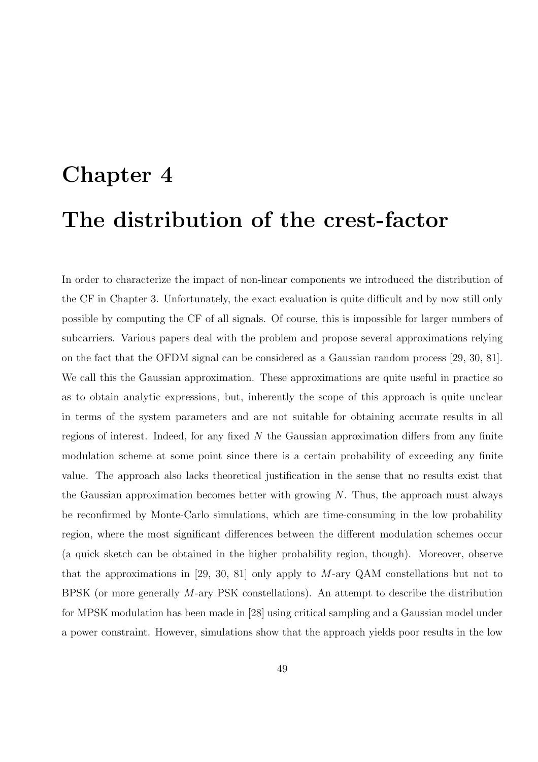# Chapter 4 The distribution of the crest-factor

In order to characterize the impact of non-linear components we introduced the distribution of the CF in Chapter 3. Unfortunately, the exact evaluation is quite difficult and by now still only possible by computing the CF of all signals. Of course, this is impossible for larger numbers of subcarriers. Various papers deal with the problem and propose several approximations relying on the fact that the OFDM signal can be considered as a Gaussian random process [29, 30, 81]. We call this the Gaussian approximation. These approximations are quite useful in practice so as to obtain analytic expressions, but, inherently the scope of this approach is quite unclear in terms of the system parameters and are not suitable for obtaining accurate results in all regions of interest. Indeed, for any fixed  $N$  the Gaussian approximation differs from any finite modulation scheme at some point since there is a certain probability of exceeding any finite value. The approach also lacks theoretical justification in the sense that no results exist that the Gaussian approximation becomes better with growing  $N$ . Thus, the approach must always be reconfirmed by Monte-Carlo simulations, which are time-consuming in the low probability region, where the most significant differences between the different modulation schemes occur (a quick sketch can be obtained in the higher probability region, though). Moreover, observe that the approximations in [29, 30, 81] only apply to M-ary QAM constellations but not to BPSK (or more generally M-ary PSK constellations). An attempt to describe the distribution for MPSK modulation has been made in [28] using critical sampling and a Gaussian model under a power constraint. However, simulations show that the approach yields poor results in the low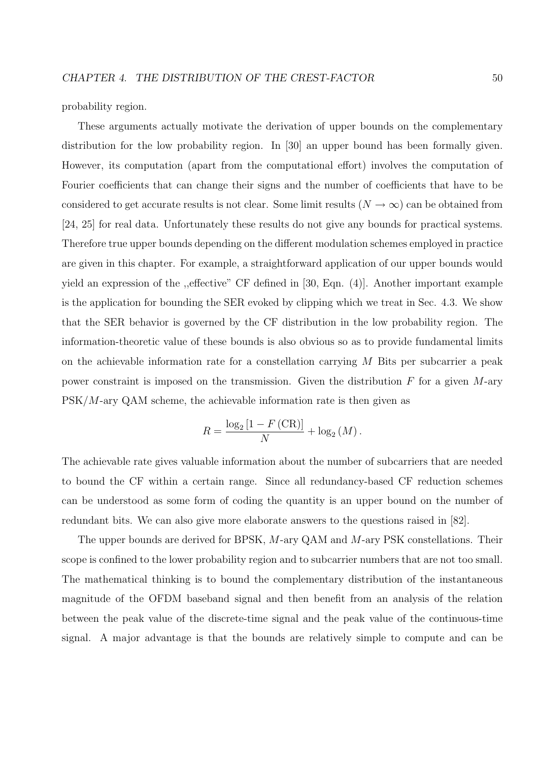probability region.

These arguments actually motivate the derivation of upper bounds on the complementary distribution for the low probability region. In [30] an upper bound has been formally given. However, its computation (apart from the computational effort) involves the computation of Fourier coefficients that can change their signs and the number of coefficients that have to be considered to get accurate results is not clear. Some limit results  $(N \to \infty)$  can be obtained from [24, 25] for real data. Unfortunately these results do not give any bounds for practical systems. Therefore true upper bounds depending on the different modulation schemes employed in practice are given in this chapter. For example, a straightforward application of our upper bounds would yield an expression of the ,,effective" CF defined in [30, Eqn. (4)]. Another important example is the application for bounding the SER evoked by clipping which we treat in Sec. 4.3. We show that the SER behavior is governed by the CF distribution in the low probability region. The information-theoretic value of these bounds is also obvious so as to provide fundamental limits on the achievable information rate for a constellation carrying  $M$  Bits per subcarrier a peak power constraint is imposed on the transmission. Given the distribution  $F$  for a given  $M$ -ary  $PSK/M$ -ary  $QAM$  scheme, the achievable information rate is then given as

$$
R = \frac{\log_2\left[1 - F\left(\text{CR}\right)\right]}{N} + \log_2\left(M\right).
$$

The achievable rate gives valuable information about the number of subcarriers that are needed to bound the CF within a certain range. Since all redundancy-based CF reduction schemes can be understood as some form of coding the quantity is an upper bound on the number of redundant bits. We can also give more elaborate answers to the questions raised in [82].

The upper bounds are derived for BPSK, M-ary QAM and M-ary PSK constellations. Their scope is confined to the lower probability region and to subcarrier numbers that are not too small. The mathematical thinking is to bound the complementary distribution of the instantaneous magnitude of the OFDM baseband signal and then benefit from an analysis of the relation between the peak value of the discrete-time signal and the peak value of the continuous-time signal. A major advantage is that the bounds are relatively simple to compute and can be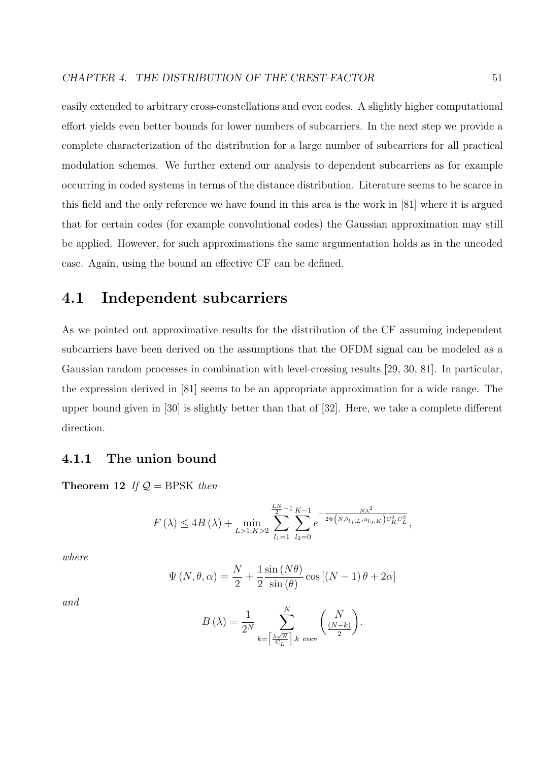easily extended to arbitrary cross-constellations and even codes. A slightly higher computational effort yields even better bounds for lower numbers of subcarriers. In the next step we provide a complete characterization of the distribution for a large number of subcarriers for all practical modulation schemes. We further extend our analysis to dependent subcarriers as for example occurring in coded systems in terms of the distance distribution. Literature seems to be scarce in this field and the only reference we have found in this area is the work in [81] where it is argued that for certain codes (for example convolutional codes) the Gaussian approximation may still be applied. However, for such approximations the same argumentation holds as in the uncoded case. Again, using the bound an effective CF can be defined.

## 4.1 Independent subcarriers

As we pointed out approximative results for the distribution of the CF assuming independent subcarriers have been derived on the assumptions that the OFDM signal can be modeled as a Gaussian random processes in combination with level-crossing results [29, 30, 81]. In particular, the expression derived in [81] seems to be an appropriate approximation for a wide range. The upper bound given in [30] is slightly better than that of [32]. Here, we take a complete different direction.

### 4.1.1 The union bound

Theorem 12 If  $Q = BPSK$  then

$$
F(\lambda) \le 4B(\lambda) + \min_{L>1, K>2} \sum_{l_1=1}^{\frac{LN}{2}-1} \sum_{l_2=0}^{K-1} e^{-\frac{N\lambda^2}{2\Psi(N, \theta_{l_1, L}, \alpha_{l_2, K})C_K^2 C_L^2}},
$$

where

$$
\Psi(N, \theta, \alpha) = \frac{N}{2} + \frac{1}{2} \frac{\sin(N\theta)}{\sin(\theta)} \cos[(N-1)\theta + 2\alpha]
$$

and

$$
B(\lambda) = \frac{1}{2^N} \sum_{k = \left\lceil \frac{\lambda \sqrt{N}}{C_L} \right\rceil, k \text{ even}}^N \binom{N}{\frac{(N-k)}{2}}.
$$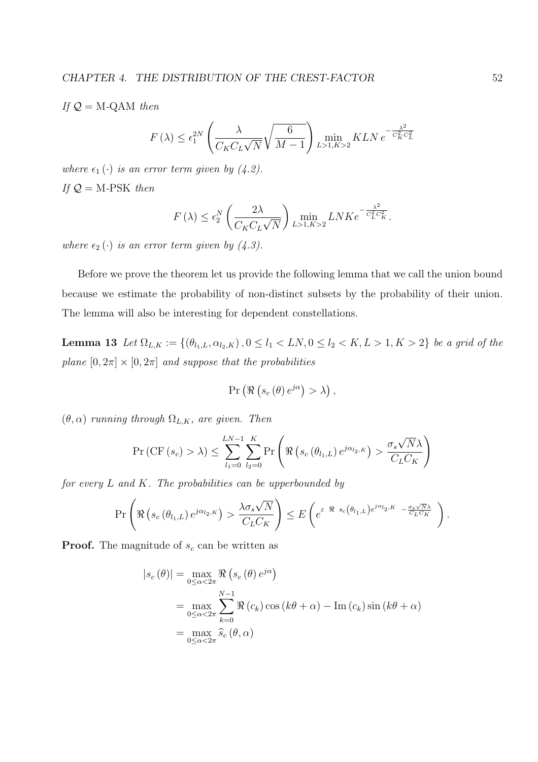If  $Q = M$ -QAM then

$$
F(\lambda) \le \epsilon_1^{2N} \left( \frac{\lambda}{C_K C_L \sqrt{N}} \sqrt{\frac{6}{M-1}} \right) \min_{L>1, K>2} KLN e^{-\frac{\lambda^2}{C_K^2 C_L^2}}
$$

where  $\epsilon_1(\cdot)$  is an error term given by (4.2). If  $Q = M$ -PSK then

$$
F(\lambda) \le \epsilon_2^N \left(\frac{2\lambda}{C_K C_L \sqrt{N}}\right) \min_{L>1, K>2} L N K e^{-\frac{\lambda^2}{C_L^2 C_K^2}}.
$$

where  $\epsilon_2(\cdot)$  is an error term given by (4.3).

Before we prove the theorem let us provide the following lemma that we call the union bound because we estimate the probability of non-distinct subsets by the probability of their union. The lemma will also be interesting for dependent constellations.

Lemma 13 Let  $\Omega_{L,K} := \{(\theta_{l_1,L}, \alpha_{l_2,K}), 0 \leq l_1 < LN, 0 \leq l_2 < K, L > 1, K > 2\}$  be a grid of the plane  $[0, 2\pi] \times [0, 2\pi]$  and suppose that the probabilities

$$
\Pr\left(\Re\left(s_c\left(\theta\right)e^{j\alpha}\right)>\lambda\right),\
$$

 $(\theta, \alpha)$  running through  $\Omega_{L,K}$ , are given. Then

$$
\Pr\left(\mathrm{CF}\left(s_{c}\right) > \lambda\right) \leq \sum_{l_{1}=0}^{LN-1} \sum_{l_{2}=0}^{K} \Pr\left(\Re\left(s_{c}\left(\theta_{l_{1},L}\right) e^{j\alpha_{l_{2},K}}\right) > \frac{\sigma_{s}\sqrt{N}\lambda}{C_{L}C_{K}}\right)
$$

for every  $L$  and  $K$ . The probabilities can be upperbounded by

$$
\Pr\left(\Re\left(s_c\left(\theta_{l_1,L}\right)e^{j\alpha_{l_2,K}}\right) > \frac{\lambda \sigma_s \sqrt{N}}{C_L C_K}\right) \leq E\left(e^{\varepsilon \Re s_c\left(\theta_{l_1,L}\right)e^{j\alpha_{l_2,K}} - \frac{\sigma_s \sqrt{N}\lambda}{C_L C_K}}\right).
$$

**Proof.** The magnitude of  $s_c$  can be written as

$$
|s_c(\theta)| = \max_{0 \le \alpha < 2\pi} \Re(s_c(\theta) e^{j\alpha})
$$
  
= 
$$
\max_{0 \le \alpha < 2\pi} \sum_{k=0}^{N-1} \Re(c_k) \cos(k\theta + \alpha) - \text{Im}(c_k) \sin(k\theta + \alpha)
$$
  
= 
$$
\max_{0 \le \alpha < 2\pi} \hat{s}_c(\theta, \alpha)
$$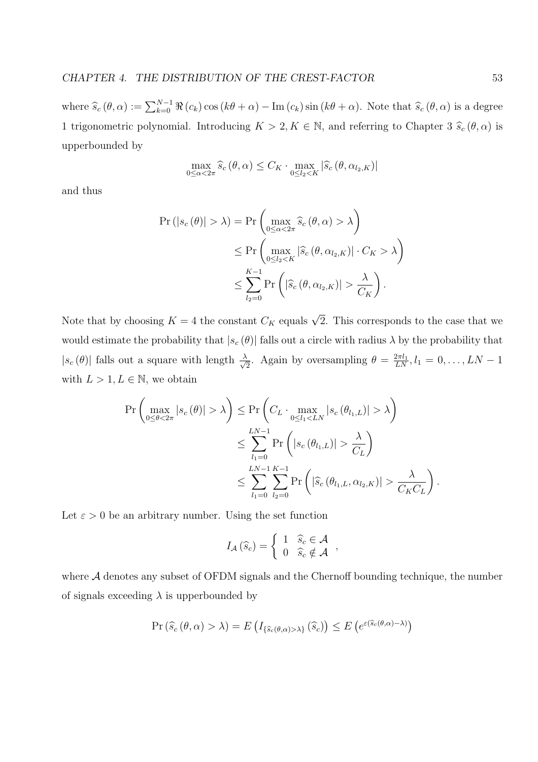where  $\widehat{s}_c (\theta, \alpha) := \sum_{k=0}^{N-1} \Re(c_k) \cos(k\theta + \alpha) - \text{Im}(c_k) \sin(k\theta + \alpha)$ . Note that  $\widehat{s}_c (\theta, \alpha)$  is a degree 1 trigonometric polynomial. Introducing  $K > 2, K \in \mathbb{N}$ , and referring to Chapter 3  $\hat{s}_c (\theta, \alpha)$  is upperbounded by

$$
\max_{0 \leq \alpha < 2\pi} \widehat{s}_c \left( \theta, \alpha \right) \leq C_K \cdot \max_{0 \leq l_2 < K} \left| \widehat{s}_c \left( \theta, \alpha_{l_2, K} \right) \right|
$$

and thus

$$
\Pr(|s_c(\theta)| > \lambda) = \Pr\left(\max_{0 \le \alpha < 2\pi} \hat{s}_c(\theta, \alpha) > \lambda\right)
$$
\n
$$
\le \Pr\left(\max_{0 \le l_2 < K} |\hat{s}_c(\theta, \alpha_{l_2, K})| \cdot C_K > \lambda\right)
$$
\n
$$
\le \sum_{l_2=0}^{K-1} \Pr\left(|\hat{s}_c(\theta, \alpha_{l_2, K})| > \frac{\lambda}{C_K}\right).
$$

Note that by choosing  $K = 4$  the constant  $C_K$  equals  $\sqrt{2}$ . This corresponds to the case that we would estimate the probability that  $|s_c(\theta)|$  falls out a circle with radius  $\lambda$  by the probability that  $|s_c(\theta)|$  falls out a square with length  $\frac{\lambda}{\sqrt{\theta}}$  $\frac{1}{2}$ . Again by oversampling  $\theta = \frac{2\pi l_1}{LN}, l_1 = 0, \ldots, LN - 1$ with  $L > 1, L \in \mathbb{N}$ , we obtain

$$
\Pr\left(\max_{0\le\theta<2\pi}|s_c(\theta)|>\lambda\right) \le \Pr\left(C_L \cdot \max_{0\le l_1\lambda\right)
$$
  

$$
\le \sum_{l_1=0}^{LN-1} \Pr\left(|s_c(\theta_{l_1,L})|>\frac{\lambda}{C_L}\right)
$$
  

$$
\le \sum_{l_1=0}^{LN-1}\sum_{l_2=0}^{K-1} \Pr\left(|\hat{s}_c(\theta_{l_1,L},\alpha_{l_2,K})|>\frac{\lambda}{C_K C_L}\right).
$$

Let  $\varepsilon > 0$  be an arbitrary number. Using the set function

$$
I_{\mathcal{A}}\left(\widehat{s}_{c}\right)=\left\{\begin{array}{ll}1 & \widehat{s}_{c}\in\mathcal{A} \\ 0 & \widehat{s}_{c}\notin\mathcal{A}\end{array}\right.,
$$

where A denotes any subset of OFDM signals and the Chernoff bounding technique, the number of signals exceeding  $\lambda$  is upperbounded by

$$
\Pr\left(\widehat{s}_{c}\left(\theta,\alpha\right)>\lambda\right)=E\left(I_{\{\widehat{s}_{c}\left(\theta,\alpha\right)>\lambda\}}\left(\widehat{s}_{c}\right)\right)\leq E\left(e^{\varepsilon\left(\widehat{s}_{c}\left(\theta,\alpha\right)-\lambda\right)}\right)
$$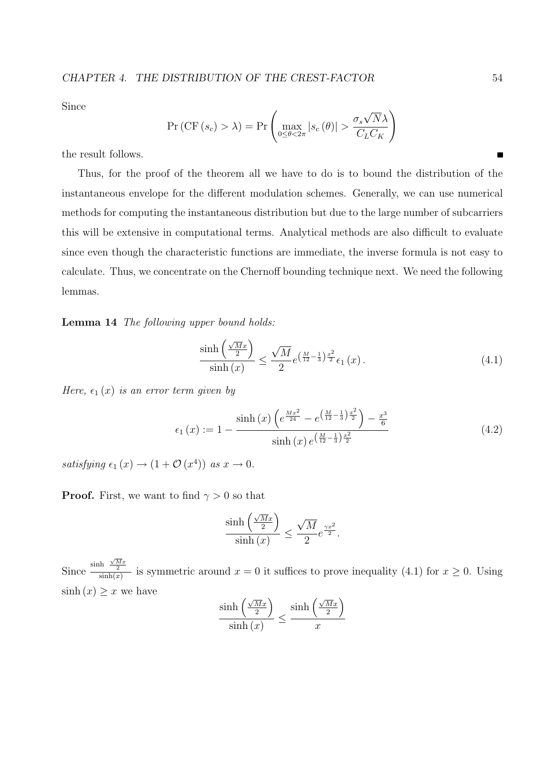Since

$$
\Pr\left(\mathrm{CF}\left(s_{c}\right) > \lambda\right) = \Pr\left(\max_{0 \leq \theta < 2\pi} |s_{c}\left(\theta\right)| > \frac{\sigma_{s}\sqrt{N}\lambda}{C_{L}C_{K}}\right)
$$

the result follows.

Thus, for the proof of the theorem all we have to do is to bound the distribution of the instantaneous envelope for the different modulation schemes. Generally, we can use numerical methods for computing the instantaneous distribution but due to the large number of subcarriers this will be extensive in computational terms. Analytical methods are also difficult to evaluate since even though the characteristic functions are immediate, the inverse formula is not easy to calculate. Thus, we concentrate on the Chernoff bounding technique next. We need the following lemmas.

Lemma 14 The following upper bound holds:

$$
\frac{\sinh\left(\frac{\sqrt{M}x}{2}\right)}{\sinh\left(x\right)} \le \frac{\sqrt{M}}{2} e^{\left(\frac{M}{12} - \frac{1}{3}\right)\frac{x^2}{2}} \epsilon_1\left(x\right). \tag{4.1}
$$

Here,  $\epsilon_1(x)$  is an error term given by

$$
\epsilon_1(x) := 1 - \frac{\sinh(x) \left( e^{\frac{Mx^2}{24}} - e^{\left(\frac{M}{12} - \frac{1}{3}\right) \frac{x^2}{2}} \right) - \frac{x^3}{6}}{\sinh(x) e^{\left(\frac{M}{12} - \frac{1}{3}\right) \frac{x^2}{2}}}
$$
(4.2)

satisfying  $\epsilon_1(x) \to (1 + \mathcal{O}(x^4))$  as  $x \to 0$ .

**Proof.** First, we want to find  $\gamma > 0$  so that

$$
\frac{\sinh\left(\frac{\sqrt{M}x}{2}\right)}{\sinh\left(x\right)} \le \frac{\sqrt{M}}{2}e^{\frac{\gamma x^2}{2}}.
$$

Since  $\frac{\sinh \frac{\sqrt{M}x}{2}}{\sinh(x)}$  $\frac{1}{\sinh(x)}$  is symmetric around  $x = 0$  it suffices to prove inequality (4.1) for  $x \ge 0$ . Using  $\sinh(x) \geq x$  we have ´ ´

$$
\frac{\sinh\left(\frac{\sqrt{M}x}{2}\right)}{\sinh\left(x\right)} \le \frac{\sinh\left(\frac{\sqrt{M}x}{2}\right)}{x}
$$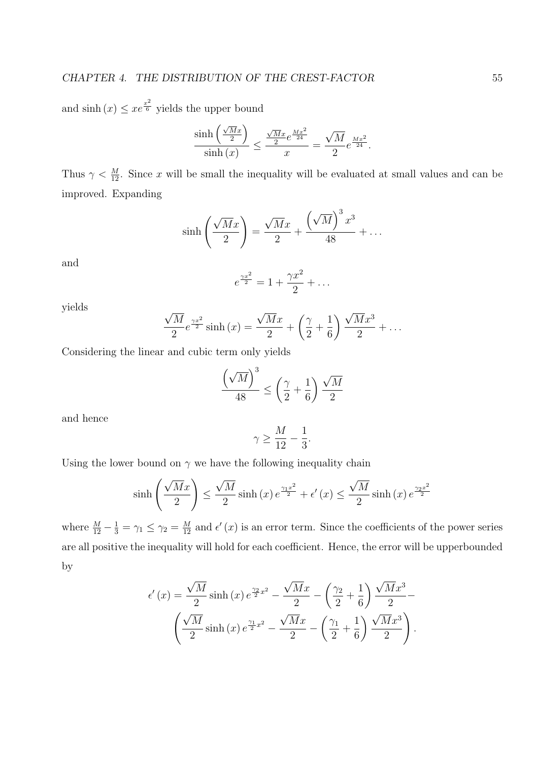and  $\sinh(x) \leq xe^{\frac{x^2}{6}}$  yields the upper bound ´

$$
\frac{\sinh\left(\frac{\sqrt{M}x}{2}\right)}{\sinh\left(x\right)} \le \frac{\frac{\sqrt{M}x}{2}e^{\frac{Mx^2}{24}}}{x} = \frac{\sqrt{M}}{2}e^{\frac{Mx^2}{24}}.
$$

Thus  $\gamma < \frac{M}{12}$ . Since x will be small the inequality will be evaluated at small values and can be improved. Expanding

$$
\sinh\left(\frac{\sqrt{M}x}{2}\right) = \frac{\sqrt{M}x}{2} + \frac{\left(\sqrt{M}\right)^3 x^3}{48} + \dots
$$

and

$$
e^{\frac{\gamma x^2}{2}} = 1 + \frac{\gamma x^2}{2} + \dots
$$

yields

$$
\frac{\sqrt{M}}{2}e^{\frac{\gamma x^2}{2}}\sinh(x) = \frac{\sqrt{M}x}{2} + \left(\frac{\gamma}{2} + \frac{1}{6}\right)\frac{\sqrt{M}x^3}{2} + \dots
$$

Considering the linear and cubic term only yields

$$
\frac{\left(\sqrt{M}\right)^3}{48} \le \left(\frac{\gamma}{2} + \frac{1}{6}\right) \frac{\sqrt{M}}{2}
$$

and hence

$$
\gamma \geq \frac{M}{12} - \frac{1}{3}
$$

.

Using the lower bound on  $\gamma$  we have the following inequality chain

$$
\sinh\left(\frac{\sqrt{M}x}{2}\right) \le \frac{\sqrt{M}}{2}\sinh\left(x\right)e^{\frac{\gamma_1 x^2}{2}} + \epsilon'\left(x\right) \le \frac{\sqrt{M}}{2}\sinh\left(x\right)e^{\frac{\gamma_2 x^2}{2}}
$$

where  $\frac{M}{12} - \frac{1}{3} = \gamma_1 \le \gamma_2 = \frac{M}{12}$  and  $\epsilon'(x)$  is an error term. Since the coefficients of the power series are all positive the inequality will hold for each coefficient. Hence, the error will be upperbounded by

$$
\epsilon'(x) = \frac{\sqrt{M}}{2} \sinh(x) e^{\frac{\gamma_2}{2}x^2} - \frac{\sqrt{M}x}{2} - \left(\frac{\gamma_2}{2} + \frac{1}{6}\right) \frac{\sqrt{M}x^3}{2} - \left(\frac{\sqrt{M}}{2} \sinh(x) e^{\frac{\gamma_1}{2}x^2} - \frac{\sqrt{M}x}{2} - \left(\frac{\gamma_1}{2} + \frac{1}{6}\right) \frac{\sqrt{M}x^3}{2}\right).
$$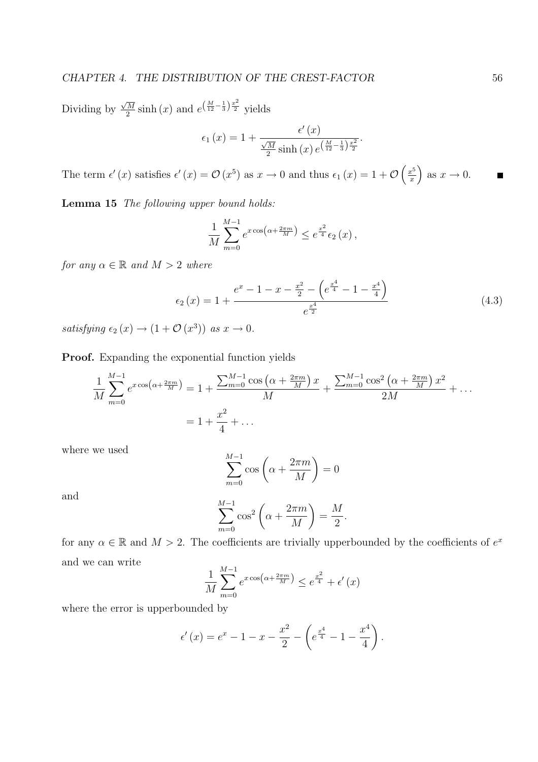Dividing by  $\sqrt{M}$  $\frac{\overline{M}}{2}\sinh(x)$  and  $e^{\left(\frac{M}{12}-\frac{1}{3}\right)\frac{x^2}{2}}$  yields

$$
\epsilon_1(x) = 1 + \frac{\epsilon'(x)}{\frac{\sqrt{M}}{2}\sinh(x) e^{\left(\frac{M}{12} - \frac{1}{3}\right)\frac{x^2}{2}}}.
$$

The term  $\epsilon'(x)$  satisfies  $\epsilon'(x) = \mathcal{O}(x^5)$  as  $x \to 0$  and thus  $\epsilon_1(x) = 1 + \mathcal{O}$  $\int x^5$ x ´ as  $x \to 0$ .

Lemma 15 The following upper bound holds:

$$
\frac{1}{M} \sum_{m=0}^{M-1} e^{x \cos\left(\alpha + \frac{2\pi m}{M}\right)} \le e^{\frac{x^2}{4}} \epsilon_2(x),
$$

for any  $\alpha \in \mathbb{R}$  and  $M > 2$  where

$$
\epsilon_2(x) = 1 + \frac{e^x - 1 - x - \frac{x^2}{2} - \left(e^{\frac{x^4}{4}} - 1 - \frac{x^4}{4}\right)}{e^{\frac{x^4}{2}}}
$$
(4.3)

satisfying  $\epsilon_2(x) \to (1 + \mathcal{O}(x^3))$  as  $x \to 0$ .

Proof. Expanding the exponential function yields

$$
\frac{1}{M} \sum_{m=0}^{M-1} e^{x \cos\left(\alpha + \frac{2\pi m}{M}\right)} = 1 + \frac{\sum_{m=0}^{M-1} \cos\left(\alpha + \frac{2\pi m}{M}\right) x}{M} + \frac{\sum_{m=0}^{M-1} \cos^2\left(\alpha + \frac{2\pi m}{M}\right) x^2}{2M} + \dots
$$

$$
= 1 + \frac{x^2}{4} + \dots
$$

where we used

$$
\sum_{m=0}^{M-1} \cos\left(\alpha + \frac{2\pi m}{M}\right) = 0
$$

and

$$
\sum_{m=0}^{M-1} \cos^2\left(\alpha + \frac{2\pi m}{M}\right) = \frac{M}{2}.
$$

for any  $\alpha \in \mathbb{R}$  and  $M > 2$ . The coefficients are trivially upperbounded by the coefficients of  $e^x$ and we can write

$$
\frac{1}{M} \sum_{m=0}^{M-1} e^{x \cos\left(\alpha + \frac{2\pi m}{M}\right)} \le e^{\frac{x^2}{4}} + \epsilon'(x)
$$

where the error is upperbounded by

$$
\epsilon'(x) = e^x - 1 - x - \frac{x^2}{2} - \left(e^{\frac{x^4}{4}} - 1 - \frac{x^4}{4}\right).
$$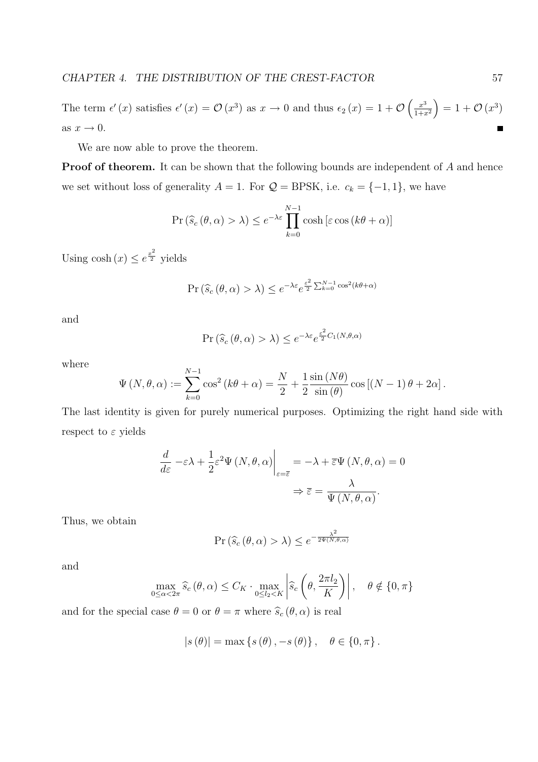$\int x^3$ ´ The term  $\epsilon'(x)$  satisfies  $\epsilon'(x) = \mathcal{O}(x^3)$  as  $x \to 0$  and thus  $\epsilon_2(x) = 1 + \mathcal{O}$  $= 1 + \mathcal{O}(x^3)$  $\frac{1}{1+x^2}$ as  $x \to 0$ .  $\blacksquare$ 

We are now able to prove the theorem.

**Proof of theorem.** It can be shown that the following bounds are independent of A and hence we set without loss of generality  $A = 1$ . For  $\mathcal{Q} = \text{BPSK}$ , i.e.  $c_k = \{-1, 1\}$ , we have

$$
\Pr\left(\widehat{s}_c\left(\theta,\alpha\right)>\lambda\right) \le e^{-\lambda\varepsilon} \prod_{k=0}^{N-1} \cosh\left[\varepsilon \cos\left(k\theta+\alpha\right)\right]
$$

Using  $\cosh(x) \leq e^{\frac{x^2}{2}}$  yields

$$
\Pr\left(\widehat{s}_c\left(\theta,\alpha\right) > \lambda\right) \leq e^{-\lambda\varepsilon} e^{\frac{\varepsilon^2}{2}\sum_{k=0}^{N-1}\cos^2(k\theta+\alpha)}
$$

and

$$
\Pr\left(\widehat{s}_c\left(\theta,\alpha\right)>\lambda\right)\leq e^{-\lambda\varepsilon}e^{\frac{\varepsilon^2}{2}C_1\left(N,\theta,\alpha\right)}
$$

where

$$
\Psi(N,\theta,\alpha) := \sum_{k=0}^{N-1} \cos^2(k\theta + \alpha) = \frac{N}{2} + \frac{1}{2} \frac{\sin(N\theta)}{\sin(\theta)} \cos[(N-1)\theta + 2\alpha].
$$

The last identity is given for purely numerical purposes. Optimizing the right hand side with respect to  $\varepsilon$  yields

$$
\frac{d}{d\varepsilon} - \varepsilon \lambda + \frac{1}{2} \varepsilon^2 \Psi (N, \theta, \alpha) \Big|_{\varepsilon = \overline{\varepsilon}} = -\lambda + \overline{\varepsilon} \Psi (N, \theta, \alpha) = 0
$$

$$
\Rightarrow \overline{\varepsilon} = \frac{\lambda}{\Psi (N, \theta, \alpha)}.
$$

Thus, we obtain

$$
\Pr\left(\widehat{s}_c\left(\theta,\alpha\right) > \lambda\right) \leq e^{-\frac{\lambda^2}{2\Psi\left(N,\theta,\alpha\right)}}
$$

and

$$
\max_{0 \le \alpha < 2\pi} \widehat{s}_c \left( \theta, \alpha \right) \le C_K \cdot \max_{0 \le l_2 < K} \left| \widehat{s}_c \left( \theta, \frac{2\pi l_2}{K} \right) \right|, \quad \theta \notin \{0, \pi\}
$$

and for the special case  $\theta = 0$  or  $\theta = \pi$  where  $\widehat{s}_c (\theta, \alpha)$  is real

$$
|s(\theta)| = \max\left\{s(\theta), -s(\theta)\right\}, \quad \theta \in \{0, \pi\}.
$$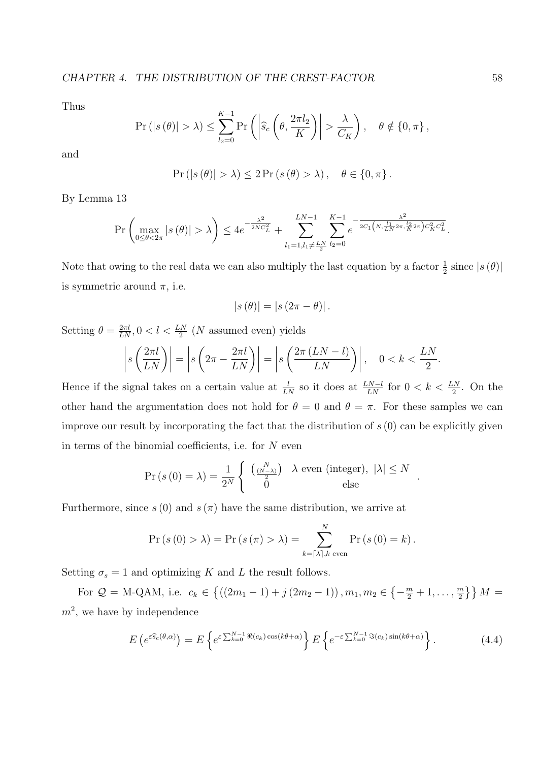Thus

$$
\Pr\left(|s(\theta)| > \lambda\right) \le \sum_{l_2=0}^{K-1} \Pr\left(\left|\widehat{s}_c\left(\theta, \frac{2\pi l_2}{K}\right)\right| > \frac{\lambda}{C_K}\right), \quad \theta \notin \{0, \pi\},\
$$

and

$$
Pr ( |s (\theta)| > \lambda) \leq 2 Pr (s (\theta) > \lambda), \quad \theta \in \{0, \pi\}.
$$

By Lemma 13

$$
\Pr\left(\max_{0\leq\theta<2\pi}|s(\theta)|>\lambda\right)\leq 4e^{-\frac{\lambda^2}{2NC_L^2}}+\sum_{l_1=1,l_1\neq\frac{LN}{2}}^{LN-1}\sum_{l_2=0}^{K-1}e^{-\frac{\lambda^2}{2C_1\left(N,\frac{l_1}{LN}2\pi,\frac{l_2}{K}2\pi\right)C_K^2C_L^2}}.
$$

Note that owing to the real data we can also multiply the last equation by a factor  $\frac{1}{2}$  since  $|s(\theta)|$ is symmetric around  $\pi$ , i.e.

$$
|s(\theta)| = |s(2\pi - \theta)|.
$$

Setting  $\theta = \frac{2\pi l}{LN}$ ,  $0 < l < \frac{LN}{2}$  (*N* assumed even) yields

$$
\left| s\left(\frac{2\pi l}{LN}\right) \right| = \left| s\left(2\pi - \frac{2\pi l}{LN}\right) \right| = \left| s\left(\frac{2\pi (LN - l)}{LN}\right) \right|, \quad 0 < k < \frac{LN}{2}
$$

Hence if the signal takes on a certain value at  $\frac{l}{LN}$  so it does at  $\frac{LN-l}{LN}$  for  $0 < k < \frac{LN}{2}$ . On the other hand the argumentation does not hold for  $\theta = 0$  and  $\theta = \pi$ . For these samples we can improve our result by incorporating the fact that the distribution of  $s(0)$  can be explicitly given in terms of the binomial coefficients, i.e. for  $N$  even

$$
\Pr\left(s\left(0\right)=\lambda\right)=\frac{1}{2^N}\left\{\begin{array}{cc} {N \choose \frac{(N-\lambda)}{2}} & \lambda \text{ even (integer)}, \ |\lambda|\leq N\\ 0 & \text{else} \end{array}\right.
$$

Furthermore, since  $s(0)$  and  $s(\pi)$  have the same distribution, we arrive at

$$
\Pr\left(s\left(0\right) > \lambda\right) = \Pr\left(s\left(\pi\right) > \lambda\right) = \sum_{k=\lceil\lambda\rceil,k \text{ even}}^N \Pr\left(s\left(0\right) = k\right).
$$

Setting  $\sigma_s = 1$  and optimizing K and L the result follows.

For  $\mathcal{Q} = \text{M-QAM}$ , i.e.  $c_k \in$  $\overline{a}$  $((2m_1 - 1) + j (2m_2 - 1)), m_1, m_2 \in$  $\overline{a}$  $-\frac{m}{2}+1,\ldots,\frac{m}{2}$  $\frac{m}{2}$ }  $M =$  $m^2$ , we have by independence

$$
E\left(e^{\varepsilon \widehat{s}_c(\theta,\alpha)}\right) = E\left\{e^{\varepsilon \sum_{k=0}^{N-1} \Re(c_k)\cos(k\theta+\alpha)}\right\} E\left\{e^{-\varepsilon \sum_{k=0}^{N-1} \Im(c_k)\sin(k\theta+\alpha)}\right\}.
$$
 (4.4)

.

.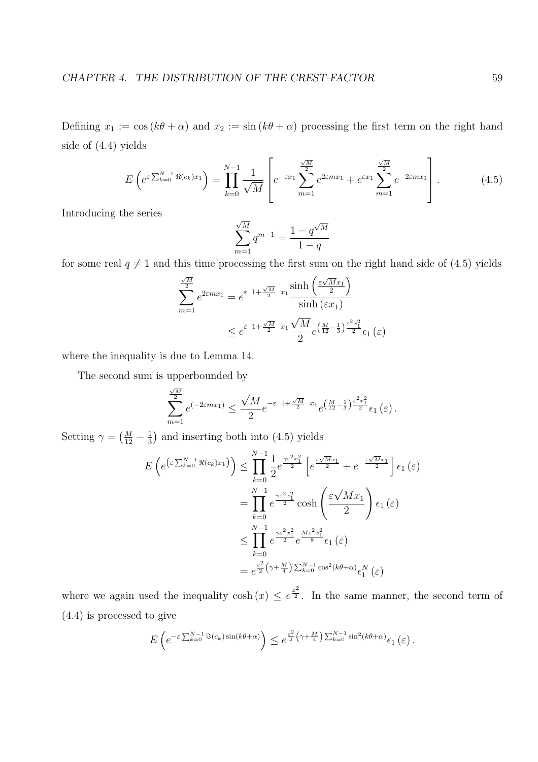Defining  $x_1 := \cos (k\theta + \alpha)$  and  $x_2 := \sin (k\theta + \alpha)$  processing the first term on the right hand side of (4.4) yields

$$
E\left(e^{\varepsilon \sum_{k=0}^{N-1} \Re(c_k)x_1}\right) = \prod_{k=0}^{N-1} \frac{1}{\sqrt{M}} \left[e^{-\varepsilon x_1} \sum_{m=1}^{\frac{\sqrt{M}}{2}} e^{2\varepsilon m x_1} + e^{\varepsilon x_1} \sum_{m=1}^{\frac{\sqrt{M}}{2}} e^{-2\varepsilon m x_1}\right].
$$
 (4.5)

Introducing the series

$$
\sum_{m=1}^{\sqrt{M}} q^{m-1} = \frac{1 - q^{\sqrt{M}}}{1 - q}
$$

for some real  $q \neq 1$  and this time processing the first sum on the right hand side of (4.5) yields

$$
\sum_{m=1}^{\frac{\sqrt{M}}{2}} e^{2\epsilon m x_1} = e^{\epsilon_1 + \frac{\sqrt{M}}{2} x_1} \frac{\sinh\left(\frac{\epsilon \sqrt{M} x_1}{2}\right)}{\sinh\left(\epsilon x_1\right)}
$$

$$
\leq e^{\epsilon_1 + \frac{\sqrt{M}}{2} x_1} \frac{\sqrt{M}}{2} e^{\left(\frac{M}{12} - \frac{1}{3}\right) \frac{\epsilon^2 x_1^2}{2}} \epsilon_1 \left(\epsilon\right)
$$

where the inequality is due to Lemma 14.

The second sum is upperbounded by

$$
\sum_{m=1}^{\frac{\sqrt{M}}{2}} e^{(-2\epsilon m x_1)} \le \frac{\sqrt{M}}{2} e^{-\varepsilon \ 1 + \frac{\sqrt{M}}{2} \ x_1} e^{\left(\frac{M}{12} - \frac{1}{3}\right) \frac{\varepsilon^2 x_1^2}{2}} \epsilon_1 \left(\varepsilon\right).
$$

Setting  $\gamma = \left(\frac{M}{12}\right)$  $\frac{M}{12} - \frac{1}{3}$ 3 ¢ and inserting both into (4.5) yields

$$
E\left(e^{\left(\varepsilon \sum_{k=0}^{N-1} \Re(c_k)x_1\right)}\right) \leq \prod_{k=0}^{N-1} \frac{1}{2} e^{\frac{\gamma \varepsilon^2 x_1^2}{2}} \left[e^{\frac{\varepsilon \sqrt{M}x_1}{2}} + e^{-\frac{\varepsilon \sqrt{M}x_1}{2}}\right] \epsilon_1(\varepsilon)
$$
  

$$
= \prod_{k=0}^{N-1} e^{\frac{\gamma \varepsilon^2 x_1^2}{2}} \cosh\left(\frac{\varepsilon \sqrt{M}x_1}{2}\right) \epsilon_1(\varepsilon)
$$
  

$$
\leq \prod_{k=0}^{N-1} e^{\frac{\gamma \varepsilon^2 x_1^2}{2}} e^{\frac{M \varepsilon^2 x_1^2}{8}} \epsilon_1(\varepsilon)
$$
  

$$
= e^{\frac{\varepsilon^2}{2} (\gamma + \frac{M}{4}) \sum_{k=0}^{N-1} \cos^2(k\theta + \alpha)} \epsilon_1^N(\varepsilon)
$$

where we again used the inequality  $\cosh(x) \leq e^{\frac{x^2}{2}}$ . In the same manner, the second term of (4.4) is processed to give

$$
E\left(e^{-\varepsilon \sum_{k=0}^{N-1} \Im(c_k)\sin(k\theta+\alpha)}\right) \leq e^{\frac{\varepsilon^2}{2}\left(\gamma+\frac{M}{4}\right)\sum_{k=0}^{N-1} \sin^2(k\theta+\alpha)} \epsilon_1\left(\varepsilon\right).
$$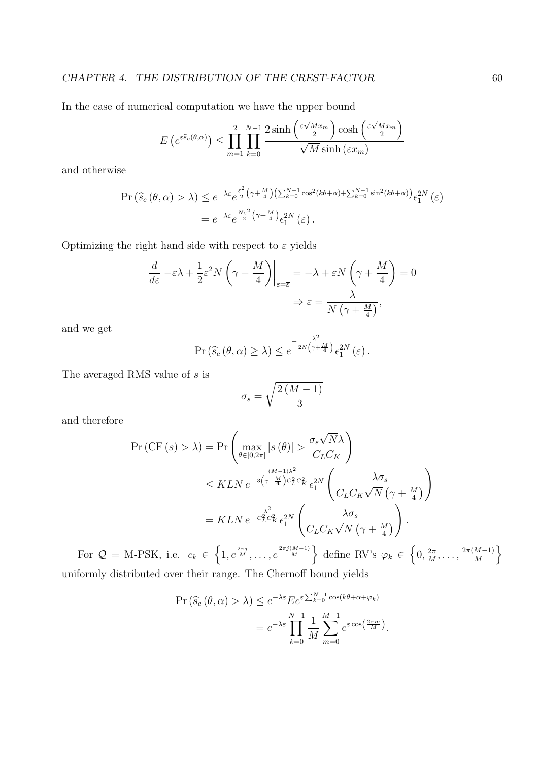In the case of numerical computation we have the upper bound

$$
E\left(e^{\varepsilon \widehat{s}_c(\theta,\alpha)}\right) \le \prod_{m=1}^2 \prod_{k=0}^{N-1} \frac{2\sinh\left(\frac{\varepsilon \sqrt{M} x_m}{2}\right) \cosh\left(\frac{\varepsilon \sqrt{M} x_m}{2}\right)}{\sqrt{M} \sinh\left(\varepsilon x_m\right)}
$$

and otherwise

$$
\Pr\left(\widehat{s}_{c}\left(\theta,\alpha\right)>\lambda\right) \leq e^{-\lambda\varepsilon}e^{\frac{\varepsilon^{2}}{2}\left(\gamma+\frac{M}{4}\right)\left(\sum_{k=0}^{N-1}\cos^{2}(k\theta+\alpha)+\sum_{k=0}^{N-1}\sin^{2}(k\theta+\alpha)\right)}\epsilon_{1}^{2N}\left(\varepsilon\right)
$$

$$
=e^{-\lambda\varepsilon}e^{\frac{N\varepsilon^{2}}{2}\left(\gamma+\frac{M}{4}\right)}\epsilon_{1}^{2N}\left(\varepsilon\right).
$$

Optimizing the right hand side with respect to  $\varepsilon$  yields

$$
\frac{d}{d\varepsilon} - \varepsilon \lambda + \frac{1}{2} \varepsilon^2 N \left( \gamma + \frac{M}{4} \right) \Big|_{\varepsilon = \overline{\varepsilon}} = -\lambda + \overline{\varepsilon} N \left( \gamma + \frac{M}{4} \right) = 0
$$

$$
\Rightarrow \overline{\varepsilon} = \frac{\lambda}{N \left( \gamma + \frac{M}{4} \right)},
$$

and we get

$$
\Pr\left(\widehat{s}_c\left(\theta,\alpha\right)\geq\lambda\right)\leq e^{-\frac{\lambda^2}{2N\left(\gamma+\frac{M}{4}\right)}}\epsilon_1^{2N}\left(\overline{\varepsilon}\right).
$$

The averaged RMS value of s is

$$
\sigma_s = \sqrt{\frac{2\left(M-1\right)}{3}}
$$

and therefore

$$
\Pr\left(\text{CF}(s) > \lambda\right) = \Pr\left(\max_{\theta \in [0, 2\pi]} |s(\theta)| > \frac{\sigma_s \sqrt{N}\lambda}{C_L C_K}\right)
$$
  

$$
\leq K L N e^{-\frac{(M-1)\lambda^2}{3\left(\gamma + \frac{M}{4}\right)C_L^2 C_K^2}} \epsilon_1^{2N} \left(\frac{\lambda \sigma_s}{C_L C_K \sqrt{N}\left(\gamma + \frac{M}{4}\right)}\right)
$$
  

$$
= K L N e^{-\frac{\lambda^2}{C_L^2 C_K^2}} \epsilon_1^{2N} \left(\frac{\lambda \sigma_s}{C_L C_K \sqrt{N}\left(\gamma + \frac{M}{4}\right)}\right).
$$

For  $\mathcal{Q} = \text{M-PSK}$ , i.e.  $c_k \in$  $1, e^{\frac{2\pi j}{M}}, \ldots, e^{\frac{2\pi j(M-1)}{M}}$ define RV's  $\varphi_k \in$  $0, \frac{2\pi}{M}$  $\frac{2\pi}{M}, \ldots, \frac{2\pi(M-1)}{M}$ M o uniformly distributed over their range. The Chernoff bound yields

$$
\Pr\left(\widehat{s}_{c}(\theta,\alpha) > \lambda\right) \leq e^{-\lambda \varepsilon} E e^{\varepsilon \sum_{k=0}^{N-1} \cos(k\theta + \alpha + \varphi_k)}
$$

$$
= e^{-\lambda \varepsilon} \prod_{k=0}^{N-1} \frac{1}{M} \sum_{m=0}^{M-1} e^{\varepsilon \cos\left(\frac{2\pi m}{M}\right)}.
$$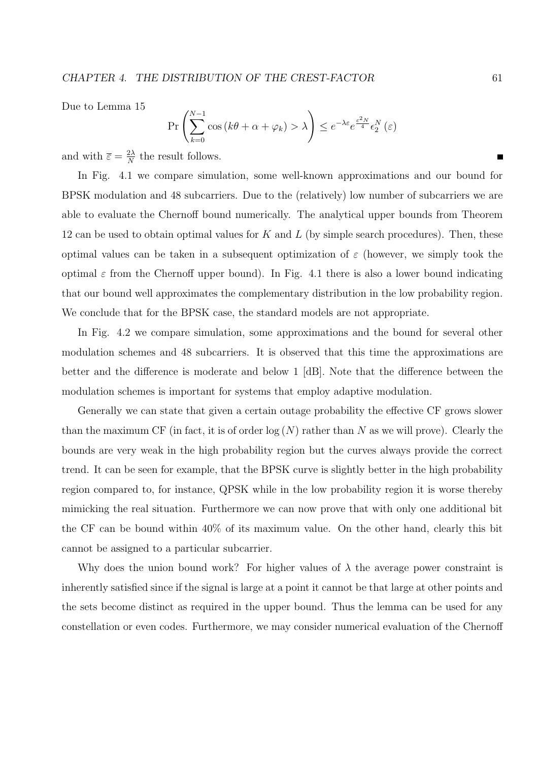Due to Lemma 15

$$
\Pr\left(\sum_{k=0}^{N-1} \cos\left(k\theta + \alpha + \varphi_k\right) > \lambda\right) \le e^{-\lambda \varepsilon} e^{\frac{\varepsilon^2 N}{4}} \epsilon_2^N\left(\varepsilon\right)
$$

and with  $\overline{\varepsilon} = \frac{2\lambda}{N}$  $\frac{2\lambda}{N}$  the result follows.

In Fig. 4.1 we compare simulation, some well-known approximations and our bound for BPSK modulation and 48 subcarriers. Due to the (relatively) low number of subcarriers we are able to evaluate the Chernoff bound numerically. The analytical upper bounds from Theorem 12 can be used to obtain optimal values for  $K$  and  $L$  (by simple search procedures). Then, these optimal values can be taken in a subsequent optimization of  $\varepsilon$  (however, we simply took the optimal  $\varepsilon$  from the Chernoff upper bound). In Fig. 4.1 there is also a lower bound indicating that our bound well approximates the complementary distribution in the low probability region. We conclude that for the BPSK case, the standard models are not appropriate.

In Fig. 4.2 we compare simulation, some approximations and the bound for several other modulation schemes and 48 subcarriers. It is observed that this time the approximations are better and the difference is moderate and below 1 [dB]. Note that the difference between the modulation schemes is important for systems that employ adaptive modulation.

Generally we can state that given a certain outage probability the effective CF grows slower than the maximum CF (in fact, it is of order  $log(N)$  rather than N as we will prove). Clearly the bounds are very weak in the high probability region but the curves always provide the correct trend. It can be seen for example, that the BPSK curve is slightly better in the high probability region compared to, for instance, QPSK while in the low probability region it is worse thereby mimicking the real situation. Furthermore we can now prove that with only one additional bit the CF can be bound within 40% of its maximum value. On the other hand, clearly this bit cannot be assigned to a particular subcarrier.

Why does the union bound work? For higher values of  $\lambda$  the average power constraint is inherently satisfied since if the signal is large at a point it cannot be that large at other points and the sets become distinct as required in the upper bound. Thus the lemma can be used for any constellation or even codes. Furthermore, we may consider numerical evaluation of the Chernoff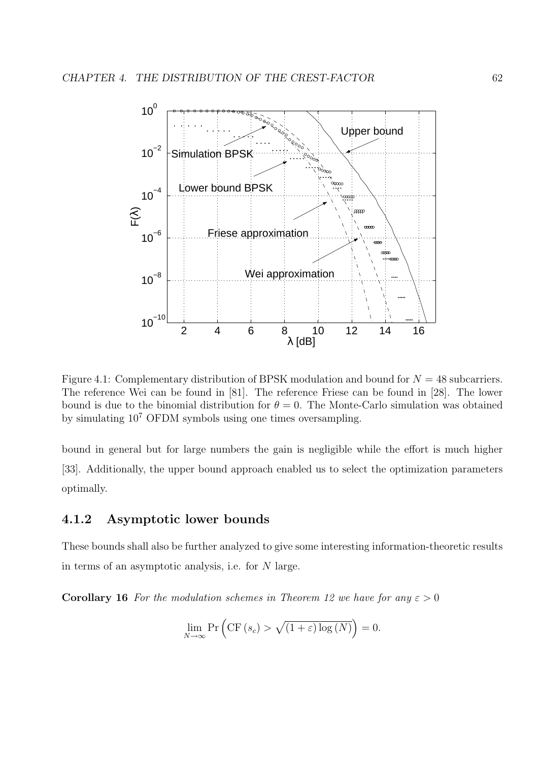

Figure 4.1: Complementary distribution of BPSK modulation and bound for  $N = 48$  subcarriers. The reference Wei can be found in [81]. The reference Friese can be found in [28]. The lower bound is due to the binomial distribution for  $\theta = 0$ . The Monte-Carlo simulation was obtained by simulating 10<sup>7</sup> OFDM symbols using one times oversampling.

bound in general but for large numbers the gain is negligible while the effort is much higher [33]. Additionally, the upper bound approach enabled us to select the optimization parameters optimally.

### 4.1.2 Asymptotic lower bounds

These bounds shall also be further analyzed to give some interesting information-theoretic results in terms of an asymptotic analysis, i.e. for N large.

**Corollary 16** For the modulation schemes in Theorem 12 we have for any  $\varepsilon > 0$ 

$$
\lim_{N \to \infty} \Pr\left(\text{CF}\left(s_c\right) > \sqrt{\left(1 + \varepsilon\right) \log\left(N\right)}\right) = 0.
$$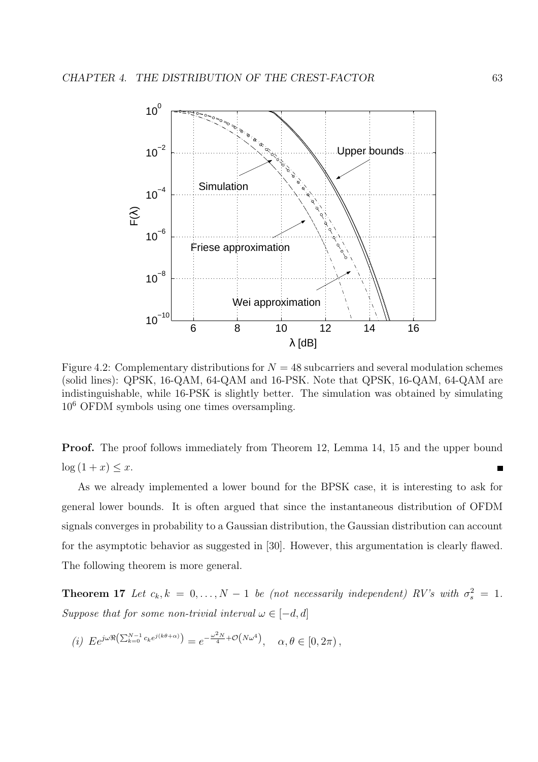

Figure 4.2: Complementary distributions for  $N = 48$  subcarriers and several modulation schemes (solid lines): QPSK, 16-QAM, 64-QAM and 16-PSK. Note that QPSK, 16-QAM, 64-QAM are indistinguishable, while 16-PSK is slightly better. The simulation was obtained by simulating 10<sup>6</sup> OFDM symbols using one times oversampling.

Proof. The proof follows immediately from Theorem 12, Lemma 14, 15 and the upper bound  $\log(1+x) \leq x.$ п

As we already implemented a lower bound for the BPSK case, it is interesting to ask for general lower bounds. It is often argued that since the instantaneous distribution of OFDM signals converges in probability to a Gaussian distribution, the Gaussian distribution can account for the asymptotic behavior as suggested in [30]. However, this argumentation is clearly flawed. The following theorem is more general.

**Theorem 17** Let  $c_k, k = 0, ..., N-1$  be (not necessarily independent) RV's with  $\sigma_s^2 = 1$ . Suppose that for some non-trivial interval  $\omega \in [-d, d]$ 

$$
(i) \ E e^{j\omega \Re \left(\sum_{k=0}^{N-1} c_k e^{j(k\theta + \alpha)}\right)} = e^{-\frac{\omega^2 N}{4} + \mathcal{O}\left(N\omega^4\right)}, \quad \alpha, \theta \in [0, 2\pi),
$$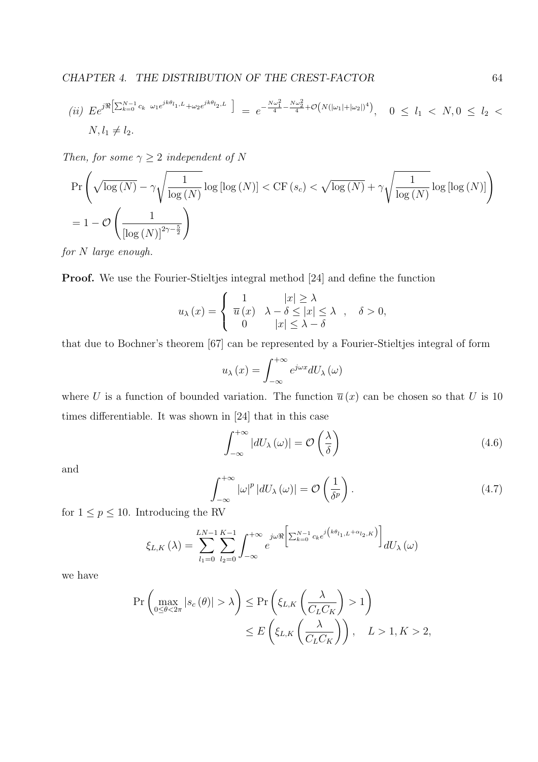(*ii*) 
$$
E e^{j\Re} \left[ \sum_{k=0}^{N-1} c_k \omega_1 e^{jk\theta_{l_1,L}} + \omega_2 e^{jk\theta_{l_2,L}} \right] = e^{-\frac{N\omega_1^2}{4} - \frac{N\omega_2^2}{4}} + \mathcal{O}(N(|\omega_1| + |\omega_2|)^4), \quad 0 \le l_1 < N, 0 \le l_2 < N, l_1 \ne l_2.
$$

Then, for some  $\gamma \geq 2$  independent of N

$$
\Pr\left(\sqrt{\log(N)} - \gamma \sqrt{\frac{1}{\log(N)}} \log \left[\log(N)\right] < \mathrm{CF}\left(s_c\right) < \sqrt{\log(N)} + \gamma \sqrt{\frac{1}{\log(N)}} \log \left[\log(N)\right] \right)
$$
\n
$$
= 1 - \mathcal{O}\left(\frac{1}{\left[\log(N)\right]^{2\gamma - \frac{5}{2}}}\right)
$$

for N large enough.

Proof. We use the Fourier-Stieltjes integral method [24] and define the function

 $\cdot$ 

$$
u_{\lambda}(x) = \begin{cases} 1 & |x| \ge \lambda \\ \overline{u}(x) & \lambda - \delta \le |x| \le \lambda \\ 0 & |x| \le \lambda - \delta \end{cases}, \quad \delta > 0,
$$

that due to Bochner's theorem [67] can be represented by a Fourier-Stieltjes integral of form

$$
u_{\lambda}(x) = \int_{-\infty}^{+\infty} e^{j\omega x} dU_{\lambda}(\omega)
$$

where U is a function of bounded variation. The function  $\bar{u}(x)$  can be chosen so that U is 10 times differentiable. It was shown in [24] that in this case

$$
\int_{-\infty}^{+\infty} |dU_{\lambda}(\omega)| = \mathcal{O}\left(\frac{\lambda}{\delta}\right)
$$
\n(4.6)

and

$$
\int_{-\infty}^{+\infty} |\omega|^p |dU_{\lambda}(\omega)| = \mathcal{O}\left(\frac{1}{\delta^p}\right). \tag{4.7}
$$

for  $1 \le p \le 10$ . Introducing the RV

$$
\xi_{L,K}\left(\lambda\right) = \sum_{l_1=0}^{LN-1}\sum_{l_2=0}^{K-1}\int_{-\infty}^{+\infty}e^{j\omega\Re\left[\sum_{k=0}^{N-1}c_ke^{j\left(k\theta_{l_1,L}+\alpha_{l_2,K}\right)}\right]}dU_{\lambda}\left(\omega\right)
$$

we have

$$
\Pr\left(\max_{0\le\theta<2\pi}|s_c(\theta)|>\lambda\right)\le\Pr\left(\xi_{L,K}\left(\frac{\lambda}{C_L C_K}\right)>1\right)
$$
  

$$
\le E\left(\xi_{L,K}\left(\frac{\lambda}{C_L C_K}\right)\right), \quad L>1, K>2,
$$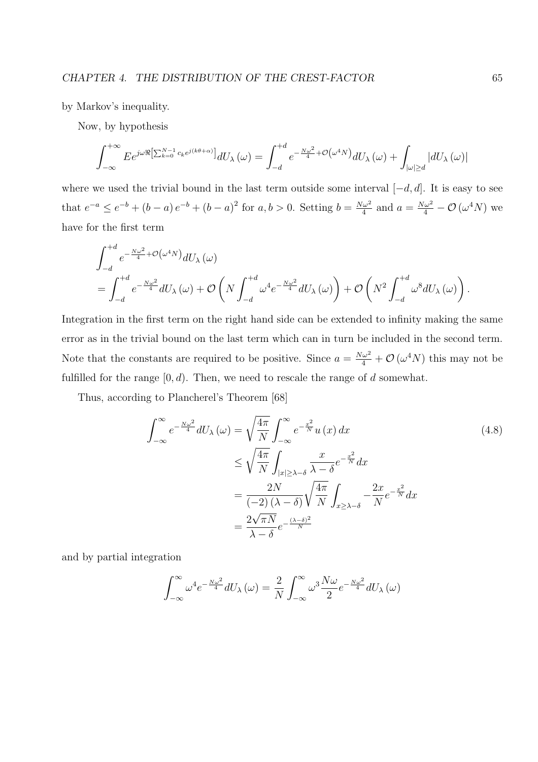by Markov's inequality.

Now, by hypothesis

$$
\int_{-\infty}^{+\infty} E e^{j\omega \Re[\sum_{k=0}^{N-1} c_k e^{j(k\theta+\alpha)}]} dU_\lambda(\omega) = \int_{-d}^{+d} e^{-\frac{N\omega^2}{4} + \mathcal{O}\left(\omega^4 N\right)} dU_\lambda(\omega) + \int_{|\omega| \ge d} |dU_\lambda(\omega)|
$$

where we used the trivial bound in the last term outside some interval  $[-d, d]$ . It is easy to see that  $e^{-a} \le e^{-b} + (b - a)e^{-b} + (b - a)^2$  for  $a, b > 0$ . Setting  $b = \frac{N\omega^2}{4}$  $\frac{\omega^2}{4}$  and  $a = \frac{N\omega^2}{4} - \mathcal{O}\left(\omega^4 N\right)$  we have for the first term

$$
\begin{split} &\int_{-d}^{+d}e^{-\frac{N\omega^2}{4}+\mathcal{O}\left(\omega^4N\right)}dU_{\lambda}\left(\omega\right)\\ &=\int_{-d}^{+d}e^{-\frac{N\omega^2}{4}}dU_{\lambda}\left(\omega\right)+\mathcal{O}\left(N\int_{-d}^{+d}\omega^4e^{-\frac{N\omega^2}{4}}dU_{\lambda}\left(\omega\right)\right)+\mathcal{O}\left(N^2\int_{-d}^{+d}\omega^8dU_{\lambda}\left(\omega\right)\right). \end{split}
$$

Integration in the first term on the right hand side can be extended to infinity making the same error as in the trivial bound on the last term which can in turn be included in the second term. Note that the constants are required to be positive. Since  $a = \frac{N\omega^2}{4} + \mathcal{O}(\omega^4 N)$  this may not be fulfilled for the range  $[0, d)$ . Then, we need to rescale the range of  $d$  somewhat.

Thus, according to Plancherel's Theorem [68]

$$
\int_{-\infty}^{\infty} e^{-\frac{N\omega^2}{4}} dU_{\lambda}(\omega) = \sqrt{\frac{4\pi}{N}} \int_{-\infty}^{\infty} e^{-\frac{x^2}{N}} u(x) dx
$$
\n
$$
\leq \sqrt{\frac{4\pi}{N}} \int_{|x| \geq \lambda - \delta} \frac{x}{\lambda - \delta} e^{-\frac{x^2}{N}} dx
$$
\n
$$
= \frac{2N}{(-2)(\lambda - \delta)} \sqrt{\frac{4\pi}{N}} \int_{x \geq \lambda - \delta} \frac{2x}{N} e^{-\frac{x^2}{N}} dx
$$
\n
$$
= \frac{2\sqrt{\pi N}}{\lambda - \delta} e^{-\frac{(\lambda - \delta)^2}{N}}
$$
\n(4.8)

and by partial integration

$$
\int_{-\infty}^{\infty} \omega^4 e^{-\frac{N\omega^2}{4}} dU_{\lambda}(\omega) = \frac{2}{N} \int_{-\infty}^{\infty} \omega^3 \frac{N\omega}{2} e^{-\frac{N\omega^2}{4}} dU_{\lambda}(\omega)
$$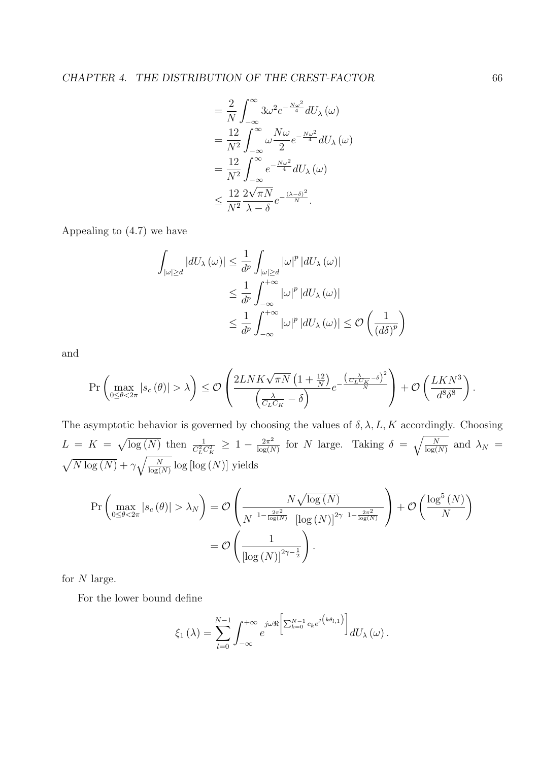$$
= \frac{2}{N} \int_{-\infty}^{\infty} 3\omega^2 e^{-\frac{N\omega^2}{4}} dU_{\lambda}(\omega)
$$
  
\n
$$
= \frac{12}{N^2} \int_{-\infty}^{\infty} \omega \frac{N\omega}{2} e^{-\frac{N\omega^2}{4}} dU_{\lambda}(\omega)
$$
  
\n
$$
= \frac{12}{N^2} \int_{-\infty}^{\infty} e^{-\frac{N\omega^2}{4}} dU_{\lambda}(\omega)
$$
  
\n
$$
\leq \frac{12}{N^2} \frac{2\sqrt{\pi N}}{\lambda - \delta} e^{-\frac{(\lambda - \delta)^2}{N}}.
$$

Appealing to (4.7) we have

$$
\int_{|\omega| \ge d} |dU_{\lambda}(\omega)| \le \frac{1}{d^p} \int_{|\omega| \ge d} |\omega|^p |dU_{\lambda}(\omega)|
$$
  

$$
\le \frac{1}{d^p} \int_{-\infty}^{+\infty} |\omega|^p |dU_{\lambda}(\omega)|
$$
  

$$
\le \frac{1}{d^p} \int_{-\infty}^{+\infty} |\omega|^p |dU_{\lambda}(\omega)| \le \mathcal{O}\left(\frac{1}{(d\delta)^p}\right)
$$

and

$$
\Pr\left(\max_{0\leq\theta<2\pi}|s_c(\theta)|>\lambda\right)\leq\mathcal{O}\left(\frac{2LNK\sqrt{\pi N}\left(1+\frac{12}{N}\right)}{\left(\frac{\lambda}{C_LC_K}-\delta\right)}e^{-\frac{\left(\frac{\lambda}{C_LC_K}-\delta\right)^2}{N}}\right)+\mathcal{O}\left(\frac{LKN^3}{d^8\delta^8}\right).
$$

The asymptotic behavior is governed by choosing the values of  $\delta$ ,  $\lambda$ ,  $L$ ,  $K$  accordingly. Choosing  $L = K =$  $\overline{p}$  $\overline{\log(N)}$  then  $\frac{1}{C_L^2 C_K^2} \geq 1 - \frac{2\pi^2}{\log(N)}$  $\frac{2\pi^2}{\log(N)}$  for N large. Taking  $\delta = \sqrt{\frac{N}{\log(N)}}$  $\frac{N}{\log(N)}$  and  $\lambda_N =$ p  $\frac{1}{N \log(N)} + \gamma \sqrt{\frac{N}{\log(N)}}$  $\frac{N}{\log(N)}\log\left[\log\left(N\right)\right]$  yields

$$
\Pr\left(\max_{0\le\theta<2\pi}|s_c(\theta)|>\lambda_N\right) = \mathcal{O}\left(\frac{N\sqrt{\log(N)}}{N^{-1-\frac{2\pi^2}{\log(N)}}\left[\log(N)\right]^{2\gamma-1-\frac{2\pi^2}{\log(N)}}}\right) + \mathcal{O}\left(\frac{\log^5(N)}{N}\right)
$$

$$
= \mathcal{O}\left(\frac{1}{\left[\log(N)\right]^{2\gamma-\frac{1}{2}}}\right).
$$

for  $N$  large.

For the lower bound define

$$
\xi_1(\lambda) = \sum_{l=0}^{N-1} \int_{-\infty}^{+\infty} e^{j\omega \Re \left[\sum_{k=0}^{N-1} c_k e^{j \left(k \theta_{l,1}\right)}\right]} dU_{\lambda}(\omega).
$$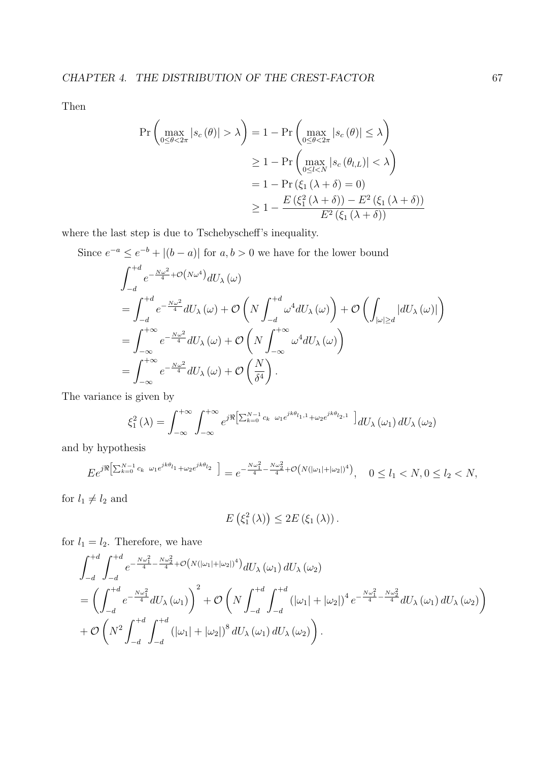Then

$$
\Pr\left(\max_{0\le\theta<2\pi}|s_c(\theta)|>\lambda\right) = 1 - \Pr\left(\max_{0\le\theta<2\pi}|s_c(\theta)|\le\lambda\right)
$$

$$
\ge 1 - \Pr\left(\max_{0\le l
$$
= 1 - \Pr\left(\xi_1(\lambda+\delta)=0\right)
$$

$$
\ge 1 - \frac{E(\xi_1^2(\lambda+\delta)) - E^2(\xi_1(\lambda+\delta))}{E^2(\xi_1(\lambda+\delta))}
$$
$$

where the last step is due to Tschebyscheff's inequality.

Since  $e^{-a} \leq e^{-b} + |(b-a)|$  for  $a, b > 0$  we have for the lower bound

$$
\int_{-d}^{+d} e^{-\frac{N\omega^2}{4} + \mathcal{O}(N\omega^4)} dU_{\lambda}(\omega)
$$
\n
$$
= \int_{-d}^{+d} e^{-\frac{N\omega^2}{4}} dU_{\lambda}(\omega) + \mathcal{O}\left(N \int_{-d}^{+d} \omega^4 dU_{\lambda}(\omega)\right) + \mathcal{O}\left(\int_{|\omega| \ge d} |dU_{\lambda}(\omega)|\right)
$$
\n
$$
= \int_{-\infty}^{+\infty} e^{-\frac{N\omega^2}{4}} dU_{\lambda}(\omega) + \mathcal{O}\left(N \int_{-\infty}^{+\infty} \omega^4 dU_{\lambda}(\omega)\right)
$$
\n
$$
= \int_{-\infty}^{+\infty} e^{-\frac{N\omega^2}{4}} dU_{\lambda}(\omega) + \mathcal{O}\left(\frac{N}{\delta^4}\right).
$$

The variance is given by

$$
\xi_1^2(\lambda) = \int_{-\infty}^{+\infty} \int_{-\infty}^{+\infty} e^{j\Re \left[\sum_{k=0}^{N-1} c_k \omega_1 e^{jk\theta_{l_1,1}} + \omega_2 e^{jk\theta_{l_2,1}} \right]} dU_\lambda(\omega_1) dU_\lambda(\omega_2)
$$

and by hypothesis

$$
E e^{j\Re\left[\sum_{k=0}^{N-1}c_k\ \omega_1 e^{jk\theta_{l_1}} + \omega_2 e^{jk\theta_{l_2}}\right]} = e^{-\frac{N\omega_1^2}{4} - \frac{N\omega_2^2}{4} + \mathcal{O}\left(N(|\omega_1| + |\omega_2|)^4\right)}, \quad 0 \le l_1 < N, 0 \le l_2 < N,
$$

for  $l_1 \neq l_2$  and

$$
E\left(\xi_1^2\left(\lambda\right)\right)\leq 2E\left(\xi_1\left(\lambda\right)\right).
$$

for  $l_1 = l_2$ . Therefore, we have

$$
\int_{-d}^{+d} \int_{-d}^{+d} e^{-\frac{N\omega_1^2}{4} - \frac{N\omega_2^2}{4} + \mathcal{O}(N(|\omega_1| + |\omega_2|)^4)} dU_{\lambda}(\omega_1) dU_{\lambda}(\omega_2)
$$
\n
$$
= \left( \int_{-d}^{+d} e^{-\frac{N\omega_1^2}{4}} dU_{\lambda}(\omega_1) \right)^2 + \mathcal{O}\left(N \int_{-d}^{+d} \int_{-d}^{+d} (|\omega_1| + |\omega_2|)^4 e^{-\frac{N\omega_1^2}{4} - \frac{N\omega_2^2}{4}} dU_{\lambda}(\omega_1) dU_{\lambda}(\omega_2) \right)
$$
\n
$$
+ \mathcal{O}\left(N^2 \int_{-d}^{+d} \int_{-d}^{+d} (|\omega_1| + |\omega_2|)^8 dU_{\lambda}(\omega_1) dU_{\lambda}(\omega_2) \right).
$$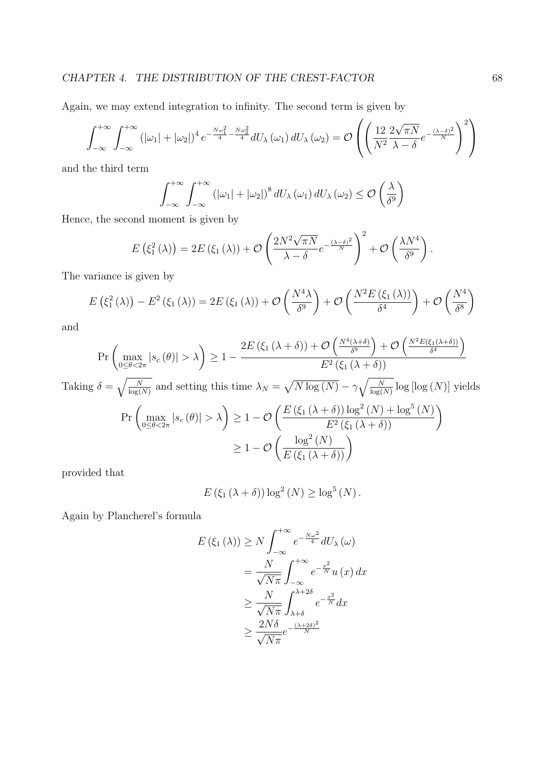### CHAPTER 4. THE DISTRIBUTION OF THE CREST-FACTOR 68

Again, we may extend integration to infinity. The second term is given by  $\overline{\phantom{a}}$ 

$$
\int_{-\infty}^{+\infty} \int_{-\infty}^{+\infty} \left( |\omega_1| + |\omega_2| \right)^4 e^{-\frac{N\omega_1^2}{4} - \frac{N\omega_2^2}{4}} dU_\lambda(\omega_1) dU_\lambda(\omega_2) = \mathcal{O}\left( \left( \frac{12}{N^2} \frac{2\sqrt{\pi N}}{\lambda - \delta} e^{-\frac{(\lambda - \delta)^2}{N}} \right)^2 \right)
$$

and the third term

$$
\int_{-\infty}^{+\infty} \int_{-\infty}^{+\infty} \left( |\omega_1| + |\omega_2| \right)^8 dU_{\lambda} \left( \omega_1 \right) dU_{\lambda} \left( \omega_2 \right) \leq \mathcal{O} \left( \frac{\lambda}{\delta^9} \right)
$$

Hence, the second moment is given by

$$
E\left(\xi_1^2\left(\lambda\right)\right) = 2E\left(\xi_1\left(\lambda\right)\right) + \mathcal{O}\left(\frac{2N^2\sqrt{\pi N}}{\lambda - \delta}e^{-\frac{(\lambda - \delta)^2}{N}}\right)^2 + \mathcal{O}\left(\frac{\lambda N^4}{\delta^9}\right).
$$

The variance is given by

$$
E\left(\xi_1^2\left(\lambda\right)\right) - E^2\left(\xi_1\left(\lambda\right)\right) = 2E\left(\xi_1\left(\lambda\right)\right) + \mathcal{O}\left(\frac{N^4\lambda}{\delta^9}\right) + \mathcal{O}\left(\frac{N^2E\left(\xi_1\left(\lambda\right)\right)}{\delta^4}\right) + \mathcal{O}\left(\frac{N^4}{\delta^8}\right)
$$

and

$$
\Pr\left(\max_{0\le\theta<2\pi}|s_c(\theta)|>\lambda\right)\ge 1-\frac{2E\left(\xi_1(\lambda+\delta)\right)+\mathcal{O}\left(\frac{N^4(\lambda+\delta)}{\delta^9}\right)+\mathcal{O}\left(\frac{N^2E(\xi_1(\lambda+\delta))}{\delta^4}\right)}{E^2\left(\xi_1(\lambda+\delta)\right)}
$$
\n
$$
\delta-\sqrt{\frac{N}{\lambda^9}} \text{ and setting this time }\lambda:=\sqrt{\frac{N\log(N)}{N}}\cdot\sqrt{\frac{N}{\lambda^9}}\log\log(N)\cdot\log(N).
$$

Taking 
$$
\delta = \sqrt{\frac{N}{\log(N)}}
$$
 and setting this time  $\lambda_N = \sqrt{N \log(N)} - \gamma \sqrt{\frac{N}{\log(N)} \log [\log(N)]}$  yields  
\n
$$
\Pr \left( \max_{0 \le \theta < 2\pi} |s_c(\theta)| > \lambda \right) \ge 1 - \mathcal{O} \left( \frac{E(\xi_1(\lambda + \delta)) \log^2(N) + \log^5(N)}{E^2(\xi_1(\lambda + \delta))} \right)
$$
\n
$$
\ge 1 - \mathcal{O} \left( \frac{\log^2(N)}{E(\xi_1(\lambda + \delta))} \right)
$$

provided that

$$
E(\xi_1(\lambda + \delta)) \log^2(N) \ge \log^5(N).
$$

Again by Plancherel's formula

$$
E(\xi_1(\lambda)) \ge N \int_{-\infty}^{+\infty} e^{-\frac{N\omega^2}{4}} dU_{\lambda}(\omega)
$$
  
=  $\frac{N}{\sqrt{N\pi}} \int_{-\infty}^{+\infty} e^{-\frac{x^2}{N}} u(x) dx$   
 $\ge \frac{N}{\sqrt{N\pi}} \int_{\lambda+\delta}^{\lambda+2\delta} e^{-\frac{x^2}{N}} dx$   
 $\ge \frac{2N\delta}{\sqrt{N\pi}} e^{-\frac{(\lambda+2\delta)^2}{N}}$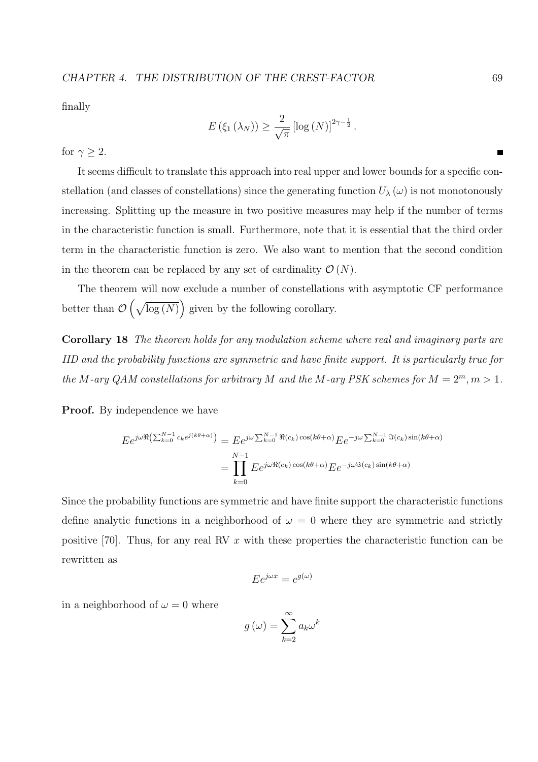finally

$$
E\left(\xi_1\left(\lambda_N\right)\right) \geq \frac{2}{\sqrt{\pi}} \left[\log\left(N\right)\right]^{2\gamma - \frac{1}{2}}.
$$

for  $\gamma \geq 2$ .

It seems difficult to translate this approach into real upper and lower bounds for a specific constellation (and classes of constellations) since the generating function  $U_\lambda(\omega)$  is not monotonously increasing. Splitting up the measure in two positive measures may help if the number of terms in the characteristic function is small. Furthermore, note that it is essential that the third order term in the characteristic function is zero. We also want to mention that the second condition in the theorem can be replaced by any set of cardinality  $\mathcal{O}(N)$ .

The theorem will now exclude a number of constellations with asymptotic CF performance better than  $\mathcal O$  $\frac{1}{2}$  $log(N)$  given by the following corollary. ´

Corollary 18 The theorem holds for any modulation scheme where real and imaginary parts are IID and the probability functions are symmetric and have finite support. It is particularly true for the M-ary QAM constellations for arbitrary M and the M-ary PSK schemes for  $M = 2^m, m > 1$ .

**Proof.** By independence we have

$$
E e^{j\omega \Re\left(\sum_{k=0}^{N-1} c_k e^{j(k\theta+\alpha)}\right)} = E e^{j\omega \sum_{k=0}^{N-1} \Re(c_k) \cos(k\theta+\alpha)} E e^{-j\omega \sum_{k=0}^{N-1} \Im(c_k) \sin(k\theta+\alpha)}
$$

$$
= \prod_{k=0}^{N-1} E e^{j\omega \Re(c_k) \cos(k\theta+\alpha)} E e^{-j\omega \Im(c_k) \sin(k\theta+\alpha)}
$$

Since the probability functions are symmetric and have finite support the characteristic functions define analytic functions in a neighborhood of  $\omega = 0$  where they are symmetric and strictly positive [70]. Thus, for any real RV  $x$  with these properties the characteristic function can be rewritten as

$$
E e^{j\omega x} = e^{g(\omega)}
$$

in a neighborhood of  $\omega = 0$  where

$$
g(\omega) = \sum_{k=2}^{\infty} a_k \omega^k
$$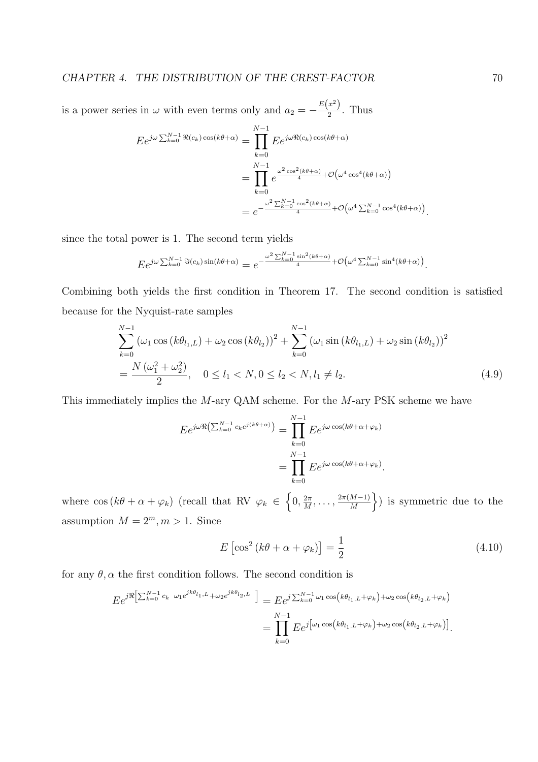is a power series in  $\omega$  with even terms only and  $a_2 = -\frac{E(x^2)}{2}$  $\frac{x}{2}$ . Thus

$$
E e^{j\omega \sum_{k=0}^{N-1} \Re(c_k) \cos(k\theta + \alpha)} = \prod_{k=0}^{N-1} E e^{j\omega \Re(c_k) \cos(k\theta + \alpha)}
$$
  
= 
$$
\prod_{k=0}^{N-1} e^{\frac{\omega^2 \cos^2(k\theta + \alpha)}{4} + \mathcal{O}(\omega^4 \cos^4(k\theta + \alpha))}
$$
  
= 
$$
e^{-\frac{\omega^2 \sum_{k=0}^{N-1} \cos^2(k\theta + \alpha)}{4} + \mathcal{O}(\omega^4 \sum_{k=0}^{N-1} \cos^4(k\theta + \alpha))}.
$$

since the total power is 1. The second term yields

$$
E e^{j\omega \sum_{k=0}^{N-1} \Im(c_k) \sin(k\theta + \alpha)} = e^{-\frac{\omega^2 \sum_{k=0}^{N-1} \sin^2(k\theta + \alpha)}{4} + \mathcal{O}\left(\omega^4 \sum_{k=0}^{N-1} \sin^4(k\theta + \alpha)\right)}.
$$

Combining both yields the first condition in Theorem 17. The second condition is satisfied because for the Nyquist-rate samples

$$
\sum_{k=0}^{N-1} (\omega_1 \cos (k\theta_{l_1,L}) + \omega_2 \cos (k\theta_{l_2}))^2 + \sum_{k=0}^{N-1} (\omega_1 \sin (k\theta_{l_1,L}) + \omega_2 \sin (k\theta_{l_2}))^2
$$
  
=  $\frac{N (\omega_1^2 + \omega_2^2)}{2}$ ,  $0 \le l_1 < N, 0 \le l_2 < N, l_1 \ne l_2.$  (4.9)

This immediately implies the M-ary QAM scheme. For the M-ary PSK scheme we have

$$
E e^{j\omega \Re\left(\sum_{k=0}^{N-1} c_k e^{j(k\theta + \alpha)}\right)} = \prod_{k=0}^{N-1} E e^{j\omega \cos(k\theta + \alpha + \varphi_k)}
$$
  
= 
$$
\prod_{k=0}^{N-1} E e^{j\omega \cos(k\theta + \alpha + \varphi_k)}.
$$

where  $\cos (k\theta + \alpha + \varphi_k)$  (recall that RV  $\varphi_k \in$  $0, \frac{2\pi}{M}$  $\frac{2\pi}{M}, \ldots, \frac{2\pi(M-1)}{M}$ M ) is symmetric due to the assumption  $M = 2^m, m > 1$ . Since

$$
E\left[\cos^2\left(k\theta + \alpha + \varphi_k\right)\right] = \frac{1}{2} \tag{4.10}
$$

for any  $\theta$ ,  $\alpha$  the first condition follows. The second condition is

$$
E e^{j\Re\left[\sum_{k=0}^{N-1}c_k\omega_1e^{jk\theta_{l_1,L}}+\omega_2e^{jk\theta_{l_2,L}}\right]} = E e^{j\sum_{k=0}^{N-1}\omega_1\cos\left(k\theta_{l_1,L}+\varphi_k\right)+\omega_2\cos\left(k\theta_{l_2,L}+\varphi_k\right)}}\\ = \prod_{k=0}^{N-1} E e^{j\left[\omega_1\cos\left(k\theta_{l_1,L}+\varphi_k\right)+\omega_2\cos\left(k\theta_{l_2,L}+\varphi_k\right)\right]}.
$$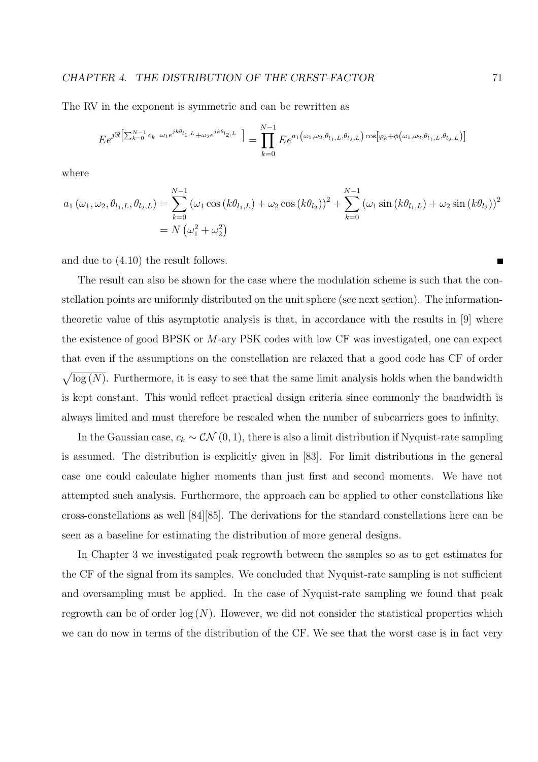#### CHAPTER 4. THE DISTRIBUTION OF THE CREST-FACTOR  $71$

The RV in the exponent is symmetric and can be rewritten as

$$
E e^{j\Re\left[\sum_{k=0}^{N-1}c_k\omega_1e^{jk\theta_{l_1,L}}+\omega_2e^{jk\theta_{l_2,L}}\right]}=\prod_{k=0}^{N-1}E e^{a_1(\omega_1,\omega_2,\theta_{l_1,L},\theta_{l_2,L})\cos\left[\varphi_k+\phi(\omega_1,\omega_2,\theta_{l_1,L},\theta_{l_2,L})\right]}
$$

where

$$
a_1(\omega_1, \omega_2, \theta_{l_1, L}, \theta_{l_2, L}) = \sum_{k=0}^{N-1} (\omega_1 \cos (k\theta_{l_1, L}) + \omega_2 \cos (k\theta_{l_2}))^2 + \sum_{k=0}^{N-1} (\omega_1 \sin (k\theta_{l_1, L}) + \omega_2 \sin (k\theta_{l_2}))^2
$$
  
=  $N(\omega_1^2 + \omega_2^2)$ 

and due to (4.10) the result follows.

The result can also be shown for the case where the modulation scheme is such that the constellation points are uniformly distributed on the unit sphere (see next section). The informationtheoretic value of this asymptotic analysis is that, in accordance with the results in [9] where the existence of good BPSK or M-ary PSK codes with low CF was investigated, one can expect that even if the assumptions on the constellation are relaxed that a good code has CF of order p  $log(N)$ . Furthermore, it is easy to see that the same limit analysis holds when the bandwidth is kept constant. This would reflect practical design criteria since commonly the bandwidth is always limited and must therefore be rescaled when the number of subcarriers goes to infinity.

In the Gaussian case,  $c_k \sim \mathcal{CN}(0, 1)$ , there is also a limit distribution if Nyquist-rate sampling is assumed. The distribution is explicitly given in [83]. For limit distributions in the general case one could calculate higher moments than just first and second moments. We have not attempted such analysis. Furthermore, the approach can be applied to other constellations like cross-constellations as well [84][85]. The derivations for the standard constellations here can be seen as a baseline for estimating the distribution of more general designs.

In Chapter 3 we investigated peak regrowth between the samples so as to get estimates for the CF of the signal from its samples. We concluded that Nyquist-rate sampling is not sufficient and oversampling must be applied. In the case of Nyquist-rate sampling we found that peak regrowth can be of order  $log(N)$ . However, we did not consider the statistical properties which we can do now in terms of the distribution of the CF. We see that the worst case is in fact very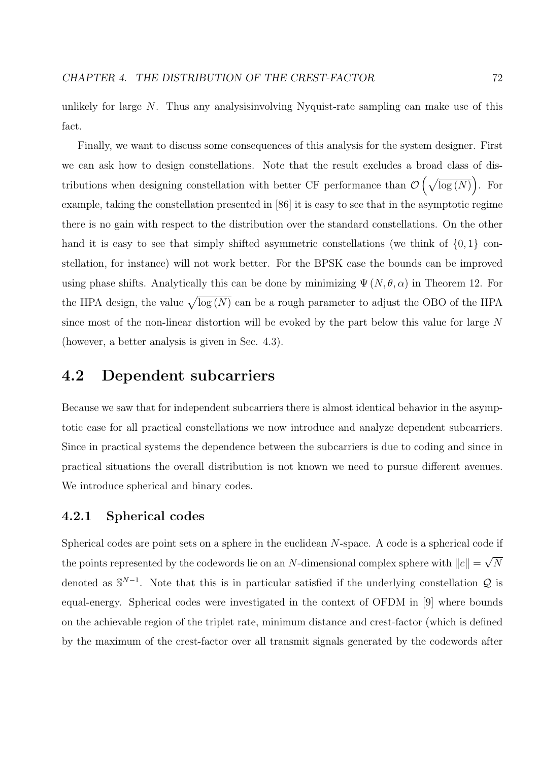unlikely for large N. Thus any analysisinvolving Nyquist-rate sampling can make use of this fact.

Finally, we want to discuss some consequences of this analysis for the system designer. First we can ask how to design constellations. Note that the result excludes a broad class of distributions when designing constellation with better CF performance than  $\mathcal O$  $\frac{1}{2}$  $log(N)$ . For ´ example, taking the constellation presented in [86] it is easy to see that in the asymptotic regime there is no gain with respect to the distribution over the standard constellations. On the other hand it is easy to see that simply shifted asymmetric constellations (we think of  $\{0, 1\}$  constellation, for instance) will not work better. For the BPSK case the bounds can be improved using phase shifts. Analytically this can be done by minimizing  $\Psi(N, \theta, \alpha)$  in Theorem 12. For the HPA design, the value  $\sqrt{\log(N)}$  can be a rough parameter to adjust the OBO of the HPA since most of the non-linear distortion will be evoked by the part below this value for large N (however, a better analysis is given in Sec. 4.3).

# 4.2 Dependent subcarriers

Because we saw that for independent subcarriers there is almost identical behavior in the asymptotic case for all practical constellations we now introduce and analyze dependent subcarriers. Since in practical systems the dependence between the subcarriers is due to coding and since in practical situations the overall distribution is not known we need to pursue different avenues. We introduce spherical and binary codes.

# 4.2.1 Spherical codes

Spherical codes are point sets on a sphere in the euclidean N-space. A code is a spherical code if the points represented by the codewords lie on an N-dimensional complex sphere with  $||c|| =$ √ N denoted as  $\mathbb{S}^{N-1}$ . Note that this is in particular satisfied if the underlying constellation Q is equal-energy. Spherical codes were investigated in the context of OFDM in [9] where bounds on the achievable region of the triplet rate, minimum distance and crest-factor (which is defined by the maximum of the crest-factor over all transmit signals generated by the codewords after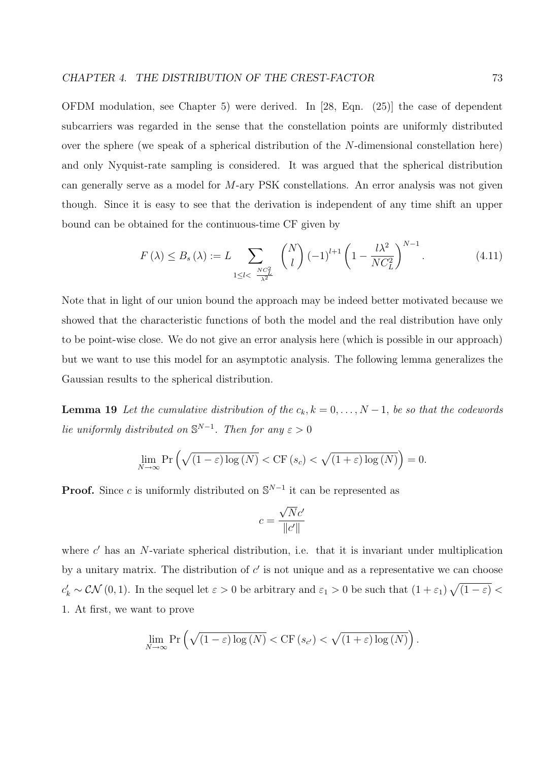OFDM modulation, see Chapter 5) were derived. In [28, Eqn. (25)] the case of dependent subcarriers was regarded in the sense that the constellation points are uniformly distributed over the sphere (we speak of a spherical distribution of the N-dimensional constellation here) and only Nyquist-rate sampling is considered. It was argued that the spherical distribution can generally serve as a model for M-ary PSK constellations. An error analysis was not given though. Since it is easy to see that the derivation is independent of any time shift an upper bound can be obtained for the continuous-time CF given by

$$
F(\lambda) \le B_s(\lambda) := L \sum_{\substack{1 \le l < \frac{NC_L^2}{\lambda^2}}} \binom{N}{l} \left(-1\right)^{l+1} \left(1 - \frac{l\lambda^2}{NC_L^2}\right)^{N-1}.\tag{4.11}
$$

Note that in light of our union bound the approach may be indeed better motivated because we showed that the characteristic functions of both the model and the real distribution have only to be point-wise close. We do not give an error analysis here (which is possible in our approach) but we want to use this model for an asymptotic analysis. The following lemma generalizes the Gaussian results to the spherical distribution.

**Lemma 19** Let the cumulative distribution of the  $c_k$ ,  $k = 0, \ldots, N-1$ , be so that the codewords lie uniformly distributed on  $\mathbb{S}^{N-1}$ . Then for any  $\varepsilon > 0$ 

$$
\lim_{N \to \infty} \Pr\left(\sqrt{(1-\varepsilon)\log(N)} < \mathrm{CF}\left(s_c\right) < \sqrt{(1+\varepsilon)\log(N)}\right) = 0.
$$

**Proof.** Since c is uniformly distributed on  $\mathbb{S}^{N-1}$  it can be represented as

$$
c = \frac{\sqrt{N}c'}{\|c'\|}
$$

where  $c'$  has an N-variate spherical distribution, i.e. that it is invariant under multiplication by a unitary matrix. The distribution of  $c'$  is not unique and as a representative we can choose  $c'_k \sim \mathcal{CN}(0, 1)$ . In the sequel let  $\varepsilon > 0$  be arbitrary and  $\varepsilon_1 > 0$  be such that  $(1 + \varepsilon_1)$ p  $(1-\varepsilon)$  < 1. At first, we want to prove

$$
\lim_{N \to \infty} \Pr \left( \sqrt{(1 - \varepsilon) \log (N)} < \mathrm{CF} \left( s_{c'} \right) < \sqrt{(1 + \varepsilon) \log (N)} \right).
$$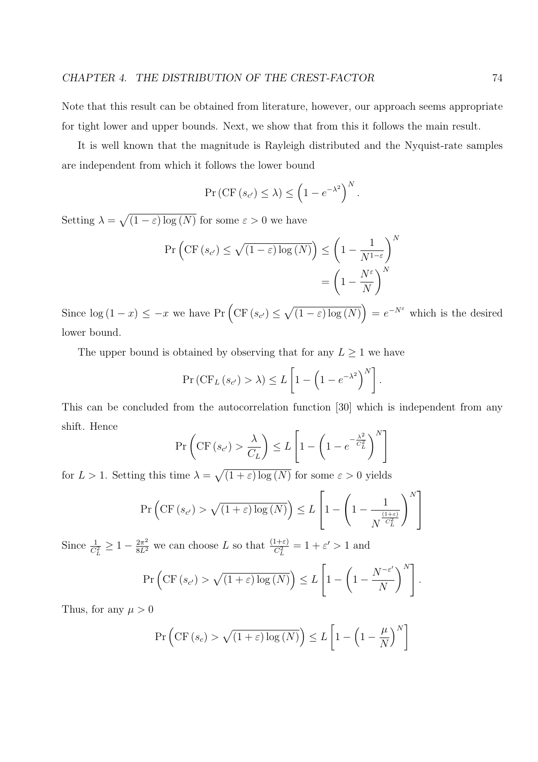Note that this result can be obtained from literature, however, our approach seems appropriate for tight lower and upper bounds. Next, we show that from this it follows the main result.

It is well known that the magnitude is Rayleigh distributed and the Nyquist-rate samples are independent from which it follows the lower bound

$$
\Pr\left(\mathrm{CF}\left(s_{c'}\right) \leq \lambda\right) \leq \left(1 - e^{-\lambda^2}\right)^N.
$$

Setting  $\lambda =$ p  $(1 - \varepsilon) \log(N)$  for some  $\varepsilon > 0$  we have

$$
\Pr\left(\text{CF}\left(s_{c'}\right) \leq \sqrt{\left(1-\varepsilon\right)\log\left(N\right)}\right) \leq \left(1 - \frac{1}{N^{1-\varepsilon}}\right)^{N}
$$
\n
$$
= \left(1 - \frac{N^{\varepsilon}}{N}\right)^{N}
$$

Since  $\log (1-x) \leq -x$  we have Pr  $\left(\text{CF}(s_{c'}) \leq \right)$ p  $(1-\varepsilon)\log(N)$  $= e^{-N\varepsilon}$  which is the desired lower bound.

The upper bound is obtained by observing that for any  $L \geq 1$  we have

$$
\Pr\left(\mathrm{CF}_{L}\left(s_{c'}\right) > \lambda\right) \leq L\left[1 - \left(1 - e^{-\lambda^{2}}\right)^{N}\right].
$$

This can be concluded from the autocorrelation function [30] which is independent from any shift. Hence  $\mathbf{r}$ .<br> $\overline{r}$  $\overline{a}$  $\overline{a}$ 

$$
\Pr\left(\text{CF}\left(s_{c'}\right) > \frac{\lambda}{C_L}\right) \le L\left[1 - \left(1 - e^{-\frac{\lambda^2}{C_L^2}}\right)^N\right]
$$

for  $L > 1$ . Setting this time  $\lambda =$  $(1+\varepsilon)\log(N)$  for some  $\varepsilon > 0$  yields

$$
\Pr\left(\mathrm{CF}\left(s_{c'}\right) > \sqrt{\left(1+\varepsilon\right)\log\left(N\right)}\right) \le L\left[1 - \left(1 - \frac{1}{N^{\frac{\left(1+\varepsilon\right)}{C_{L}^{2}}}}\right)^{N}\right]
$$

Since  $\frac{1}{C_L^2} \geq 1 - \frac{2\pi^2}{8L^2}$  we can choose L so that  $\frac{(1+\varepsilon)}{C_L^2} = 1 + \varepsilon' > 1$  and .<br> $\overline{r}$ 

$$
\Pr\left(\mathrm{CF}\left(s_{c'}\right) > \sqrt{\left(1+\varepsilon\right)\log\left(N\right)}\right) \le L\left[1-\left(1-\frac{N^{-\varepsilon'}}{N}\right)^{N}\right].
$$

Thus, for any  $\mu > 0$ 

$$
\Pr\left(\mathrm{CF}\left(s_c\right) > \sqrt{\left(1+\varepsilon\right)\log\left(N\right)}\right) \le L\left[1-\left(1-\frac{\mu}{N}\right)^N\right]
$$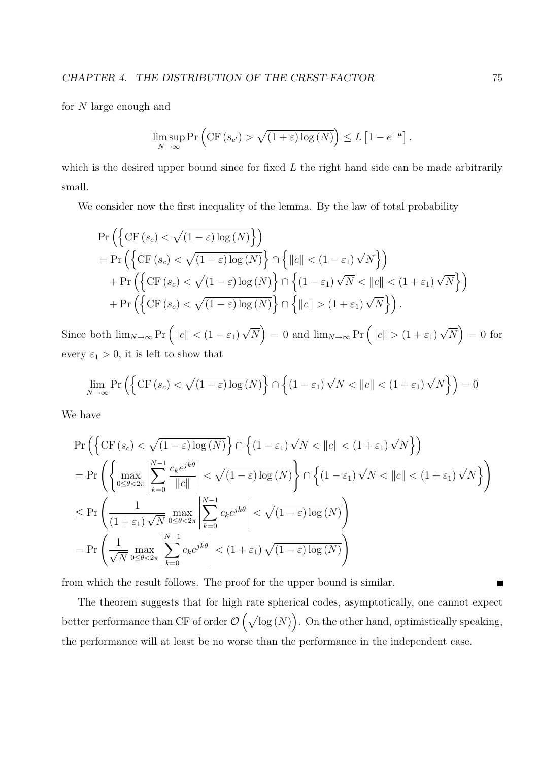for N large enough and

$$
\limsup_{N \to \infty} \Pr \left( \text{CF} \left( s_{c'} \right) > \sqrt{\left( 1 + \varepsilon \right) \log \left( N \right)} \right) \leq L \left[ 1 - e^{-\mu} \right].
$$

which is the desired upper bound since for fixed  $L$  the right hand side can be made arbitrarily small.

We consider now the first inequality of the lemma. By the law of total probability

$$
\Pr\left(\left\{\text{CF}(s_c) < \sqrt{(1-\varepsilon)\log(N)}\right\}\right) \\
= \Pr\left(\left\{\text{CF}(s_c) < \sqrt{(1-\varepsilon)\log(N)}\right\} \cap \left\{\|c\| < (1-\varepsilon_1)\sqrt{N}\right\}\right) \\
+ \Pr\left(\left\{\text{CF}(s_c) < \sqrt{(1-\varepsilon)\log(N)}\right\} \cap \left\{\left(1-\varepsilon_1\right)\sqrt{N} < \|c\| < (1+\varepsilon_1)\sqrt{N}\right\}\right) \\
+ \Pr\left(\left\{\text{CF}(s_c) < \sqrt{(1-\varepsilon)\log(N)}\right\} \cap \left\{\|c\| > (1+\varepsilon_1)\sqrt{N}\right\}\right).
$$

Since both  $\lim_{N\to\infty} \Pr\left( ||c|| < (1 - \varepsilon_1) \right)$ √ N  $= 0$  and  $\lim_{N \to \infty} \Pr \left( ||c|| > (1 + \varepsilon_1) \right)$ √ N  $= 0$  for every  $\varepsilon_1 > 0$ , it is left to show that

$$
\lim_{N \to \infty} \Pr\left(\left\{ \text{CF}\left(s_c\right) < \sqrt{\left(1 - \varepsilon\right) \log\left(N\right)} \right\} \cap \left\{ \left(1 - \varepsilon_1\right) \sqrt{N} < \|c\| < \left(1 + \varepsilon_1\right) \sqrt{N} \right\} \right) = 0
$$

We have

$$
\Pr\left(\left\{\text{CF}\left(s_{c}\right)<\sqrt{(1-\varepsilon)\log\left(N\right)}\right\}\cap\left\{\left(1-\varepsilon_{1}\right)\sqrt{N}<\left\|c\right\|<\left(1+\varepsilon_{1}\right)\sqrt{N}\right\}\right)\right) = \Pr\left(\left\{\max_{0\leq\theta<2\pi}\left|\sum_{k=0}^{N-1}\frac{c_{k}e^{jk\theta}}{\left\|c\right\|}\right|<\sqrt{(1-\varepsilon)\log\left(N\right)}\right\}\cap\left\{\left(1-\varepsilon_{1}\right)\sqrt{N}<\left\|c\right\|<\left(1+\varepsilon_{1}\right)\sqrt{N}\right\}\right)\right) = \Pr\left(\frac{1}{(1+\varepsilon_{1})\sqrt{N}}\max_{0\leq\theta<2\pi}\left|\sum_{k=0}^{N-1}c_{k}e^{jk\theta}\right|<\sqrt{(1-\varepsilon)\log\left(N\right)}\right) = \Pr\left(\frac{1}{\sqrt{N}}\max_{0\leq\theta<2\pi}\left|\sum_{k=0}^{N-1}c_{k}e^{jk\theta}\right|<\left(1+\varepsilon_{1}\right)\sqrt{(1-\varepsilon)\log\left(N\right)}\right)
$$

from which the result follows. The proof for the upper bound is similar.

The theorem suggests that for high rate spherical codes, asymptotically, one cannot expect better performance than CF of order  $\mathcal O$  $\frac{1}{2}$  $log(N)$ ´ . On the other hand, optimistically speaking, the performance will at least be no worse than the performance in the independent case.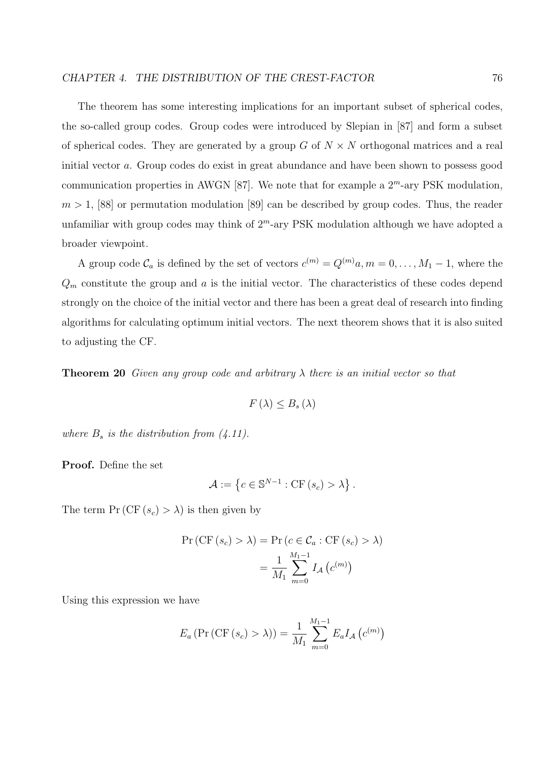The theorem has some interesting implications for an important subset of spherical codes, the so-called group codes. Group codes were introduced by Slepian in [87] and form a subset of spherical codes. They are generated by a group G of  $N \times N$  orthogonal matrices and a real initial vector a. Group codes do exist in great abundance and have been shown to possess good communication properties in AWGN [87]. We note that for example a  $2^m$ -ary PSK modulation,  $m > 1$ , [88] or permutation modulation [89] can be described by group codes. Thus, the reader unfamiliar with group codes may think of  $2<sup>m</sup>$ -ary PSK modulation although we have adopted a broader viewpoint.

A group code  $\mathcal{C}_a$  is defined by the set of vectors  $c^{(m)} = Q^{(m)}a, m = 0, \ldots, M_1 - 1$ , where the  $Q_m$  constitute the group and a is the initial vector. The characteristics of these codes depend strongly on the choice of the initial vector and there has been a great deal of research into finding algorithms for calculating optimum initial vectors. The next theorem shows that it is also suited to adjusting the CF.

**Theorem 20** Given any group code and arbitrary  $\lambda$  there is an initial vector so that

$$
F(\lambda) \leq B_s(\lambda)
$$

where  $B_s$  is the distribution from  $(4.11)$ .

Proof. Define the set

$$
\mathcal{A} := \left\{ c \in \mathbb{S}^{N-1} : \text{CF} \left( s_c \right) > \lambda \right\}.
$$

The term  $Pr(CF(s_c) > \lambda)$  is then given by

$$
\Pr\left(\text{CF}\left(s_c\right) > \lambda\right) = \Pr\left(c \in \mathcal{C}_a : \text{CF}\left(s_c\right) > \lambda\right)
$$
\n
$$
= \frac{1}{M_1} \sum_{m=0}^{M_1 - 1} I_{\mathcal{A}}\left(c^{(m)}\right)
$$

Using this expression we have

$$
E_a (\Pr(\text{CF}(s_c) > \lambda)) = \frac{1}{M_1} \sum_{m=0}^{M_1-1} E_a I_A (c^{(m)})
$$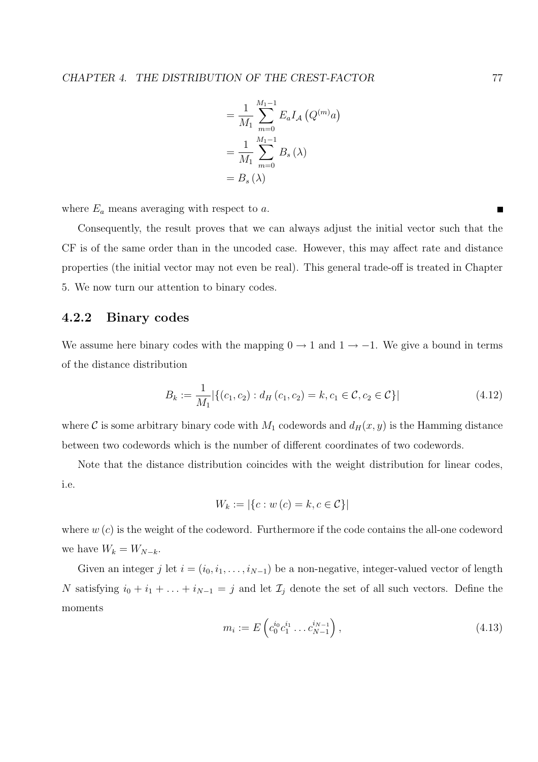$$
= \frac{1}{M_1} \sum_{m=0}^{M_1-1} E_a I_A (Q^{(m)} a)
$$

$$
= \frac{1}{M_1} \sum_{m=0}^{M_1-1} B_s (\lambda)
$$

$$
= B_s (\lambda)
$$

where  $E_a$  means averaging with respect to  $a$ .

Consequently, the result proves that we can always adjust the initial vector such that the CF is of the same order than in the uncoded case. However, this may affect rate and distance properties (the initial vector may not even be real). This general trade-off is treated in Chapter 5. We now turn our attention to binary codes.

## 4.2.2 Binary codes

We assume here binary codes with the mapping  $0 \rightarrow 1$  and  $1 \rightarrow -1$ . We give a bound in terms of the distance distribution

$$
B_k := \frac{1}{M_1} |\{(c_1, c_2) : d_H(c_1, c_2) = k, c_1 \in \mathcal{C}, c_2 \in \mathcal{C}\}|
$$
\n(4.12)

where C is some arbitrary binary code with  $M_1$  codewords and  $d_H(x, y)$  is the Hamming distance between two codewords which is the number of different coordinates of two codewords.

Note that the distance distribution coincides with the weight distribution for linear codes, i.e.

$$
W_k := |\{c : w(c) = k, c \in \mathcal{C}\}|
$$

where  $w(c)$  is the weight of the codeword. Furthermore if the code contains the all-one codeword we have  $W_k = W_{N-k}$ .

Given an integer j let  $i = (i_0, i_1, \ldots, i_{N-1})$  be a non-negative, integer-valued vector of length N satisfying  $i_0 + i_1 + \ldots + i_{N-1} = j$  and let  $\mathcal{I}_j$  denote the set of all such vectors. Define the moments

$$
m_i := E\left(c_0^{i_0}c_1^{i_1}\dots c_{N-1}^{i_{N-1}}\right),\tag{4.13}
$$

 $\blacksquare$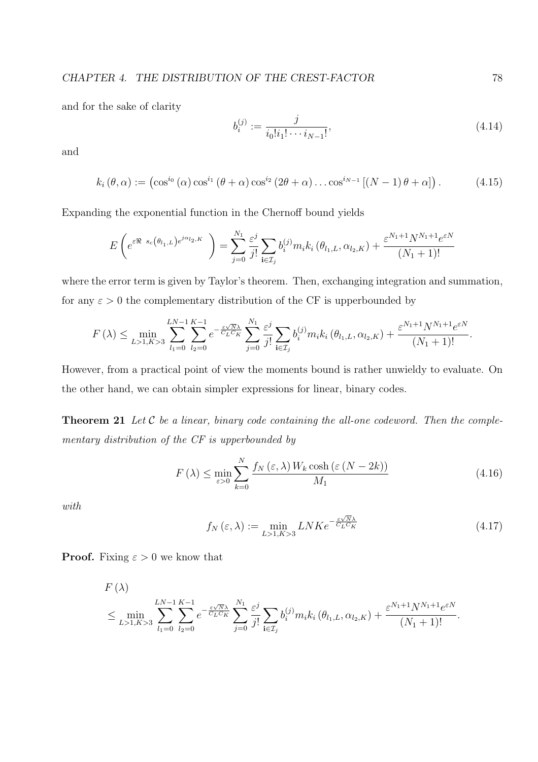and for the sake of clarity

$$
b_i^{(j)} := \frac{j}{i_0! i_1! \cdots i_{N-1}!},\tag{4.14}
$$

and

$$
k_i(\theta,\alpha) := (\cos^{i_0}(\alpha)\cos^{i_1}(\theta+\alpha)\cos^{i_2}(2\theta+\alpha)\dots\cos^{i_{N-1}}[(N-1)\theta+\alpha]). \qquad (4.15)
$$

Expanding the exponential function in the Chernoff bound yields

$$
E\left(e^{\varepsilon \Re s_c(\theta_{l_1,L})e^{j\alpha_{l_2,K}}}\right) = \sum_{j=0}^{N_1} \frac{\varepsilon^j}{j!} \sum_{\mathbf{i}\in \mathcal{I}_j} b_i^{(j)} m_i k_i (\theta_{l_1,L}, \alpha_{l_2,K}) + \frac{\varepsilon^{N_1+1} N^{N_1+1} e^{\varepsilon N}}{(N_1+1)!}
$$

where the error term is given by Taylor's theorem. Then, exchanging integration and summation, for any  $\varepsilon > 0$  the complementary distribution of the CF is upperbounded by

$$
F(\lambda) \leq \min_{L>1, K>3} \sum_{l_1=0}^{LN-1} \sum_{l_2=0}^{K-1} e^{-\frac{\varepsilon\sqrt{N}\lambda}{C_L C_K}} \sum_{j=0}^{N_1} \frac{\varepsilon^j}{j!} \sum_{\mathbf{i}\in\mathcal{I}_j} b_i^{(j)} m_i k_i (\theta_{l_1,L}, \alpha_{l_2,K}) + \frac{\varepsilon^{N_1+1} N^{N_1+1} e^{\varepsilon N}}{(N_1+1)!}.
$$

However, from a practical point of view the moments bound is rather unwieldy to evaluate. On the other hand, we can obtain simpler expressions for linear, binary codes.

**Theorem 21** Let  $C$  be a linear, binary code containing the all-one codeword. Then the complementary distribution of the CF is upperbounded by

$$
F(\lambda) \le \min_{\varepsilon > 0} \sum_{k=0}^{N} \frac{f_N(\varepsilon, \lambda) W_k \cosh\left(\varepsilon \left(N - 2k\right)\right)}{M_1} \tag{4.16}
$$

with

$$
f_N\left(\varepsilon,\lambda\right) := \min_{L>1,K>3} LNK e^{-\frac{\varepsilon\sqrt{N}\lambda}{C_L C_K}}\tag{4.17}
$$

**Proof.** Fixing  $\varepsilon > 0$  we know that

F (λ)

$$
F(\lambda) = \min_{L>1, K>3} \sum_{l_1=0}^{LN-1} \sum_{l_2=0}^{K-1} e^{-\frac{\varepsilon\sqrt{N}\lambda}{C_L C_K}} \sum_{j=0}^{N_1} \frac{\varepsilon^j}{j!} \sum_{i \in \mathcal{I}_j} b_i^{(j)} m_i k_i (\theta_{l_1,L}, \alpha_{l_2,K}) + \frac{\varepsilon^{N_1+1} N^{N_1+1} e^{\varepsilon N}}{(N_1+1)!}.
$$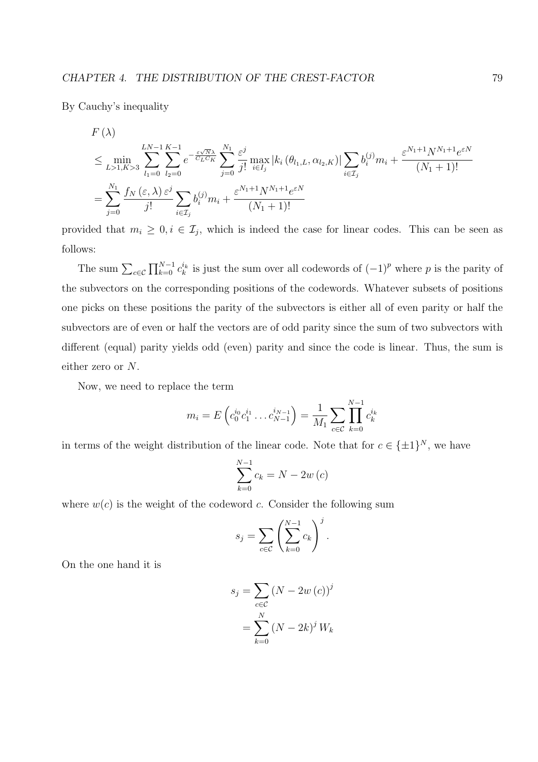By Cauchy's inequality

$$
F(\lambda) \le \min_{L>1, K>3} \sum_{l_1=0}^{LN-1} \sum_{l_2=0}^{K-1} e^{-\frac{\varepsilon\sqrt{N}\lambda}{C_L C_K}} \sum_{j=0}^{N_1} \frac{\varepsilon^j}{j!} \max_{i \in I_j} |k_i(\theta_{l_1,L}, \alpha_{l_2,K})| \sum_{i \in I_j} b_i^{(j)} m_i + \frac{\varepsilon^{N_1+1} N^{N_1+1} e^{\varepsilon N}}{(N_1+1)!}
$$
  
= 
$$
\sum_{j=0}^{N_1} \frac{f_N(\varepsilon, \lambda) \varepsilon^j}{j!} \sum_{i \in I_j} b_i^{(j)} m_i + \frac{\varepsilon^{N_1+1} N^{N_1+1} e^{\varepsilon N}}{(N_1+1)!}
$$

provided that  $m_i \geq 0, i \in \mathcal{I}_j$ , which is indeed the case for linear codes. This can be seen as follows:

The sum  $\sum_{c \in \mathcal{C}}$  $\nabla N-1$  $_{k=0}^{N-1} c_k^{i_k}$  is just the sum over all codewords of  $(-1)^p$  where p is the parity of the subvectors on the corresponding positions of the codewords. Whatever subsets of positions one picks on these positions the parity of the subvectors is either all of even parity or half the subvectors are of even or half the vectors are of odd parity since the sum of two subvectors with different (equal) parity yields odd (even) parity and since the code is linear. Thus, the sum is either zero or N.

Now, we need to replace the term

$$
m_i = E\left(c_0^{i_0}c_1^{i_1}\dots c_{N-1}^{i_{N-1}}\right) = \frac{1}{M_1}\sum_{c \in \mathcal{C}} \prod_{k=0}^{N-1} c_k^{i_k}
$$

in terms of the weight distribution of the linear code. Note that for  $c \in {\pm 1}^N$ , we have

$$
\sum_{k=0}^{N-1} c_k = N - 2w(c)
$$

where  $w(c)$  is the weight of the codeword c. Consider the following sum

$$
s_j = \sum_{c \in \mathcal{C}} \left( \sum_{k=0}^{N-1} c_k \right)^j.
$$

On the one hand it is

$$
s_j = \sum_{c \in \mathcal{C}} (N - 2w(c))^j
$$

$$
= \sum_{k=0}^N (N - 2k)^j W_k
$$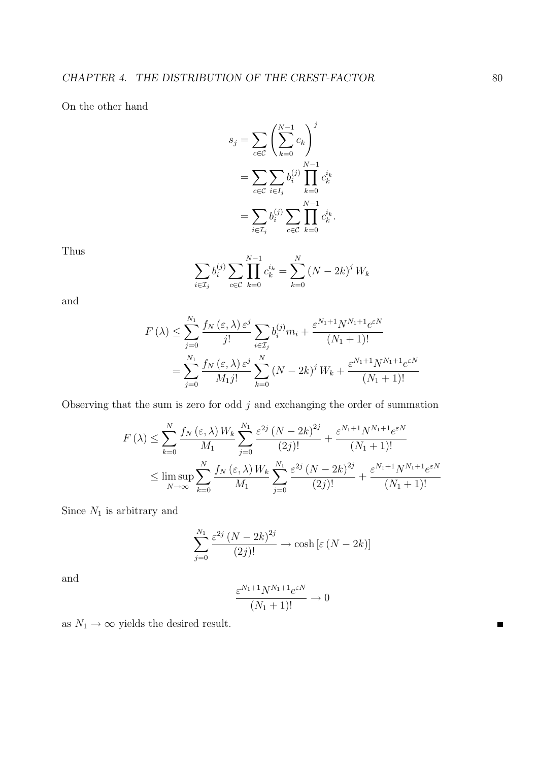On the other hand

$$
s_j = \sum_{c \in \mathcal{C}} \left( \sum_{k=0}^{N-1} c_k \right)^j
$$
  
= 
$$
\sum_{c \in \mathcal{C}} \sum_{i \in I_j} b_i^{(j)} \prod_{k=0}^{N-1} c_k^{i_k}
$$
  
= 
$$
\sum_{i \in I_j} b_i^{(j)} \sum_{c \in \mathcal{C}} \prod_{k=0}^{N-1} c_k^{i_k}.
$$

Thus

$$
\sum_{i \in \mathcal{I}_j} b_i^{(j)} \sum_{c \in \mathcal{C}} \prod_{k=0}^{N-1} c_k^{i_k} = \sum_{k=0}^N (N - 2k)^j W_k
$$

and

$$
F(\lambda) \le \sum_{j=0}^{N_1} \frac{f_N(\varepsilon, \lambda) \, \varepsilon^j}{j!} \sum_{i \in \mathcal{I}_j} b_i^{(j)} m_i + \frac{\varepsilon^{N_1+1} N^{N_1+1} e^{\varepsilon N}}{(N_1+1)!}
$$
  
= 
$$
\sum_{j=0}^{N_1} \frac{f_N(\varepsilon, \lambda) \, \varepsilon^j}{M_1 j!} \sum_{k=0}^N (N - 2k)^j W_k + \frac{\varepsilon^{N_1+1} N^{N_1+1} e^{\varepsilon N}}{(N_1+1)!}
$$

Observing that the sum is zero for odd  $j$  and exchanging the order of summation

$$
F(\lambda) \leq \sum_{k=0}^{N} \frac{f_N(\varepsilon, \lambda) W_k}{M_1} \sum_{j=0}^{N_1} \frac{\varepsilon^{2j} (N - 2k)^{2j}}{(2j)!} + \frac{\varepsilon^{N_1+1} N^{N_1+1} e^{\varepsilon N}}{(N_1 + 1)!}
$$
  

$$
\leq \limsup_{N \to \infty} \sum_{k=0}^{N} \frac{f_N(\varepsilon, \lambda) W_k}{M_1} \sum_{j=0}^{N_1} \frac{\varepsilon^{2j} (N - 2k)^{2j}}{(2j)!} + \frac{\varepsilon^{N_1+1} N^{N_1+1} e^{\varepsilon N}}{(N_1 + 1)!}
$$

Since  $N_1$  is arbitrary and

$$
\sum_{j=0}^{N_1} \frac{\varepsilon^{2j} (N - 2k)^{2j}}{(2j)!} \to \cosh \left[ \varepsilon (N - 2k) \right]
$$

and

$$
\frac{\varepsilon^{N_1+1}N^{N_1+1}e^{\varepsilon N}}{(N_1+1)!} \to 0
$$

as  $N_1 \rightarrow \infty$  yields the desired result.

 $\blacksquare$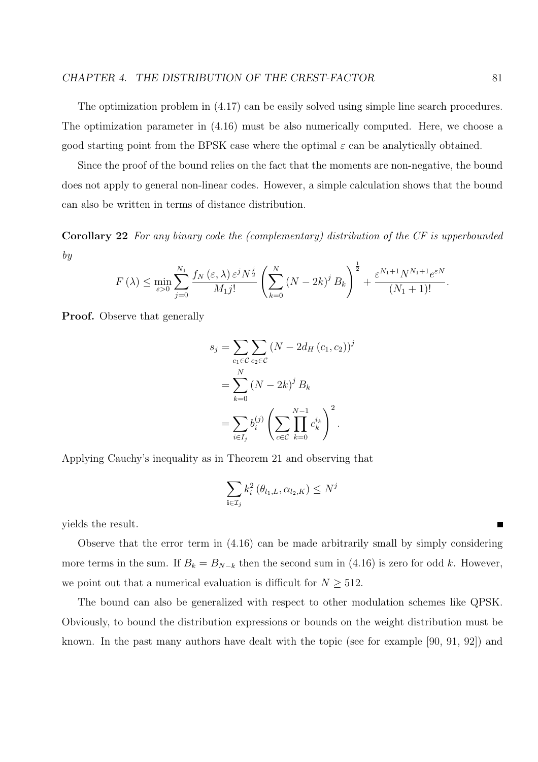The optimization problem in (4.17) can be easily solved using simple line search procedures. The optimization parameter in (4.16) must be also numerically computed. Here, we choose a good starting point from the BPSK case where the optimal  $\varepsilon$  can be analytically obtained.

Since the proof of the bound relies on the fact that the moments are non-negative, the bound does not apply to general non-linear codes. However, a simple calculation shows that the bound can also be written in terms of distance distribution.

Corollary 22 For any binary code the (complementary) distribution of the CF is upperbounded by

$$
F(\lambda) \leq \min_{\varepsilon > 0} \sum_{j=0}^{N_1} \frac{f_N(\varepsilon, \lambda) \varepsilon^j N^{\frac{j}{2}}}{M_1 j!} \left( \sum_{k=0}^N (N - 2k)^j B_k \right)^{\frac{1}{2}} + \frac{\varepsilon^{N_1 + 1} N^{N_1 + 1} e^{\varepsilon N}}{(N_1 + 1)!}.
$$

Proof. Observe that generally

$$
s_j = \sum_{c_1 \in \mathcal{C}} \sum_{c_2 \in \mathcal{C}} (N - 2d_H(c_1, c_2))^j
$$
  
= 
$$
\sum_{k=0}^N (N - 2k)^j B_k
$$
  
= 
$$
\sum_{i \in I_j} b_i^{(j)} \left( \sum_{c \in \mathcal{C}} \prod_{k=0}^{N-1} c_k^{i_k} \right)^2.
$$

Applying Cauchy's inequality as in Theorem 21 and observing that

$$
\sum_{\mathbf{i}\in\mathcal{I}_j}k_i^2\left(\theta_{l_1,L},\alpha_{l_2,K}\right)\leq N^j
$$

yields the result.

Observe that the error term in (4.16) can be made arbitrarily small by simply considering more terms in the sum. If  $B_k = B_{N-k}$  then the second sum in (4.16) is zero for odd k. However, we point out that a numerical evaluation is difficult for  $N \geq 512$ .

The bound can also be generalized with respect to other modulation schemes like QPSK. Obviously, to bound the distribution expressions or bounds on the weight distribution must be known. In the past many authors have dealt with the topic (see for example [90, 91, 92]) and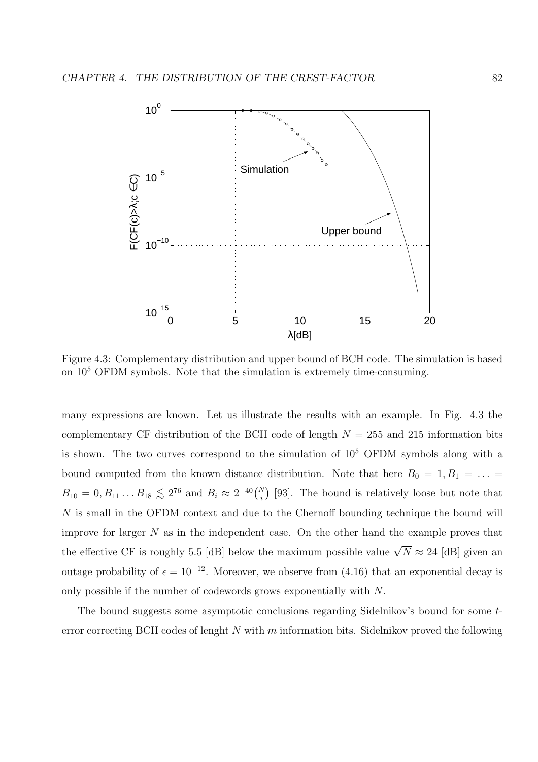

Figure 4.3: Complementary distribution and upper bound of BCH code. The simulation is based on  $10<sup>5</sup>$  OFDM symbols. Note that the simulation is extremely time-consuming.

many expressions are known. Let us illustrate the results with an example. In Fig. 4.3 the complementary CF distribution of the BCH code of length  $N = 255$  and 215 information bits is shown. The two curves correspond to the simulation of  $10^5$  OFDM symbols along with a bound computed from the known distance distribution. Note that here  $B_0 = 1, B_1 = \ldots$  $B_{10} = 0, B_{11} \dots B_{18} \lesssim 2^{76}$  and  $B_i \approx 2^{-40} {N \choose i}$ i ¢ [93]. The bound is relatively loose but note that N is small in the OFDM context and due to the Chernoff bounding technique the bound will improve for larger  $N$  as in the independent case. On the other hand the example proves that the effective CF is roughly 5.5 [dB] below the maximum possible value  $\sqrt{N} \approx 24$  [dB] given an outage probability of  $\epsilon = 10^{-12}$ . Moreover, we observe from (4.16) that an exponential decay is only possible if the number of codewords grows exponentially with N.

The bound suggests some asymptotic conclusions regarding Sidelnikov's bound for some terror correcting BCH codes of lenght  $N$  with  $m$  information bits. Sidelnikov proved the following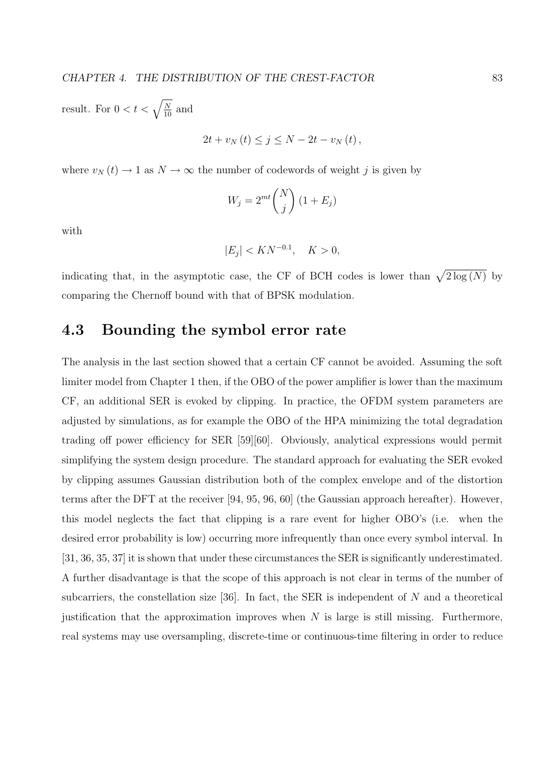result. For  $0 < t < \sqrt{\frac{N}{10}}$  and

$$
2t + v_N(t) \leq j \leq N - 2t - v_N(t),
$$

where  $v_N(t) \to 1$  as  $N \to \infty$  the number of codewords of weight j is given by

$$
W_j = 2^{mt} \binom{N}{j} \left( 1 + E_j \right)
$$

with

$$
|E_j| < K N^{-0.1}, \quad K > 0,
$$

indicating that, in the asymptotic case, the CF of BCH codes is lower than  $\sqrt{2 \log(N)}$  by comparing the Chernoff bound with that of BPSK modulation.

# 4.3 Bounding the symbol error rate

The analysis in the last section showed that a certain CF cannot be avoided. Assuming the soft limiter model from Chapter 1 then, if the OBO of the power amplifier is lower than the maximum CF, an additional SER is evoked by clipping. In practice, the OFDM system parameters are adjusted by simulations, as for example the OBO of the HPA minimizing the total degradation trading off power efficiency for SER [59][60]. Obviously, analytical expressions would permit simplifying the system design procedure. The standard approach for evaluating the SER evoked by clipping assumes Gaussian distribution both of the complex envelope and of the distortion terms after the DFT at the receiver [94, 95, 96, 60] (the Gaussian approach hereafter). However, this model neglects the fact that clipping is a rare event for higher OBO's (i.e. when the desired error probability is low) occurring more infrequently than once every symbol interval. In [31, 36, 35, 37] it is shown that under these circumstances the SER is significantly underestimated. A further disadvantage is that the scope of this approach is not clear in terms of the number of subcarriers, the constellation size [36]. In fact, the SER is independent of  $N$  and a theoretical justification that the approximation improves when  $N$  is large is still missing. Furthermore, real systems may use oversampling, discrete-time or continuous-time filtering in order to reduce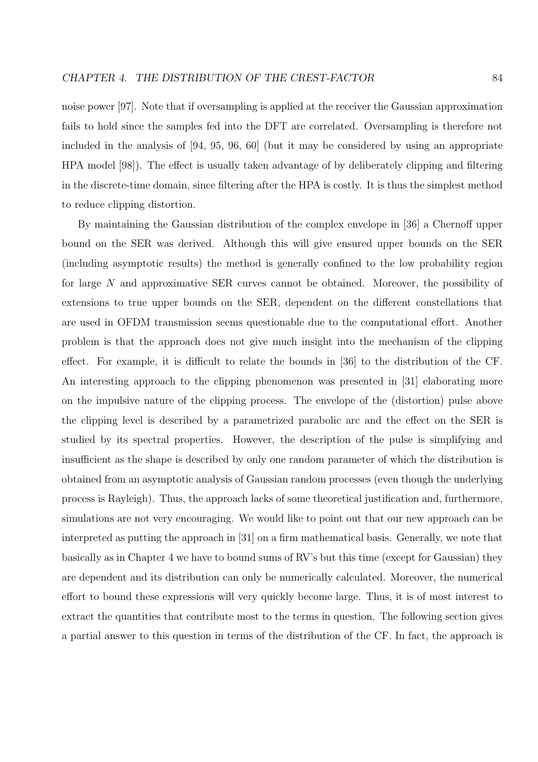noise power [97]. Note that if oversampling is applied at the receiver the Gaussian approximation fails to hold since the samples fed into the DFT are correlated. Oversampling is therefore not included in the analysis of [94, 95, 96, 60] (but it may be considered by using an appropriate HPA model [98]). The effect is usually taken advantage of by deliberately clipping and filtering in the discrete-time domain, since filtering after the HPA is costly. It is thus the simplest method to reduce clipping distortion.

By maintaining the Gaussian distribution of the complex envelope in [36] a Chernoff upper bound on the SER was derived. Although this will give ensured upper bounds on the SER (including asymptotic results) the method is generally confined to the low probability region for large N and approximative SER curves cannot be obtained. Moreover, the possibility of extensions to true upper bounds on the SER, dependent on the different constellations that are used in OFDM transmission seems questionable due to the computational effort. Another problem is that the approach does not give much insight into the mechanism of the clipping effect. For example, it is difficult to relate the bounds in [36] to the distribution of the CF. An interesting approach to the clipping phenomenon was presented in [31] elaborating more on the impulsive nature of the clipping process. The envelope of the (distortion) pulse above the clipping level is described by a parametrized parabolic arc and the effect on the SER is studied by its spectral properties. However, the description of the pulse is simplifying and insufficient as the shape is described by only one random parameter of which the distribution is obtained from an asymptotic analysis of Gaussian random processes (even though the underlying process is Rayleigh). Thus, the approach lacks of some theoretical justification and, furthermore, simulations are not very encouraging. We would like to point out that our new approach can be interpreted as putting the approach in [31] on a firm mathematical basis. Generally, we note that basically as in Chapter 4 we have to bound sums of RV's but this time (except for Gaussian) they are dependent and its distribution can only be numerically calculated. Moreover, the numerical effort to bound these expressions will very quickly become large. Thus, it is of most interest to extract the quantities that contribute most to the terms in question. The following section gives a partial answer to this question in terms of the distribution of the CF. In fact, the approach is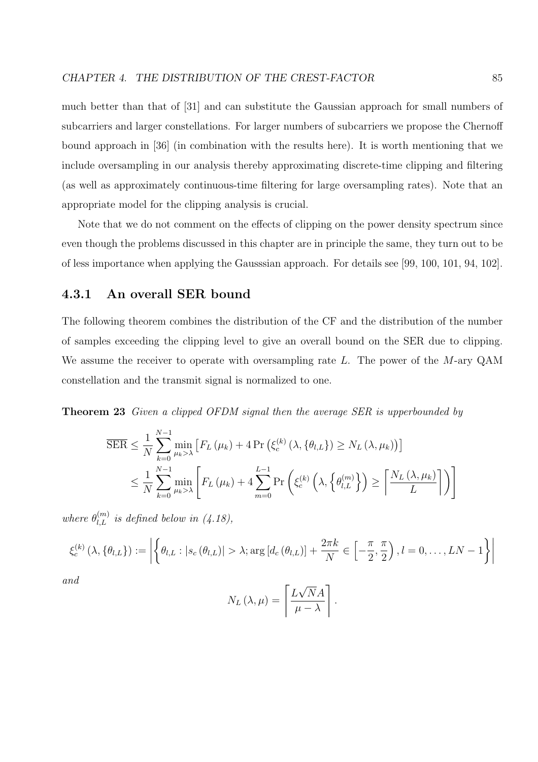much better than that of [31] and can substitute the Gaussian approach for small numbers of subcarriers and larger constellations. For larger numbers of subcarriers we propose the Chernoff bound approach in [36] (in combination with the results here). It is worth mentioning that we include oversampling in our analysis thereby approximating discrete-time clipping and filtering (as well as approximately continuous-time filtering for large oversampling rates). Note that an appropriate model for the clipping analysis is crucial.

Note that we do not comment on the effects of clipping on the power density spectrum since even though the problems discussed in this chapter are in principle the same, they turn out to be of less importance when applying the Gausssian approach. For details see [99, 100, 101, 94, 102].

# 4.3.1 An overall SER bound

The following theorem combines the distribution of the CF and the distribution of the number of samples exceeding the clipping level to give an overall bound on the SER due to clipping. We assume the receiver to operate with oversampling rate L. The power of the M-ary QAM constellation and the transmit signal is normalized to one.

**Theorem 23** Given a clipped OFDM signal then the average SER is upperbounded by

$$
\overline{\text{SER}} \leq \frac{1}{N} \sum_{k=0}^{N-1} \min_{\mu_k > \lambda} \left[ F_L(\mu_k) + 4 \Pr \left( \xi_c^{(k)}(\lambda, \{\theta_{l,L}\}) \geq N_L(\lambda, \mu_k) \right) \right]
$$
  

$$
\leq \frac{1}{N} \sum_{k=0}^{N-1} \min_{\mu_k > \lambda} \left[ F_L(\mu_k) + 4 \sum_{m=0}^{L-1} \Pr \left( \xi_c^{(k)}\left(\lambda, \{\theta_{l,L}^{(m)}\}\right) \geq \left\lceil \frac{N_L(\lambda, \mu_k)}{L} \right\rceil \right) \right]
$$

where  $\theta_{l,L}^{(m)}$  is defined below in (4.18),

$$
\xi_c^{(k)}\left(\lambda, \{\theta_{l,L}\}\right) := \left| \left\{\theta_{l,L} : |s_c(\theta_{l,L})| > \lambda; \arg\left[d_c(\theta_{l,L})\right] + \frac{2\pi k}{N} \in \left[-\frac{\pi}{2}, \frac{\pi}{2}\right), l = 0, \ldots, LN - 1\right\} \right|
$$

and

$$
N_L(\lambda, \mu) = \left\lceil \frac{L\sqrt{N}A}{\mu - \lambda} \right\rceil.
$$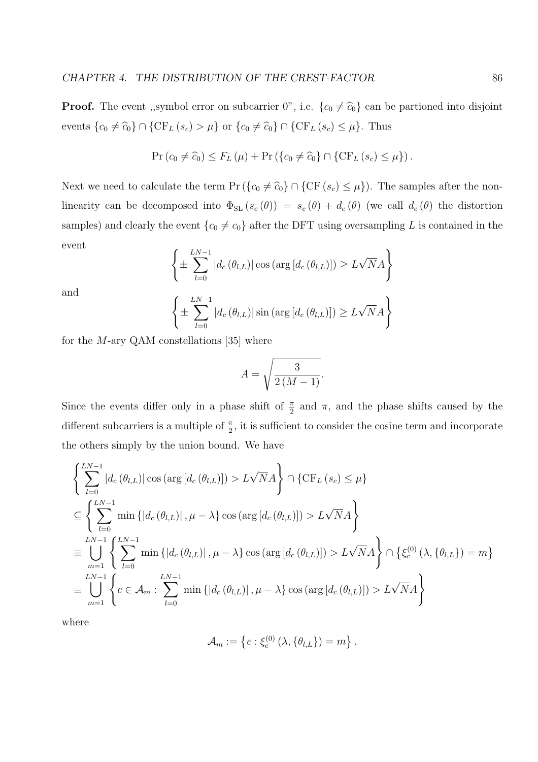**Proof.** The event ,,symbol error on subcarrier 0", i.e.  $\{c_0 \neq \hat{c}_0\}$  can be partioned into disjoint events  ${c_0 \neq \widehat{c}_0} \cap {\text{CF}_L (s_c) > \mu}$  or  ${c_0 \neq \widehat{c}_0} \cap {\text{CF}_L (s_c) \leq \mu}.$  Thus

$$
\Pr(c_0 \neq \widehat{c}_0) \leq F_L(\mu) + \Pr\left(\{c_0 \neq \widehat{c}_0\} \cap \{\text{CF}_L(s_c) \leq \mu\}\right).
$$

Next we need to calculate the term Pr ( $\{c_0 \neq \hat{c}_0\} \cap \{CF(s_c) \leq \mu\}$ ). The samples after the nonlinearity can be decomposed into  $\Phi_{\text{SL}}(s_c(\theta)) = s_c(\theta) + d_c(\theta)$  (we call  $d_c(\theta)$  the distortion samples) and clearly the event  ${c_0 \neq c_0}$  after the DFT using oversampling L is contained in the event  $\overline{a}$ 

$$
\left\{\pm\sum_{l=0}^{LN-1}|d_c(\theta_{l,L})|\cos(\arg\left[d_c(\theta_{l,L})\right])\geq L\sqrt{N}A\right\}
$$

and

$$
\left\{\pm\sum_{l=0}^{LN-1}|d_c(\theta_{l,L})|\sin\left(\arg\left[d_c(\theta_{l,L})\right]\right)\geq L\sqrt{N}A\right\}
$$

for the  $M$ -ary QAM constellations [35] where

$$
A = \sqrt{\frac{3}{2\left(M - 1\right)}}.
$$

Since the events differ only in a phase shift of  $\frac{\pi}{2}$  and  $\pi$ , and the phase shifts caused by the different subcarriers is a multiple of  $\frac{\pi}{2}$ , it is sufficient to consider the cosine term and incorporate the others simply by the union bound. We have

$$
\left\{\sum_{l=0}^{LN-1} |d_c(\theta_{l,L})| \cos(\arg[d_c(\theta_{l,L})]) > L\sqrt{N}A \right\} \cap \{ \text{CF}_L(s_c) \leq \mu \}
$$
\n
$$
\subseteq \left\{\sum_{l=0}^{LN-1} \min\left\{ |d_c(\theta_{l,L})|, \mu - \lambda \right\} \cos(\arg[d_c(\theta_{l,L})]) > L\sqrt{N}A \right\}
$$
\n
$$
\equiv \bigcup_{m=1}^{LN-1} \left\{\sum_{l=0}^{LN-1} \min\left\{ |d_c(\theta_{l,L})|, \mu - \lambda \right\} \cos(\arg[d_c(\theta_{l,L})]) > L\sqrt{N}A \right\} \cap \left\{\xi_c^{(0)}(\lambda, \{\theta_{l,L}\}) = m \right\}
$$
\n
$$
\equiv \bigcup_{m=1}^{LN-1} \left\{ c \in \mathcal{A}_m : \sum_{l=0}^{LN-1} \min\left\{ |d_c(\theta_{l,L})|, \mu - \lambda \right\} \cos(\arg[d_c(\theta_{l,L})]) > L\sqrt{N}A \right\}
$$

where

$$
\mathcal{A}_m := \left\{ c : \xi_c^{(0)}\left(\lambda, \{\theta_{l,L}\}\right) = m \right\}.
$$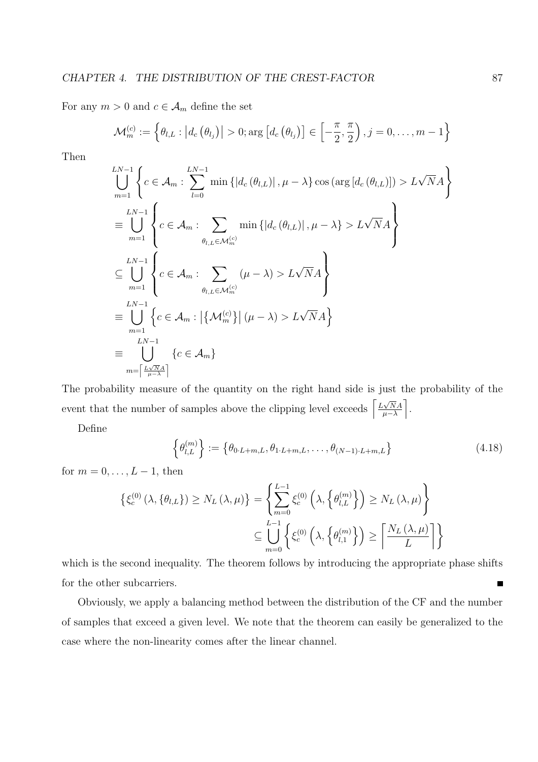For any  $m>0$  and  $c\in\mathcal{A}_m$  define the set

$$
\mathcal{M}_{m}^{\left(c\right)}:=\left\{ \theta_{l,L}:\left|d_{c}\left(\theta_{l_{j}}\right)\right|>0;\arg\left[d_{c}\left(\theta_{l_{j}}\right)\right]\in\left[-\frac{\pi}{2},\frac{\pi}{2}\right),j=0,\ldots,m-1\right\}
$$

Then

$$
\bigcup_{m=1}^{LN-1} \left\{ c \in \mathcal{A}_m : \sum_{l=0}^{LN-1} \min \left\{ \left| d_c \left( \theta_{l,L} \right) \right|, \mu - \lambda \right\} \cos \left( \arg \left[ d_c \left( \theta_{l,L} \right) \right] \right) > L\sqrt{N}A \right\}
$$
\n
$$
\equiv \bigcup_{m=1}^{LN-1} \left\{ c \in \mathcal{A}_m : \sum_{\theta_{l,L} \in \mathcal{M}_m^{(c)}} \min \left\{ \left| d_c \left( \theta_{l,L} \right) \right|, \mu - \lambda \right\} > L\sqrt{N}A \right\}
$$
\n
$$
\subseteq \bigcup_{m=1}^{LN-1} \left\{ c \in \mathcal{A}_m : \sum_{\theta_{l,L} \in \mathcal{M}_m^{(c)}} (\mu - \lambda) > L\sqrt{N}A \right\}
$$
\n
$$
\equiv \bigcup_{m=1}^{LN-1} \left\{ c \in \mathcal{A}_m : \left| \left\{ \mathcal{M}_m^{(c)} \right\} \right| (\mu - \lambda) > L\sqrt{N}A \right\}
$$
\n
$$
\equiv \bigcup_{m=\left\lceil \frac{LN}{\mu - \lambda} \right\rceil}^{LN-1} \left\{ c \in \mathcal{A}_m \right\}
$$

The probability measure of the quantity on the right hand side is just the probability of the event that the number of samples above the clipping level exceeds  $\left[\frac{L\sqrt{N}A}{L\sqrt{N}}\right]$  $\frac{\sqrt{NA}}{\mu-\lambda}$ .  $\frac{1}{1}$ 

Define

$$
\left\{\theta_{l,L}^{(m)}\right\} := \left\{\theta_{0\cdot L+m,L}, \theta_{1\cdot L+m,L}, \dots, \theta_{(N-1)\cdot L+m,L}\right\}
$$
\n(4.18)

for  $m = 0, \ldots, L-1$ , then

$$
\left\{ \xi_c^{(0)}\left(\lambda, \{\theta_{l,L}\}\right) \ge N_L\left(\lambda, \mu\right) \right\} = \left\{ \sum_{m=0}^{L-1} \xi_c^{(0)}\left(\lambda, \left\{\theta_{l,L}^{(m)}\right\}\right) \ge N_L\left(\lambda, \mu\right) \right\}
$$
  

$$
\subseteq \bigcup_{m=0}^{L-1} \left\{ \xi_c^{(0)}\left(\lambda, \left\{\theta_{l,1}^{(m)}\right\}\right) \ge \left\lceil \frac{N_L\left(\lambda, \mu\right)}{L} \right\rceil \right\}
$$

which is the second inequality. The theorem follows by introducing the appropriate phase shifts for the other subcarriers. Е

Obviously, we apply a balancing method between the distribution of the CF and the number of samples that exceed a given level. We note that the theorem can easily be generalized to the case where the non-linearity comes after the linear channel.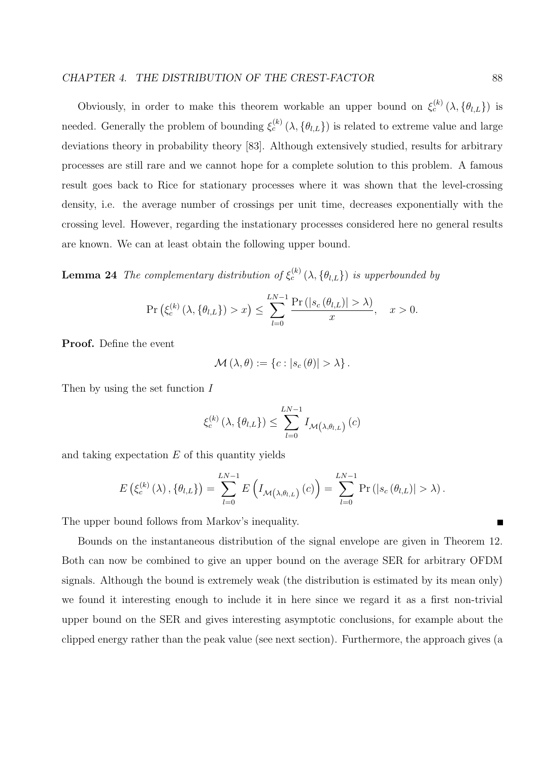Obviously, in order to make this theorem workable an upper bound on  $\xi_c^{(k)}(\lambda, \{\theta_{l,L}\})$  is needed. Generally the problem of bounding  $\xi_c^{(k)}(\lambda, \{\theta_{l,L}\})$  is related to extreme value and large deviations theory in probability theory [83]. Although extensively studied, results for arbitrary processes are still rare and we cannot hope for a complete solution to this problem. A famous result goes back to Rice for stationary processes where it was shown that the level-crossing density, i.e. the average number of crossings per unit time, decreases exponentially with the crossing level. However, regarding the instationary processes considered here no general results are known. We can at least obtain the following upper bound.

**Lemma 24** The complementary distribution of  $\xi_c^{(k)}(\lambda, \{\theta_{l,L}\})$  is upperbounded by

$$
\Pr\left(\xi_c^{(k)}\left(\lambda, \{\theta_{l,L}\}\right) > x\right) \le \sum_{l=0}^{LN-1} \frac{\Pr\left(|s_c(\theta_{l,L})| > \lambda\right)}{x}, \quad x > 0.
$$

Proof. Define the event

$$
\mathcal{M}(\lambda,\theta) := \{c : |s_c(\theta)| > \lambda\}.
$$

Then by using the set function  $I$ 

$$
\xi_c^{(k)}\left(\lambda, \{\theta_{l,L}\}\right) \le \sum_{l=0}^{LN-1} I_{\mathcal{M}\left(\lambda, \theta_{l,L}\right)}\left(c\right)
$$

and taking expectation  $E$  of this quantity yields

$$
E\left(\xi_c^{(k)}\left(\lambda\right), \{\theta_{l,L}\}\right) = \sum_{l=0}^{LN-1} E\left(I_{\mathcal{M}\left(\lambda, \theta_{l,L}\right)}\left(c\right)\right) = \sum_{l=0}^{LN-1} \Pr\left(|s_c\left(\theta_{l,L}\right)| > \lambda\right).
$$

The upper bound follows from Markov's inequality.

Bounds on the instantaneous distribution of the signal envelope are given in Theorem 12. Both can now be combined to give an upper bound on the average SER for arbitrary OFDM signals. Although the bound is extremely weak (the distribution is estimated by its mean only) we found it interesting enough to include it in here since we regard it as a first non-trivial upper bound on the SER and gives interesting asymptotic conclusions, for example about the clipped energy rather than the peak value (see next section). Furthermore, the approach gives (a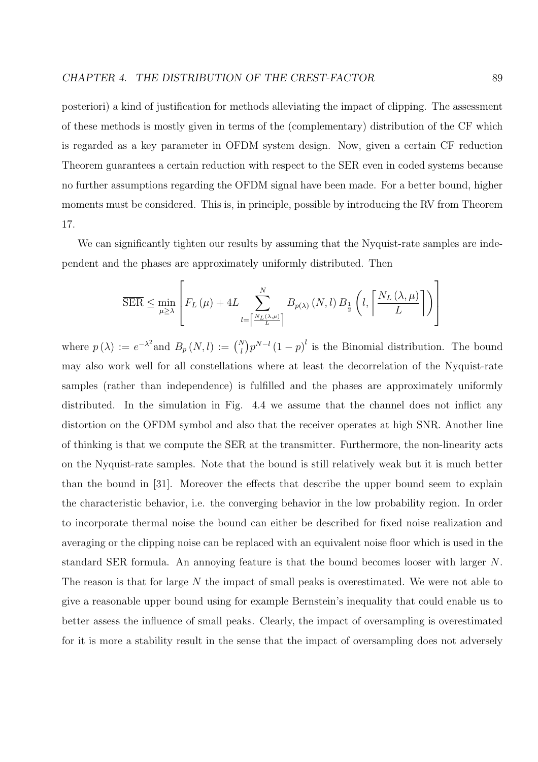posteriori) a kind of justification for methods alleviating the impact of clipping. The assessment of these methods is mostly given in terms of the (complementary) distribution of the CF which is regarded as a key parameter in OFDM system design. Now, given a certain CF reduction Theorem guarantees a certain reduction with respect to the SER even in coded systems because no further assumptions regarding the OFDM signal have been made. For a better bound, higher moments must be considered. This is, in principle, possible by introducing the RV from Theorem 17.

We can significantly tighten our results by assuming that the Nyquist-rate samples are independent and the phases are approximately uniformly distributed. Then

$$
\overline{\text{SER}} \le \min_{\mu \ge \lambda} \left[ F_L(\mu) + 4L \sum_{l = \left\lceil \frac{N_L(\lambda, \mu)}{L} \right\rceil}^N B_{p(\lambda)}(N, l) B_{\frac{1}{2}}\left(l, \left\lceil \frac{N_L(\lambda, \mu)}{L} \right\rceil \right) \right]
$$

where  $p(\lambda) := e^{-\lambda^2}$  and  $B_p(N, l) := {N \choose l}$ ¢  $p^{N-l}(1-p)^l$  is the Binomial distribution. The bound may also work well for all constellations where at least the decorrelation of the Nyquist-rate samples (rather than independence) is fulfilled and the phases are approximately uniformly distributed. In the simulation in Fig. 4.4 we assume that the channel does not inflict any distortion on the OFDM symbol and also that the receiver operates at high SNR. Another line of thinking is that we compute the SER at the transmitter. Furthermore, the non-linearity acts on the Nyquist-rate samples. Note that the bound is still relatively weak but it is much better than the bound in [31]. Moreover the effects that describe the upper bound seem to explain the characteristic behavior, i.e. the converging behavior in the low probability region. In order to incorporate thermal noise the bound can either be described for fixed noise realization and averaging or the clipping noise can be replaced with an equivalent noise floor which is used in the standard SER formula. An annoying feature is that the bound becomes looser with larger N. The reason is that for large N the impact of small peaks is overestimated. We were not able to give a reasonable upper bound using for example Bernstein's inequality that could enable us to better assess the influence of small peaks. Clearly, the impact of oversampling is overestimated for it is more a stability result in the sense that the impact of oversampling does not adversely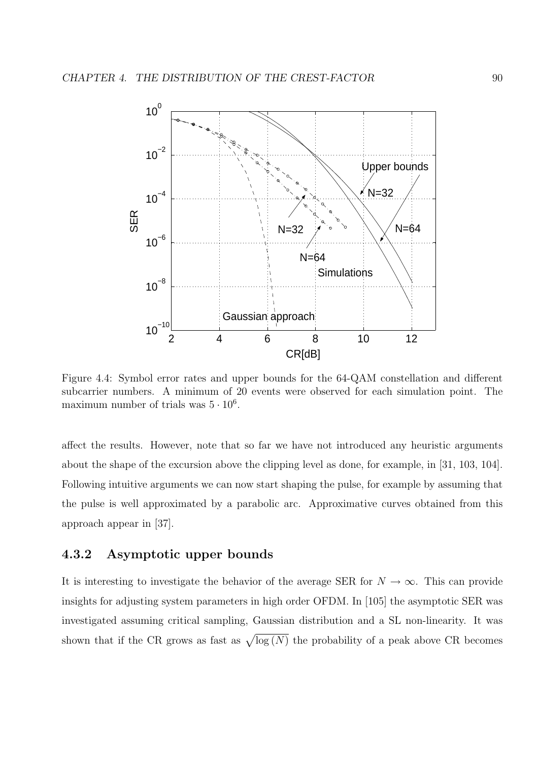

Figure 4.4: Symbol error rates and upper bounds for the 64-QAM constellation and different subcarrier numbers. A minimum of 20 events were observed for each simulation point. The maximum number of trials was  $5 \cdot 10^6$ .

affect the results. However, note that so far we have not introduced any heuristic arguments about the shape of the excursion above the clipping level as done, for example, in [31, 103, 104]. Following intuitive arguments we can now start shaping the pulse, for example by assuming that the pulse is well approximated by a parabolic arc. Approximative curves obtained from this approach appear in [37].

# 4.3.2 Asymptotic upper bounds

It is interesting to investigate the behavior of the average SER for  $N \to \infty$ . This can provide insights for adjusting system parameters in high order OFDM. In [105] the asymptotic SER was investigated assuming critical sampling, Gaussian distribution and a SL non-linearity. It was shown that if the CR grows as fast as  $\sqrt{\log(N)}$  the probability of a peak above CR becomes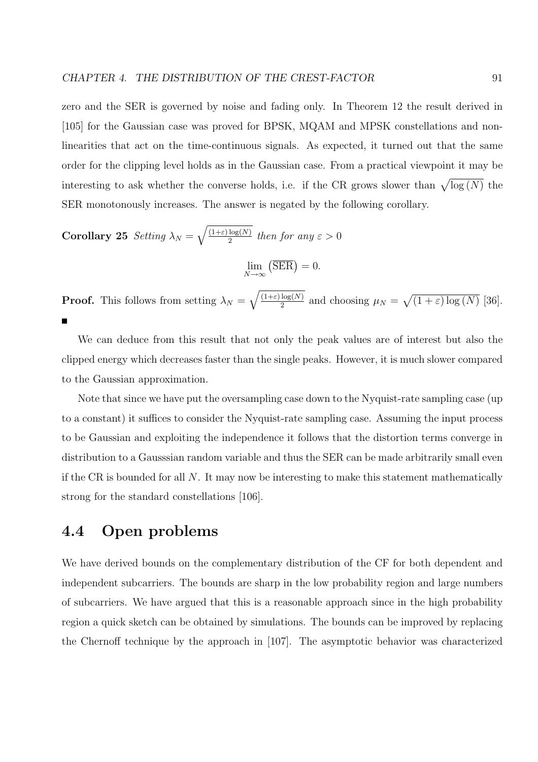zero and the SER is governed by noise and fading only. In Theorem 12 the result derived in [105] for the Gaussian case was proved for BPSK, MQAM and MPSK constellations and nonlinearities that act on the time-continuous signals. As expected, it turned out that the same order for the clipping level holds as in the Gaussian case. From a practical viewpoint it may be interesting to ask whether the converse holds, i.e. if the CR grows slower than  $\sqrt{\log(N)}$  the SER monotonously increases. The answer is negated by the following corollary.

Corollary 25 Setting  $\lambda_N =$  $\mathbb{R}^2$  $(1+\varepsilon)\log(N)$  $rac{\log(N)}{2}$  then for any  $\varepsilon > 0$ 

 $\lim_{N\to\infty}$  $\overline{\text{SER}}$  = 0.

**Proof.** This follows from setting  $\lambda_N =$  $\overline{a}$  $(1+\varepsilon)\log(N)$  $\frac{\log(N)}{2}$  and choosing  $\mu_N =$  $\overline{p}$  $(1+\varepsilon)\log(N)$  [36].

We can deduce from this result that not only the peak values are of interest but also the clipped energy which decreases faster than the single peaks. However, it is much slower compared to the Gaussian approximation.

Note that since we have put the oversampling case down to the Nyquist-rate sampling case (up to a constant) it suffices to consider the Nyquist-rate sampling case. Assuming the input process to be Gaussian and exploiting the independence it follows that the distortion terms converge in distribution to a Gausssian random variable and thus the SER can be made arbitrarily small even if the CR is bounded for all  $N$ . It may now be interesting to make this statement mathematically strong for the standard constellations [106].

# 4.4 Open problems

We have derived bounds on the complementary distribution of the CF for both dependent and independent subcarriers. The bounds are sharp in the low probability region and large numbers of subcarriers. We have argued that this is a reasonable approach since in the high probability region a quick sketch can be obtained by simulations. The bounds can be improved by replacing the Chernoff technique by the approach in [107]. The asymptotic behavior was characterized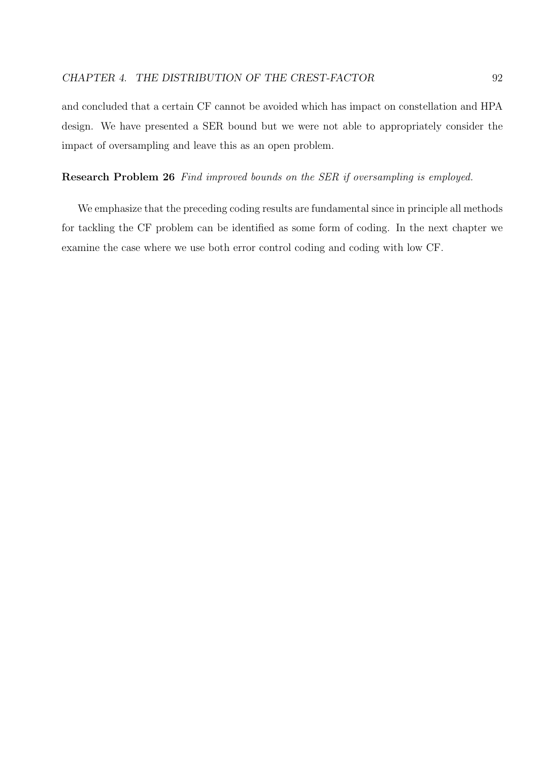and concluded that a certain CF cannot be avoided which has impact on constellation and HPA design. We have presented a SER bound but we were not able to appropriately consider the impact of oversampling and leave this as an open problem.

#### Research Problem 26 Find improved bounds on the SER if oversampling is employed.

We emphasize that the preceding coding results are fundamental since in principle all methods for tackling the CF problem can be identified as some form of coding. In the next chapter we examine the case where we use both error control coding and coding with low CF.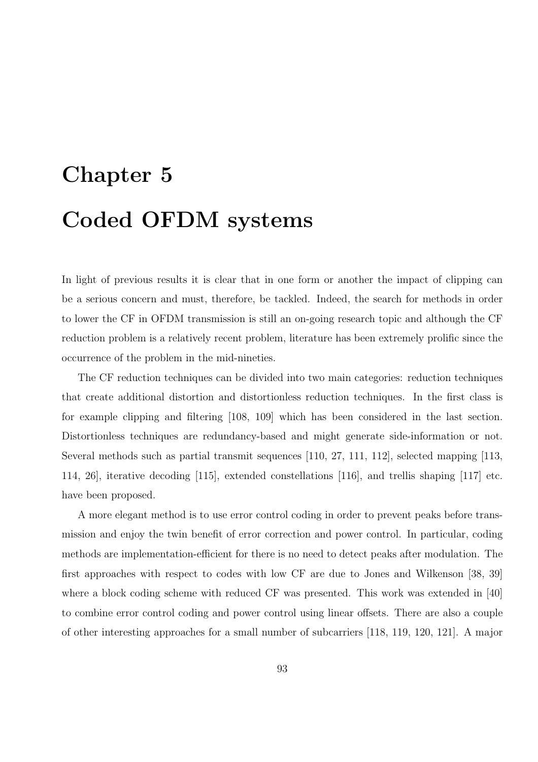# Chapter 5 Coded OFDM systems

In light of previous results it is clear that in one form or another the impact of clipping can be a serious concern and must, therefore, be tackled. Indeed, the search for methods in order to lower the CF in OFDM transmission is still an on-going research topic and although the CF reduction problem is a relatively recent problem, literature has been extremely prolific since the occurrence of the problem in the mid-nineties.

The CF reduction techniques can be divided into two main categories: reduction techniques that create additional distortion and distortionless reduction techniques. In the first class is for example clipping and filtering [108, 109] which has been considered in the last section. Distortionless techniques are redundancy-based and might generate side-information or not. Several methods such as partial transmit sequences [110, 27, 111, 112], selected mapping [113, 114, 26], iterative decoding [115], extended constellations [116], and trellis shaping [117] etc. have been proposed.

A more elegant method is to use error control coding in order to prevent peaks before transmission and enjoy the twin benefit of error correction and power control. In particular, coding methods are implementation-efficient for there is no need to detect peaks after modulation. The first approaches with respect to codes with low CF are due to Jones and Wilkenson [38, 39] where a block coding scheme with reduced CF was presented. This work was extended in [40] to combine error control coding and power control using linear offsets. There are also a couple of other interesting approaches for a small number of subcarriers [118, 119, 120, 121]. A major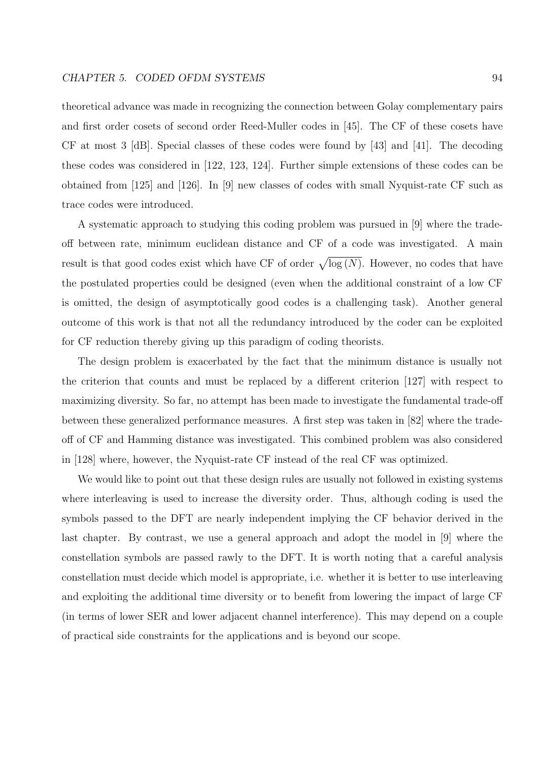theoretical advance was made in recognizing the connection between Golay complementary pairs and first order cosets of second order Reed-Muller codes in [45]. The CF of these cosets have CF at most 3 [dB]. Special classes of these codes were found by [43] and [41]. The decoding these codes was considered in [122, 123, 124]. Further simple extensions of these codes can be obtained from [125] and [126]. In [9] new classes of codes with small Nyquist-rate CF such as trace codes were introduced.

A systematic approach to studying this coding problem was pursued in [9] where the tradeoff between rate, minimum euclidean distance and CF of a code was investigated. A main result is that good codes exist which have CF of order  $\sqrt{\log(N)}$ . However, no codes that have the postulated properties could be designed (even when the additional constraint of a low CF is omitted, the design of asymptotically good codes is a challenging task). Another general outcome of this work is that not all the redundancy introduced by the coder can be exploited for CF reduction thereby giving up this paradigm of coding theorists.

The design problem is exacerbated by the fact that the minimum distance is usually not the criterion that counts and must be replaced by a different criterion [127] with respect to maximizing diversity. So far, no attempt has been made to investigate the fundamental trade-off between these generalized performance measures. A first step was taken in [82] where the tradeoff of CF and Hamming distance was investigated. This combined problem was also considered in [128] where, however, the Nyquist-rate CF instead of the real CF was optimized.

We would like to point out that these design rules are usually not followed in existing systems where interleaving is used to increase the diversity order. Thus, although coding is used the symbols passed to the DFT are nearly independent implying the CF behavior derived in the last chapter. By contrast, we use a general approach and adopt the model in [9] where the constellation symbols are passed rawly to the DFT. It is worth noting that a careful analysis constellation must decide which model is appropriate, i.e. whether it is better to use interleaving and exploiting the additional time diversity or to benefit from lowering the impact of large CF (in terms of lower SER and lower adjacent channel interference). This may depend on a couple of practical side constraints for the applications and is beyond our scope.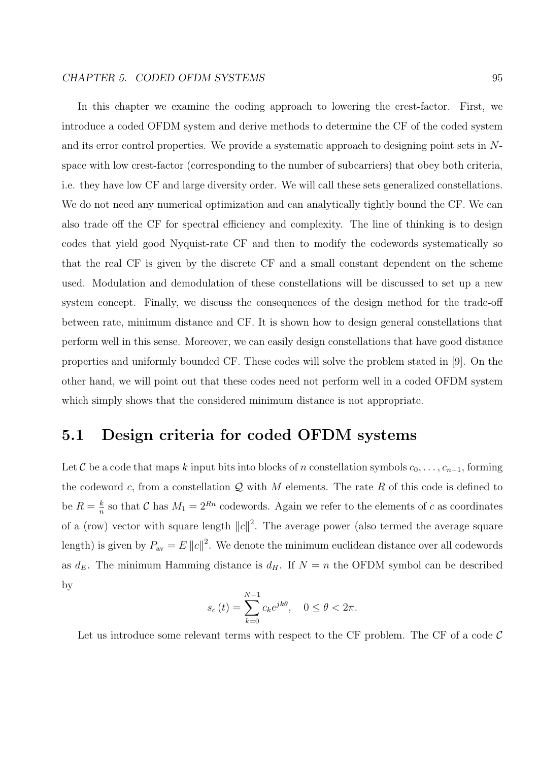In this chapter we examine the coding approach to lowering the crest-factor. First, we introduce a coded OFDM system and derive methods to determine the CF of the coded system and its error control properties. We provide a systematic approach to designing point sets in Nspace with low crest-factor (corresponding to the number of subcarriers) that obey both criteria, i.e. they have low CF and large diversity order. We will call these sets generalized constellations. We do not need any numerical optimization and can analytically tightly bound the CF. We can also trade off the CF for spectral efficiency and complexity. The line of thinking is to design codes that yield good Nyquist-rate CF and then to modify the codewords systematically so that the real CF is given by the discrete CF and a small constant dependent on the scheme used. Modulation and demodulation of these constellations will be discussed to set up a new system concept. Finally, we discuss the consequences of the design method for the trade-off between rate, minimum distance and CF. It is shown how to design general constellations that perform well in this sense. Moreover, we can easily design constellations that have good distance properties and uniformly bounded CF. These codes will solve the problem stated in [9]. On the other hand, we will point out that these codes need not perform well in a coded OFDM system which simply shows that the considered minimum distance is not appropriate.

# 5.1 Design criteria for coded OFDM systems

Let C be a code that maps k input bits into blocks of n constellation symbols  $c_0, \ldots, c_{n-1}$ , forming the codeword c, from a constellation  $\mathcal Q$  with M elements. The rate R of this code is defined to be  $R=\frac{k}{n}$  $\frac{k}{n}$  so that C has  $M_1 = 2^{Rn}$  codewords. Again we refer to the elements of c as coordinates of a (row) vector with square length  $||c||^2$ . The average power (also termed the average square length) is given by  $P_{\text{av}} = E ||c||^2$ . We denote the minimum euclidean distance over all codewords as  $d_E$ . The minimum Hamming distance is  $d_H$ . If  $N = n$  the OFDM symbol can be described by

$$
s_c(t) = \sum_{k=0}^{N-1} c_k e^{jk\theta}, \quad 0 \le \theta < 2\pi.
$$

Let us introduce some relevant terms with respect to the CF problem. The CF of a code  $\mathcal C$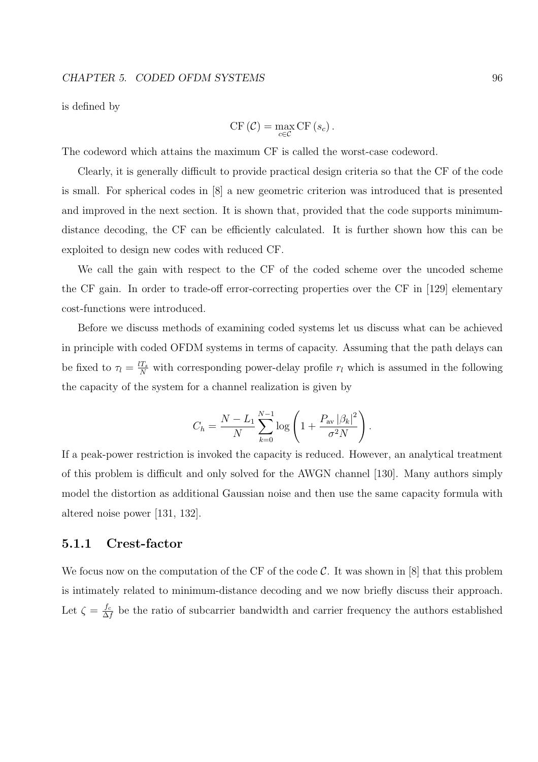is defined by

$$
\mathrm{CF}(\mathcal{C}) = \max_{c \in \mathcal{C}} \mathrm{CF}(s_c).
$$

The codeword which attains the maximum CF is called the worst-case codeword.

Clearly, it is generally difficult to provide practical design criteria so that the CF of the code is small. For spherical codes in [8] a new geometric criterion was introduced that is presented and improved in the next section. It is shown that, provided that the code supports minimumdistance decoding, the CF can be efficiently calculated. It is further shown how this can be exploited to design new codes with reduced CF.

We call the gain with respect to the CF of the coded scheme over the uncoded scheme the CF gain. In order to trade-off error-correcting properties over the CF in [129] elementary cost-functions were introduced.

Before we discuss methods of examining coded systems let us discuss what can be achieved in principle with coded OFDM systems in terms of capacity. Assuming that the path delays can be fixed to  $\tau_l = \frac{lT_s}{N}$  with corresponding power-delay profile  $r_l$  which is assumed in the following the capacity of the system for a channel realization is given by

$$
C_h = \frac{N - L_1}{N} \sum_{k=0}^{N-1} \log \left( 1 + \frac{P_{\text{av}} |\beta_k|^2}{\sigma^2 N} \right).
$$

If a peak-power restriction is invoked the capacity is reduced. However, an analytical treatment of this problem is difficult and only solved for the AWGN channel [130]. Many authors simply model the distortion as additional Gaussian noise and then use the same capacity formula with altered noise power [131, 132].

## 5.1.1 Crest-factor

We focus now on the computation of the CF of the code  $\mathcal{C}$ . It was shown in [8] that this problem is intimately related to minimum-distance decoding and we now briefly discuss their approach. Let  $\zeta = \frac{f_c}{\Delta}$  $\frac{f_c}{\Delta f}$  be the ratio of subcarrier bandwidth and carrier frequency the authors established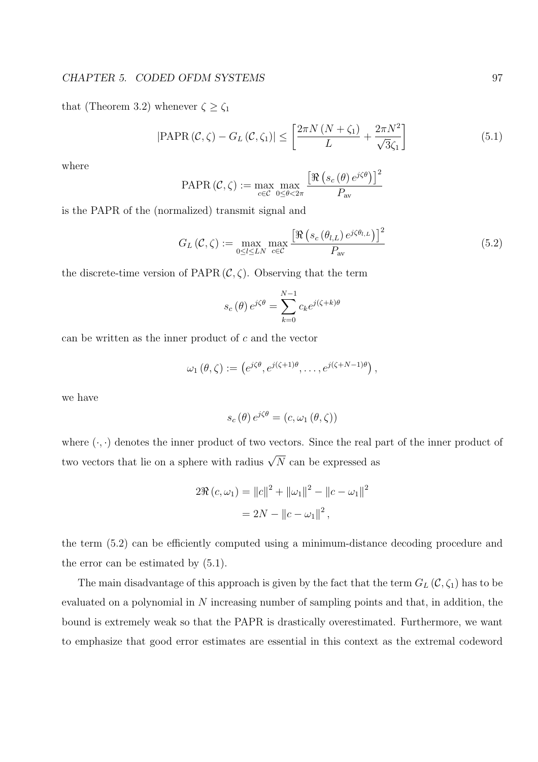that (Theorem 3.2) whenever  $\zeta \geq \zeta_1$ 

$$
|\text{PAPR}(\mathcal{C}, \zeta) - G_L(\mathcal{C}, \zeta_1)| \le \left[\frac{2\pi N (N + \zeta_1)}{L} + \frac{2\pi N^2}{\sqrt{3}\zeta_1}\right]
$$
(5.1)

where

PAPR 
$$
(C, \zeta) := \max_{c \in C} \max_{0 \le \theta < 2\pi} \frac{\left[ \Re \left( s_c \left( \theta \right) e^{j\zeta \theta} \right) \right]^2}{P_{\text{av}}}
$$

is the PAPR of the (normalized) transmit signal and

$$
G_L(\mathcal{C}, \zeta) := \max_{0 \le l \le LN} \max_{c \in \mathcal{C}} \frac{\left[ \Re \left( s_c(\theta_{l,L}) e^{j\zeta\theta_{l,L}} \right) \right]^2}{P_{\text{av}}} \tag{5.2}
$$

the discrete-time version of PAPR  $(C, \zeta)$ . Observing that the term

$$
s_c(\theta) e^{j\zeta\theta} = \sum_{k=0}^{N-1} c_k e^{j(\zeta+k)\theta}
$$

can be written as the inner product of  $c$  and the vector

$$
\omega_1(\theta,\zeta) := \left(e^{j\zeta\theta}, e^{j(\zeta+1)\theta}, \dots, e^{j(\zeta+N-1)\theta}\right),
$$

we have

$$
s_c(\theta) e^{j\zeta\theta} = (c, \omega_1(\theta, \zeta))
$$

where  $(\cdot, \cdot)$  denotes the inner product of two vectors. Since the real part of the inner product of two vectors that lie on a sphere with radius  $\sqrt{N}$  can be expressed as

$$
2\Re(c,\omega_1) = ||c||^2 + ||\omega_1||^2 - ||c - \omega_1||^2
$$
  
= 2N - ||c - \omega\_1||^2,

the term (5.2) can be efficiently computed using a minimum-distance decoding procedure and the error can be estimated by (5.1).

The main disadvantage of this approach is given by the fact that the term  $G_L(\mathcal{C}, \zeta_1)$  has to be evaluated on a polynomial in N increasing number of sampling points and that, in addition, the bound is extremely weak so that the PAPR is drastically overestimated. Furthermore, we want to emphasize that good error estimates are essential in this context as the extremal codeword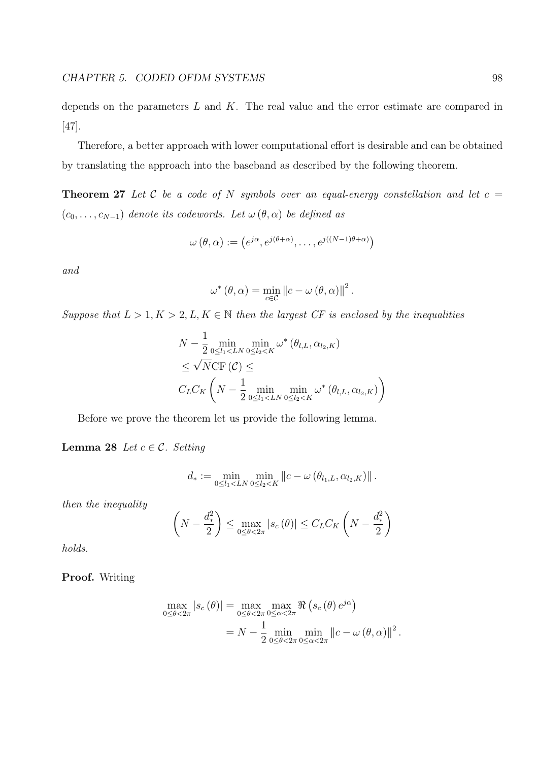depends on the parameters  $L$  and  $K$ . The real value and the error estimate are compared in [47].

Therefore, a better approach with lower computational effort is desirable and can be obtained by translating the approach into the baseband as described by the following theorem.

**Theorem 27** Let C be a code of N symbols over an equal-energy constellation and let  $c =$  $(c_0, \ldots, c_{N-1})$  denote its codewords. Let  $\omega(\theta, \alpha)$  be defined as

$$
\omega(\theta,\alpha) := (e^{j\alpha}, e^{j(\theta+\alpha)}, \dots, e^{j((N-1)\theta+\alpha)})
$$

and

$$
\omega^* (\theta, \alpha) = \min_{c \in \mathcal{C}} ||c - \omega (\theta, \alpha)||^2.
$$

Suppose that  $L > 1, K > 2, L, K \in \mathbb{N}$  then the largest CF is enclosed by the inequalities

$$
N - \frac{1}{2} \min_{0 \le l_1 < LN} \min_{0 \le l_2 < K} \omega^* \left( \theta_{l,L}, \alpha_{l_2, K} \right)
$$
  
\$\le \sqrt{N} \text{CF} \left( \mathcal{C} \right) \le\$  

$$
C_L C_K \left( N - \frac{1}{2} \min_{0 \le l_1 < LN} \min_{0 \le l_2 < K} \omega^* \left( \theta_{l,L}, \alpha_{l_2, K} \right) \right)
$$

Before we prove the theorem let us provide the following lemma.

Lemma 28 Let  $c \in \mathcal{C}$ . Setting

$$
d_* := \min_{0 \leq l_1 < LN} \min_{0 \leq l_2 < K} \left\| c - \omega \left( \theta_{l_1, L}, \alpha_{l_2, K} \right) \right\|.
$$

then the inequality

$$
\left(N - \frac{d_*^2}{2}\right) \le \max_{0 \le \theta < 2\pi} |s_c(\theta)| \le C_L C_K \left(N - \frac{d_*^2}{2}\right)
$$

holds.

Proof. Writing

$$
\max_{0 \le \theta < 2\pi} |s_c(\theta)| = \max_{0 \le \theta < 2\pi} \max_{0 \le \alpha < 2\pi} \Re \left( s_c(\theta) \, e^{j\alpha} \right)
$$
\n
$$
= N - \frac{1}{2} \min_{0 \le \theta < 2\pi} \min_{0 \le \alpha < 2\pi} \left\| c - \omega(\theta, \alpha) \right\|^2.
$$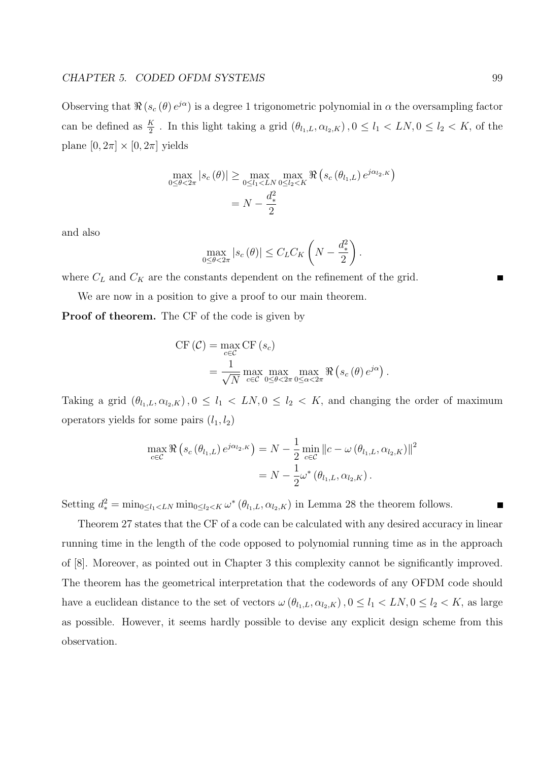Observing that  $\Re(s_c(\theta)e^{j\alpha})$  is a degree 1 trigonometric polynomial in  $\alpha$  the oversampling factor can be defined as  $\frac{K}{2}$ . In this light taking a grid  $(\theta_{l_1,L}, \alpha_{l_2,K})$ ,  $0 \le l_1 < LN$ ,  $0 \le l_2 < K$ , of the plane  $[0, 2\pi] \times [0, 2\pi]$  yields

$$
\max_{0 \le \theta < 2\pi} |s_c(\theta)| \ge \max_{0 \le l_1 < LN} \max_{0 \le l_2 < K} \Re \left( s_c(\theta_{l_1,L}) e^{j\alpha_{l_2,K}} \right) \\
= N - \frac{d_*^2}{2}
$$

and also

$$
\max_{0\leq\theta<2\pi}|s_c(\theta)|\leq C_L C_K\left(N-\frac{d_*^2}{2}\right)
$$

.

where  $C_L$  and  $C_K$  are the constants dependent on the refinement of the grid.

We are now in a position to give a proof to our main theorem.

Proof of theorem. The CF of the code is given by

$$
\begin{split} \text{CF} \left( \mathcal{C} \right) &= \max_{c \in \mathcal{C}} \text{CF} \left( s_c \right) \\ &= \frac{1}{\sqrt{N}} \max_{c \in \mathcal{C}} \max_{0 \le \theta < 2\pi} \max_{0 \le \alpha < 2\pi} \Re \left( s_c \left( \theta \right) e^{j\alpha} \right). \end{split}
$$

Taking a grid  $(\theta_{l_1,L}, \alpha_{l_2,K})$ ,  $0 \le l_1 < LN$ ,  $0 \le l_2 < K$ , and changing the order of maximum operators yields for some pairs  $(l_1, l_2)$ 

$$
\max_{c \in \mathcal{C}} \Re \left( s_c \left( \theta_{l_1, L} \right) e^{j \alpha_{l_2, K}} \right) = N - \frac{1}{2} \min_{c \in \mathcal{C}} ||c - \omega \left( \theta_{l_1, L}, \alpha_{l_2, K} \right)||^2
$$
  
= 
$$
N - \frac{1}{2} \omega^* \left( \theta_{l_1, L}, \alpha_{l_2, K} \right).
$$

Setting  $d_*^2 = \min_{0 \le l_1 < LN} \min_{0 \le l_2 < K} \omega^* (\theta_{l_1,L}, \alpha_{l_2,K})$  in Lemma 28 the theorem follows.

Theorem 27 states that the CF of a code can be calculated with any desired accuracy in linear running time in the length of the code opposed to polynomial running time as in the approach of [8]. Moreover, as pointed out in Chapter 3 this complexity cannot be significantly improved. The theorem has the geometrical interpretation that the codewords of any OFDM code should have a euclidean distance to the set of vectors  $\omega(\theta_{l_1,L}, \alpha_{l_2,K})$ ,  $0 \le l_1 < LN$ ,  $0 \le l_2 < K$ , as large as possible. However, it seems hardly possible to devise any explicit design scheme from this observation.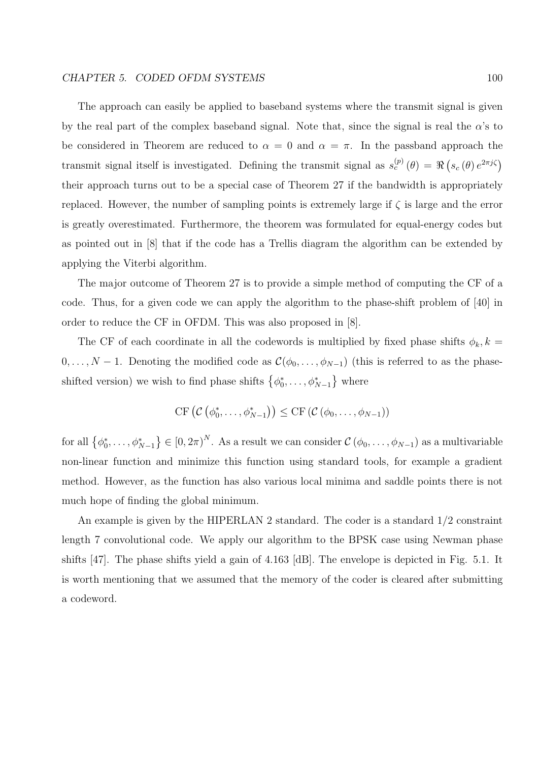The approach can easily be applied to baseband systems where the transmit signal is given by the real part of the complex baseband signal. Note that, since the signal is real the  $\alpha$ 's to be considered in Theorem are reduced to  $\alpha = 0$  and  $\alpha = \pi$ . In the passband approach the transmit signal itself is investigated. Defining the transmit signal as  $s_c^{(p)}(\theta) = \Re$ ¡  $s_c(\theta) e^{2\pi j\zeta}$ their approach turns out to be a special case of Theorem 27 if the bandwidth is appropriately replaced. However, the number of sampling points is extremely large if  $\zeta$  is large and the error is greatly overestimated. Furthermore, the theorem was formulated for equal-energy codes but as pointed out in [8] that if the code has a Trellis diagram the algorithm can be extended by applying the Viterbi algorithm.

The major outcome of Theorem 27 is to provide a simple method of computing the CF of a code. Thus, for a given code we can apply the algorithm to the phase-shift problem of [40] in order to reduce the CF in OFDM. This was also proposed in [8].

The CF of each coordinate in all the codewords is multiplied by fixed phase shifts  $\phi_k, k =$  $0, \ldots, N-1$ . Denoting the modified code as  $\mathcal{C}(\phi_0, \ldots, \phi_{N-1})$  (this is referred to as the phaseshifted version) we wish to find phase shifts  $\{\phi_0^*, \ldots, \phi_{N-1}^*\}$  where ª

$$
\mathrm{CF}\left(\mathcal{C}\left(\phi_0^*,\ldots,\phi_{N-1}^*\right)\right)\leq \mathrm{CF}\left(\mathcal{C}\left(\phi_0,\ldots,\phi_{N-1}\right)\right)
$$

for all  $\{\phi_0^*, \ldots, \phi_{N-1}^*\}$ ª  $\in [0, 2\pi)^N$ . As a result we can consider  $\mathcal{C}(\phi_0, \ldots, \phi_{N-1})$  as a multivariable non-linear function and minimize this function using standard tools, for example a gradient method. However, as the function has also various local minima and saddle points there is not much hope of finding the global minimum.

An example is given by the HIPERLAN 2 standard. The coder is a standard 1/2 constraint length 7 convolutional code. We apply our algorithm to the BPSK case using Newman phase shifts [47]. The phase shifts yield a gain of 4.163 [dB]. The envelope is depicted in Fig. 5.1. It is worth mentioning that we assumed that the memory of the coder is cleared after submitting a codeword.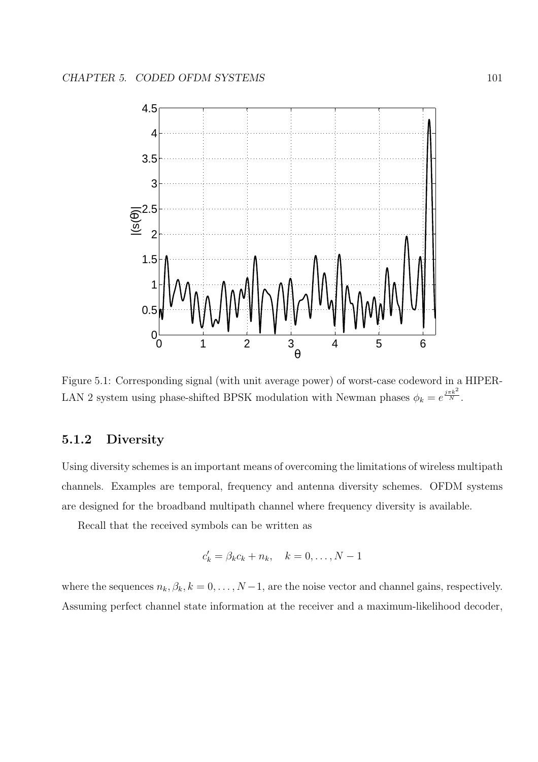

Figure 5.1: Corresponding signal (with unit average power) of worst-case codeword in a HIPER-LAN 2 system using phase-shifted BPSK modulation with Newman phases  $\phi_k = e^{\frac{j\pi k^2}{N}}$ .

# 5.1.2 Diversity

Using diversity schemes is an important means of overcoming the limitations of wireless multipath channels. Examples are temporal, frequency and antenna diversity schemes. OFDM systems are designed for the broadband multipath channel where frequency diversity is available.

Recall that the received symbols can be written as

$$
c'_k = \beta_k c_k + n_k, \quad k = 0, \dots, N-1
$$

where the sequences  $n_k, \beta_k, k = 0, \ldots, N-1$ , are the noise vector and channel gains, respectively. Assuming perfect channel state information at the receiver and a maximum-likelihood decoder,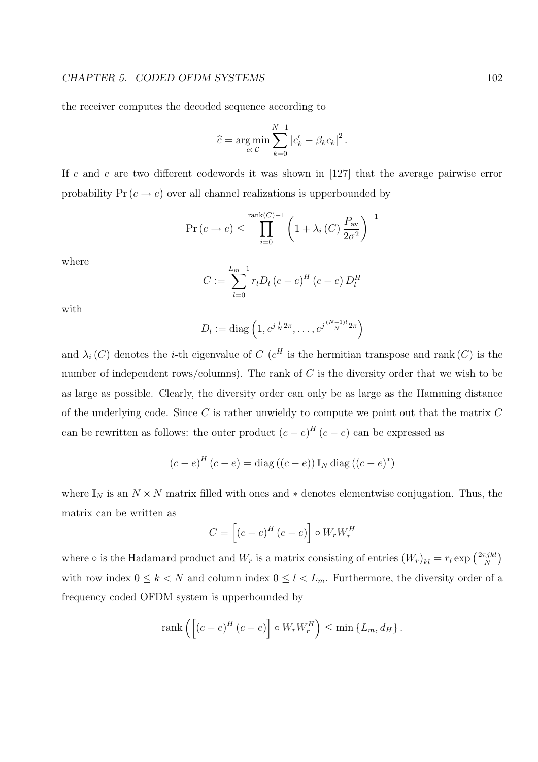the receiver computes the decoded sequence according to

$$
\widehat{c} = \underset{c \in \mathcal{C}}{\arg \min} \sum_{k=0}^{N-1} \left| c'_k - \beta_k c_k \right|^2.
$$

If c and e are two different codewords it was shown in  $[127]$  that the average pairwise error probability  $Pr(c \rightarrow e)$  over all channel realizations is upperbounded by

$$
\Pr(c \to e) \le \prod_{i=0}^{\operatorname{rank}(C)-1} \left(1 + \lambda_i\left(C\right) \frac{P_{\text{av}}}{2\sigma^2}\right)^{-1}
$$

where

$$
C := \sum_{l=0}^{L_m-1} r_l D_l (c-e)^H (c-e) D_l^H
$$

with

$$
D_l := \text{diag}\left(1, e^{j\frac{l}{N}2\pi}, \dots, e^{j\frac{(N-1)l}{N}2\pi}\right)
$$

and  $\lambda_i(C)$  denotes the *i*-th eigenvalue of C ( $c^H$  is the hermitian transpose and rank (C) is the number of independent rows/columns). The rank of C is the diversity order that we wish to be as large as possible. Clearly, the diversity order can only be as large as the Hamming distance of the underlying code. Since  $C$  is rather unwieldy to compute we point out that the matrix  $C$ can be rewritten as follows: the outer product  $(c-e)^{H}(c-e)$  can be expressed as

$$
(c-e)^{H}(c-e) = \text{diag}((c-e)) \mathbb{I}_{N} \text{diag}((c-e)^{*})
$$

where  $\mathbb{I}_N$  is an  $N \times N$  matrix filled with ones and  $*$  denotes elementwise conjugation. Thus, the matrix can be written as

$$
C = \left[ (c - e)^{H} (c - e) \right] \circ W_{r} W_{r}^{H}
$$

where  $\circ$  is the Hadamard product and  $W_r$  is a matrix consisting of entries  $(W_r)_{kl} = r_l \exp\left(\frac{2\pi jkl}{N}\right)$ N ¢ with row index  $0 \leq k < N$  and column index  $0 \leq l < L_m$ . Furthermore, the diversity order of a frequency coded OFDM system is upperbounded by

$$
rank\left(\left[\left(c-e\right)^{H}\left(c-e\right)\right]\circ W_{r}W_{r}^{H}\right)\leq min\left\{ L_{m},d_{H}\right\} .
$$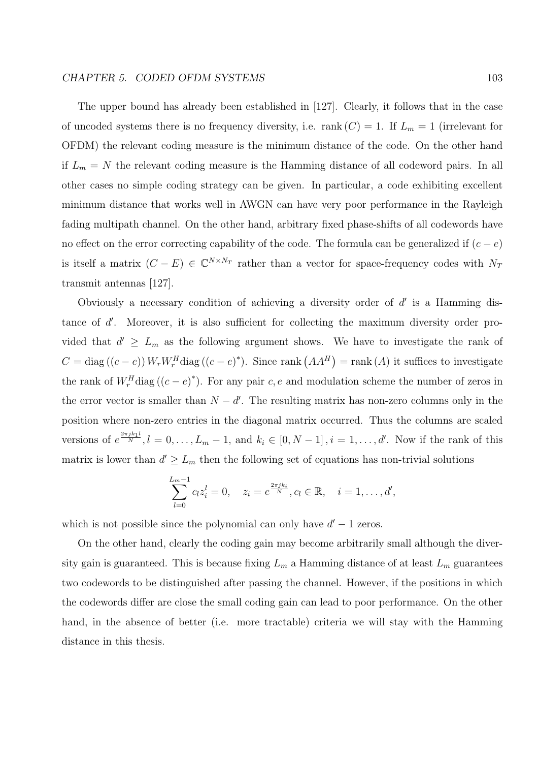The upper bound has already been established in [127]. Clearly, it follows that in the case of uncoded systems there is no frequency diversity, i.e. rank  $(C) = 1$ . If  $L_m = 1$  (irrelevant for OFDM) the relevant coding measure is the minimum distance of the code. On the other hand if  $L_m = N$  the relevant coding measure is the Hamming distance of all codeword pairs. In all other cases no simple coding strategy can be given. In particular, a code exhibiting excellent minimum distance that works well in AWGN can have very poor performance in the Rayleigh fading multipath channel. On the other hand, arbitrary fixed phase-shifts of all codewords have no effect on the error correcting capability of the code. The formula can be generalized if  $(c - e)$ is itself a matrix  $(C - E) \in \mathbb{C}^{N \times N_T}$  rather than a vector for space-frequency codes with  $N_T$ transmit antennas [127].

Obviously a necessary condition of achieving a diversity order of  $d'$  is a Hamming distance of  $d'$ . Moreover, it is also sufficient for collecting the maximum diversity order provided that  $d' \geq L_m$  as the following argument shows. We have to investigate the rank of  $C = \text{diag}((c - e)) W_r W_r^H \text{diag}((c - e)^*)$ . Since rank  $(AA^H)$ ¢  $=$  rank  $(A)$  it suffices to investigate the rank of  $W_r^H$ diag  $((c-e)^*)$ . For any pair c, e and modulation scheme the number of zeros in the error vector is smaller than  $N - d'$ . The resulting matrix has non-zero columns only in the position where non-zero entries in the diagonal matrix occurred. Thus the columns are scaled versions of  $e^{\frac{2\pi jk_1l}{N}}$ ,  $l=0,\ldots,L_m-1$ , and  $k_i\in[0,N-1]$ ,  $i=1,\ldots,d'$ . Now if the rank of this matrix is lower than  $d' \geq L_m$  then the following set of equations has non-trivial solutions

$$
\sum_{l=0}^{L_m-1} c_l z_i^l = 0, \quad z_i = e^{\frac{2\pi j k_i}{N}}, c_l \in \mathbb{R}, \quad i = 1, \dots, d',
$$

which is not possible since the polynomial can only have  $d' - 1$  zeros.

On the other hand, clearly the coding gain may become arbitrarily small although the diversity gain is guaranteed. This is because fixing  $L_m$  a Hamming distance of at least  $L_m$  guarantees two codewords to be distinguished after passing the channel. However, if the positions in which the codewords differ are close the small coding gain can lead to poor performance. On the other hand, in the absence of better (i.e. more tractable) criteria we will stay with the Hamming distance in this thesis.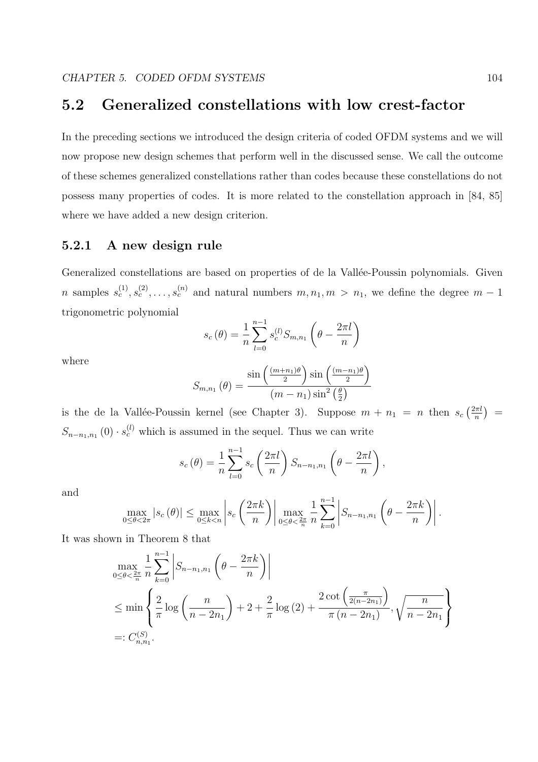# 5.2 Generalized constellations with low crest-factor

In the preceding sections we introduced the design criteria of coded OFDM systems and we will now propose new design schemes that perform well in the discussed sense. We call the outcome of these schemes generalized constellations rather than codes because these constellations do not possess many properties of codes. It is more related to the constellation approach in [84, 85] where we have added a new design criterion.

# 5.2.1 A new design rule

Generalized constellations are based on properties of de la Vallée-Poussin polynomials. Given n samples  $s_c^{(1)}, s_c^{(2)}, \ldots, s_c^{(n)}$  and natural numbers  $m, n_1, m > n_1$ , we define the degree  $m-1$ trigonometric polynomial  $\mathbf{r}$ 

$$
s_c(\theta) = \frac{1}{n} \sum_{l=0}^{n-1} s_c^{(l)} S_{m,n_1} \left( \theta - \frac{2\pi l}{n} \right)
$$

where

$$
S_{m,n_1}(\theta) = \frac{\sin\left(\frac{(m+n_1)\theta}{2}\right)\sin\left(\frac{(m-n_1)\theta}{2}\right)}{(m-n_1)\sin^2\left(\frac{\theta}{2}\right)}
$$

is the de la Vallée-Poussin kernel (see Chapter 3). Suppose  $m + n_1 = n$  then  $s_c$  $\sqrt{2\pi l}$ n ¢ =  $S_{n-n_1,n_1}(0) \cdot s_c^{(l)}$  which is assumed in the sequel. Thus we can write

$$
s_c(\theta) = \frac{1}{n} \sum_{l=0}^{n-1} s_c\left(\frac{2\pi l}{n}\right) S_{n-n_1,n_1}\left(\theta - \frac{2\pi l}{n}\right),
$$

and

$$
\max_{0 \le \theta < 2\pi} |s_c(\theta)| \le \max_{0 \le k < n} \left| s_c\left(\frac{2\pi k}{n}\right) \right| \max_{0 \le \theta < \frac{2\pi}{n}} \frac{1}{n} \sum_{k=0}^{n-1} \left| S_{n-n_1, n_1}\left(\theta - \frac{2\pi k}{n}\right) \right|.
$$

It was shown in Theorem 8 that

$$
\max_{0 \le \theta < \frac{2\pi}{n}} \frac{1}{n} \sum_{k=0}^{n-1} \left| S_{n-n_1,n_1} \left( \theta - \frac{2\pi k}{n} \right) \right|
$$
\n
$$
\le \min \left\{ \frac{2}{\pi} \log \left( \frac{n}{n-2n_1} \right) + 2 + \frac{2}{\pi} \log \left( 2 \right) + \frac{2 \cot \left( \frac{\pi}{2(n-2n_1)} \right)}{\pi \left( n - 2n_1 \right)}, \sqrt{\frac{n}{n-2n_1}} \right\}
$$
\n
$$
=: C_{n,n_1}^{(S)}.
$$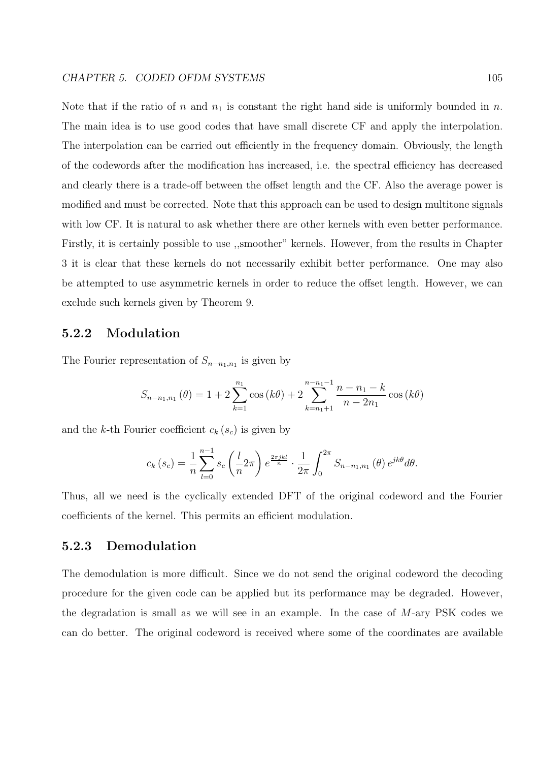Note that if the ratio of n and  $n_1$  is constant the right hand side is uniformly bounded in n. The main idea is to use good codes that have small discrete CF and apply the interpolation. The interpolation can be carried out efficiently in the frequency domain. Obviously, the length of the codewords after the modification has increased, i.e. the spectral efficiency has decreased and clearly there is a trade-off between the offset length and the CF. Also the average power is modified and must be corrected. Note that this approach can be used to design multitone signals with low CF. It is natural to ask whether there are other kernels with even better performance. Firstly, it is certainly possible to use ,,smoother" kernels. However, from the results in Chapter 3 it is clear that these kernels do not necessarily exhibit better performance. One may also be attempted to use asymmetric kernels in order to reduce the offset length. However, we can exclude such kernels given by Theorem 9.

# 5.2.2 Modulation

The Fourier representation of  $S_{n-n_1,n_1}$  is given by

$$
S_{n-n_1,n_1}(\theta) = 1 + 2 \sum_{k=1}^{n_1} \cos(k\theta) + 2 \sum_{k=n_1+1}^{n-n_1-1} \frac{n-n_1-k}{n-2n_1} \cos(k\theta)
$$

and the k-th Fourier coefficient  $c_k$  ( $s_c$ ) is given by

$$
c_k(s_c) = \frac{1}{n} \sum_{l=0}^{n-1} s_c \left(\frac{l}{n} 2\pi\right) e^{\frac{2\pi jkl}{n}} \cdot \frac{1}{2\pi} \int_0^{2\pi} S_{n-n_1,n_1}(\theta) e^{jk\theta} d\theta.
$$

Thus, all we need is the cyclically extended DFT of the original codeword and the Fourier coefficients of the kernel. This permits an efficient modulation.

# 5.2.3 Demodulation

The demodulation is more difficult. Since we do not send the original codeword the decoding procedure for the given code can be applied but its performance may be degraded. However, the degradation is small as we will see in an example. In the case of M-ary PSK codes we can do better. The original codeword is received where some of the coordinates are available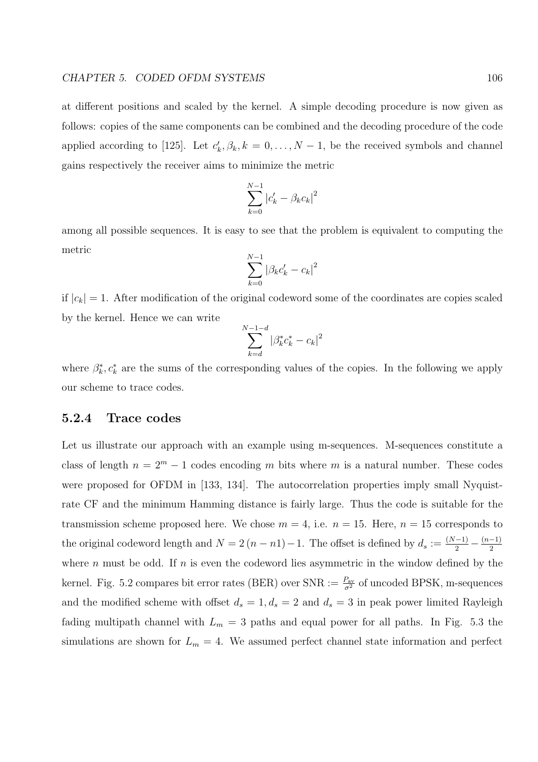at different positions and scaled by the kernel. A simple decoding procedure is now given as follows: copies of the same components can be combined and the decoding procedure of the code applied according to [125]. Let  $c'_k, \beta_k, k = 0, \ldots, N-1$ , be the received symbols and channel gains respectively the receiver aims to minimize the metric

$$
\sum_{k=0}^{N-1} |c'_k - \beta_k c_k|^2
$$

among all possible sequences. It is easy to see that the problem is equivalent to computing the metric

$$
\sum_{k=0}^{N-1} |\beta_k c'_k - c_k|^2
$$

if  $|c_k| = 1$ . After modification of the original codeword some of the coordinates are copies scaled by the kernel. Hence we can write

$$
\sum_{k=d}^{N-1-d} |\beta_k^* c_k^* - c_k|^2
$$

where  $\beta_k^*, c_k^*$  are the sums of the corresponding values of the copies. In the following we apply our scheme to trace codes.

## 5.2.4 Trace codes

Let us illustrate our approach with an example using m-sequences. M-sequences constitute a class of length  $n = 2^m - 1$  codes encoding m bits where m is a natural number. These codes were proposed for OFDM in [133, 134]. The autocorrelation properties imply small Nyquistrate CF and the minimum Hamming distance is fairly large. Thus the code is suitable for the transmission scheme proposed here. We chose  $m = 4$ , i.e.  $n = 15$ . Here,  $n = 15$  corresponds to the original codeword length and  $N = 2(n - n) - 1$ . The offset is defined by  $d_s := \frac{(N-1)}{2} - \frac{(n-1)}{2}$ 2 where n must be odd. If n is even the codeword lies asymmetric in the window defined by the kernel. Fig. 5.2 compares bit error rates (BER) over  $\text{SNR} := \frac{P_{\text{av}}}{\sigma^2}$  of uncoded BPSK, m-sequences and the modified scheme with offset  $d_s = 1, d_s = 2$  and  $d_s = 3$  in peak power limited Rayleigh fading multipath channel with  $L_m = 3$  paths and equal power for all paths. In Fig. 5.3 the simulations are shown for  $L_m = 4$ . We assumed perfect channel state information and perfect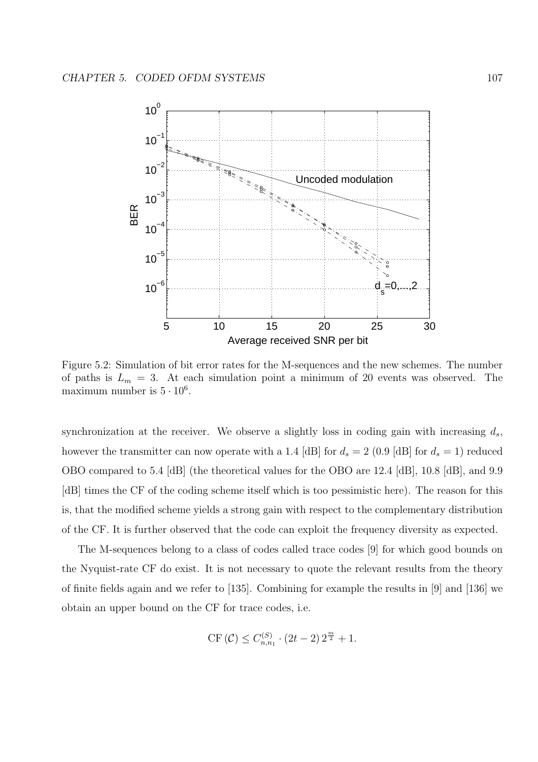

Figure 5.2: Simulation of bit error rates for the M-sequences and the new schemes. The number of paths is  $L_m = 3$ . At each simulation point a minimum of 20 events was observed. The maximum number is  $5 \cdot 10^6$ .

synchronization at the receiver. We observe a slightly loss in coding gain with increasing  $d_s$ , however the transmitter can now operate with a 1.4 [dB] for  $d_s = 2$  (0.9 [dB] for  $d_s = 1$ ) reduced OBO compared to 5.4 [dB] (the theoretical values for the OBO are 12.4 [dB], 10.8 [dB], and 9.9 [dB] times the CF of the coding scheme itself which is too pessimistic here). The reason for this is, that the modified scheme yields a strong gain with respect to the complementary distribution of the CF. It is further observed that the code can exploit the frequency diversity as expected.

The M-sequences belong to a class of codes called trace codes [9] for which good bounds on the Nyquist-rate CF do exist. It is not necessary to quote the relevant results from the theory of finite fields again and we refer to [135]. Combining for example the results in [9] and [136] we obtain an upper bound on the CF for trace codes, i.e.

$$
\text{CF}(\mathcal{C}) \le C_{n,n_1}^{(S)} \cdot (2t-2) 2^{\frac{m}{2}} + 1.
$$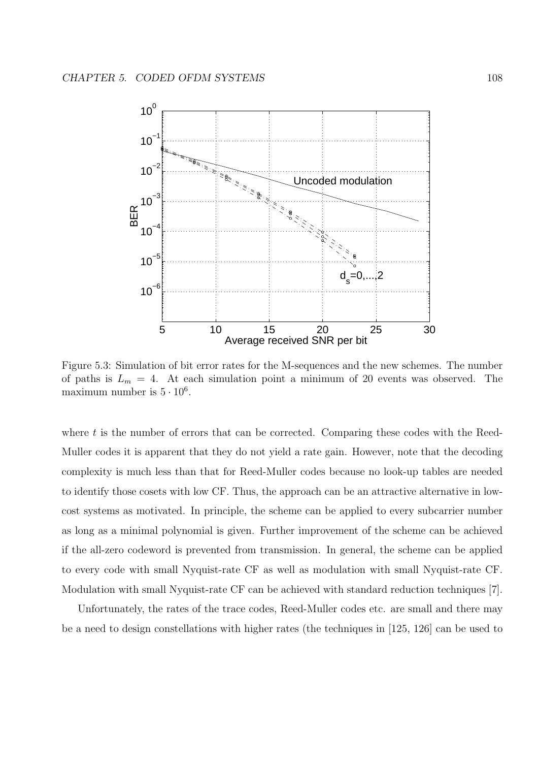

Figure 5.3: Simulation of bit error rates for the M-sequences and the new schemes. The number of paths is  $L_m = 4$ . At each simulation point a minimum of 20 events was observed. The maximum number is  $5 \cdot 10^6$ .

where  $t$  is the number of errors that can be corrected. Comparing these codes with the Reed-Muller codes it is apparent that they do not yield a rate gain. However, note that the decoding complexity is much less than that for Reed-Muller codes because no look-up tables are needed to identify those cosets with low CF. Thus, the approach can be an attractive alternative in lowcost systems as motivated. In principle, the scheme can be applied to every subcarrier number as long as a minimal polynomial is given. Further improvement of the scheme can be achieved if the all-zero codeword is prevented from transmission. In general, the scheme can be applied to every code with small Nyquist-rate CF as well as modulation with small Nyquist-rate CF. Modulation with small Nyquist-rate CF can be achieved with standard reduction techniques [7].

Unfortunately, the rates of the trace codes, Reed-Muller codes etc. are small and there may be a need to design constellations with higher rates (the techniques in [125, 126] can be used to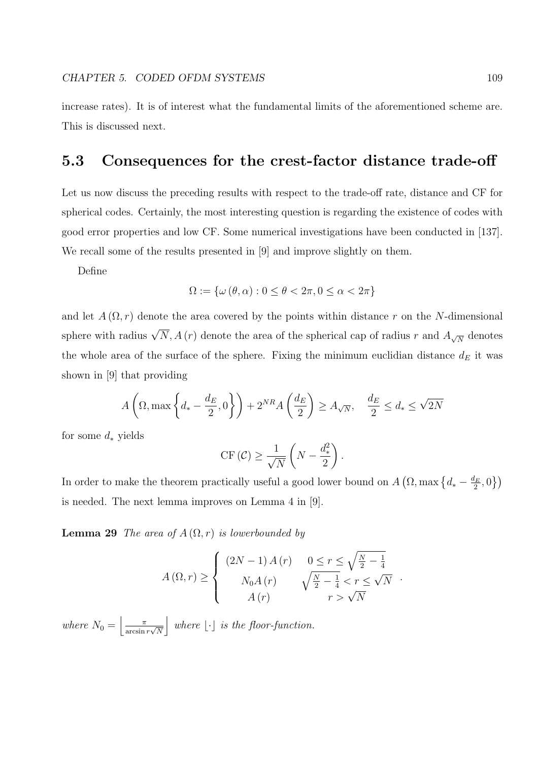increase rates). It is of interest what the fundamental limits of the aforementioned scheme are. This is discussed next.

### 5.3 Consequences for the crest-factor distance trade-off

Let us now discuss the preceding results with respect to the trade-off rate, distance and CF for spherical codes. Certainly, the most interesting question is regarding the existence of codes with good error properties and low CF. Some numerical investigations have been conducted in [137]. We recall some of the results presented in [9] and improve slightly on them.

Define

$$
\Omega := \{ \omega \left( \theta, \alpha \right) : 0 \le \theta < 2\pi, 0 \le \alpha < 2\pi \}
$$

and let  $A(\Omega, r)$  denote the area covered by the points within distance r on the N-dimensional sphere with radius  $\sqrt{N}$ ,  $A(r)$  denote the area of the spherical cap of radius r and  $A_{\sqrt{N}}$  denotes the whole area of the surface of the sphere. Fixing the minimum euclidian distance  $d_E$  it was shown in [9] that providing

$$
A\left(\Omega,\max\left\{d_*-\frac{d_E}{2},0\right\}\right) + 2^{NR}A\left(\frac{d_E}{2}\right) \ge A_{\sqrt{N}}, \quad \frac{d_E}{2} \le d_* \le \sqrt{2N}
$$

for some  $d_*$  yields

$$
\mathrm{CF}(\mathcal{C}) \ge \frac{1}{\sqrt{N}} \left( N - \frac{d_*^2}{2} \right).
$$

In order to make the theorem practically useful a good lower bound on A  $\left(\Omega, \max\left\{d_*-\frac{d_E}{2}\right\}\right)$  $\frac{l_E}{2},0$  $\overline{a}$ is needed. The next lemma improves on Lemma 4 in [9].

**Lemma 29** The area of  $A(\Omega,r)$  is lowerbounded by

$$
A(\Omega, r) \geq \begin{cases} (2N - 1) A(r) & 0 \leq r \leq \sqrt{\frac{N}{2} - \frac{1}{4}} \\ N_0 A(r) & \sqrt{\frac{N}{2} - \frac{1}{4}} < r \leq \sqrt{N} \\ A(r) & r > \sqrt{N} \end{cases}.
$$

where  $N_0 =$  $\frac{1}{\pi}$  $\frac{\pi}{\arcsin r\sqrt{N}}$ k where  $|\cdot|$  is the floor-function.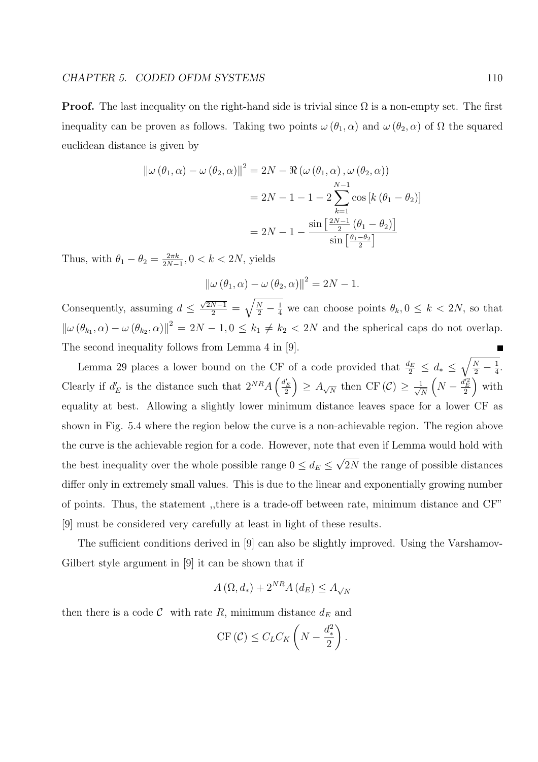#### CHAPTER 5. CODED OFDM SYSTEMS 110

**Proof.** The last inequality on the right-hand side is trivial since  $\Omega$  is a non-empty set. The first inequality can be proven as follows. Taking two points  $\omega(\theta_1, \alpha)$  and  $\omega(\theta_2, \alpha)$  of  $\Omega$  the squared euclidean distance is given by

$$
\|\omega(\theta_1, \alpha) - \omega(\theta_2, \alpha)\|^2 = 2N - \Re(\omega(\theta_1, \alpha), \omega(\theta_2, \alpha))
$$
  

$$
= 2N - 1 - 1 - 2\sum_{k=1}^{N-1} \cos[k(\theta_1 - \theta_2)]
$$
  

$$
= 2N - 1 - \frac{\sin[\frac{2N-1}{2}(\theta_1 - \theta_2)]}{\sin[\frac{\theta_1 - \theta_2}{2}]}
$$

Thus, with  $\theta_1 - \theta_2 = \frac{2\pi k}{2N - 1}$  $\frac{2\pi k}{2N-1}$ , 0 <  $k < 2N$ , yields

$$
\|\omega(\theta_1, \alpha) - \omega(\theta_2, \alpha)\|^2 = 2N - 1.
$$

Consequently, assuming  $d \leq$  $\frac{\sqrt{2N-1}}{2}$  =  $\frac{N}{2} - \frac{1}{4}$  we can choose points  $\theta_k, 0 \leq k < 2N$ , so that  $\|\omega(\theta_{k_1}, \alpha) - \omega(\theta_{k_2}, \alpha)\|^2 = 2N - 1, 0 \le k_1 \ne k_2 < 2N$  and the spherical caps do not overlap. The second inequality follows from Lemma 4 in [9].  $\overline{a}$ 

Lemma 29 places a lower bound on the CF of a code provided that  $\frac{d_E}{2} \leq d_* \leq$  $\frac{N}{2} - \frac{1}{4}$  $\frac{1}{4}$ . Clearly if  $d'_E$  is the distance such that  $2^{NR}A\left(\frac{d'_E}{2}\right) \geq A_{\sqrt{N}}$  then CF(C)  $\geq \frac{1}{\sqrt{N}}$  $\begin{pmatrix} 1 & 0 & 0 & 0 & 0 & 0 \end{pmatrix}$  $\frac{1}{\overline{N}}\left(N-\frac{d'^2_E}{2}\right)$  with equality at best. Allowing a slightly lower minimum distance leaves space for a lower CF as shown in Fig. 5.4 where the region below the curve is a non-achievable region. The region above the curve is the achievable region for a code. However, note that even if Lemma would hold with the best inequality over the whole possible range  $0 \leq d_E \leq$ √ 2N the range of possible distances differ only in extremely small values. This is due to the linear and exponentially growing number of points. Thus, the statement ,,there is a trade-off between rate, minimum distance and CF" [9] must be considered very carefully at least in light of these results.

The sufficient conditions derived in [9] can also be slightly improved. Using the Varshamov-Gilbert style argument in [9] it can be shown that if

$$
A\left(\Omega,d_{*}\right) + 2^{NR} A\left(d_{E}\right) \leq A_{\sqrt{N}}
$$

then there is a code  $\mathcal C$  with rate R, minimum distance  $d_E$  and

CF 
$$
(C) \leq C_L C_K \left( N - \frac{d_*^2}{2} \right)
$$
.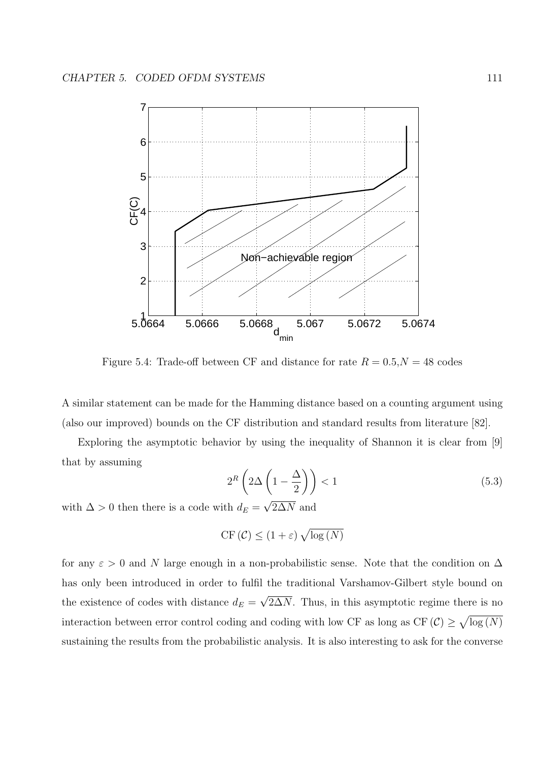

Figure 5.4: Trade-off between CF and distance for rate  $R = 0.5, N = 48$  codes

A similar statement can be made for the Hamming distance based on a counting argument using (also our improved) bounds on the CF distribution and standard results from literature [82].

Exploring the asymptotic behavior by using the inequality of Shannon it is clear from [9] that by assuming  $\overline{a}$  $\sqrt{ }$ 

$$
2^{R}\left(2\Delta\left(1-\frac{\Delta}{2}\right)\right) < 1\tag{5.3}
$$

with  $\Delta > 0$  then there is a code with  $d_E = \sqrt{2\Delta N}$  and

$$
\mathrm{CF}\left(\mathcal{C}\right) \leq \left(1+\varepsilon\right)\sqrt{\log\left(N\right)}
$$

for any  $\varepsilon > 0$  and N large enough in a non-probabilistic sense. Note that the condition on  $\Delta$ has only been introduced in order to fulfil the traditional Varshamov-Gilbert style bound on the existence of codes with distance  $d_E =$ √  $2\Delta N$ . Thus, in this asymptotic regime there is no interaction between error control coding and coding with low CF as long as CF  $(\mathcal{C}) \ge$ p  $log(N)$ sustaining the results from the probabilistic analysis. It is also interesting to ask for the converse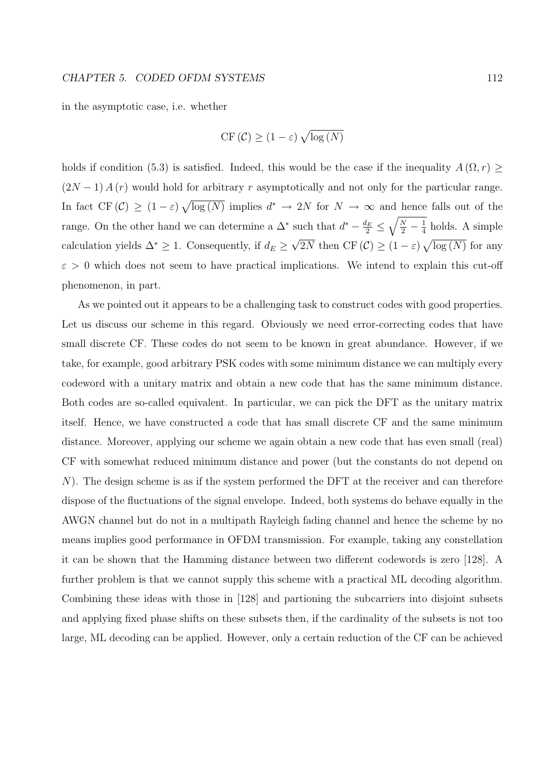#### CHAPTER 5. CODED OFDM SYSTEMS 112

in the asymptotic case, i.e. whether

$$
\mathrm{CF}(\mathcal{C}) \ge (1 - \varepsilon) \sqrt{\log(N)}
$$

holds if condition (5.3) is satisfied. Indeed, this would be the case if the inequality  $A(\Omega, r) \geq$  $(2N-1) A(r)$  would hold for arbitrary r asymptotically and not only for the particular range. In fact  $CF(\mathcal{C}) \geq (1-\varepsilon)$  $\overline{p}$  $\overline{\log(N)}$  implies  $d^* \to 2N$  for  $N \to \infty$  and hence falls out of the range. On the other hand we can determine a  $\Delta^*$  such that  $d^* - \frac{d_E}{2} \leq \sqrt{\frac{N}{2} - \frac{1}{4}}$  $\frac{1}{4}$  holds. A simple calculation yields  $\Delta^* \geq 1$ . Consequently, if  $d_E \geq \sqrt{2N}$  then CF  $(\mathcal{C}) \geq (1 - \varepsilon) \sqrt{\log(N)}$  for any  $\frac{2}{\sqrt{2}}$  +  $\sqrt{2}$  +  $\sqrt{2}$  $\varepsilon > 0$  which does not seem to have practical implications. We intend to explain this cut-off phenomenon, in part.

As we pointed out it appears to be a challenging task to construct codes with good properties. Let us discuss our scheme in this regard. Obviously we need error-correcting codes that have small discrete CF. These codes do not seem to be known in great abundance. However, if we take, for example, good arbitrary PSK codes with some minimum distance we can multiply every codeword with a unitary matrix and obtain a new code that has the same minimum distance. Both codes are so-called equivalent. In particular, we can pick the DFT as the unitary matrix itself. Hence, we have constructed a code that has small discrete CF and the same minimum distance. Moreover, applying our scheme we again obtain a new code that has even small (real) CF with somewhat reduced minimum distance and power (but the constants do not depend on N). The design scheme is as if the system performed the DFT at the receiver and can therefore dispose of the fluctuations of the signal envelope. Indeed, both systems do behave equally in the AWGN channel but do not in a multipath Rayleigh fading channel and hence the scheme by no means implies good performance in OFDM transmission. For example, taking any constellation it can be shown that the Hamming distance between two different codewords is zero [128]. A further problem is that we cannot supply this scheme with a practical ML decoding algorithm. Combining these ideas with those in [128] and partioning the subcarriers into disjoint subsets and applying fixed phase shifts on these subsets then, if the cardinality of the subsets is not too large, ML decoding can be applied. However, only a certain reduction of the CF can be achieved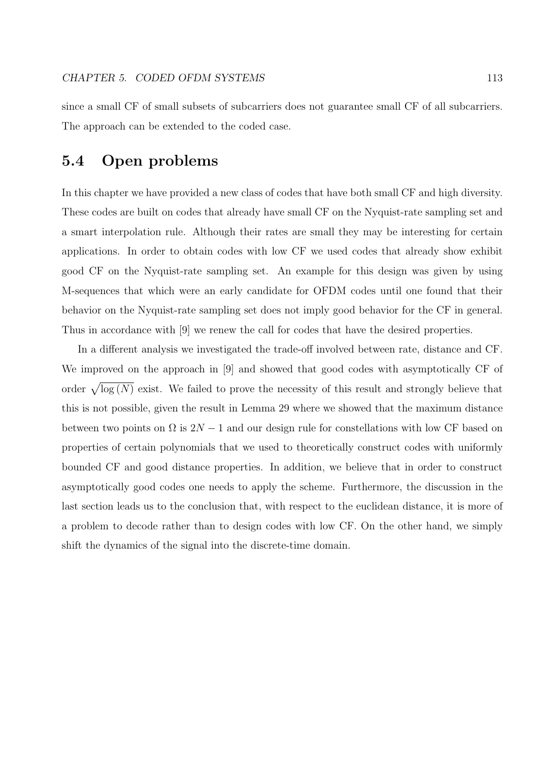since a small CF of small subsets of subcarriers does not guarantee small CF of all subcarriers. The approach can be extended to the coded case.

## 5.4 Open problems

In this chapter we have provided a new class of codes that have both small CF and high diversity. These codes are built on codes that already have small CF on the Nyquist-rate sampling set and a smart interpolation rule. Although their rates are small they may be interesting for certain applications. In order to obtain codes with low CF we used codes that already show exhibit good CF on the Nyquist-rate sampling set. An example for this design was given by using M-sequences that which were an early candidate for OFDM codes until one found that their behavior on the Nyquist-rate sampling set does not imply good behavior for the CF in general. Thus in accordance with [9] we renew the call for codes that have the desired properties.

In a different analysis we investigated the trade-off involved between rate, distance and CF. We improved on the approach in [9] and showed that good codes with asymptotically CF of order  $\sqrt{\log(N)}$  exist. We failed to prove the necessity of this result and strongly believe that this is not possible, given the result in Lemma 29 where we showed that the maximum distance between two points on  $\Omega$  is  $2N-1$  and our design rule for constellations with low CF based on properties of certain polynomials that we used to theoretically construct codes with uniformly bounded CF and good distance properties. In addition, we believe that in order to construct asymptotically good codes one needs to apply the scheme. Furthermore, the discussion in the last section leads us to the conclusion that, with respect to the euclidean distance, it is more of a problem to decode rather than to design codes with low CF. On the other hand, we simply shift the dynamics of the signal into the discrete-time domain.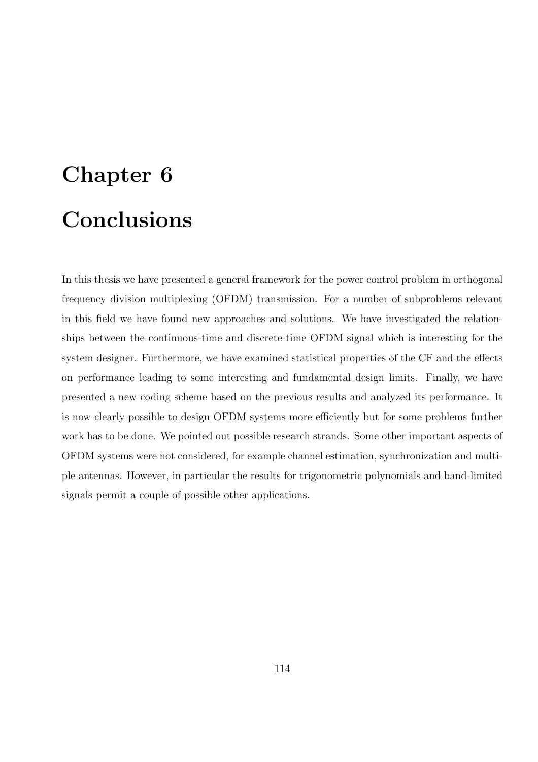# Chapter 6 Conclusions

In this thesis we have presented a general framework for the power control problem in orthogonal frequency division multiplexing (OFDM) transmission. For a number of subproblems relevant in this field we have found new approaches and solutions. We have investigated the relationships between the continuous-time and discrete-time OFDM signal which is interesting for the system designer. Furthermore, we have examined statistical properties of the CF and the effects on performance leading to some interesting and fundamental design limits. Finally, we have presented a new coding scheme based on the previous results and analyzed its performance. It is now clearly possible to design OFDM systems more efficiently but for some problems further work has to be done. We pointed out possible research strands. Some other important aspects of OFDM systems were not considered, for example channel estimation, synchronization and multiple antennas. However, in particular the results for trigonometric polynomials and band-limited signals permit a couple of possible other applications.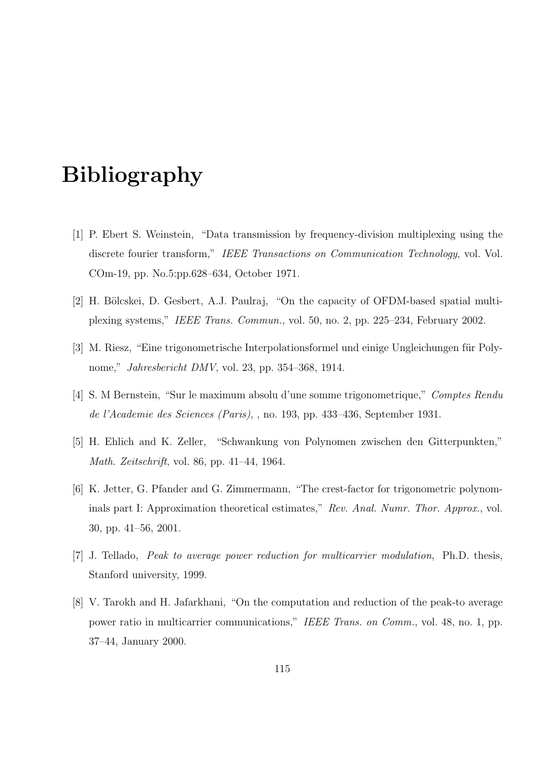# Bibliography

- [1] P. Ebert S. Weinstein, "Data transmission by frequency-division multiplexing using the discrete fourier transform," IEEE Transactions on Communication Technology, vol. Vol. COm-19, pp. No.5:pp.628–634, October 1971.
- [2] H. Bölcskei, D. Gesbert, A.J. Paulraj, "On the capacity of OFDM-based spatial multiplexing systems," IEEE Trans. Commun., vol. 50, no. 2, pp. 225–234, February 2002.
- [3] M. Riesz, "Eine trigonometrische Interpolationsformel und einige Ungleichungen für Polynome," Jahresbericht DMV, vol. 23, pp. 354–368, 1914.
- [4] S. M Bernstein, "Sur le maximum absolu d'une somme trigonometrique," Comptes Rendu de l'Academie des Sciences (Paris), , no. 193, pp. 433–436, September 1931.
- [5] H. Ehlich and K. Zeller, "Schwankung von Polynomen zwischen den Gitterpunkten," Math. Zeitschrift, vol. 86, pp. 41–44, 1964.
- [6] K. Jetter, G. Pfander and G. Zimmermann, "The crest-factor for trigonometric polynominals part I: Approximation theoretical estimates," Rev. Anal. Numr. Thor. Approx., vol. 30, pp. 41–56, 2001.
- [7] J. Tellado, Peak to average power reduction for multicarrier modulation, Ph.D. thesis, Stanford university, 1999.
- [8] V. Tarokh and H. Jafarkhani, "On the computation and reduction of the peak-to average power ratio in multicarrier communications," IEEE Trans. on Comm., vol. 48, no. 1, pp. 37–44, January 2000.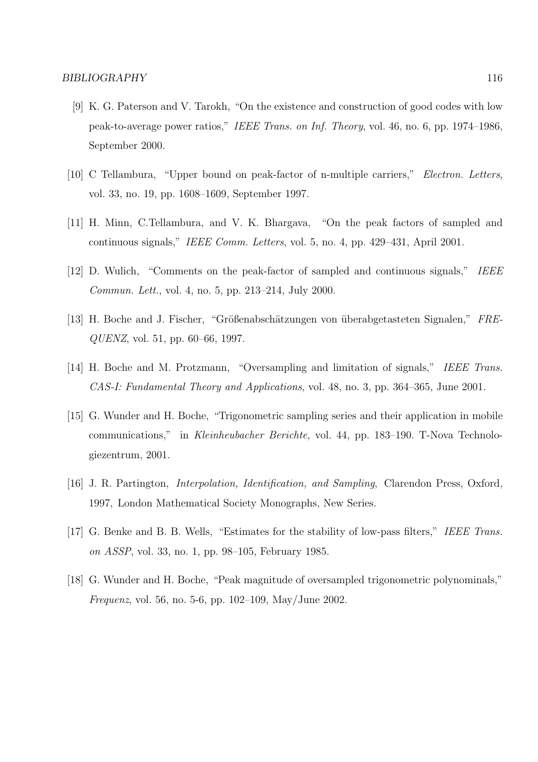- [9] K. G. Paterson and V. Tarokh, "On the existence and construction of good codes with low peak-to-average power ratios," IEEE Trans. on Inf. Theory, vol. 46, no. 6, pp. 1974–1986, September 2000.
- [10] C Tellambura, "Upper bound on peak-factor of n-multiple carriers," Electron. Letters, vol. 33, no. 19, pp. 1608–1609, September 1997.
- [11] H. Minn, C.Tellambura, and V. K. Bhargava, "On the peak factors of sampled and continuous signals," IEEE Comm. Letters, vol. 5, no. 4, pp. 429–431, April 2001.
- [12] D. Wulich, "Comments on the peak-factor of sampled and continuous signals," IEEE Commun. Lett., vol. 4, no. 5, pp. 213–214, July 2000.
- [13] H. Boche and J. Fischer, "Größenabschätzungen von überabgetasteten Signalen," FRE-QUENZ, vol. 51, pp. 60–66, 1997.
- [14] H. Boche and M. Protzmann, "Oversampling and limitation of signals," IEEE Trans. CAS-I: Fundamental Theory and Applications, vol. 48, no. 3, pp. 364–365, June 2001.
- [15] G. Wunder and H. Boche, "Trigonometric sampling series and their application in mobile communications," in Kleinheubacher Berichte, vol. 44, pp. 183–190. T-Nova Technologiezentrum, 2001.
- [16] J. R. Partington, Interpolation, Identification, and Sampling, Clarendon Press, Oxford, 1997, London Mathematical Society Monographs, New Series.
- [17] G. Benke and B. B. Wells, "Estimates for the stability of low-pass filters," IEEE Trans. on ASSP, vol. 33, no. 1, pp. 98–105, February 1985.
- [18] G. Wunder and H. Boche, "Peak magnitude of oversampled trigonometric polynominals," Frequenz, vol. 56, no. 5-6, pp. 102–109, May/June 2002.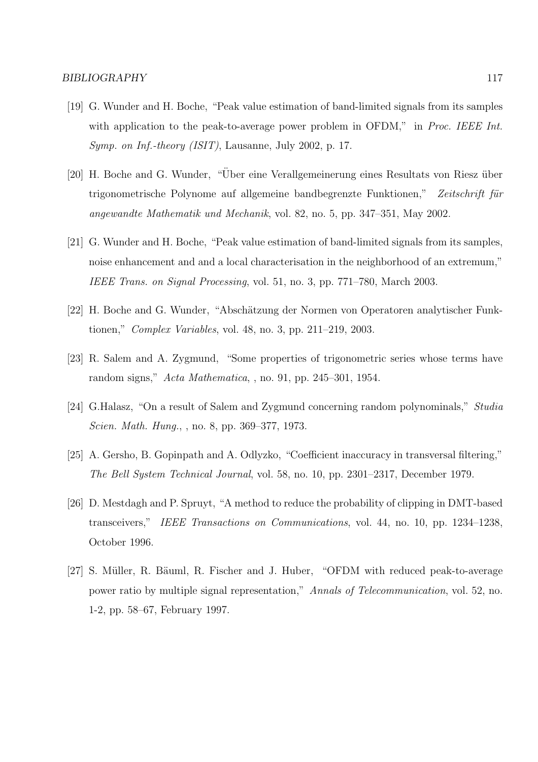- [19] G. Wunder and H. Boche, "Peak value estimation of band-limited signals from its samples with application to the peak-to-average power problem in OFDM," in Proc. IEEE Int. Symp. on Inf.-theory (ISIT), Lausanne, July 2002, p. 17.
- [20] H. Boche and G. Wunder, "Über eine Verallgemeinerung eines Resultats von Riesz über trigonometrische Polynome auf allgemeine bandbegrenzte Funktionen," Zeitschrift für angewandte Mathematik und Mechanik, vol. 82, no. 5, pp. 347–351, May 2002.
- [21] G. Wunder and H. Boche, "Peak value estimation of band-limited signals from its samples, noise enhancement and and a local characterisation in the neighborhood of an extremum," IEEE Trans. on Signal Processing, vol. 51, no. 3, pp. 771–780, March 2003.
- [22] H. Boche and G. Wunder, "Absch¨atzung der Normen von Operatoren analytischer Funktionen," Complex Variables, vol. 48, no. 3, pp. 211–219, 2003.
- [23] R. Salem and A. Zygmund, "Some properties of trigonometric series whose terms have random signs," Acta Mathematica, , no. 91, pp. 245–301, 1954.
- [24] G.Halasz, "On a result of Salem and Zygmund concerning random polynominals," Studia Scien. Math. Hung., , no. 8, pp. 369–377, 1973.
- [25] A. Gersho, B. Gopinpath and A. Odlyzko, "Coefficient inaccuracy in transversal filtering," The Bell System Technical Journal, vol. 58, no. 10, pp. 2301–2317, December 1979.
- [26] D. Mestdagh and P. Spruyt, "A method to reduce the probability of clipping in DMT-based transceivers," IEEE Transactions on Communications, vol. 44, no. 10, pp. 1234–1238, October 1996.
- [27] S. Müller, R. Bäuml, R. Fischer and J. Huber, "OFDM with reduced peak-to-average power ratio by multiple signal representation," Annals of Telecommunication, vol. 52, no. 1-2, pp. 58–67, February 1997.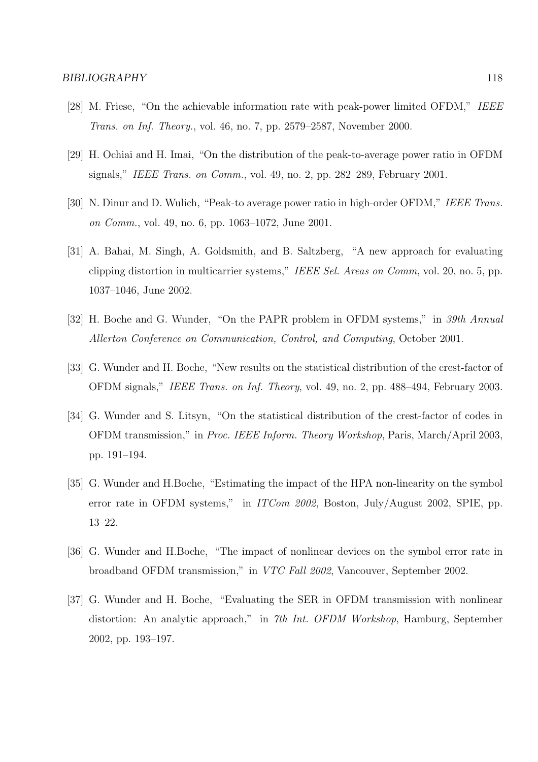- [28] M. Friese, "On the achievable information rate with peak-power limited OFDM," IEEE Trans. on Inf. Theory., vol. 46, no. 7, pp. 2579–2587, November 2000.
- [29] H. Ochiai and H. Imai, "On the distribution of the peak-to-average power ratio in OFDM signals," IEEE Trans. on Comm., vol. 49, no. 2, pp. 282–289, February 2001.
- [30] N. Dinur and D. Wulich, "Peak-to average power ratio in high-order OFDM," IEEE Trans. on Comm., vol. 49, no. 6, pp. 1063–1072, June 2001.
- [31] A. Bahai, M. Singh, A. Goldsmith, and B. Saltzberg, "A new approach for evaluating clipping distortion in multicarrier systems," IEEE Sel. Areas on Comm, vol. 20, no. 5, pp. 1037–1046, June 2002.
- [32] H. Boche and G. Wunder, "On the PAPR problem in OFDM systems," in 39th Annual Allerton Conference on Communication, Control, and Computing, October 2001.
- [33] G. Wunder and H. Boche, "New results on the statistical distribution of the crest-factor of OFDM signals," IEEE Trans. on Inf. Theory, vol. 49, no. 2, pp. 488–494, February 2003.
- [34] G. Wunder and S. Litsyn, "On the statistical distribution of the crest-factor of codes in OFDM transmission," in Proc. IEEE Inform. Theory Workshop, Paris, March/April 2003, pp. 191–194.
- [35] G. Wunder and H.Boche, "Estimating the impact of the HPA non-linearity on the symbol error rate in OFDM systems," in *ITCom 2002*, Boston, July/August 2002, SPIE, pp. 13–22.
- [36] G. Wunder and H.Boche, "The impact of nonlinear devices on the symbol error rate in broadband OFDM transmission," in VTC Fall 2002, Vancouver, September 2002.
- [37] G. Wunder and H. Boche, "Evaluating the SER in OFDM transmission with nonlinear distortion: An analytic approach," in 7th Int. OFDM Workshop, Hamburg, September 2002, pp. 193–197.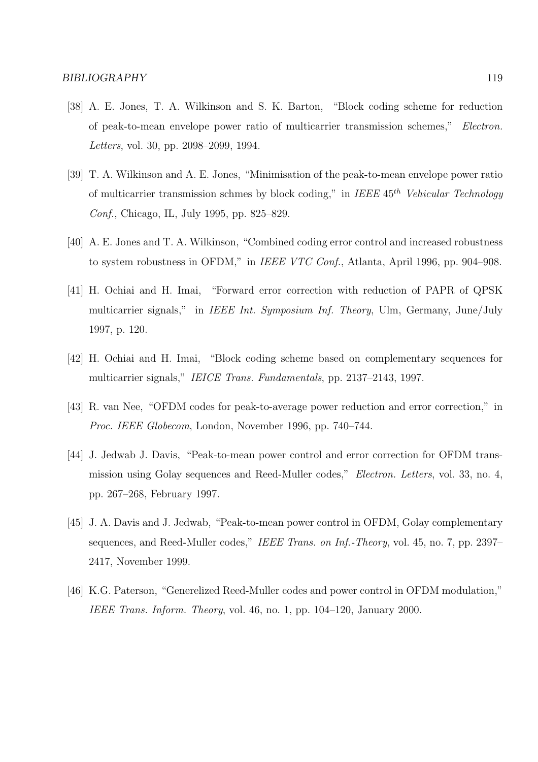- [38] A. E. Jones, T. A. Wilkinson and S. K. Barton, "Block coding scheme for reduction of peak-to-mean envelope power ratio of multicarrier transmission schemes," Electron. Letters, vol. 30, pp. 2098–2099, 1994.
- [39] T. A. Wilkinson and A. E. Jones, "Minimisation of the peak-to-mean envelope power ratio of multicarrier transmission schmes by block coding," in IEEE  $45^{th}$  Vehicular Technology Conf., Chicago, IL, July 1995, pp. 825–829.
- [40] A. E. Jones and T. A. Wilkinson, "Combined coding error control and increased robustness to system robustness in OFDM," in IEEE VTC Conf., Atlanta, April 1996, pp. 904–908.
- [41] H. Ochiai and H. Imai, "Forward error correction with reduction of PAPR of QPSK multicarrier signals," in IEEE Int. Symposium Inf. Theory, Ulm, Germany, June/July 1997, p. 120.
- [42] H. Ochiai and H. Imai, "Block coding scheme based on complementary sequences for multicarrier signals," IEICE Trans. Fundamentals, pp. 2137–2143, 1997.
- [43] R. van Nee, "OFDM codes for peak-to-average power reduction and error correction," in Proc. IEEE Globecom, London, November 1996, pp. 740–744.
- [44] J. Jedwab J. Davis, "Peak-to-mean power control and error correction for OFDM transmission using Golay sequences and Reed-Muller codes," Electron. Letters, vol. 33, no. 4, pp. 267–268, February 1997.
- [45] J. A. Davis and J. Jedwab, "Peak-to-mean power control in OFDM, Golay complementary sequences, and Reed-Muller codes," IEEE Trans. on Inf.-Theory, vol. 45, no. 7, pp. 2397– 2417, November 1999.
- [46] K.G. Paterson, "Generelized Reed-Muller codes and power control in OFDM modulation," IEEE Trans. Inform. Theory, vol. 46, no. 1, pp. 104–120, January 2000.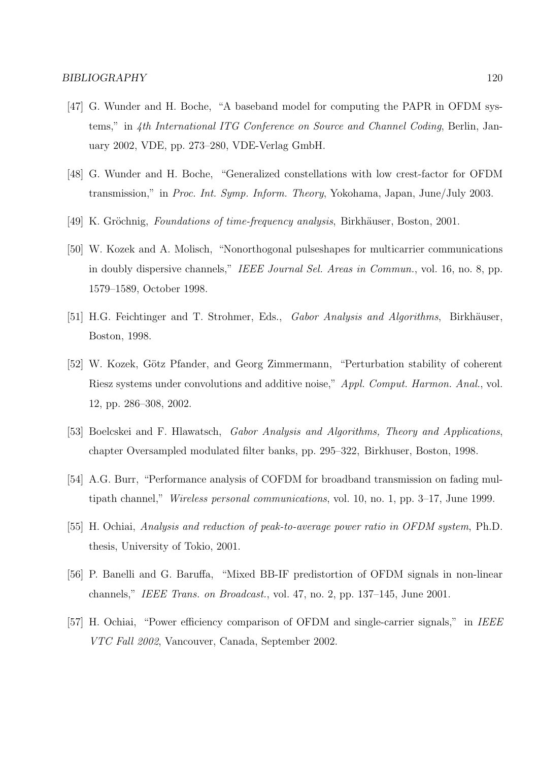- [47] G. Wunder and H. Boche, "A baseband model for computing the PAPR in OFDM systems," in 4th International ITG Conference on Source and Channel Coding, Berlin, January 2002, VDE, pp. 273–280, VDE-Verlag GmbH.
- [48] G. Wunder and H. Boche, "Generalized constellations with low crest-factor for OFDM transmission," in Proc. Int. Symp. Inform. Theory, Yokohama, Japan, June/July 2003.
- [49] K. Gröchnig, Foundations of time-frequency analysis, Birkhäuser, Boston, 2001.
- [50] W. Kozek and A. Molisch, "Nonorthogonal pulseshapes for multicarrier communications in doubly dispersive channels," IEEE Journal Sel. Areas in Commun., vol. 16, no. 8, pp. 1579–1589, October 1998.
- [51] H.G. Feichtinger and T. Strohmer, Eds., Gabor Analysis and Algorithms, Birkhäuser, Boston, 1998.
- [52] W. Kozek, Götz Pfander, and Georg Zimmermann, "Perturbation stability of coherent Riesz systems under convolutions and additive noise," Appl. Comput. Harmon. Anal., vol. 12, pp. 286–308, 2002.
- [53] Boelcskei and F. Hlawatsch, Gabor Analysis and Algorithms, Theory and Applications, chapter Oversampled modulated filter banks, pp. 295–322, Birkhuser, Boston, 1998.
- [54] A.G. Burr, "Performance analysis of COFDM for broadband transmission on fading multipath channel," Wireless personal communications, vol. 10, no. 1, pp. 3–17, June 1999.
- [55] H. Ochiai, Analysis and reduction of peak-to-average power ratio in OFDM system, Ph.D. thesis, University of Tokio, 2001.
- [56] P. Banelli and G. Baruffa, "Mixed BB-IF predistortion of OFDM signals in non-linear channels," IEEE Trans. on Broadcast., vol. 47, no. 2, pp. 137–145, June 2001.
- [57] H. Ochiai, "Power efficiency comparison of OFDM and single-carrier signals," in IEEE VTC Fall 2002, Vancouver, Canada, September 2002.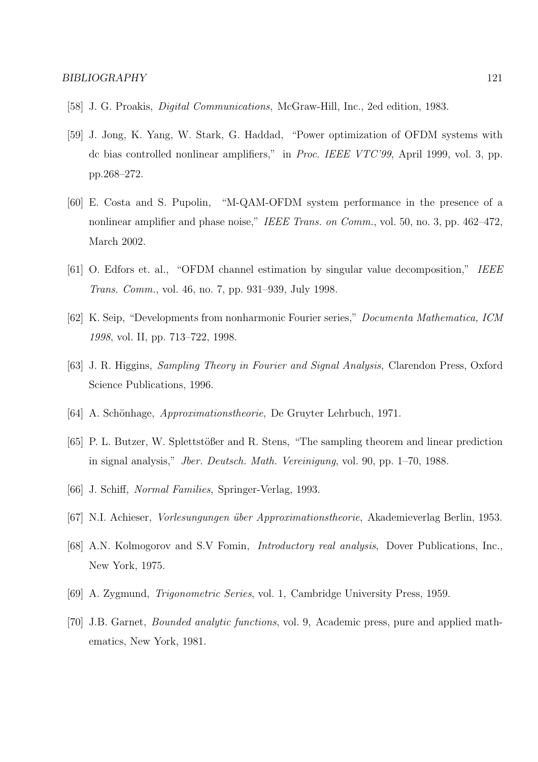- [58] J. G. Proakis, Digital Communications, McGraw-Hill, Inc., 2ed edition, 1983.
- [59] J. Jong, K. Yang, W. Stark, G. Haddad, "Power optimization of OFDM systems with dc bias controlled nonlinear amplifiers," in Proc. IEEE VTC'99, April 1999, vol. 3, pp. pp.268–272.
- [60] E. Costa and S. Pupolin, "M-QAM-OFDM system performance in the presence of a nonlinear amplifier and phase noise," IEEE Trans. on Comm., vol. 50, no. 3, pp. 462-472, March 2002.
- [61] O. Edfors et. al., "OFDM channel estimation by singular value decomposition," IEEE Trans. Comm., vol. 46, no. 7, pp. 931–939, July 1998.
- [62] K. Seip, "Developments from nonharmonic Fourier series," Documenta Mathematica, ICM 1998, vol. II, pp. 713–722, 1998.
- [63] J. R. Higgins, Sampling Theory in Fourier and Signal Analysis, Clarendon Press, Oxford Science Publications, 1996.
- [64] A. Schönhage, *Approximationstheorie*, De Gruyter Lehrbuch, 1971.
- [65] P. L. Butzer, W. Splettstößer and R. Stens, "The sampling theorem and linear prediction in signal analysis," Jber. Deutsch. Math. Vereinigung, vol. 90, pp. 1–70, 1988.
- [66] J. Schiff, Normal Families, Springer-Verlag, 1993.
- [67] N.I. Achieser, Vorlesungungen ¨uber Approximationstheorie, Akademieverlag Berlin, 1953.
- [68] A.N. Kolmogorov and S.V Fomin, Introductory real analysis, Dover Publications, Inc., New York, 1975.
- [69] A. Zygmund, Trigonometric Series, vol. 1, Cambridge University Press, 1959.
- [70] J.B. Garnet, Bounded analytic functions, vol. 9, Academic press, pure and applied mathematics, New York, 1981.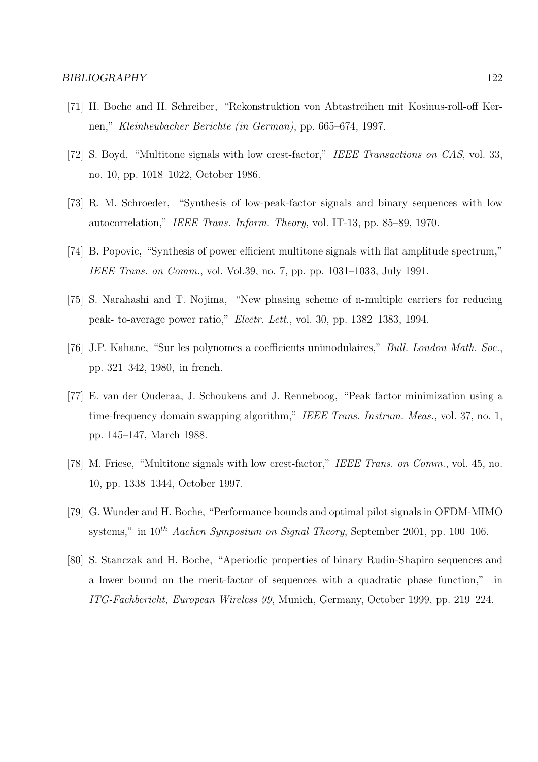- [71] H. Boche and H. Schreiber, "Rekonstruktion von Abtastreihen mit Kosinus-roll-off Kernen," Kleinheubacher Berichte (in German), pp. 665–674, 1997.
- [72] S. Boyd, "Multitone signals with low crest-factor," IEEE Transactions on CAS, vol. 33, no. 10, pp. 1018–1022, October 1986.
- [73] R. M. Schroeder, "Synthesis of low-peak-factor signals and binary sequences with low autocorrelation," IEEE Trans. Inform. Theory, vol. IT-13, pp. 85–89, 1970.
- [74] B. Popovic, "Synthesis of power efficient multitone signals with flat amplitude spectrum," IEEE Trans. on Comm., vol. Vol.39, no. 7, pp. pp. 1031–1033, July 1991.
- [75] S. Narahashi and T. Nojima, "New phasing scheme of n-multiple carriers for reducing peak- to-average power ratio," Electr. Lett., vol. 30, pp. 1382–1383, 1994.
- [76] J.P. Kahane, "Sur les polynomes a coefficients unimodulaires," Bull. London Math. Soc., pp. 321–342, 1980, in french.
- [77] E. van der Ouderaa, J. Schoukens and J. Renneboog, "Peak factor minimization using a time-frequency domain swapping algorithm," IEEE Trans. Instrum. Meas., vol. 37, no. 1, pp. 145–147, March 1988.
- [78] M. Friese, "Multitone signals with low crest-factor," IEEE Trans. on Comm., vol. 45, no. 10, pp. 1338–1344, October 1997.
- [79] G. Wunder and H. Boche, "Performance bounds and optimal pilot signals in OFDM-MIMO systems," in  $10^{th}$  Aachen Symposium on Signal Theory, September 2001, pp. 100–106.
- [80] S. Stanczak and H. Boche, "Aperiodic properties of binary Rudin-Shapiro sequences and a lower bound on the merit-factor of sequences with a quadratic phase function," in ITG-Fachbericht, European Wireless 99, Munich, Germany, October 1999, pp. 219–224.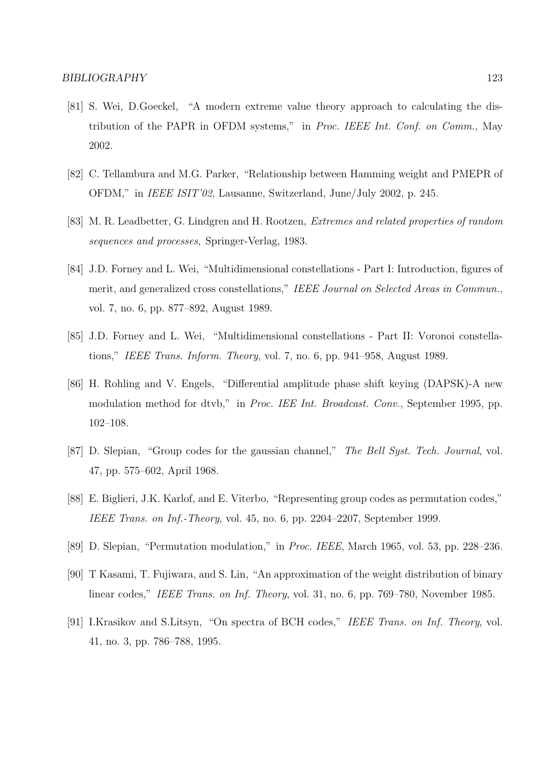- [81] S. Wei, D.Goeckel, "A modern extreme value theory approach to calculating the distribution of the PAPR in OFDM systems," in Proc. IEEE Int. Conf. on Comm., May 2002.
- [82] C. Tellambura and M.G. Parker, "Relationship between Hamming weight and PMEPR of OFDM," in IEEE ISIT'02, Lausanne, Switzerland, June/July 2002, p. 245.
- [83] M. R. Leadbetter, G. Lindgren and H. Rootzen, Extremes and related properties of random sequences and processes, Springer-Verlag, 1983.
- [84] J.D. Forney and L. Wei, "Multidimensional constellations Part I: Introduction, figures of merit, and generalized cross constellations," IEEE Journal on Selected Areas in Commun., vol. 7, no. 6, pp. 877–892, August 1989.
- [85] J.D. Forney and L. Wei, "Multidimensional constellations Part II: Voronoi constellations," IEEE Trans. Inform. Theory, vol. 7, no. 6, pp. 941–958, August 1989.
- [86] H. Rohling and V. Engels, "Differential amplitude phase shift keying (DAPSK)-A new modulation method for dtvb," in Proc. IEE Int. Broadcast. Conv., September 1995, pp. 102–108.
- [87] D. Slepian, "Group codes for the gaussian channel," The Bell Syst. Tech. Journal, vol. 47, pp. 575–602, April 1968.
- [88] E. Biglieri, J.K. Karlof, and E. Viterbo, "Representing group codes as permutation codes," IEEE Trans. on Inf.-Theory, vol. 45, no. 6, pp. 2204–2207, September 1999.
- [89] D. Slepian, "Permutation modulation," in Proc. IEEE, March 1965, vol. 53, pp. 228–236.
- [90] T Kasami, T. Fujiwara, and S. Lin, "An approximation of the weight distribution of binary linear codes," IEEE Trans. on Inf. Theory, vol. 31, no. 6, pp. 769–780, November 1985.
- [91] I.Krasikov and S.Litsyn, "On spectra of BCH codes," IEEE Trans. on Inf. Theory, vol. 41, no. 3, pp. 786–788, 1995.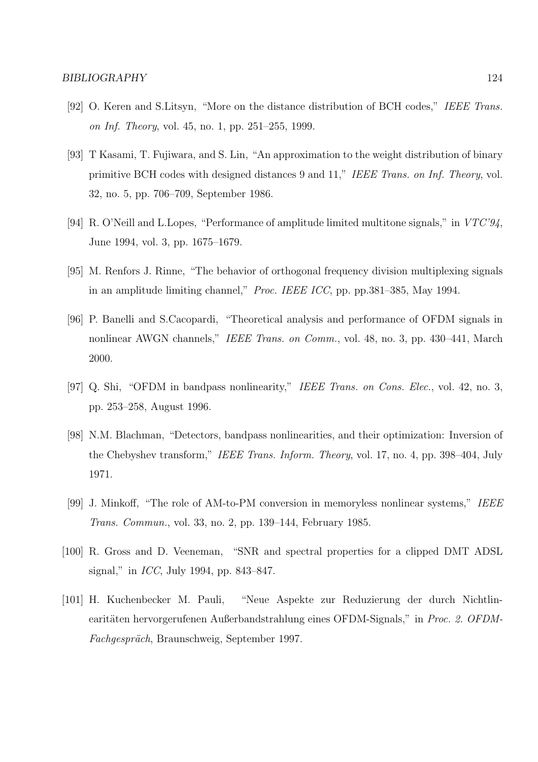- [92] O. Keren and S.Litsyn, "More on the distance distribution of BCH codes," IEEE Trans. on Inf. Theory, vol. 45, no. 1, pp. 251–255, 1999.
- [93] T Kasami, T. Fujiwara, and S. Lin, "An approximation to the weight distribution of binary primitive BCH codes with designed distances 9 and 11," IEEE Trans. on Inf. Theory, vol. 32, no. 5, pp. 706–709, September 1986.
- [94] R. O'Neill and L.Lopes, "Performance of amplitude limited multitone signals," in VTC'94, June 1994, vol. 3, pp. 1675–1679.
- [95] M. Renfors J. Rinne, "The behavior of orthogonal frequency division multiplexing signals in an amplitude limiting channel," Proc. IEEE ICC, pp. pp.381–385, May 1994.
- [96] P. Banelli and S.Cacopardi, "Theoretical analysis and performance of OFDM signals in nonlinear AWGN channels," IEEE Trans. on Comm., vol. 48, no. 3, pp. 430–441, March 2000.
- [97] Q. Shi, "OFDM in bandpass nonlinearity," IEEE Trans. on Cons. Elec., vol. 42, no. 3, pp. 253–258, August 1996.
- [98] N.M. Blachman, "Detectors, bandpass nonlinearities, and their optimization: Inversion of the Chebyshev transform," IEEE Trans. Inform. Theory, vol. 17, no. 4, pp. 398–404, July 1971.
- [99] J. Minkoff, "The role of AM-to-PM conversion in memoryless nonlinear systems," IEEE Trans. Commun., vol. 33, no. 2, pp. 139–144, February 1985.
- [100] R. Gross and D. Veeneman, "SNR and spectral properties for a clipped DMT ADSL signal," in ICC, July 1994, pp. 843–847.
- [101] H. Kuchenbecker M. Pauli, "Neue Aspekte zur Reduzierung der durch Nichtlinearitäten hervorgerufenen Außerbandstrahlung eines OFDM-Signals," in Proc. 2. OFDM-Fachgespräch, Braunschweig, September 1997.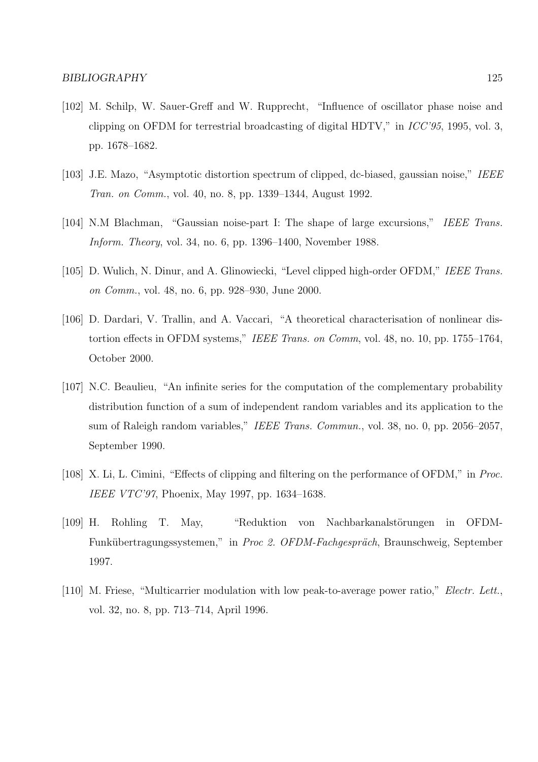- [102] M. Schilp, W. Sauer-Greff and W. Rupprecht, "Influence of oscillator phase noise and clipping on OFDM for terrestrial broadcasting of digital HDTV," in ICC'95, 1995, vol. 3, pp. 1678–1682.
- [103] J.E. Mazo, "Asymptotic distortion spectrum of clipped, dc-biased, gaussian noise," IEEE Tran. on Comm., vol. 40, no. 8, pp. 1339–1344, August 1992.
- [104] N.M Blachman, "Gaussian noise-part I: The shape of large excursions," IEEE Trans. Inform. Theory, vol. 34, no. 6, pp. 1396–1400, November 1988.
- [105] D. Wulich, N. Dinur, and A. Glinowiecki, "Level clipped high-order OFDM," IEEE Trans. on Comm., vol. 48, no. 6, pp. 928–930, June 2000.
- [106] D. Dardari, V. Trallin, and A. Vaccari, "A theoretical characterisation of nonlinear distortion effects in OFDM systems," IEEE Trans. on Comm, vol. 48, no. 10, pp. 1755–1764, October 2000.
- [107] N.C. Beaulieu, "An infinite series for the computation of the complementary probability distribution function of a sum of independent random variables and its application to the sum of Raleigh random variables," IEEE Trans. Commun., vol. 38, no. 0, pp. 2056–2057, September 1990.
- [108] X. Li, L. Cimini, "Effects of clipping and filtering on the performance of OFDM," in Proc. IEEE VTC'97, Phoenix, May 1997, pp. 1634–1638.
- [109] H. Rohling T. May, "Reduktion von Nachbarkanalstörungen in OFDM-Funkübertragungssystemen," in Proc 2. OFDM-Fachgespräch, Braunschweig, September 1997.
- [110] M. Friese, "Multicarrier modulation with low peak-to-average power ratio," Electr. Lett., vol. 32, no. 8, pp. 713–714, April 1996.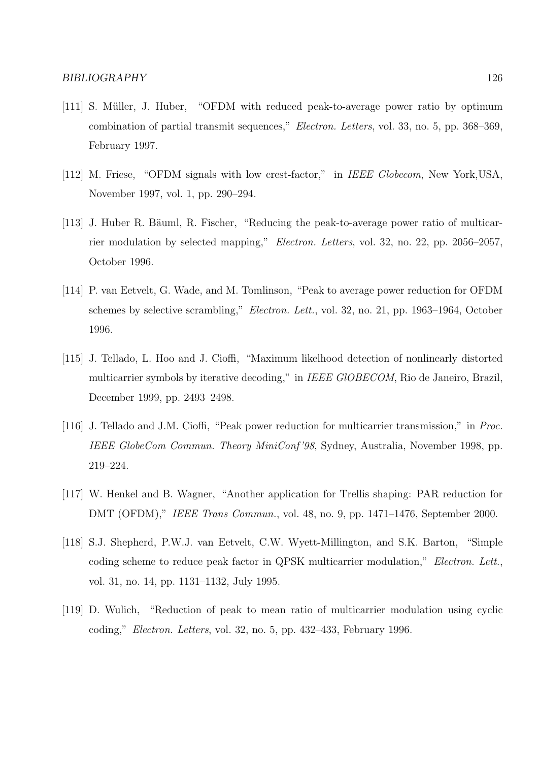- [111] S. Müller, J. Huber, "OFDM with reduced peak-to-average power ratio by optimum combination of partial transmit sequences," Electron. Letters, vol. 33, no. 5, pp. 368–369, February 1997.
- [112] M. Friese, "OFDM signals with low crest-factor," in IEEE Globecom, New York, USA, November 1997, vol. 1, pp. 290–294.
- [113] J. Huber R. Bäuml, R. Fischer, "Reducing the peak-to-average power ratio of multicarrier modulation by selected mapping," Electron. Letters, vol. 32, no. 22, pp. 2056–2057, October 1996.
- [114] P. van Eetvelt, G. Wade, and M. Tomlinson, "Peak to average power reduction for OFDM schemes by selective scrambling," Electron. Lett., vol. 32, no. 21, pp. 1963–1964, October 1996.
- [115] J. Tellado, L. Hoo and J. Cioffi, "Maximum likelhood detection of nonlinearly distorted multicarrier symbols by iterative decoding," in IEEE GlOBECOM, Rio de Janeiro, Brazil, December 1999, pp. 2493–2498.
- [116] J. Tellado and J.M. Cioffi, "Peak power reduction for multicarrier transmission," in Proc. IEEE GlobeCom Commun. Theory MiniConf '98, Sydney, Australia, November 1998, pp. 219–224.
- [117] W. Henkel and B. Wagner, "Another application for Trellis shaping: PAR reduction for DMT (OFDM)," IEEE Trans Commun., vol. 48, no. 9, pp. 1471–1476, September 2000.
- [118] S.J. Shepherd, P.W.J. van Eetvelt, C.W. Wyett-Millington, and S.K. Barton, "Simple coding scheme to reduce peak factor in QPSK multicarrier modulation," Electron. Lett., vol. 31, no. 14, pp. 1131–1132, July 1995.
- [119] D. Wulich, "Reduction of peak to mean ratio of multicarrier modulation using cyclic coding," Electron. Letters, vol. 32, no. 5, pp. 432–433, February 1996.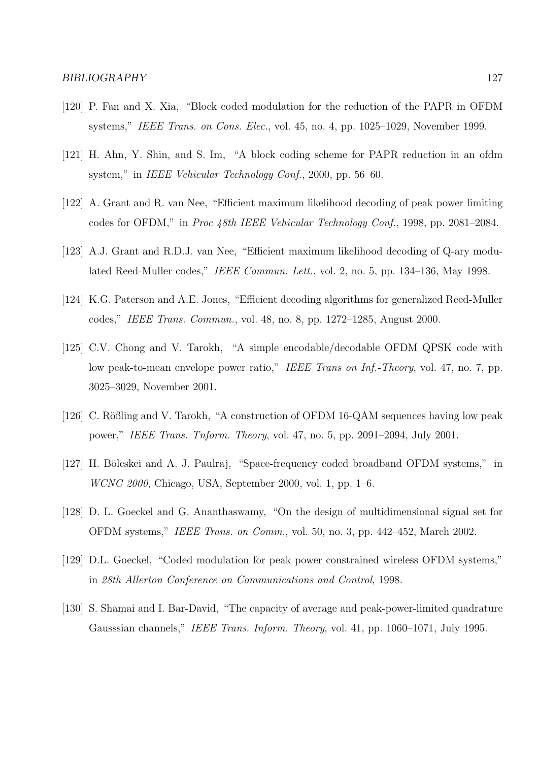- [120] P. Fan and X. Xia, "Block coded modulation for the reduction of the PAPR in OFDM systems," IEEE Trans. on Cons. Elec., vol. 45, no. 4, pp. 1025–1029, November 1999.
- [121] H. Ahn, Y. Shin, and S. Im, "A block coding scheme for PAPR reduction in an ofdm system," in IEEE Vehicular Technology Conf., 2000, pp. 56–60.
- [122] A. Grant and R. van Nee, "Efficient maximum likelihood decoding of peak power limiting codes for OFDM," in Proc 48th IEEE Vehicular Technology Conf., 1998, pp. 2081–2084.
- [123] A.J. Grant and R.D.J. van Nee, "Efficient maximum likelihood decoding of Q-ary modulated Reed-Muller codes," IEEE Commun. Lett., vol. 2, no. 5, pp. 134–136, May 1998.
- [124] K.G. Paterson and A.E. Jones, "Efficient decoding algorithms for generalized Reed-Muller codes," IEEE Trans. Commun., vol. 48, no. 8, pp. 1272–1285, August 2000.
- [125] C.V. Chong and V. Tarokh, "A simple encodable/decodable OFDM QPSK code with low peak-to-mean envelope power ratio," IEEE Trans on Inf.-Theory, vol. 47, no. 7, pp. 3025–3029, November 2001.
- [126] C. Rößling and V. Tarokh, "A construction of OFDM 16-QAM sequences having low peak power," IEEE Trans. Tnform. Theory, vol. 47, no. 5, pp. 2091–2094, July 2001.
- [127] H. Bölcskei and A. J. Paulraj, "Space-frequency coded broadband OFDM systems," in WCNC 2000, Chicago, USA, September 2000, vol. 1, pp. 1–6.
- [128] D. L. Goeckel and G. Ananthaswamy, "On the design of multidimensional signal set for OFDM systems," IEEE Trans. on Comm., vol. 50, no. 3, pp. 442–452, March 2002.
- [129] D.L. Goeckel, "Coded modulation for peak power constrained wireless OFDM systems," in 28th Allerton Conference on Communications and Control, 1998.
- [130] S. Shamai and I. Bar-David, "The capacity of average and peak-power-limited quadrature Gausssian channels," IEEE Trans. Inform. Theory, vol. 41, pp. 1060–1071, July 1995.